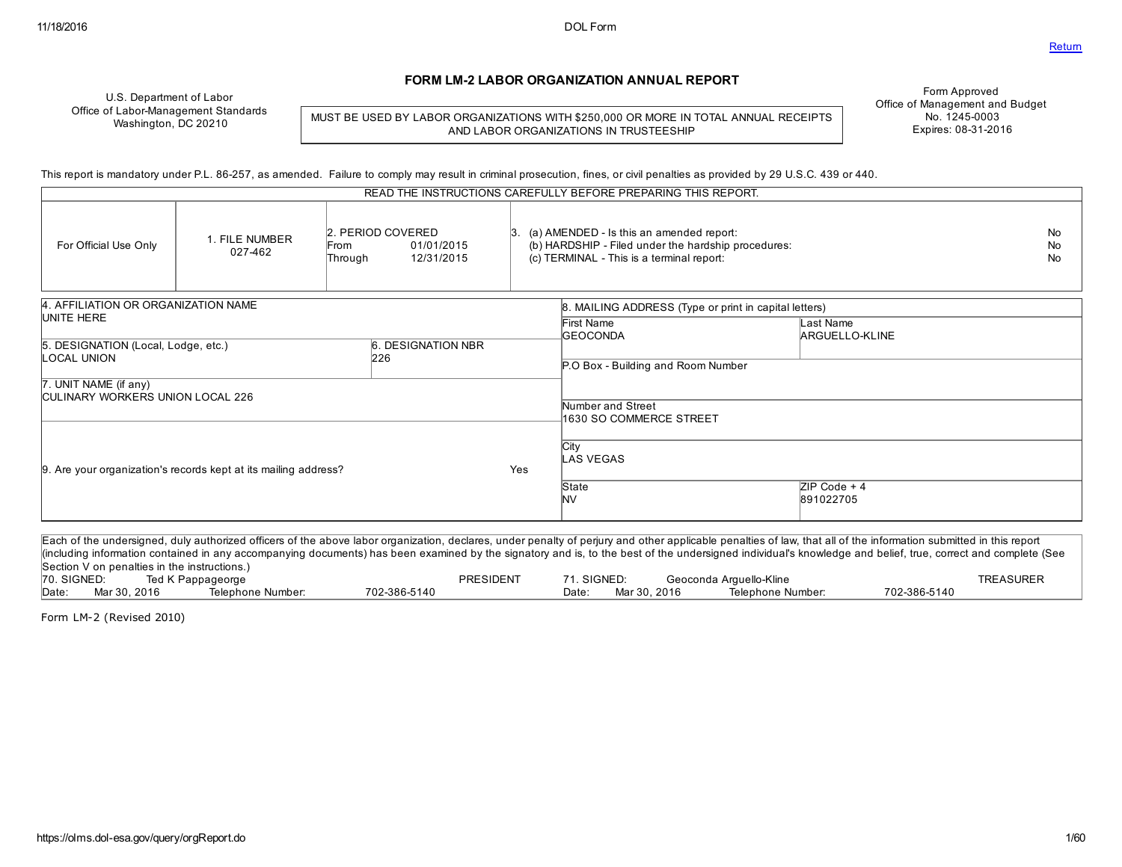#### FORM LM2 LABOR ORGANIZATION ANNUAL REPORT

U.S. Department of Labor Office of Labor-Management Standards Washington, DC 20210

MUST BE USED BY LABOR ORGANIZATIONS WITH \$250,000 OR MORE IN TOTAL ANNUAL RECEIPTS AND LABOR ORGANIZATIONS IN TRUSTEESHIP

Form Approved Office of Management and Budget No. 1245-0003 Expires: 08-31-2016

This report is mandatory under P.L. 86257, as amended. Failure to comply may result in criminal prosecution, fines, or civil penalties as provided by 29 U.S.C. 439 or 440.

|                                                                  |                           |                                                                  |                    | READ THE INSTRUCTIONS CAREFULLY BEFORE PREPARING THIS REPORT.                                                                                |                             |                        |
|------------------------------------------------------------------|---------------------------|------------------------------------------------------------------|--------------------|----------------------------------------------------------------------------------------------------------------------------------------------|-----------------------------|------------------------|
| For Official Use Only                                            | 1. FILE NUMBER<br>027-462 | 2. PERIOD COVERED<br>01/01/2015<br>From<br>12/31/2015<br>Through | 13.                | (a) AMENDED - Is this an amended report:<br>(b) HARDSHIP - Filed under the hardship procedures:<br>(c) TERMINAL - This is a terminal report: |                             | No.<br>No<br><b>No</b> |
| 4. AFFILIATION OR ORGANIZATION NAME                              |                           |                                                                  |                    | 8. MAILING ADDRESS (Type or print in capital letters)                                                                                        |                             |                        |
| UNITE HERE<br>5. DESIGNATION (Local, Lodge, etc.)                |                           | 6. DESIGNATION NBR                                               |                    | First Name<br><b>GEOCONDA</b>                                                                                                                | Last Name<br>ARGUELLO-KLINE |                        |
| LOCAL UNION                                                      |                           | 226                                                              |                    | P.O Box - Building and Room Number                                                                                                           |                             |                        |
| 7. UNIT NAME (if any)<br><b>CULINARY WORKERS UNION LOCAL 226</b> |                           |                                                                  |                    | Number and Street                                                                                                                            |                             |                        |
|                                                                  |                           |                                                                  |                    | 1630 SO COMMERCE STREET                                                                                                                      |                             |                        |
| 9. Are your organization's records kept at its mailing address?  |                           | Yes                                                              | City<br>LAS VEGAS  |                                                                                                                                              |                             |                        |
|                                                                  |                           |                                                                  | State<br><b>NV</b> | ZIP Code + 4<br>891022705                                                                                                                    |                             |                        |
|                                                                  |                           |                                                                  |                    |                                                                                                                                              |                             |                        |

Each of the undersigned, duly authorized officers of the above labor organization, declares, under penalty of perjury and other applicable penalties of law, that all of the information submitted in this report (including information contained in any accompanying documents) has been examined by the signatory and is, to the best of the undersigned individual's knowledge and belief, true, correct and complete (See Section V on penalties in the instructions.)<br>70. SIGNED: Ted K Pappageorge 70. SIGNED: Ted K Pappageorge TREASURER PRESIDENT 71. SIGNED: Geoconda Arguello-Kline TREASURER TREASURER<br>Date: Mar 30, 2016 Telephone Number: 702-386-5140 Date: Mar 30, 2016 Telephone Number: 702-386-5140 Date: Mar 30, 2016 Telephone Number: 7023865140 Date: Mar 30, 2016 Telephone Number: 7023865140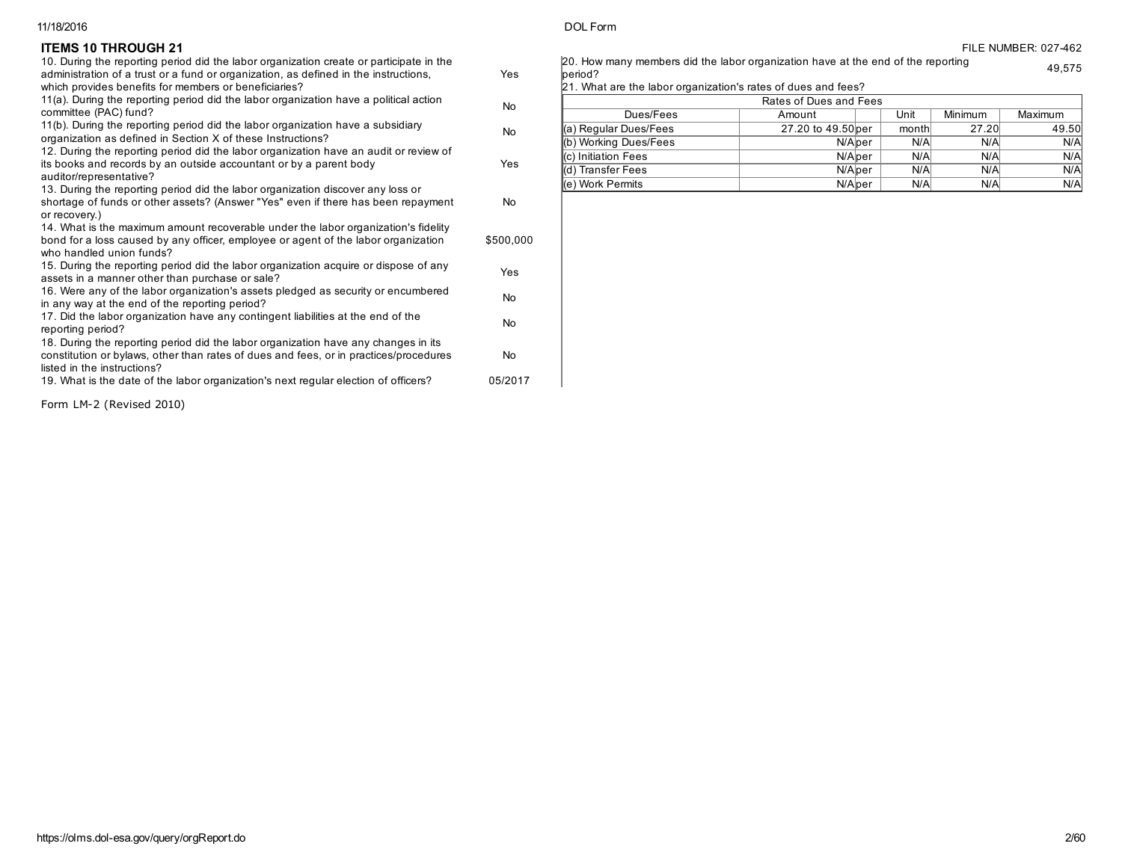#### **ITEMS 10 THROUGH 21** FILE NUMBER: 027-462

| 10. During the reporting period did the labor organization create or participate in the<br>administration of a trust or a fund or organization, as defined in the instructions,<br>which provides benefits for members or beneficiaries? | Yes       |
|------------------------------------------------------------------------------------------------------------------------------------------------------------------------------------------------------------------------------------------|-----------|
| 11(a). During the reporting period did the labor organization have a political action<br>committee (PAC) fund?                                                                                                                           | <b>No</b> |
| 11(b). During the reporting period did the labor organization have a subsidiary<br>organization as defined in Section X of these Instructions?                                                                                           | <b>No</b> |
| 12. During the reporting period did the labor organization have an audit or review of<br>its books and records by an outside accountant or by a parent body<br>auditor/representative?                                                   | Yes       |
| 13. During the reporting period did the labor organization discover any loss or<br>shortage of funds or other assets? (Answer "Yes" even if there has been repayment<br>or recovery.)                                                    | <b>No</b> |
| 14. What is the maximum amount recoverable under the labor organization's fidelity<br>bond for a loss caused by any officer, employee or agent of the labor organization<br>who handled union funds?                                     | \$500,000 |
| 15. During the reporting period did the labor organization acquire or dispose of any<br>assets in a manner other than purchase or sale?                                                                                                  | Yes       |
| 16. Were any of the labor organization's assets pledged as security or encumbered<br>in any way at the end of the reporting period?                                                                                                      | <b>No</b> |
| 17. Did the labor organization have any contingent liabilities at the end of the<br>reporting period?                                                                                                                                    | No        |
| 18. During the reporting period did the labor organization have any changes in its<br>constitution or bylaws, other than rates of dues and fees, or in practices/procedures<br>listed in the instructions?                               | No        |
| 19. What is the date of the labor organization's next regular election of officers?                                                                                                                                                      | 05/2017   |
| Form LM-2 (Revised 2010)                                                                                                                                                                                                                 |           |

20. How many members did the labor organization have at the end of the reporting period? 49,575

21. What are the labor organization's rates of dues and fees?

| Rates of Dues and Fees       |                    |       |         |         |  |  |
|------------------------------|--------------------|-------|---------|---------|--|--|
| Dues/Fees                    | Amount             | Unit  | Minimum | Maximum |  |  |
| ∥(a) Regular Dues/Fees       | 27.20 to 49.50 per | month | 27.20   | 49.50   |  |  |
| (b) Working Dues/Fees        | N/Alper            | N/A   | N/A     | N/A     |  |  |
| Kc) Initiation Fees          | N/Alper            | N/A   | N/A     | N/A     |  |  |
| ∥(d) Transfer Fees           | N/Alper            | N/A   | N/A     | N/A     |  |  |
| $\mathsf{I\!R}$ Work Permits | N/Alper            | N/A   | N/A     | N/A     |  |  |

Revised 2010)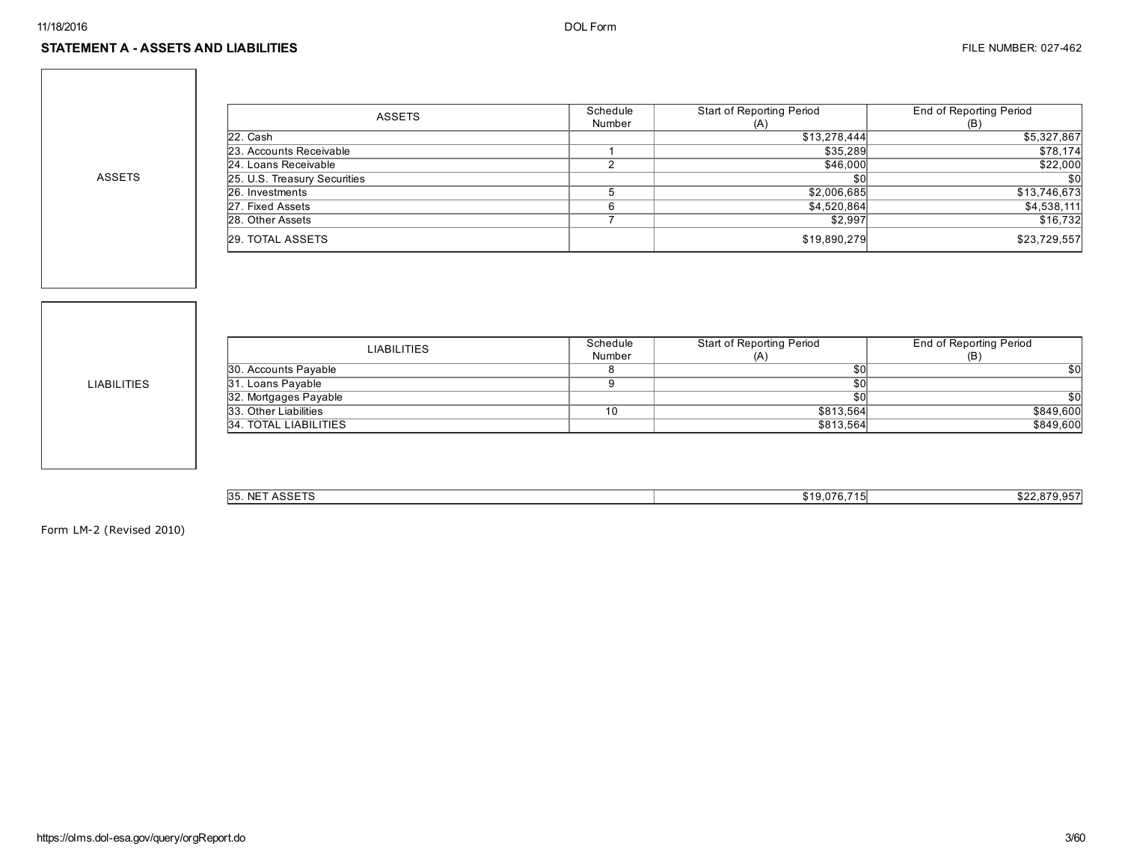ASSETS

| <b>ASSETS</b>                | Schedule<br>Number | Start of Reporting Period<br>(A) | End of Reporting Period<br>(B) |
|------------------------------|--------------------|----------------------------------|--------------------------------|
| 22. Cash                     |                    | \$13,278,444                     | \$5,327,867                    |
| 23. Accounts Receivable      |                    | \$35,289                         | \$78,174                       |
| 24. Loans Receivable         |                    | \$46,000                         | \$22,000                       |
| 25. U.S. Treasury Securities |                    | \$0                              | \$0                            |
| 26. Investments              |                    | \$2,006,685                      | \$13,746,673                   |
| 27. Fixed Assets             | 6                  | \$4,520,864                      | \$4,538,111                    |
| 28. Other Assets             |                    | \$2,997                          | \$16,732                       |
| 29. TOTAL ASSETS             |                    | \$19,890,279                     | \$23,729,557                   |

LIABILITIES

| <b>LIABILITIES</b>    | Schedule<br>Number | Start of Reporting Period<br>(A) | End of Reporting Period<br>(B) |
|-----------------------|--------------------|----------------------------------|--------------------------------|
| 30. Accounts Payable  |                    | \$0                              | \$OI                           |
| 31. Loans Payable     |                    | \$0                              |                                |
| 32. Mortgages Payable |                    | \$0                              | \$0l                           |
| 33. Other Liabilities | 10                 | \$813.564                        | \$849,600                      |
| 34. TOTAL LIABILITIES |                    | \$813,564                        | \$849,600                      |
|                       |                    |                                  |                                |

| ACCETC<br>$\ldots$ NET<br><b>35.</b><br>⊐ככר | $40.076$ 715<br>,,,,,,,<br>. | $\mathbf{A} \mathbf{A} \mathbf{A}$<br>$\sim$ $-1$<br>- 220<br>.07701<br>. ບ.ບບ |
|----------------------------------------------|------------------------------|--------------------------------------------------------------------------------|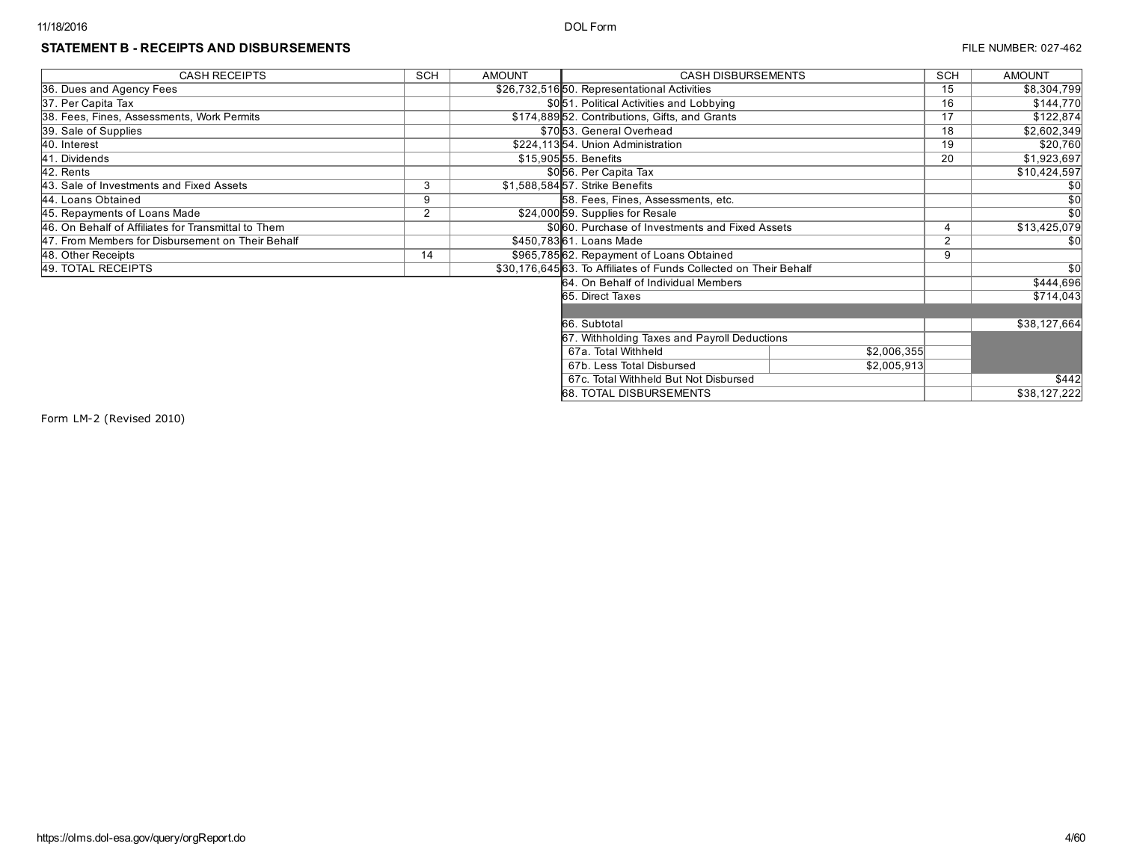## STATEMENT B - RECEIPTS AND DISBURSEMENTS **FILE NUMBER: 027-462**

| <b>CASH RECEIPTS</b>                                | <b>SCH</b>     | <b>AMOUNT</b> | <b>CASH DISBURSEMENTS</b>                                        |             | SCH | <b>AMOUNT</b> |
|-----------------------------------------------------|----------------|---------------|------------------------------------------------------------------|-------------|-----|---------------|
| 36. Dues and Agency Fees                            |                |               | \$26,732,516 50. Representational Activities                     |             | 15  | \$8,304,799   |
| 37. Per Capita Tax                                  |                |               | \$0.51. Political Activities and Lobbying                        |             | 16  | \$144,770     |
| 38. Fees, Fines, Assessments, Work Permits          |                |               | \$174,88952. Contributions, Gifts, and Grants                    |             | 17  | \$122,874     |
| 39. Sale of Supplies                                |                |               | \$7053. General Overhead                                         |             | 18  | \$2,602,349   |
| 40. Interest                                        |                |               | \$224,11354. Union Administration                                |             | 19  | \$20,760      |
| 41. Dividends                                       |                |               | \$15,905 55. Benefits                                            |             | 20  | \$1,923,697   |
| 42. Rents                                           |                |               | \$056. Per Capita Tax                                            |             |     | \$10,424,597  |
| 43. Sale of Investments and Fixed Assets            | 3              |               | \$1,588,58457. Strike Benefits                                   |             |     | <b>\$0</b>    |
| 44. Loans Obtained                                  | 9              |               | 58. Fees, Fines, Assessments, etc.                               |             |     | \$0           |
| 45. Repayments of Loans Made                        | $\overline{2}$ |               | \$24,000 59. Supplies for Resale                                 |             |     | \$0           |
| 46. On Behalf of Affiliates for Transmittal to Them |                |               | \$060. Purchase of Investments and Fixed Assets                  |             |     | \$13,425,079  |
| 47. From Members for Disbursement on Their Behalf   |                |               | \$450,78361. Loans Made                                          |             | 2   | \$0           |
| 48. Other Receipts                                  | 14             |               | \$965,78562. Repayment of Loans Obtained                         |             | 9   |               |
| 49. TOTAL RECEIPTS                                  |                |               | \$30,176,64563. To Affiliates of Funds Collected on Their Behalf |             |     | \$0           |
|                                                     |                |               | 64. On Behalf of Individual Members                              |             |     | \$444,696     |
|                                                     |                |               | 65. Direct Taxes                                                 |             |     | \$714,043     |
|                                                     |                |               |                                                                  |             |     |               |
|                                                     |                |               | 66. Subtotal                                                     |             |     | \$38,127,664  |
|                                                     |                |               | 67. Withholding Taxes and Payroll Deductions                     |             |     |               |
|                                                     |                |               | 67a. Total Withheld                                              | \$2,006,355 |     |               |
|                                                     |                |               | 67b. Less Total Disbursed                                        | \$2,005,913 |     |               |
|                                                     |                |               | 67c. Total Withheld But Not Disbursed                            |             |     | \$442         |
|                                                     |                |               | <b>68. TOTAL DISBURSEMENTS</b>                                   |             |     | \$38,127,222  |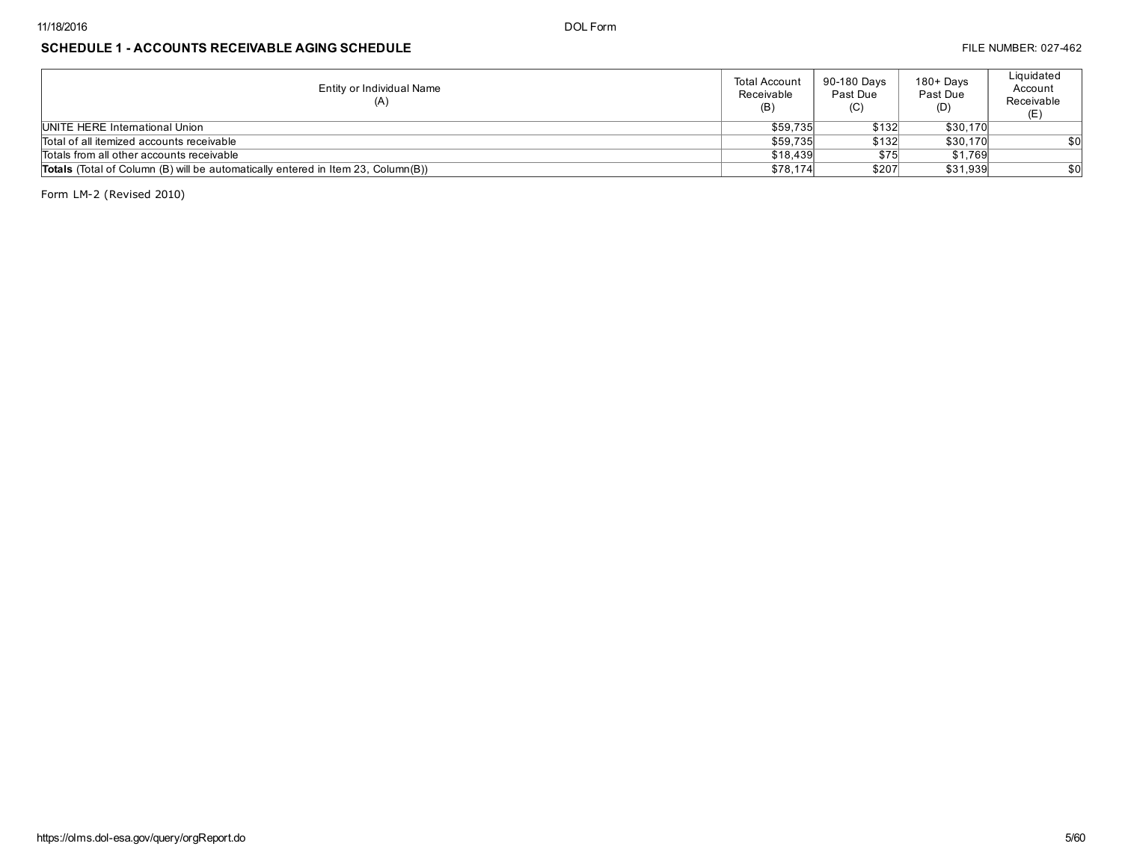## SCHEDULE 1 - ACCOUNTS RECEIVABLE AGING SCHEDULE **FILE NUMBER: 027-462** FILE NUMBER: 027-462

| Entity or Individual Name<br>(A)                                                        | Total Account<br>Receivable<br>(B) | 90-180 Davs<br>Past Due<br>(C) | $180 +$ Days<br>Past Due<br>(D) | Liquidated<br>Account<br>Receivable |
|-----------------------------------------------------------------------------------------|------------------------------------|--------------------------------|---------------------------------|-------------------------------------|
| UNITE HERE International Union                                                          | \$59,735                           | \$132                          | \$30,170                        |                                     |
| Total of all itemized accounts receivable                                               | \$59,735                           | \$132                          | \$30,170                        | \$0                                 |
| Totals from all other accounts receivable                                               | \$18,439                           | \$75                           | \$1.769                         |                                     |
| <b>Totals</b> (Total of Column (B) will be automatically entered in Item 23, Column(B)) | \$78,174                           | \$207                          | \$31,939                        | \$0                                 |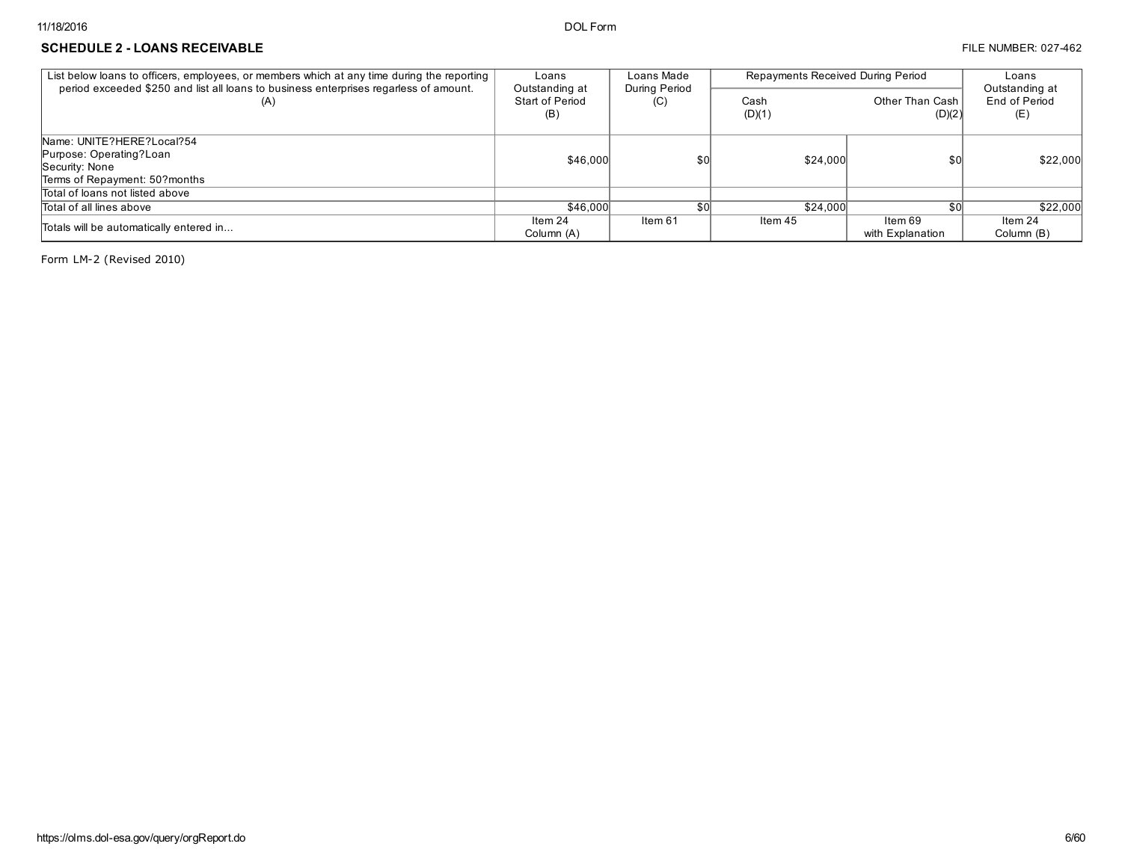#### SCHEDULE 2 - LOANS RECEIVABLE **External and the set of the set of the set of the set of the set of the set of the set of the set of the set of the set of the set of the set of the set of the set of the set of the set of th**

| List below loans to officers, employees, or members which at any time during the reporting               | Loans                                    | Loans Made           | Repayments Received During Period | Loans                       |                                        |
|----------------------------------------------------------------------------------------------------------|------------------------------------------|----------------------|-----------------------------------|-----------------------------|----------------------------------------|
| period exceeded \$250 and list all loans to business enterprises regarless of amount.<br>(A)             | Outstanding at<br>Start of Period<br>(B) | During Period<br>(C) | Cash<br>(D)(1)                    | Other Than Cash<br>(D)(2)   | Outstanding at<br>End of Period<br>(E) |
| Name: UNITE?HERE?Local?54<br>Purpose: Operating?Loan<br>Security: None<br>Terms of Repayment: 50? months | \$46,000                                 | \$0                  | \$24,000                          | \$0                         | \$22,000                               |
| Total of loans not listed above                                                                          |                                          |                      |                                   |                             |                                        |
| Total of all lines above                                                                                 | \$46,000                                 |                      | \$24,000                          | \$0 <sub>0</sub>            | \$22,000                               |
| Totals will be automatically entered in                                                                  | Item 24<br>Column (A)                    | Item 61              | Item 45                           | ltem 69<br>with Explanation | Item 24<br>Column (B)                  |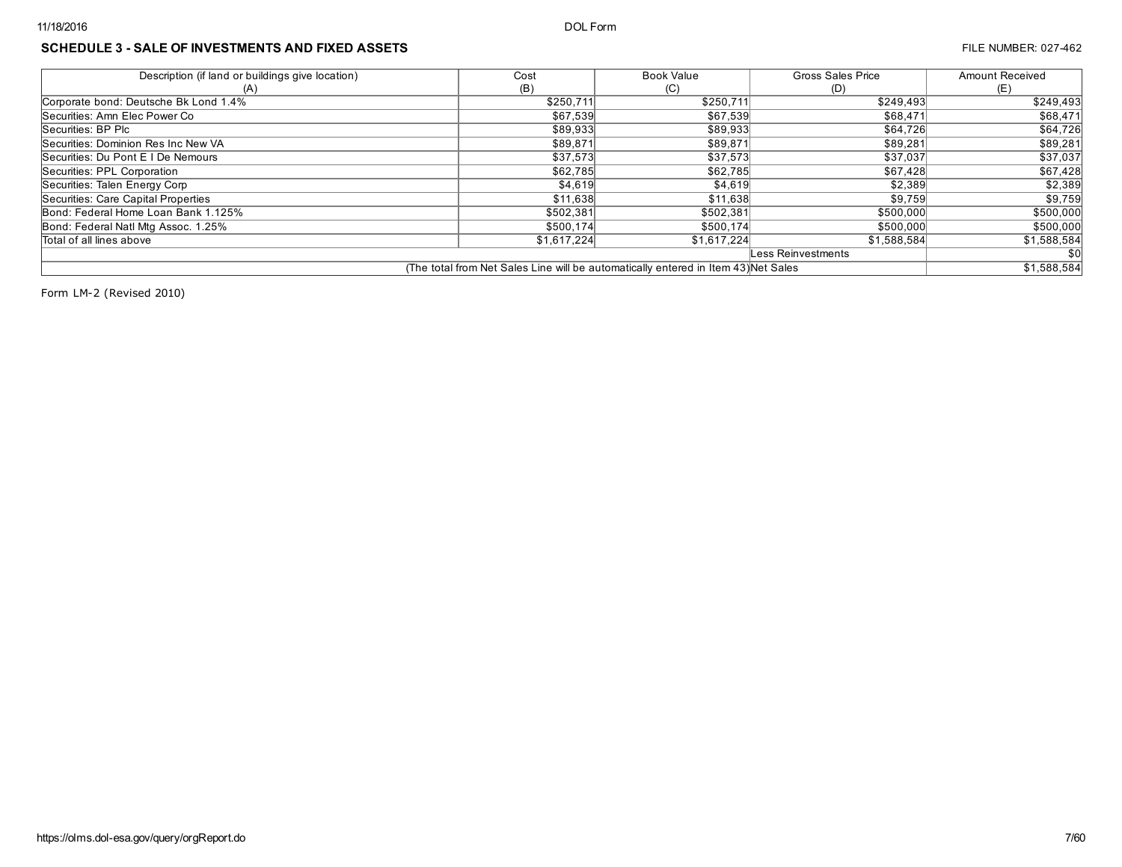## SCHEDULE 3 - SALE OF INVESTMENTS AND FIXED ASSETS **FILE NUMBER: 027-462** FILE NUMBER: 027-462

| Description (if land or buildings give location) | Cost        | <b>Book Value</b>                                                                  | Gross Sales Price  | <b>Amount Received</b> |
|--------------------------------------------------|-------------|------------------------------------------------------------------------------------|--------------------|------------------------|
| (A)                                              | (B)         | (C)                                                                                | (D)                | (E)                    |
| Corporate bond: Deutsche Bk Lond 1.4%            | \$250,711   | \$250,711                                                                          | \$249,493          | \$249,493              |
| Securities: Amn Elec Power Co                    | \$67,539    | \$67,539                                                                           | \$68,471           | \$68,471               |
| Securities: BP Plc                               | \$89,933    | \$89,933                                                                           | \$64,726           | \$64,726               |
| Securities: Dominion Res Inc New VA              | \$89,871    | \$89,871                                                                           | \$89,281           | \$89,281               |
| Securities: Du Pont E I De Nemours               | \$37,573    | \$37,573                                                                           | \$37,037           | \$37,037               |
| Securities: PPL Corporation                      | \$62,785    | \$62,785                                                                           | \$67,428           | \$67,428               |
| Securities: Talen Energy Corp                    | \$4,619     | \$4,619                                                                            | \$2,389            | \$2,389                |
| Securities: Care Capital Properties              | \$11,638    | \$11,638                                                                           | \$9,759            | \$9,759                |
| Bond: Federal Home Loan Bank 1.125%              | \$502,381   | \$502,381                                                                          | \$500,000          | \$500,000              |
| Bond: Federal Natl Mtg Assoc. 1.25%              | \$500,174   | \$500,174                                                                          | \$500,000          | \$500,000              |
| Total of all lines above                         | \$1,617,224 | \$1,617,224                                                                        | \$1,588,584        | \$1,588,584            |
|                                                  |             |                                                                                    | Less Reinvestments | <b>\$0</b>             |
|                                                  |             | (The total from Net Sales Line will be automatically entered in Item 43) Net Sales |                    | \$1,588,584            |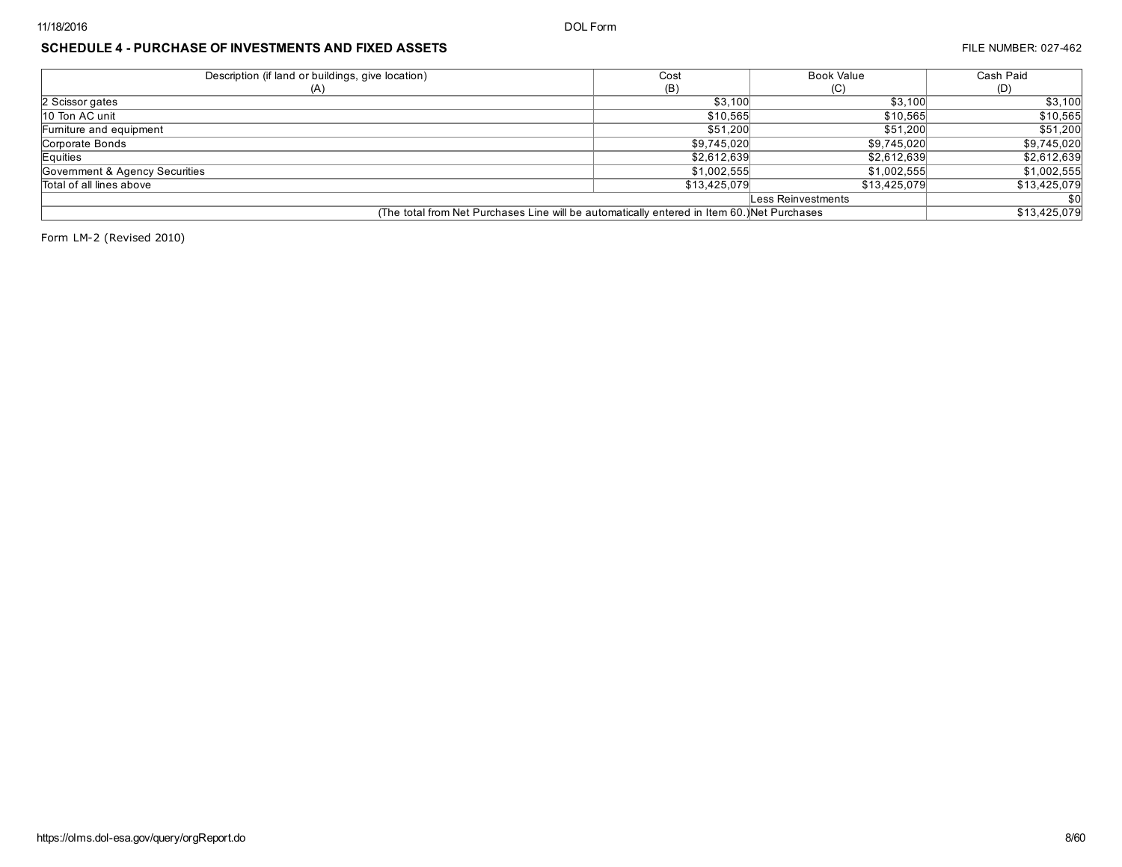| Description (if land or buildings, give location)                                           | Cost         | <b>Book Value</b>  | Cash Paid    |
|---------------------------------------------------------------------------------------------|--------------|--------------------|--------------|
| (A)                                                                                         | (B)          | (C)                | (D)          |
| 2 Scissor gates                                                                             | \$3.100      | \$3,100            | \$3,100      |
| 10 Ton AC unit                                                                              | \$10.565     | \$10,565           | \$10,565     |
| Furniture and equipment                                                                     | \$51,200     | \$51,200           | \$51,200     |
| Corporate Bonds                                                                             | \$9,745,020  | \$9,745,020        | \$9,745,020  |
| Equities                                                                                    | \$2,612,639  | \$2,612,639        | \$2,612,639  |
| Government & Agency Securities                                                              | \$1,002,555  | \$1,002,555        | \$1,002,555  |
| Total of all lines above                                                                    | \$13,425,079 | \$13,425,079       | \$13,425,079 |
|                                                                                             |              | Less Reinvestments | \$0          |
| (The total from Net Purchases Line will be automatically entered in Item 60.) Net Purchases |              |                    | \$13,425,079 |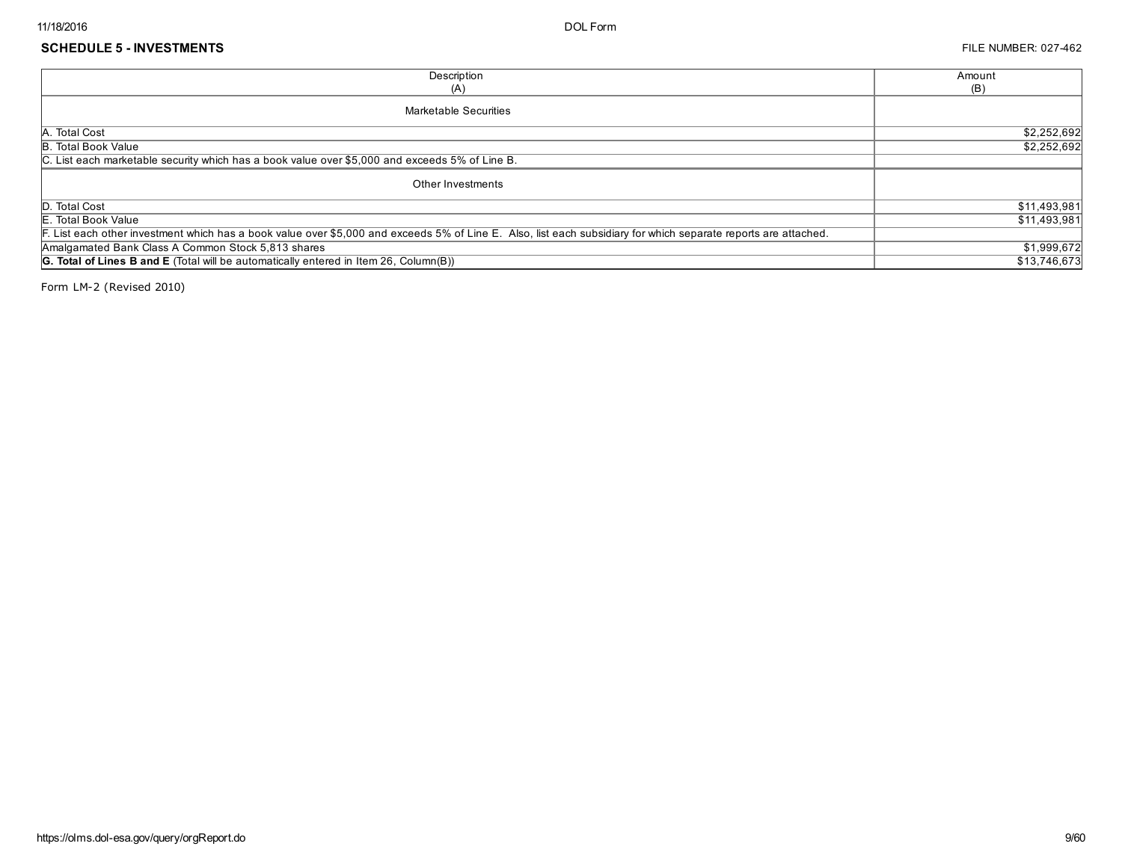| Description                                                                                                                                                     | Amount       |
|-----------------------------------------------------------------------------------------------------------------------------------------------------------------|--------------|
| (A)                                                                                                                                                             | (B)          |
| Marketable Securities                                                                                                                                           |              |
| A. Total Cost                                                                                                                                                   | \$2,252,692  |
| <b>B.</b> Total Book Value                                                                                                                                      | \$2,252,692  |
| C. List each marketable security which has a book value over \$5,000 and exceeds 5% of Line B.                                                                  |              |
| Other Investments                                                                                                                                               |              |
| D. Total Cost                                                                                                                                                   | \$11,493,981 |
| E. Total Book Value                                                                                                                                             | \$11,493,981 |
| F. List each other investment which has a book value over \$5,000 and exceeds 5% of Line E. Also, list each subsidiary for which separate reports are attached. |              |
| Amalgamated Bank Class A Common Stock 5,813 shares                                                                                                              | \$1,999,672  |
| G. Total of Lines B and E (Total will be automatically entered in Item 26, Column(B))                                                                           | \$13,746,673 |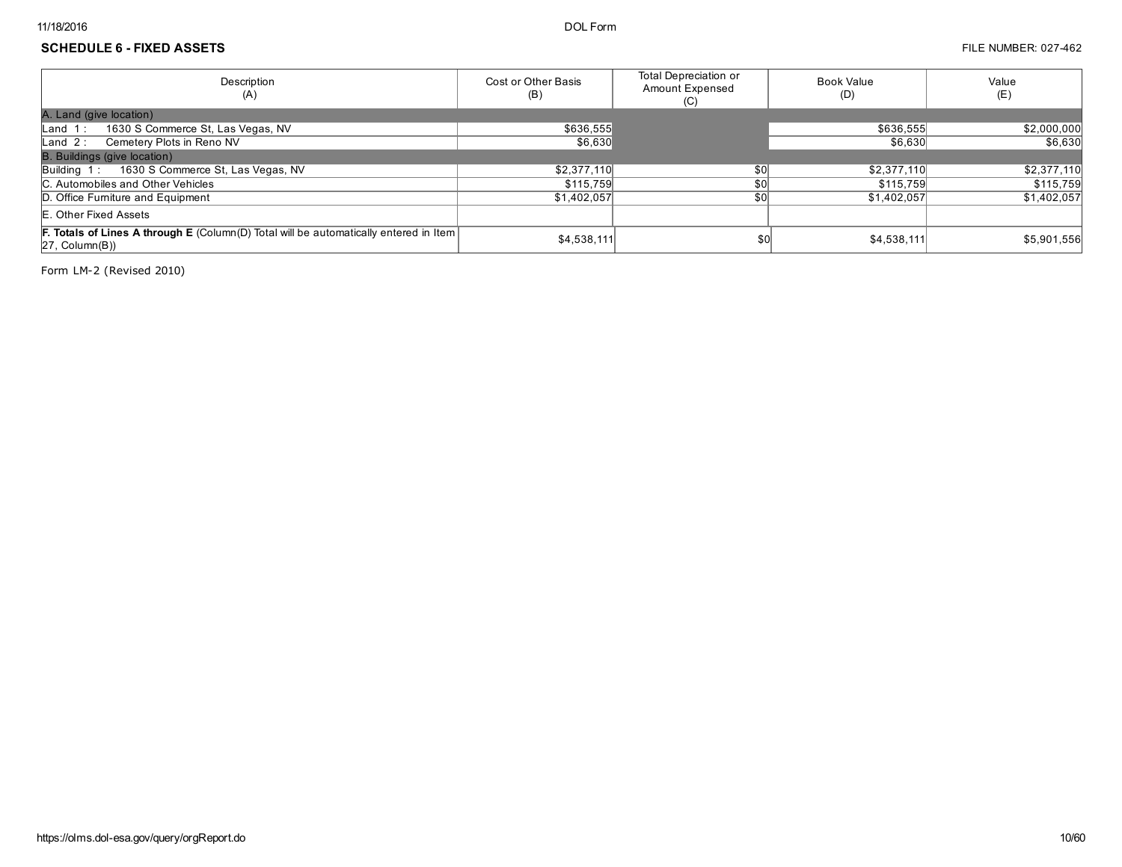### SCHEDULE 6 - FIXED ASSETS FILE NUMBER: 027-462

| Description<br>(A)                                                                                            | Cost or Other Basis<br>(B) | Total Depreciation or<br>Amount Expensed<br>(C) | Book Value<br>(D) | Value<br>(E) |
|---------------------------------------------------------------------------------------------------------------|----------------------------|-------------------------------------------------|-------------------|--------------|
| A. Land (give location)                                                                                       |                            |                                                 |                   |              |
| 1630 S Commerce St, Las Vegas, NV<br>$\mathsf{Land}$ 1:                                                       | \$636,555                  |                                                 | \$636,555         | \$2,000,000  |
| Land 2: Cemetery Plots in Reno NV                                                                             | \$6,630                    |                                                 | \$6,630           | \$6.630      |
| <b>B.</b> Buildings (give location)                                                                           |                            |                                                 |                   |              |
| 1630 S Commerce St, Las Vegas, NV<br>Building 1:                                                              | \$2,377,110                | \$0                                             | \$2,377,110       | \$2,377,110  |
| C. Automobiles and Other Vehicles                                                                             | \$115,759                  | \$O                                             | \$115,759         | \$115,759    |
| D. Office Furniture and Equipment                                                                             | \$1,402,057                | \$0 <sub>0</sub>                                | \$1,402,057       | \$1,402,057  |
| <b>E. Other Fixed Assets</b>                                                                                  |                            |                                                 |                   |              |
| <b>F. Totals of Lines A through E</b> (Column(D) Total will be automatically entered in Item<br>27, Column(B) | \$4,538,111                | \$0                                             | \$4,538,111       | \$5,901,556  |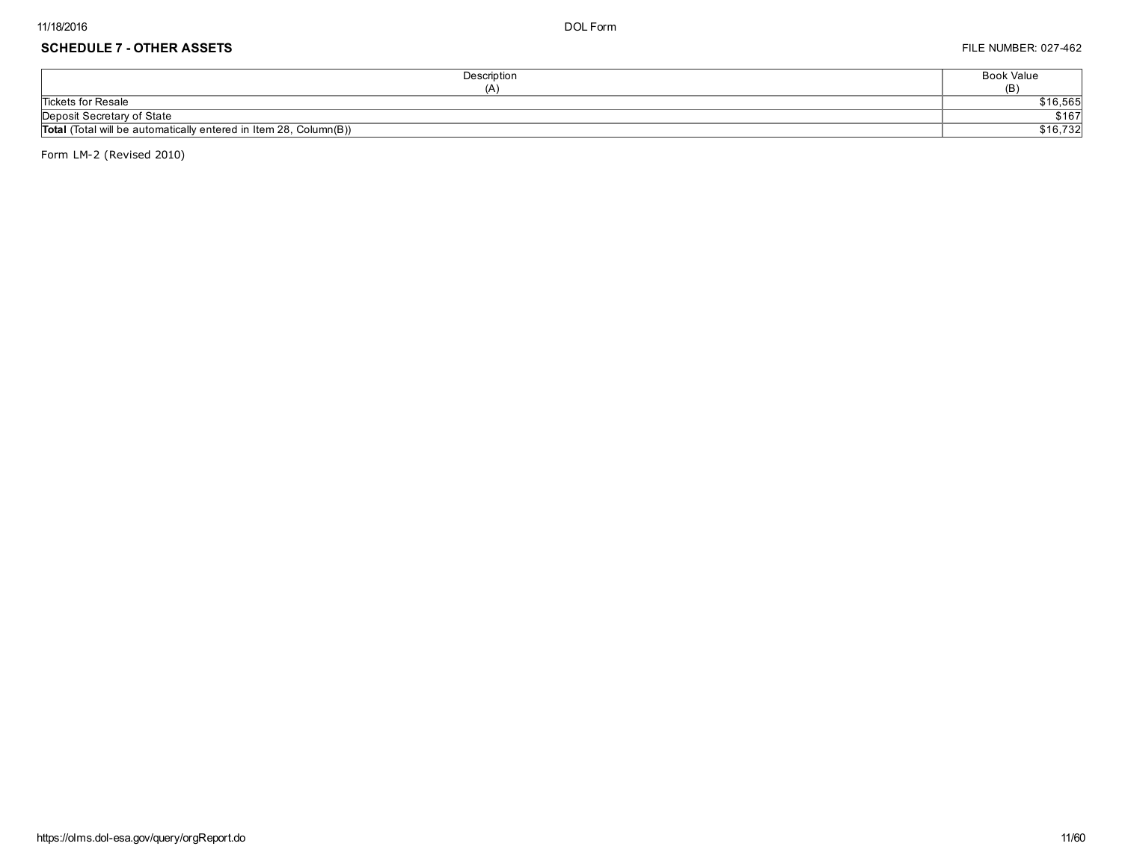## SCHEDULE 7 - OTHER ASSETS FILE NUMBER: 027-462

| Description                                                              | <b>Book Value</b> |
|--------------------------------------------------------------------------|-------------------|
| (A)                                                                      | (B)               |
| <b>Tickets for Resale</b>                                                | \$16,565          |
| Deposit Secretary of State                                               | \$167             |
| <b>Total</b> (Total will be automatically entered in Item 28, Column(B)) | \$16,732          |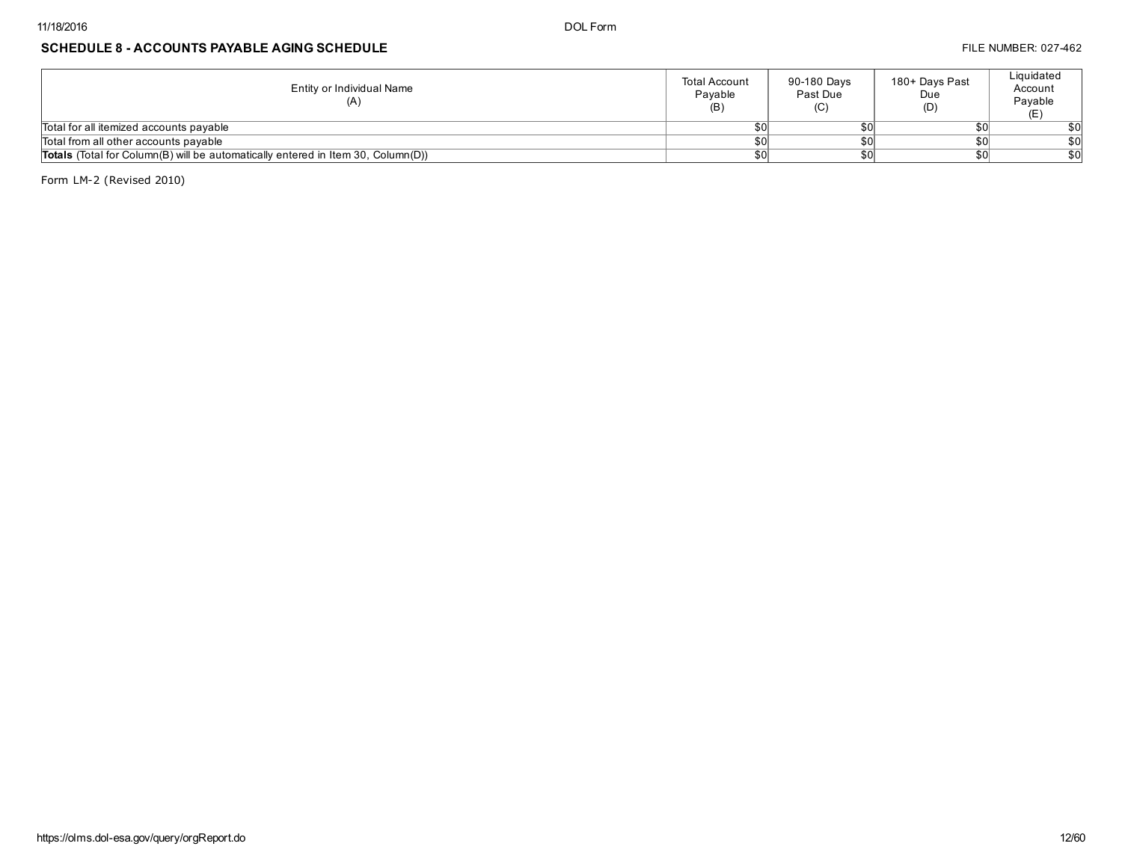## SCHEDULE 8 - ACCOUNTS PAYABLE AGING SCHEDULE **FILE NUMBER: 027-462**

| Entity or Individual Name<br>(A)                                                        | <b>Total Account</b><br>Pavable<br>(B) | 90-180 Days<br>Past Due<br>(C) | 180+ Days Past<br>Due<br>(D) | Liquidated<br>Account<br>Payable |
|-----------------------------------------------------------------------------------------|----------------------------------------|--------------------------------|------------------------------|----------------------------------|
| Total for all itemized accounts payable                                                 |                                        |                                |                              | \$0                              |
| Total from all other accounts payable                                                   |                                        |                                | \$OI                         | \$0                              |
| <b>Totals</b> (Total for Column(B) will be automatically entered in Item 30, Column(D)) |                                        |                                | \$OI                         | \$0                              |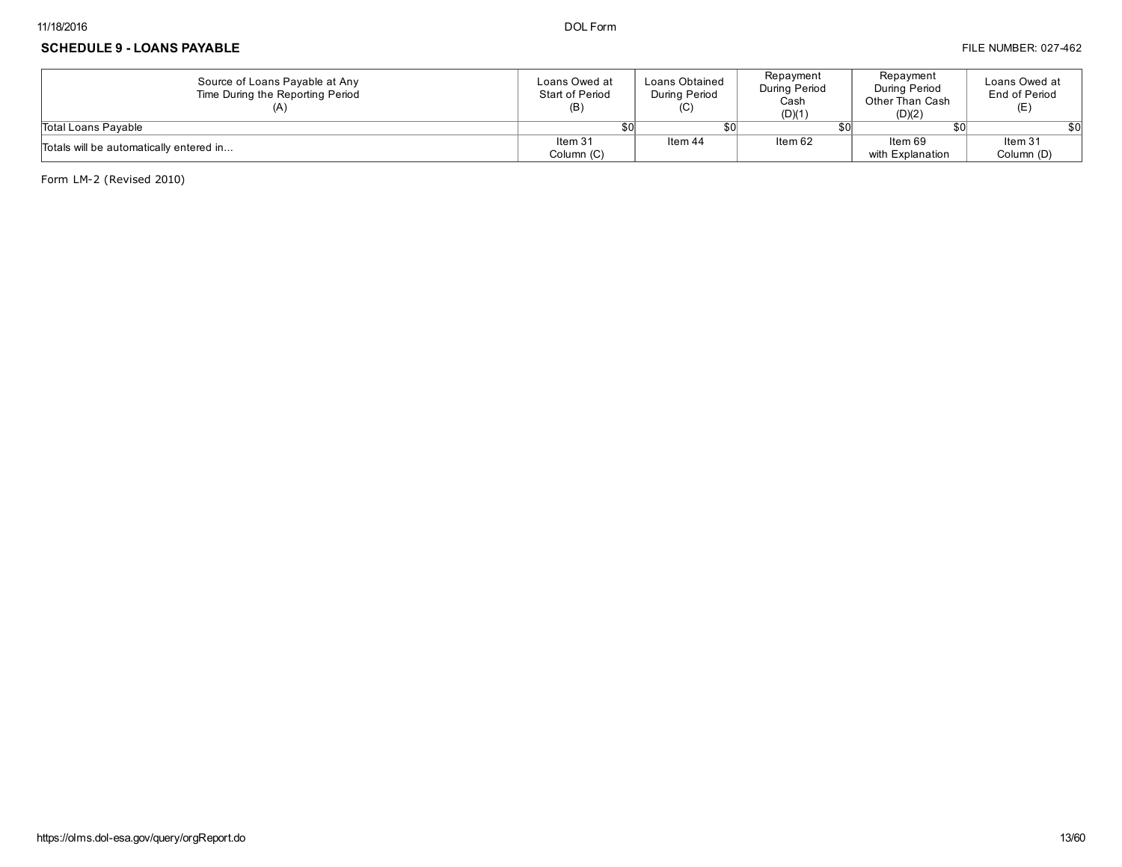#### SCHEDULE 9 - LOANS PAYABLE **FILE NUMBER: 027-462** FILE NUMBER: 027-462

| Source of Loans Payable at Any<br>Time During the Reporting Period | Loans Owed at<br>Start of Period<br>(B) | Loans Obtained<br>During Period<br>(C) | Repayment<br>During Period<br>Cash<br>(D)(1) | Repayment<br>During Period<br>Other Than Cash<br>(D)(2) | Loans Owed at<br>End of Period<br>(E) |
|--------------------------------------------------------------------|-----------------------------------------|----------------------------------------|----------------------------------------------|---------------------------------------------------------|---------------------------------------|
| Total Loans Pavable                                                | \$OI                                    |                                        |                                              | 801                                                     | \$0l                                  |
| Totals will be automatically entered in                            | Item 31                                 | Item 44                                | Item 62                                      | Item 69                                                 | Item 31                               |
|                                                                    | Column (C)                              |                                        |                                              | with Explanation                                        | Column (D)                            |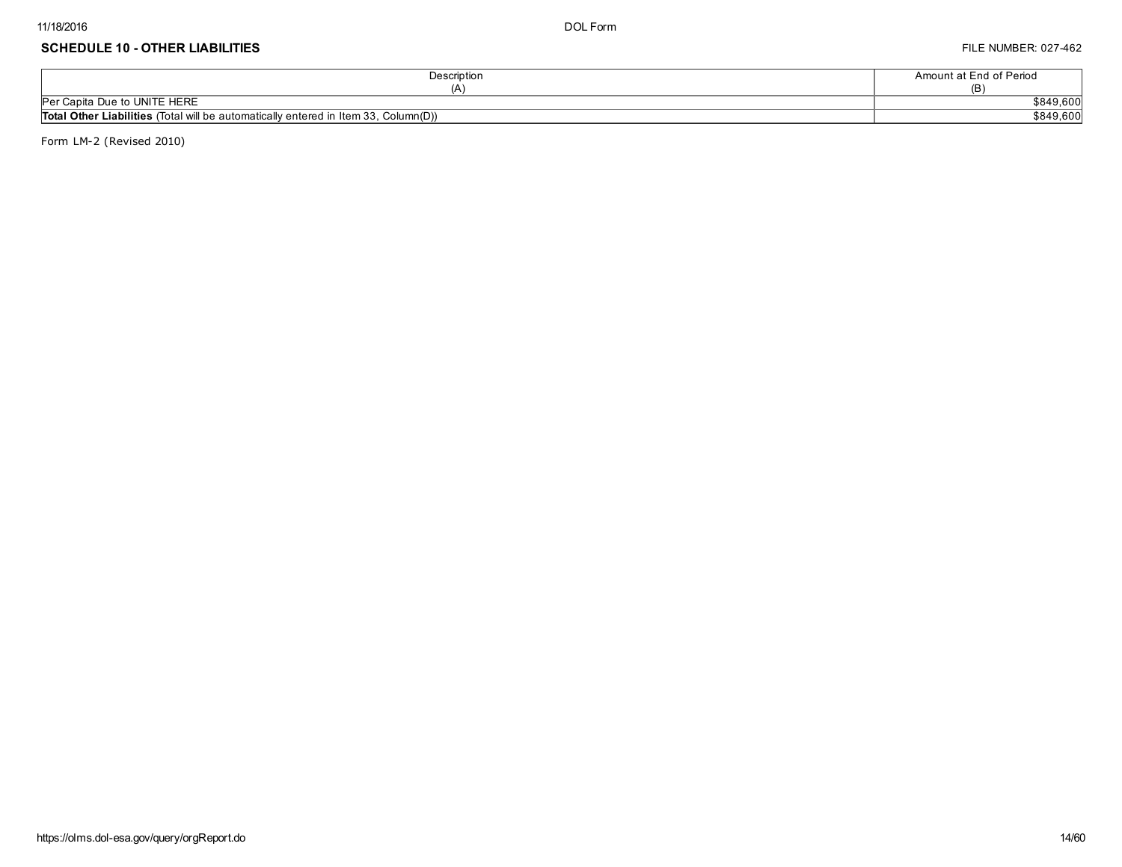#### SCHEDULE 10 - OTHER LIABILITIES FILE NUMBER: 027-462

| Description                                                                                | Amount at End of Period |
|--------------------------------------------------------------------------------------------|-------------------------|
|                                                                                            | (ĸ                      |
| Per Capita Due to UNITE HERE                                                               | \$849,600               |
| <b>Total Other Liabilities</b> (Total will be automatically entered in Item 33, Column(D)) | \$849,600               |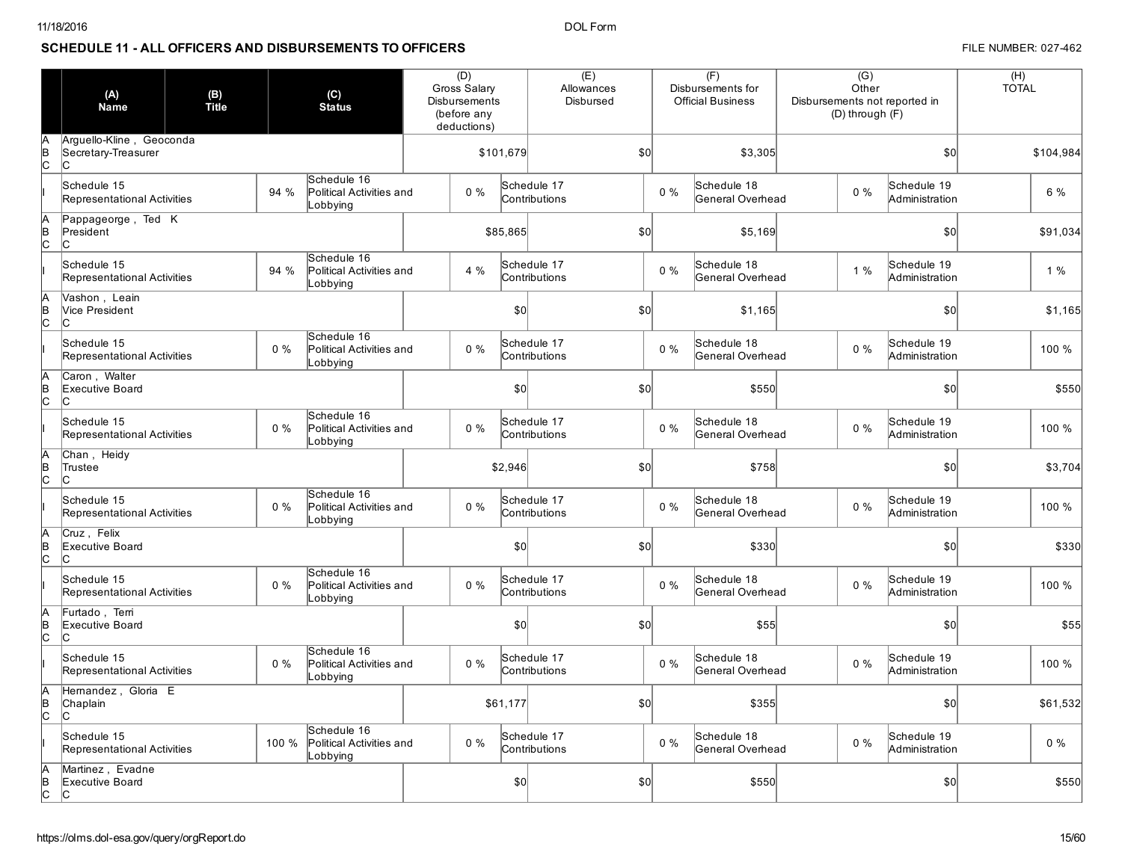## SCHEDULE 11 - ALL OFFICERS AND DISBURSEMENTS TO OFFICERS **FILE AND ACCEPT AND ACCEPT AND ACCEPT ACCEPT** FILE NUMBER: 027-462

|           | (A)<br><b>Name</b>                                     | (B)<br>Title<br>(C)<br><b>Status</b> |       |                                                     | (D)<br>Gross Salary<br>Disbursements<br>(before any<br>deductions) |       |           | (E)<br>Allowances<br>Disbursed |                  |       | (F)<br>Disbursements for<br><b>Official Business</b> | $\overline{(G)}$<br>Other<br>Disbursements not reported in<br>(D) through (F) |                                     | (H)<br><b>TOTAL</b> |
|-----------|--------------------------------------------------------|--------------------------------------|-------|-----------------------------------------------------|--------------------------------------------------------------------|-------|-----------|--------------------------------|------------------|-------|------------------------------------------------------|-------------------------------------------------------------------------------|-------------------------------------|---------------------|
| lc.       | Arguello-Kline, Geoconda<br>Secretary-Treasurer<br>lc. |                                      |       |                                                     |                                                                    |       | \$101,679 | \$0                            |                  |       | \$3,305                                              |                                                                               | $\vert$ \$0                         | \$104,984           |
|           | Schedule 15<br>Representational Activities             |                                      | 94 %  | Schedule 16<br>Political Activities and<br>Lobbying |                                                                    | $0\%$ |           | Schedule 17<br>Contributions   |                  | $0\%$ | Schedule 18<br>General Overhead                      | $0\%$                                                                         | Schedule 19<br>Administration       | 6 %                 |
| IB<br>lc. | Pappageorge, Ted K<br>President<br>lc.                 |                                      |       |                                                     |                                                                    |       | \$85,865  |                                | \$0              |       | \$5,169                                              |                                                                               | \$0                                 | \$91,034            |
|           | Schedule 15<br>Representational Activities             |                                      | 94 %  | Schedule 16<br>Political Activities and<br>Lobbying |                                                                    | 4 %   |           | Schedule 17<br>Contributions   |                  | $0\%$ | Schedule 18<br>General Overhead                      | 1 %                                                                           | Schedule 19<br>Administration       | 1%                  |
| IB<br>lc. | Vashon, Leain<br>Vice President<br>lc.                 |                                      |       |                                                     |                                                                    |       | 50        |                                | S <sub>0</sub>   |       | \$1,165                                              |                                                                               | S <sub>0</sub>                      | \$1,165             |
|           | Schedule 15<br>Representational Activities             |                                      | $0\%$ | Schedule 16<br>Political Activities and<br>Lobbying |                                                                    | $0\%$ |           | Schedule 17<br>Contributions   |                  | $0\%$ | Schedule 18<br>General Overhead                      | $0\%$                                                                         | Schedule 19<br>Administration       | 100 %               |
| B<br>lc.  | Caron, Walter<br>Executive Board<br>lc.                |                                      |       |                                                     |                                                                    |       | 50        |                                | \$0              |       | \$550                                                |                                                                               | \$0                                 | \$550               |
|           | Schedule 15<br>Representational Activities             |                                      | $0\%$ | Schedule 16<br>Political Activities and<br>Lobbying |                                                                    | $0\%$ |           | Schedule 17<br>Contributions   |                  | $0\%$ | Schedule 18<br>General Overhead                      | $0\%$                                                                         | Schedule 19<br>Administration       | 100 %               |
| B<br>lc.  | Chan, Heidy<br>Trustee<br>lc.                          |                                      |       |                                                     |                                                                    |       | \$2,946   |                                | S <sub>0</sub>   |       | \$758                                                |                                                                               | \$0                                 | \$3,704             |
|           | Schedule 15<br>Representational Activities             |                                      | $0\%$ | Schedule 16<br>Political Activities and<br>Lobbying |                                                                    | $0\%$ |           | Schedule 17<br>Contributions   |                  | 0%    | Schedule 18<br>General Overhead                      | $0\%$                                                                         | Schedule 19<br>Administration       | 100 %               |
| B<br>lc.  | Cruz, Felix<br>Executive Board<br>lc.                  |                                      |       |                                                     |                                                                    |       | \$0       |                                | S <sub>0</sub>   |       | \$330                                                |                                                                               | S <sub>0</sub>                      | \$330               |
|           | Schedule 15<br>Representational Activities             |                                      | $0\%$ | Schedule 16<br>Political Activities and<br>Lobbying |                                                                    | $0\%$ |           | Schedule 17<br>Contributions   |                  | $0\%$ | Schedule 18<br>General Overhead                      | $0\%$                                                                         | Schedule 19<br>Administration       | 100 %               |
| B<br>lc.  | Furtado, Terri<br>Executive Board<br>lc.               |                                      |       |                                                     |                                                                    |       | \$0       |                                | $s$ <sub>O</sub> |       | \$55                                                 |                                                                               | $\vert \mathbf{S} \mathbf{O} \vert$ | \$55                |
|           | Schedule 15<br>Representational Activities             |                                      | $0\%$ | Schedule 16<br>Political Activities and<br>Lobbying |                                                                    | $0\%$ |           | Schedule 17<br>Contributions   |                  | $0\%$ | Schedule 18<br>General Overhead                      | $0\%$                                                                         | Schedule 19<br>Administration       | 100 %               |
| B<br>lc.  | Hernandez, Gloria E<br>Chaplain<br>lc.                 |                                      |       |                                                     |                                                                    |       | \$61,177  |                                | S <sub>0</sub>   |       | \$355                                                |                                                                               | $\vert$ \$0                         | \$61,532            |
|           | Schedule 15<br>Representational Activities             |                                      | 100 % | Schedule 16<br>Political Activities and<br>_obbying |                                                                    | 0%    |           | Schedule 17<br>Contributions   |                  | 0%    | Schedule 18<br>General Overhead                      | $0\%$                                                                         | Schedule 19<br>Administration       | $0\%$               |
| B<br>lc.  | Martinez, Evadne<br>Executive Board<br>lc.             |                                      |       |                                                     |                                                                    |       | 50        |                                | \$0              |       | \$550                                                |                                                                               | \$0                                 | \$550               |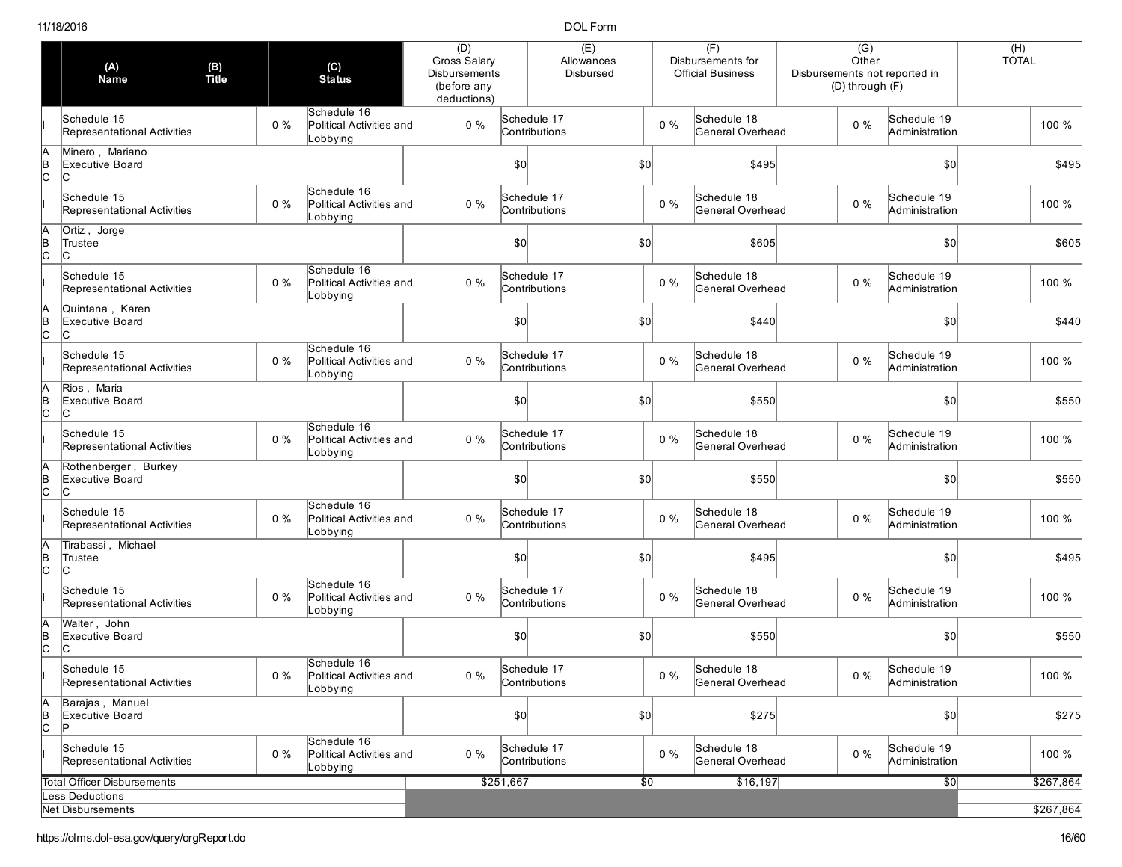|                | (A)<br><b>Name</b>                             | (C)<br>(B)<br>Title<br><b>Status</b> |       | (D)<br>Gross Salary                                 | Disbursements<br>(before any<br>deductions) |       | (E)<br>Allowances<br>Disbursed      |                              |               | (F)<br>Disbursements for<br><b>Official Business</b> | $\overline{(G)}$<br>Other<br>Disbursements not reported in<br>(D) through (F) |       | (H)<br><b>TOTAL</b>           |  |           |
|----------------|------------------------------------------------|--------------------------------------|-------|-----------------------------------------------------|---------------------------------------------|-------|-------------------------------------|------------------------------|---------------|------------------------------------------------------|-------------------------------------------------------------------------------|-------|-------------------------------|--|-----------|
|                | Schedule 15<br>Representational Activities     |                                      | $0\%$ | Schedule 16<br>Political Activities and<br>Lobbying |                                             | $0\%$ |                                     | Schedule 17<br>Contributions |               | $0\%$                                                | Schedule 18<br>General Overhead                                               | $0\%$ | Schedule 19<br>Administration |  | 100 %     |
|                | Minero, Mariano<br>Executive Board<br>Iс       |                                      |       |                                                     |                                             |       | \$0                                 |                              | \$0           |                                                      | \$495                                                                         |       | \$0                           |  | \$495     |
|                | Schedule 15<br>Representational Activities     |                                      | $0\%$ | Schedule 16<br>Political Activities and<br>Lobbying |                                             | $0\%$ |                                     | Schedule 17<br>Contributions |               | 0%                                                   | Schedule 18<br>General Overhead                                               | 0%    | Schedule 19<br>Administration |  | 100 %     |
| $\frac{1}{2}$  | Ortiz, Jorge<br>Trustee<br>lc.                 |                                      |       |                                                     |                                             |       | \$0                                 |                              | \$0           |                                                      | \$605                                                                         |       | $ 10\rangle$                  |  | \$605     |
|                | Schedule 15<br>Representational Activities     |                                      | $0\%$ | Schedule 16<br>Political Activities and<br>Lobbying |                                             | $0\%$ |                                     | Schedule 17<br>Contributions |               | $0\%$                                                | Schedule 18<br>General Overhead                                               | $0\%$ | Schedule 19<br>Administration |  | 100 %     |
| B              | Quintana, Karen<br>Executive Board<br>IC       |                                      |       |                                                     |                                             |       | \$0                                 |                              | \$0           |                                                      | \$440                                                                         |       | \$0                           |  | \$440     |
|                | Schedule 15<br>Representational Activities     |                                      | $0\%$ | Schedule 16<br>Political Activities and<br>Lobbying |                                             | $0\%$ |                                     | Schedule 17<br>Contributions |               | $0\%$                                                | Schedule 18<br>General Overhead                                               | 0%    | Schedule 19<br>Administration |  | 100 %     |
| lB             | Rios, Maria<br>Executive Board<br>Iс           |                                      |       |                                                     |                                             |       | \$0                                 |                              | $\mathcal{S}$ |                                                      | \$550                                                                         |       | $ 10\rangle$                  |  | \$550     |
|                | Schedule 15<br>Representational Activities     |                                      | $0\%$ | Schedule 16<br>Political Activities and<br>Lobbying |                                             | $0\%$ |                                     | Schedule 17<br>Contributions |               | $0\%$                                                | Schedule 18<br>General Overhead                                               | $0\%$ | Schedule 19<br>Administration |  | 100 %     |
| B<br>lc        | Rothenberger, Burkey<br>Executive Board<br>lC. |                                      |       |                                                     |                                             |       | \$0                                 |                              | \$0           |                                                      | \$550                                                                         |       | $ 10\rangle$                  |  | \$550     |
|                | Schedule 15<br>Representational Activities     |                                      | $0\%$ | Schedule 16<br>Political Activities and<br>Lobbying |                                             | $0\%$ |                                     | Schedule 17<br>Contributions |               | $0\%$                                                | Schedule 18<br>General Overhead                                               | 0%    | Schedule 19<br>Administration |  | 100 %     |
| $\frac{B}{C}$  | Tirabassi, Michael<br>Trustee<br>lc.           |                                      |       |                                                     |                                             |       | $\vert \mathbf{S} \mathbf{O} \vert$ |                              | $\mathcal{S}$ |                                                      | \$495                                                                         |       | \$0                           |  | \$495     |
|                | Schedule 15<br>Representational Activities     |                                      | $0\%$ | Schedule 16<br>Political Activities and<br>Lobbying |                                             | $0\%$ |                                     | Schedule 17<br>Contributions |               | $0\%$                                                | Schedule 18<br>General Overhead                                               | 0%    | Schedule 19<br>Administration |  | 100 %     |
|                | Walter, John<br>Executive Board                |                                      |       |                                                     |                                             |       | \$0                                 |                              | \$0           |                                                      | \$550                                                                         |       | \$0                           |  | \$550     |
|                | Schedule 15<br>Representational Activities     |                                      | $0\%$ | Schedule 16<br>Political Activities and<br>Lobbying |                                             | $0\%$ |                                     | Schedule 17<br>Contributions |               | $0\%$                                                | Schedule 18<br>General Overhead                                               | $0\%$ | Schedule 19<br>Administration |  | 100 %     |
| IA<br>∣в<br>Iс | Barajas, Manuel<br>Executive Board             |                                      |       |                                                     |                                             |       | \$0                                 |                              | \$0]          |                                                      | \$275                                                                         |       | \$0]                          |  | \$275     |
|                | Schedule 15<br>Representational Activities     |                                      | $0\%$ | Schedule 16<br>Political Activities and<br>Lobbying |                                             | $0\%$ |                                     | Schedule 17<br>Contributions |               | $0\%$                                                | Schedule 18<br>General Overhead                                               | $0\%$ | Schedule 19<br>Administration |  | 100 %     |
|                | Total Officer Disbursements                    |                                      |       |                                                     |                                             |       | \$251,667                           |                              | $\sqrt{50}$   |                                                      | \$16,197                                                                      |       | \$0                           |  | \$267,864 |
|                | ess Deductions                                 |                                      |       |                                                     |                                             |       |                                     |                              |               |                                                      |                                                                               |       |                               |  |           |
|                | Net Disbursements                              |                                      |       |                                                     |                                             |       |                                     |                              |               |                                                      |                                                                               |       |                               |  | \$267,864 |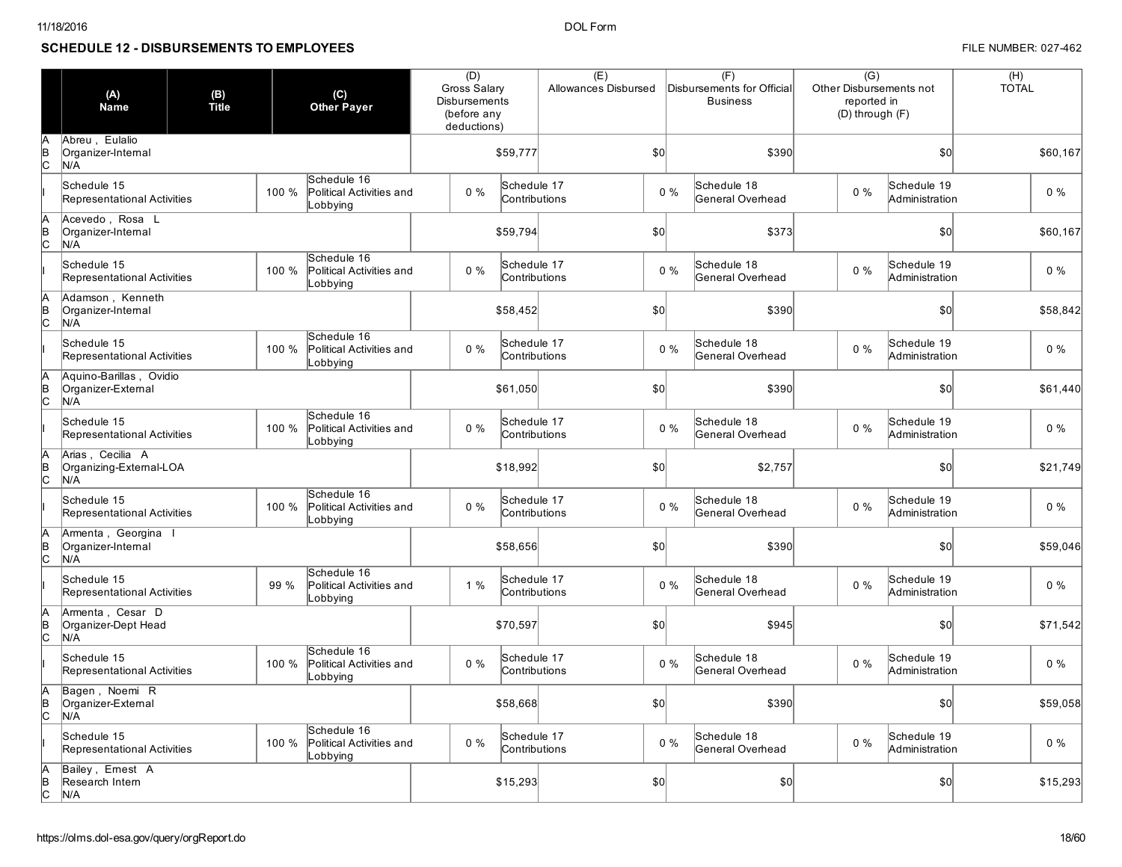## SCHEDULE 12 - DISBURSEMENTS TO EMPLOYEES FILE NUMBER: 027-462

|                | (A)<br><b>Name</b>                                   | (B)<br>Title | (C)<br><b>Other Payer</b>                                    | (D)   | Gross Salary<br><b>Disbursements</b><br>(before any<br>deductions) |     | Allowances Disbursed |       | (F)<br>Disbursements for Official<br><b>Business</b> | $\overline{(G)}$<br>Other Disbursements not<br>reported in<br>(D) through (F) |                               | (H)<br><b>TOTAL</b> |
|----------------|------------------------------------------------------|--------------|--------------------------------------------------------------|-------|--------------------------------------------------------------------|-----|----------------------|-------|------------------------------------------------------|-------------------------------------------------------------------------------|-------------------------------|---------------------|
|                | Abreu, Eulalio<br>Organizer-Internal<br>N/A          |              |                                                              |       | \$59,777                                                           | \$0 |                      | \$390 |                                                      | \$0                                                                           |                               | \$60,167            |
|                | Schedule 15<br>Representational Activities           |              | Schedule 16<br>100 %<br>Political Activities and<br>obbying  | 0%    | Schedule 17<br>Contributions                                       |     | $0\%$                |       | Schedule 18<br>General Overhead                      | $0\%$                                                                         | Schedule 19<br>Administration | $0\%$               |
|                | Acevedo, Rosa L<br>Organizer-Internal<br>N/A         |              |                                                              |       | \$59,794                                                           |     | \$0                  |       | \$373                                                |                                                                               | \$0                           | \$60,167            |
|                | Schedule 15<br>Representational Activities           |              | Schedule 16<br>100 %<br>Political Activities and<br>Lobbying | $0\%$ | Schedule 17<br>Contributions                                       |     | $0\%$                |       | Schedule 18<br>General Overhead                      | $0\%$                                                                         | Schedule 19<br>Administration | $0\%$               |
|                | Adamson, Kenneth<br>Organizer-Internal<br>N/A        |              |                                                              |       | \$58,452                                                           |     | \$0                  |       | \$390                                                |                                                                               | \$0                           | \$58,842            |
|                | Schedule 15<br>Representational Activities           |              | Schedule 16<br>Political Activities and<br>100 %<br>Lobbying | $0\%$ | Schedule 17<br>Contributions                                       |     | $0\%$                |       | Schedule 18<br>General Overhead                      | $0\%$                                                                         | Schedule 19<br>Administration | $0\%$               |
| $\frac{B}{C}$  | Aguino-Barillas, Ovidio<br>Organizer-External<br>N/A |              |                                                              |       | \$61,050                                                           |     | \$0                  |       | \$390                                                |                                                                               | \$0                           | \$61,440            |
|                | Schedule 15<br>Representational Activities           |              | Schedule 16<br>100 %<br>Political Activities and<br>Lobbying | $0\%$ | Schedule 17<br>Contributions                                       |     | $0\%$                |       | Schedule 18<br>General Overhead                      | $0\%$                                                                         | Schedule 19<br>Administration | $0\%$               |
| $\mathbb{E}$   | Arias, Cecilia A<br>Organizing-External-LOA<br>N/A   |              |                                                              |       | \$18,992                                                           |     | \$0                  |       | \$2,757                                              |                                                                               | \$0                           | \$21,749            |
|                | Schedule 15<br>Representational Activities           |              | Schedule 16<br>100 %<br>Political Activities and<br>Lobbying | $0\%$ | Schedule 17<br>Contributions                                       |     | $0\%$                |       | Schedule 18<br>General Overhead                      | $0\%$                                                                         | Schedule 19<br>Administration | $0\%$               |
| $\overline{c}$ | Armenta, Georgina<br>Organizer-Internal<br>N/A       |              |                                                              |       | \$58,656                                                           |     | \$0                  |       | \$390                                                |                                                                               | \$0                           | \$59,046            |
|                | Schedule 15<br>Representational Activities           |              | Schedule 16<br>99 %<br>Political Activities and<br>Lobbying  | $1\%$ | Schedule 17<br>Contributions                                       |     | $0\%$                |       | Schedule 18<br>General Overhead                      | $0\%$                                                                         | Schedule 19<br>Administration | $0\%$               |
| в<br>С         | Armenta, Cesar D<br>Organizer-Dept Head<br>N/A       |              |                                                              |       | \$70,597                                                           |     | 50                   |       | \$945                                                |                                                                               | \$0                           | \$71,542            |
|                | Schedule 15<br>Representational Activities           |              | Schedule 16<br>100 %<br>Political Activities and<br>obbying  | $0\%$ | Schedule 17<br>Contributions                                       |     | $0\%$                |       | Schedule 18<br>General Overhead                      | $0\%$                                                                         | Schedule 19<br>Administration | $0\%$               |
| B<br>C         | Bagen, Noemi R<br>Organizer-External<br>N/A          |              |                                                              |       | \$58,668                                                           |     | \$0                  |       | \$390                                                |                                                                               | \$0                           | \$59,058            |
|                | Schedule 15<br>Representational Activities           |              | Schedule 16<br>100 %<br>Political Activities and<br>Lobbying | $0\%$ | Schedule 17<br>Contributions                                       |     | $0\%$                |       | Schedule 18<br>General Overhead                      | $0\%$                                                                         | Schedule 19<br>Administration | $0\%$               |
| в<br> С        | Bailey, Ernest A<br>Research Intern<br>N/A           |              |                                                              |       | \$15,293                                                           |     | 50                   |       | \$0                                                  |                                                                               | \$0                           | \$15,293            |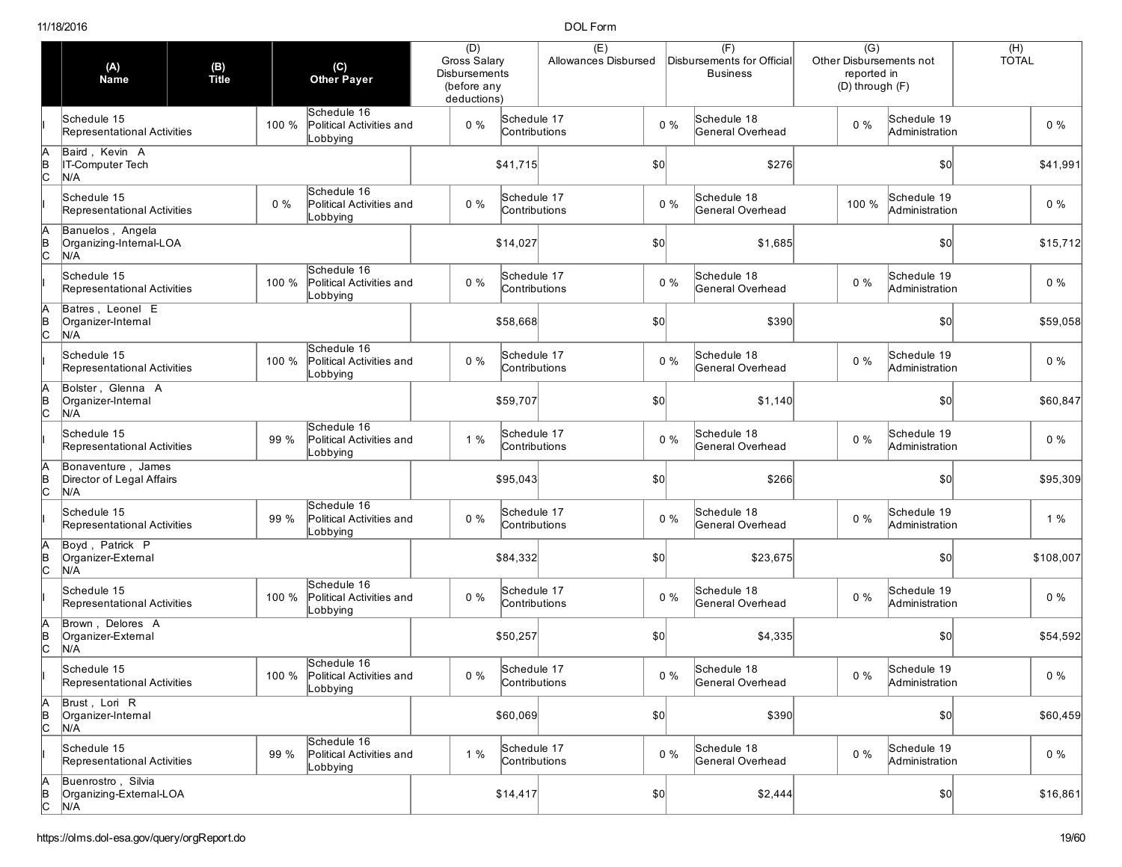|                     | (A)<br><b>Name</b>                                     | (B)<br>Title | (C)<br><b>Other Payer</b>                                    | (D)<br>Gross Salary<br><b>Disbursements</b><br>(before any<br>deductions) |                              | (E)<br>Allowances Disbursed |              |       | (F)<br>Disbursements for Official<br><b>Business</b> | $\overline{(G)}$<br>Other Disbursements not<br>reported in<br>(D) through (F) |                               | $(H)$<br>TOTAL |
|---------------------|--------------------------------------------------------|--------------|--------------------------------------------------------------|---------------------------------------------------------------------------|------------------------------|-----------------------------|--------------|-------|------------------------------------------------------|-------------------------------------------------------------------------------|-------------------------------|----------------|
|                     | Schedule 15<br>Representational Activities             |              | Schedule 16<br>100 %<br>Political Activities and<br>Lobbying | $0\%$                                                                     | Schedule 17<br>Contributions |                             |              | $0\%$ | Schedule 18<br>General Overhead                      | $0\%$                                                                         | Schedule 19<br>Administration | $0\%$          |
| lc                  | Baird, Kevin A<br>IT-Computer Tech<br>N/A              |              |                                                              |                                                                           | \$41,715                     |                             | \$0          |       | \$276                                                |                                                                               | \$0                           | \$41,991       |
|                     | Schedule 15<br>Representational Activities             |              | Schedule 16<br>$0\%$<br>Political Activities and<br>_obbying | $0\%$                                                                     | Schedule 17<br>Contributions |                             |              | $0\%$ | Schedule 18<br>General Overhead                      | 100 %                                                                         | Schedule 19<br>Administration | $0\%$          |
| B<br> C             | Banuelos, Angela<br>Organizing-Internal-LOA<br>N/A     |              |                                                              |                                                                           | \$14,027                     |                             | \$0          |       | \$1,685                                              |                                                                               | $ 10\rangle$                  | \$15,712       |
|                     | Schedule 15<br>Representational Activities             |              | Schedule 16<br>Political Activities and<br>100 %<br>Lobbying | $0\%$                                                                     | Schedule 17<br>Contributions |                             |              | $0\%$ | Schedule 18<br>General Overhead                      | $0\%$                                                                         | Schedule 19<br>Administration | $0\%$          |
|                     | Batres, Leonel E<br>Organizer-Internal<br>N/A          |              |                                                              |                                                                           | \$58,668                     |                             | \$0          |       | \$390                                                |                                                                               | \$0                           | \$59,058       |
|                     | Schedule 15<br>Representational Activities             |              | Schedule 16<br>100 %<br>Political Activities and<br>_obbying | $0\%$                                                                     | Schedule 17<br>Contributions |                             |              | $0\%$ | Schedule 18<br>General Overhead                      | 0%                                                                            | Schedule 19<br>Administration | $0\%$          |
| lc                  | Bolster, Glenna A<br>Organizer-Internal<br>N/A         |              |                                                              |                                                                           | \$59,707                     |                             | \$0          |       | \$1,140                                              |                                                                               | \$0                           | \$60,847       |
|                     | Schedule 15<br>Representational Activities             |              | Schedule 16<br>99 %<br>Political Activities and<br>Lobbying  | 1%                                                                        | Schedule 17<br>Contributions |                             |              | $0\%$ | Schedule 18<br>General Overhead                      | $0\%$                                                                         | Schedule 19<br>Administration | $0\%$          |
| lc                  | Bonaventure, James<br>Director of Legal Affairs<br>N/A |              |                                                              |                                                                           | \$95,043                     |                             | \$0          |       | \$266                                                |                                                                               | $ 10\rangle$                  | \$95,309       |
|                     | Schedule 15<br>Representational Activities             |              | Schedule 16<br>99 %<br>Political Activities and<br>Lobbying  | $0\%$                                                                     | Schedule 17<br>Contributions |                             |              | $0\%$ | Schedule 18<br>General Overhead                      | $0\%$                                                                         | Schedule 19<br>Administration | 1%             |
| lc                  | Boyd, Patrick P<br>Organizer-External<br>N/A           |              |                                                              |                                                                           | \$84,332                     |                             | $ 10\rangle$ |       | \$23,675                                             |                                                                               | \$0                           | \$108,007      |
|                     | Schedule 15<br>Representational Activities             |              | Schedule 16<br>100 %<br>Political Activities and<br>_obbying | $0\%$                                                                     | Schedule 17<br>Contributions |                             |              | $0\%$ | Schedule 18<br>General Overhead                      | $0\%$                                                                         | Schedule 19<br>Administration | $0\%$          |
|                     | Brown, Delores A<br>Organizer-External<br>N/A          |              |                                                              |                                                                           | \$50,257                     |                             | \$0          |       | \$4,335                                              |                                                                               | \$0                           | \$54,592       |
|                     | Schedule 15<br>Representational Activities             |              | Schedule 16<br>100 % Political Activities and<br>Lobbying    | $0\%$                                                                     | Schedule 17<br>Contributions |                             |              | $0\%$ | Schedule 18<br>General Overhead                      | $0\%$                                                                         | Schedule 19<br>Administration | $0\%$          |
| А<br>$\overline{C}$ | Brust, Lori R<br>Organizer-Internal<br>N/A             |              |                                                              |                                                                           | \$60,069                     |                             | 50           |       | \$390                                                |                                                                               | $ 10\rangle$                  | \$60,459       |
|                     | Schedule 15<br>Representational Activities             |              | Schedule 16<br>99 %<br>Political Activities and<br>Lobbying  | 1%                                                                        | Schedule 17<br>Contributions |                             |              | $0\%$ | Schedule 18<br>General Overhead                      | $0\%$                                                                         | Schedule 19<br>Administration | $0\%$          |
| A<br>B<br>C         | Buenrostro, Silvia<br>Organizing-External-LOA<br>N/A   |              |                                                              |                                                                           | \$14,417                     |                             | $ 10\rangle$ |       | \$2,444                                              |                                                                               | $ 10\rangle$                  | \$16,861       |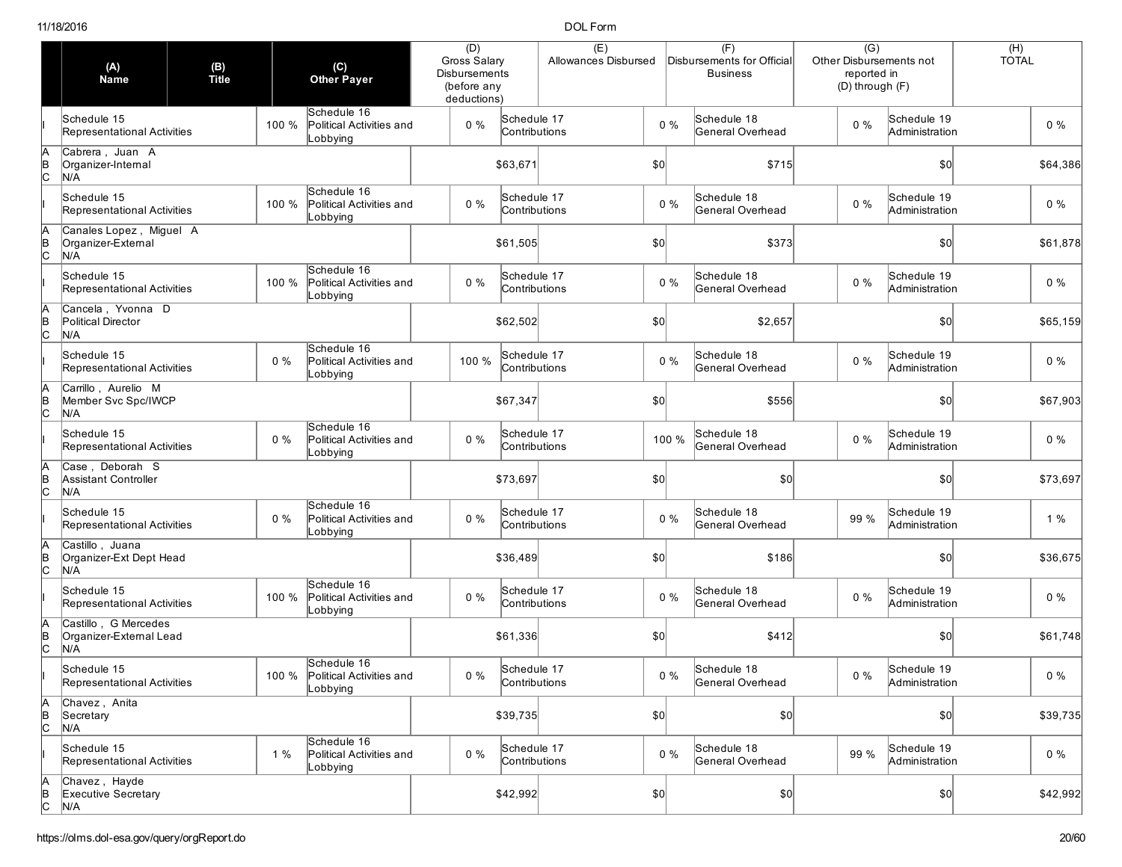|                     | (A)<br><b>Name</b>                                     | (B)<br>Title |       | (C)<br><b>Other Payer</b>                                 | (D)<br>Gross Salary<br>Disbursements<br>(before any<br>deductions) |                              | (E)<br>Allowances Disbursed |              |       | (F)<br>Disbursements for Official<br><b>Business</b> | $\overline{(G)}$<br>Other Disbursements not<br>reported in<br>(D) through (F) |                               | $(H)$<br>TOTAL |          |
|---------------------|--------------------------------------------------------|--------------|-------|-----------------------------------------------------------|--------------------------------------------------------------------|------------------------------|-----------------------------|--------------|-------|------------------------------------------------------|-------------------------------------------------------------------------------|-------------------------------|----------------|----------|
|                     | Schedule 15<br>Representational Activities             |              | 100 % | Schedule 16<br>Political Activities and<br>Lobbying       | $0\%$                                                              | Schedule 17<br>Contributions |                             |              | $0\%$ | Schedule 18<br>General Overhead                      | $0\%$                                                                         | Schedule 19<br>Administration |                | $0\%$    |
| lc                  | Cabrera, Juan A<br>Organizer-Internal<br>N/A           |              |       |                                                           |                                                                    | \$63,671                     |                             | \$0          |       | \$715                                                |                                                                               | \$0                           |                | \$64,386 |
|                     | Schedule 15<br>Representational Activities             |              | 100 % | Schedule 16<br>Political Activities and<br>_obbying       | $0\%$                                                              | Schedule 17<br>Contributions |                             |              | $0\%$ | Schedule 18<br>General Overhead                      | $0\%$                                                                         | Schedule 19<br>Administration |                | $0\%$    |
| B<br> C             | Canales Lopez, Miguel A<br>Organizer-External<br>N/A   |              |       |                                                           |                                                                    | \$61,505                     |                             | \$0          |       | \$373                                                |                                                                               | $ 10\rangle$                  |                | \$61,878 |
|                     | Schedule 15<br>Representational Activities             |              | 100 % | Schedule 16<br>Political Activities and<br>Lobbying       | $0\%$                                                              | Schedule 17<br>Contributions |                             |              | $0\%$ | Schedule 18<br>General Overhead                      | 0%                                                                            | Schedule 19<br>Administration |                | $0\%$    |
|                     | Cancela, Yvonna D<br>Political Director<br>N/A         |              |       |                                                           |                                                                    | \$62,502                     |                             | \$0          |       | \$2,657                                              |                                                                               | \$0                           |                | \$65,159 |
|                     | Schedule 15<br>Representational Activities             |              | $0\%$ | Schedule 16<br>Political Activities and<br>_obbying       | 100 %                                                              | Schedule 17<br>Contributions |                             |              | $0\%$ | Schedule 18<br>General Overhead                      | 0%                                                                            | Schedule 19<br>Administration |                | $0\%$    |
| lc                  | Carrillo, Aurelio M<br>Member Svc Spc/IWCP<br>N/A      |              |       |                                                           |                                                                    | \$67,347                     |                             | \$0          |       | \$556                                                |                                                                               | \$0                           |                | \$67,903 |
|                     | Schedule 15<br>Representational Activities             |              | $0\%$ | Schedule 16<br>Political Activities and<br>Lobbying       | $0\%$                                                              | Schedule 17<br>Contributions |                             |              | 100 % | Schedule 18<br>General Overhead                      | $0\%$                                                                         | Schedule 19<br>Administration |                | $0\%$    |
| lc                  | Case, Deborah S<br>Assistant Controller<br>N/A         |              |       |                                                           |                                                                    | \$73,697                     |                             | \$0          |       | \$0                                                  |                                                                               | $ 10\rangle$                  |                | \$73,697 |
|                     | Schedule 15<br>Representational Activities             |              | $0\%$ | Schedule 16<br>Political Activities and<br>Lobbying       | $0\%$                                                              | Schedule 17<br>Contributions |                             |              | $0\%$ | Schedule 18<br>General Overhead                      | 99 %                                                                          | Schedule 19<br>Administration |                | 1%       |
|                     | Castillo, Juana<br>Organizer-Ext Dept Head<br>N/A      |              |       |                                                           |                                                                    | \$36,489                     |                             | $ 10\rangle$ |       | \$186                                                |                                                                               | \$0                           |                | \$36,675 |
|                     | Schedule 15<br>Representational Activities             |              | 100 % | Schedule 16<br>Political Activities and<br>_obbying       | $0\%$                                                              | Schedule 17<br>Contributions |                             |              | $0\%$ | Schedule 18<br>General Overhead                      | $0\%$                                                                         | Schedule 19<br>Administration |                | $0\%$    |
|                     | Castillo, G Mercedes<br>Organizer-External Lead<br>N/A |              |       |                                                           |                                                                    | \$61,336                     |                             | \$0          |       | \$412                                                |                                                                               | \$0                           |                | \$61,748 |
|                     | Schedule 15<br>Representational Activities             |              |       | Schedule 16<br>100 % Political Activities and<br>Lobbying | $0\%$                                                              | Schedule 17<br>Contributions |                             |              | $0\%$ | Schedule 18<br>General Overhead                      | $0\%$                                                                         | Schedule 19<br>Administration |                | $0\%$    |
| А<br>$\overline{C}$ | Chavez, Anita<br>Secretary<br>N/A                      |              |       |                                                           |                                                                    | \$39,735                     |                             | 50           |       | \$0]                                                 |                                                                               | $ 10\rangle$                  |                | \$39,735 |
|                     | Schedule 15<br>Representational Activities             |              | 1%    | Schedule 16<br>Political Activities and<br>Lobbying       | $0\%$                                                              | Schedule 17<br>Contributions |                             |              | $0\%$ | Schedule 18<br>General Overhead                      | 99 %                                                                          | Schedule 19<br>Administration |                | $0\%$    |
| A<br>B<br>C         | Chavez, Hayde<br>Executive Secretary<br>N/A            |              |       |                                                           |                                                                    | \$42,992                     |                             | $ 10\rangle$ |       | \$0]                                                 |                                                                               | $ 10\rangle$                  |                | \$42,992 |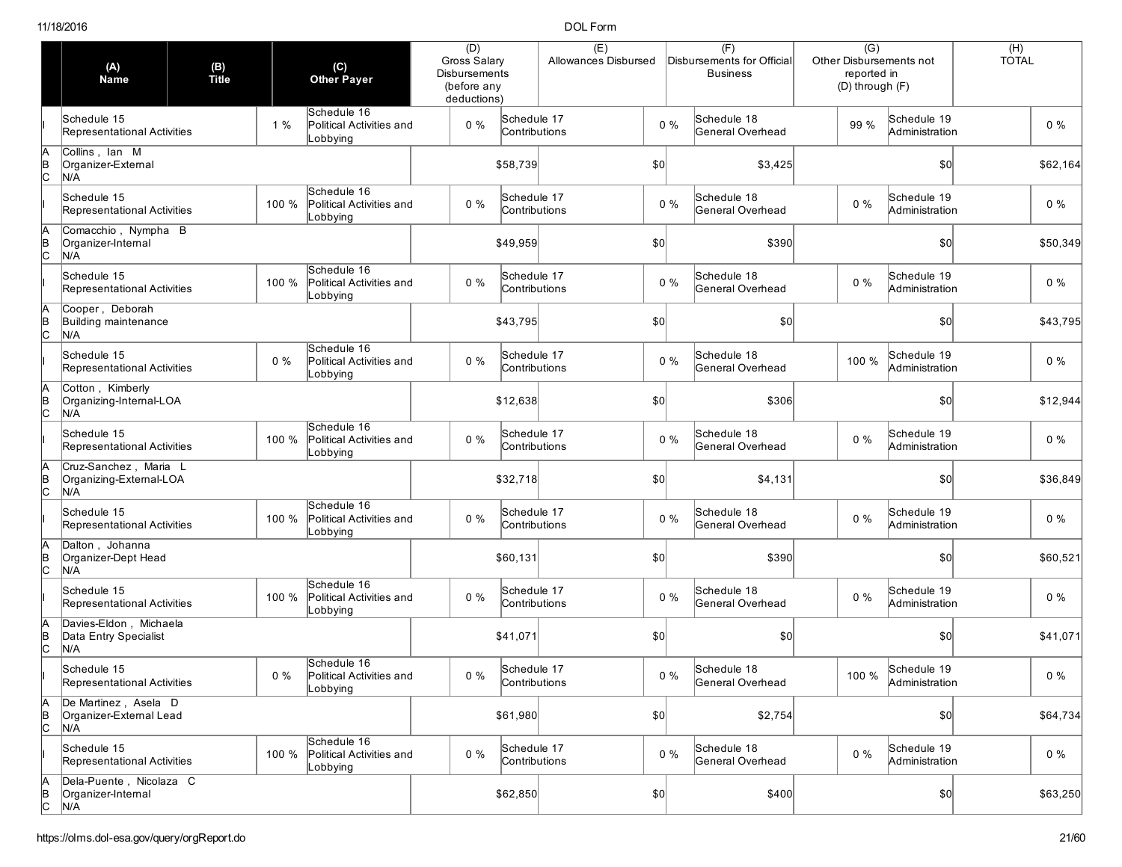|                     | (A)<br><b>Name</b>                                      | (B)<br>Title |                                  | (C)<br><b>Other Payer</b>               | (D)<br>Gross Salary<br><b>Disbursements</b><br>(before any<br>deductions) |                              | (E)<br>Allowances Disbursed |              |       | (F)<br>Disbursements for Official<br><b>Business</b> | $\overline{(G)}$<br>Other Disbursements not<br>reported in<br>(D) through (F) |                                     | $(H)$<br>TOTAL |          |
|---------------------|---------------------------------------------------------|--------------|----------------------------------|-----------------------------------------|---------------------------------------------------------------------------|------------------------------|-----------------------------|--------------|-------|------------------------------------------------------|-------------------------------------------------------------------------------|-------------------------------------|----------------|----------|
|                     | Schedule 15<br>Representational Activities              |              | 1%<br>Lobbying                   | Schedule 16<br>Political Activities and | $0\%$                                                                     | Schedule 17<br>Contributions |                             |              | $0\%$ | Schedule 18<br>General Overhead                      | 99 %                                                                          | Schedule 19<br>Administration       |                | $0\%$    |
| lc                  | Collins, Ian M<br>Organizer-External<br>N/A             |              |                                  |                                         |                                                                           | \$58,739                     |                             | \$0          |       | \$3,425                                              |                                                                               | \$0                                 |                | \$62,164 |
|                     | Schedule 15<br>Representational Activities              |              | 100 %<br>_obbying                | Schedule 16<br>Political Activities and | $0\%$                                                                     | Schedule 17<br>Contributions |                             |              | $0\%$ | Schedule 18<br>General Overhead                      | $0\%$                                                                         | Schedule 19<br>Administration       |                | $0\%$    |
| B<br> C             | Comacchio, Nympha B<br>Organizer-Internal<br>N/A        |              |                                  |                                         |                                                                           | \$49,959                     |                             | \$0          |       | \$390                                                |                                                                               | $ 10\rangle$                        |                | \$50,349 |
|                     | Schedule 15<br>Representational Activities              |              | 100 %<br>Lobbying                | Schedule 16<br>Political Activities and | $0\%$                                                                     | Schedule 17<br>Contributions |                             |              | $0\%$ | Schedule 18<br>General Overhead                      | $0\%$                                                                         | Schedule 19<br>Administration       |                | $0\%$    |
|                     | Cooper, Deborah<br>Building maintenance<br>N/A          |              |                                  |                                         |                                                                           | \$43,795                     |                             | \$0          |       | \$0                                                  |                                                                               | \$0                                 |                | \$43,795 |
|                     | Schedule 15<br>Representational Activities              |              | Schedule 16<br>$0\%$<br>_obbying | Political Activities and                | $0\%$                                                                     | Schedule 17<br>Contributions |                             |              | $0\%$ | Schedule 18<br>General Overhead                      | 100 %                                                                         | Schedule 19<br>Administration       |                | $0\%$    |
| lc                  | Cotton, Kimberly<br>Organizing-Internal-LOA<br>N/A      |              |                                  |                                         |                                                                           | \$12,638                     |                             | \$0          |       | \$306                                                |                                                                               | \$0                                 |                | \$12,944 |
|                     | Schedule 15<br>Representational Activities              |              | 100 %<br>Lobbying                | Schedule 16<br>Political Activities and | $0\%$                                                                     | Schedule 17<br>Contributions |                             |              | $0\%$ | Schedule 18<br>General Overhead                      | $0\%$                                                                         | Schedule 19<br>Administration       |                | $0\%$    |
| Iс                  | Cruz-Sanchez, Maria L<br>Organizing-External-LOA<br>N/A |              |                                  |                                         |                                                                           | \$32,718                     |                             | \$0          |       | \$4,131                                              |                                                                               | $ 10\rangle$                        |                | \$36,849 |
|                     | Schedule 15<br>Representational Activities              |              | 100 %<br>_obbying                | Schedule 16<br>Political Activities and | $0\%$                                                                     | Schedule 17<br>Contributions |                             |              | $0\%$ | Schedule 18<br>General Overhead                      | $0\%$                                                                         | Schedule 19<br>Administration       |                | $0\%$    |
|                     | Dalton, Johanna<br>Organizer-Dept Head<br>N/A           |              |                                  |                                         |                                                                           | \$60,131                     |                             | $ 10\rangle$ |       | \$390                                                |                                                                               | \$0                                 |                | \$60,521 |
|                     | Schedule 15<br>Representational Activities              |              | 100 %<br>_obbying                | Schedule 16<br>Political Activities and | $0\%$                                                                     | Schedule 17<br>Contributions |                             |              | $0\%$ | Schedule 18<br>General Overhead                      | $0\%$                                                                         | Schedule 19<br>Administration       |                | $0\%$    |
|                     | Davies-Eldon, Michaela<br>Data Entry Specialist<br>N/A  |              |                                  |                                         |                                                                           | \$41,071                     |                             | \$0          |       | \$0                                                  |                                                                               | \$0                                 |                | \$41,071 |
|                     | Schedule 15<br>Representational Activities              |              | $0\%$<br>Lobbying                | Schedule 16<br>Political Activities and | $0\%$                                                                     | Schedule 17<br>Contributions |                             |              | $0\%$ | Schedule 18<br>General Overhead                      |                                                                               | 100 % Schedule 19<br>Administration |                | $0\%$    |
| А<br>$\overline{C}$ | De Martinez, Asela D<br>Organizer-External Lead<br>N/A  |              |                                  |                                         |                                                                           | \$61,980                     |                             | 50           |       | \$2,754                                              |                                                                               | $ 10\rangle$                        |                | \$64,734 |
|                     | Schedule 15<br>Representational Activities              |              | 100 %<br>Lobbying                | Schedule 16<br>Political Activities and | $0\%$                                                                     | Schedule 17<br>Contributions |                             |              | $0\%$ | Schedule 18<br>General Overhead                      | $0\%$                                                                         | Schedule 19<br>Administration       |                | $0\%$    |
| A<br>B<br>C         | Dela-Puente, Nicolaza C<br>Organizer-Internal<br>N/A    |              |                                  |                                         |                                                                           | \$62,850                     |                             | $ 10\rangle$ |       | \$400                                                |                                                                               |                                     |                | \$63,250 |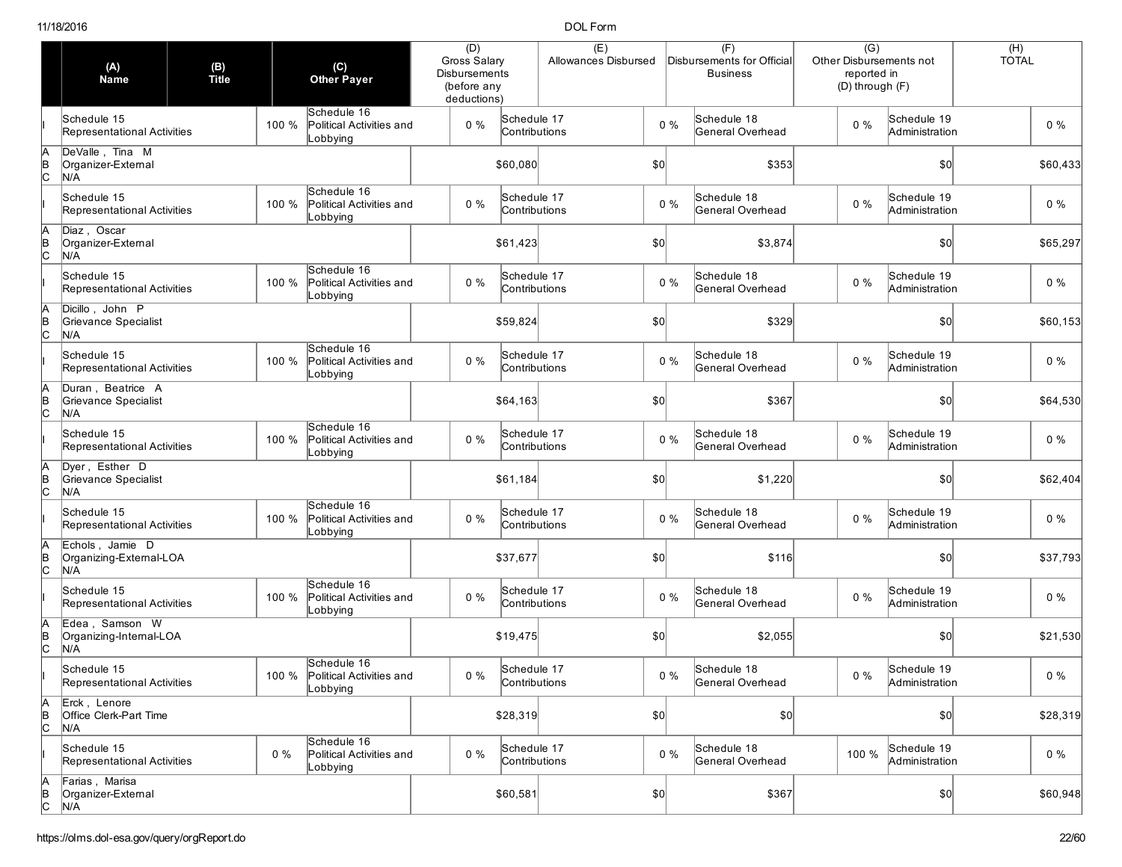|                     | (A)<br><b>Name</b>                                | (B)<br>Title | (C)<br><b>Other Payer</b>                                    | (D)<br>Gross Salary<br><b>Disbursements</b><br>(before any<br>deductions) |                              | (E)<br>Allowances Disbursed |              |       | (F)<br>Disbursements for Official<br><b>Business</b> | $\overline{(G)}$<br>Other Disbursements not<br>reported in<br>(D) through (F) |                               | $(H)$<br>TOTAL |
|---------------------|---------------------------------------------------|--------------|--------------------------------------------------------------|---------------------------------------------------------------------------|------------------------------|-----------------------------|--------------|-------|------------------------------------------------------|-------------------------------------------------------------------------------|-------------------------------|----------------|
|                     | Schedule 15<br>Representational Activities        |              | Schedule 16<br>100 %<br>Political Activities and<br>Lobbying | $0\%$                                                                     | Schedule 17<br>Contributions |                             |              | $0\%$ | Schedule 18<br>General Overhead                      | $0\%$                                                                         | Schedule 19<br>Administration | $0\%$          |
| lc                  | DeValle, Tina M<br>Organizer-External<br>N/A      |              |                                                              |                                                                           | \$60,080                     |                             | \$0          |       | \$353                                                |                                                                               | \$0                           | \$60,433       |
|                     | Schedule 15<br>Representational Activities        |              | Schedule 16<br>100 %<br>Political Activities and<br>obbying. | $0\%$                                                                     | Schedule 17<br>Contributions |                             |              | $0\%$ | Schedule 18<br>General Overhead                      | $0\%$                                                                         | Schedule 19<br>Administration | $0\%$          |
| lc                  | Diaz, Oscar<br>Organizer-External<br>N/A          |              |                                                              |                                                                           | \$61,423                     |                             | \$0          |       | \$3,874                                              |                                                                               | $ 10\rangle$                  | \$65,297       |
|                     | Schedule 15<br>Representational Activities        |              | Schedule 16<br>Political Activities and<br>100 %<br>Lobbying | $0\%$                                                                     | Schedule 17<br>Contributions |                             |              | $0\%$ | Schedule 18<br>General Overhead                      | $0\%$                                                                         | Schedule 19<br>Administration | $0\%$          |
|                     | Dicillo, John P<br>Grievance Specialist<br>N/A    |              |                                                              |                                                                           | \$59,824                     |                             | \$0          |       | \$329                                                |                                                                               | \$0                           | \$60,153       |
|                     | Schedule 15<br>Representational Activities        |              | Schedule 16<br>100 %<br>Political Activities and<br>_obbying | $0\%$                                                                     | Schedule 17<br>Contributions |                             |              | $0\%$ | Schedule 18<br>General Overhead                      | 0%                                                                            | Schedule 19<br>Administration | $0\%$          |
| lc                  | Duran, Beatrice A<br>Grievance Specialist<br>N/A  |              |                                                              |                                                                           | \$64,163                     |                             | \$0          |       | \$367                                                |                                                                               | \$0                           | \$64,530       |
|                     | Schedule 15<br>Representational Activities        |              | Schedule 16<br>100 %<br>Political Activities and<br>Lobbying | $0\%$                                                                     | Schedule 17<br>Contributions |                             |              | $0\%$ | Schedule 18<br>General Overhead                      | $0\%$                                                                         | Schedule 19<br>Administration | $0\%$          |
| lc                  | Dyer, Esther D<br>Grievance Specialist<br>N/A     |              |                                                              |                                                                           | \$61,184                     |                             | \$0          |       | \$1,220                                              |                                                                               | $ 10\rangle$                  | \$62,404       |
|                     | Schedule 15<br>Representational Activities        |              | Schedule 16<br>100 %<br>Political Activities and<br>_obbying | $0\%$                                                                     | Schedule 17<br>Contributions |                             |              | $0\%$ | Schedule 18<br>General Overhead                      | $0\%$                                                                         | Schedule 19<br>Administration | $0\%$          |
| lc                  | Echols, Jamie D<br>Organizing-External-LOA<br>N/A |              |                                                              |                                                                           | \$37,677                     |                             | $ 10\rangle$ |       | \$116                                                |                                                                               | \$0                           | \$37,793       |
|                     | Schedule 15<br>Representational Activities        |              | Schedule 16<br>100 %<br>Political Activities and<br>_obbying | $0\%$                                                                     | Schedule 17<br>Contributions |                             |              | $0\%$ | Schedule 18<br>General Overhead                      | $0\%$                                                                         | Schedule 19<br>Administration | $0\%$          |
|                     | Edea, Samson W<br>Organizing-Internal-LOA<br>N/A  |              |                                                              |                                                                           | \$19,475                     |                             | \$0          |       | \$2,055                                              |                                                                               | \$0                           | \$21,530       |
|                     | Schedule 15<br>Representational Activities        |              | Schedule 16<br>100 % Political Activities and<br>Lobbying    | $0\%$                                                                     | Schedule 17<br>Contributions |                             |              | $0\%$ | Schedule 18<br>General Overhead                      | $0\%$                                                                         | Schedule 19<br>Administration | $0\%$          |
| Α<br>$\overline{C}$ | Erck, Lenore<br>Office Clerk-Part Time<br>N/A     |              |                                                              |                                                                           | \$28,319                     |                             | 50           |       | \$0]                                                 |                                                                               | $ 10\rangle$                  | \$28,319       |
|                     | Schedule 15<br>Representational Activities        |              | Schedule 16<br>$0\%$<br>Political Activities and<br>Lobbying | $0\%$                                                                     | Schedule 17<br>Contributions |                             |              | $0\%$ | Schedule 18<br>General Overhead                      | 100 %                                                                         | Schedule 19<br>Administration | $0\%$          |
| A<br>B<br>C         | Farias, Marisa<br>Organizer-External<br>N/A       |              |                                                              |                                                                           | \$60,581                     |                             | $ 10\rangle$ |       | \$367                                                |                                                                               | $ 10\rangle$                  | \$60,948       |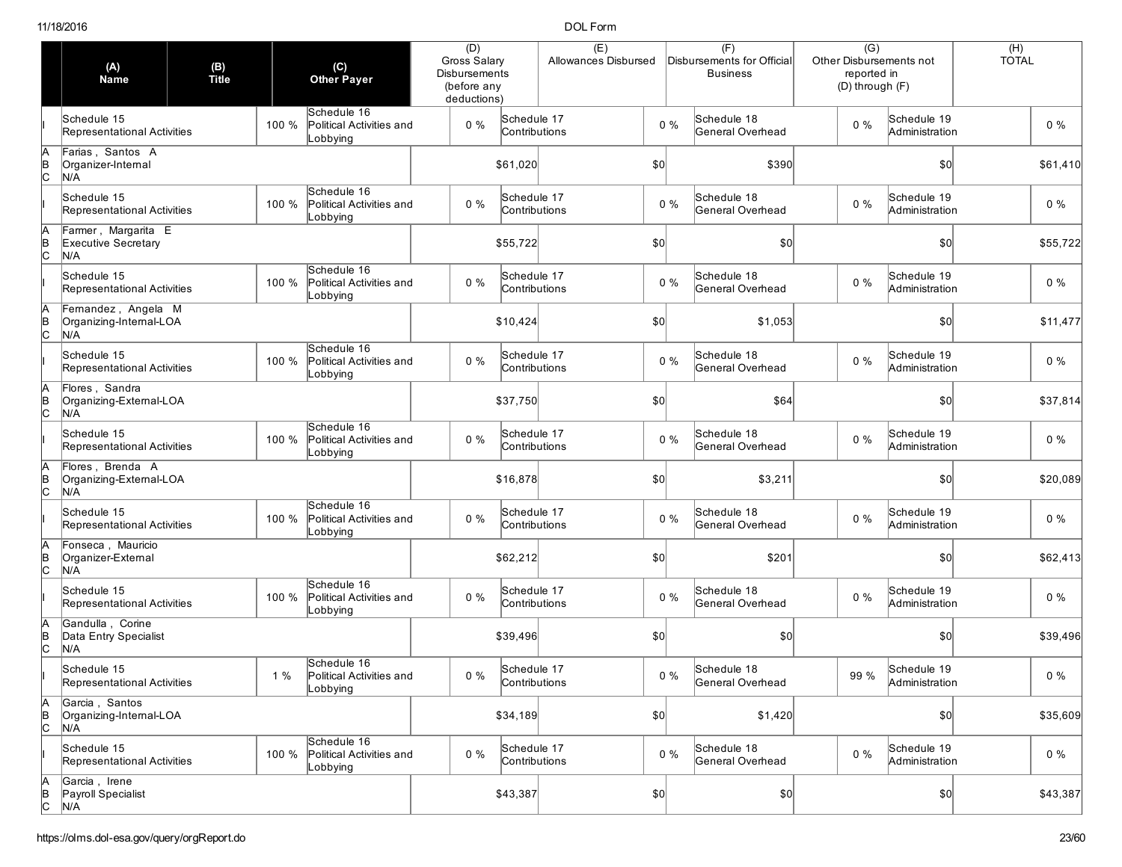|                | (A)<br><b>Name</b>                                    | (B)<br>Title |       | $(\mathsf{C})$<br><b>Other Payer</b>                | (D)<br><b>Gross Salary</b><br><b>Disbursements</b><br>(before any<br>deductions) |                              | (E)<br>Allowances Disbursed |              |       | (F)<br>Disbursements for Official<br><b>Business</b> | $\overline{(G)}$<br>Other Disbursements not<br>reported in<br>(D) through (F) |                               | (H)<br><b>TOTAL</b> |
|----------------|-------------------------------------------------------|--------------|-------|-----------------------------------------------------|----------------------------------------------------------------------------------|------------------------------|-----------------------------|--------------|-------|------------------------------------------------------|-------------------------------------------------------------------------------|-------------------------------|---------------------|
|                | Schedule 15<br>Representational Activities            |              | 100 % | Schedule 16<br>Political Activities and<br>Lobbying | $0\%$                                                                            | Schedule 17<br>Contributions |                             |              | $0\%$ | Schedule 18<br>General Overhead                      | $0\%$                                                                         | Schedule 19<br>Administration | $0\%$               |
| в<br> С        | Farias, Santos A<br>Organizer-Internal<br>N/A         |              |       |                                                     |                                                                                  | \$61,020                     |                             | \$0          |       | \$390                                                |                                                                               | \$0                           | \$61,410            |
|                | Schedule 15<br>Representational Activities            |              | 100 % | Schedule 16<br>Political Activities and<br>obbying_ | $0\%$                                                                            | Schedule 17<br>Contributions |                             |              | $0\%$ | Schedule 18<br>General Overhead                      | $0\%$                                                                         | Schedule 19<br>Administration | $0\%$               |
| $\overline{C}$ | Farmer, Margarita E<br>Executive Secretary<br>N/A     |              |       |                                                     |                                                                                  | \$55,722                     |                             | \$0          |       | \$0                                                  |                                                                               | \$0                           | \$55,722            |
|                | Schedule 15<br>Representational Activities            |              | 100 % | Schedule 16<br>Political Activities and<br>Lobbying | $0\%$                                                                            | Schedule 17<br>Contributions |                             |              | $0\%$ | Schedule 18<br>General Overhead                      | $0\%$                                                                         | Schedule 19<br>Administration | $0\%$               |
| $\overline{C}$ | Fernandez, Angela M<br>Organizing-Internal-LOA<br>N/A |              |       |                                                     |                                                                                  | \$10,424                     |                             | \$0          |       | \$1,053                                              |                                                                               | \$0                           | \$11,477            |
|                | Schedule 15<br>Representational Activities            |              | 100 % | Schedule 16<br>Political Activities and<br>_obbying | $0\%$                                                                            | Schedule 17<br>Contributions |                             |              | $0\%$ | Schedule 18<br>General Overhead                      | $0\%$                                                                         | Schedule 19<br>Administration | $0\%$               |
| $\overline{C}$ | Flores, Sandra<br>Organizing-External-LOA<br>N/A      |              |       |                                                     |                                                                                  | \$37,750                     |                             | \$0          |       | \$64                                                 |                                                                               | \$0                           | \$37,814            |
|                | Schedule 15<br>Representational Activities            |              | 100 % | Schedule 16<br>Political Activities and<br>Lobbying | $0\%$                                                                            | Schedule 17<br>Contributions |                             |              | $0\%$ | Schedule 18<br>General Overhead                      | $0\%$                                                                         | Schedule 19<br>Administration | $0\%$               |
| $\frac{1}{2}$  | Flores, Brenda A<br>Organizing-External-LOA<br>N/A    |              |       |                                                     |                                                                                  | \$16,878                     |                             | \$0          |       | \$3,211                                              |                                                                               | \$0                           | \$20,089            |
|                | Schedule 15<br>Representational Activities            |              | 100 % | Schedule 16<br>Political Activities and<br>Lobbying | $0\%$                                                                            | Schedule 17<br>Contributions |                             |              | $0\%$ | Schedule 18<br>General Overhead                      | $0\%$                                                                         | Schedule 19<br>Administration | $0\%$               |
|                | Fonseca, Mauricio<br>Organizer-External<br>N/A        |              |       |                                                     |                                                                                  | \$62,212                     |                             | \$0          |       | \$201                                                |                                                                               | \$0                           | \$62,413            |
|                | Schedule 15<br>Representational Activities            |              | 100 % | Schedule 16<br>Political Activities and<br>_obbying | $0\%$                                                                            | Schedule 17<br>Contributions |                             |              | $0\%$ | Schedule 18<br>General Overhead                      | $0\%$                                                                         | Schedule 19<br>Administration | $0\%$               |
| þ              | Gandulla, Corine<br>Data Entry Specialist<br>N/A      |              |       |                                                     |                                                                                  | \$39,496                     |                             | \$0          |       | \$0                                                  |                                                                               | \$0                           | \$39,496            |
|                | Schedule 15<br>Representational Activities            |              | 1%    | Schedule 16<br>Political Activities and<br>Lobbying | $0\%$                                                                            | Schedule 17<br>Contributions |                             |              | $0\%$ | Schedule 18<br>General Overhead                      | 99 %                                                                          | Schedule 19<br>Administration | $0\%$               |
| A<br>B<br>C    | Garcia, Santos<br>Organizing-Internal-LOA<br>N/A      |              |       |                                                     |                                                                                  | \$34,189                     |                             | $ 10\rangle$ |       | \$1,420                                              |                                                                               | 50                            | \$35,609            |
|                | Schedule 15<br>Representational Activities            |              | 100 % | Schedule 16<br>Political Activities and<br>Lobbying | $0\%$                                                                            | Schedule 17<br>Contributions |                             |              | $0\%$ | Schedule 18<br>General Overhead                      | $0\%$                                                                         | Schedule 19<br>Administration | $0\%$               |
| A<br>B<br>C    | Garcia, Irene<br>Payroll Specialist<br>N/A            |              |       |                                                     |                                                                                  | \$43,387                     |                             | $ 10\rangle$ |       | \$0]                                                 |                                                                               | 50                            | \$43,387            |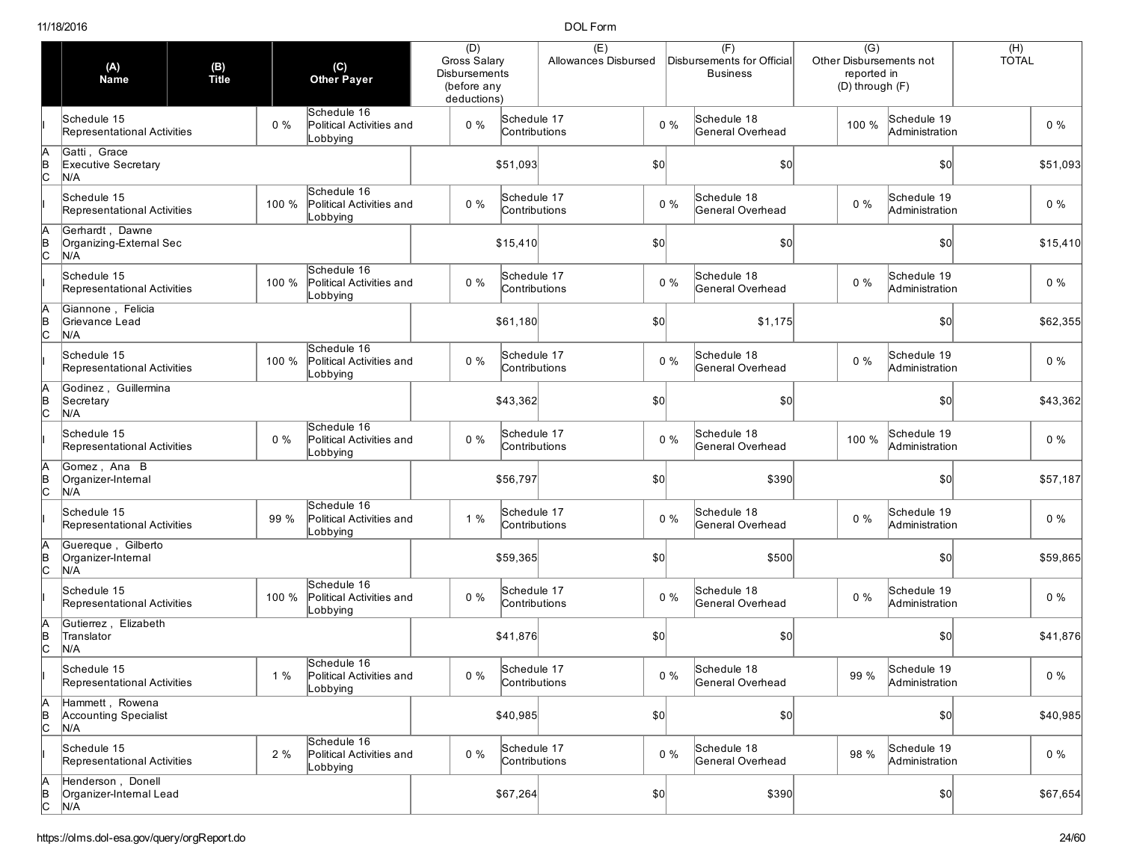|                | (A)<br><b>Name</b>                                     | (B)<br>Title |       | (C)<br>Other Payer                                  | (D)<br>Gross Salary<br><b>Disbursements</b><br>(before any<br>deductions) |                              | (E)<br>Allowances Disbursed |              |       | (F)<br>Disbursements for Official<br><b>Business</b> | $\overline{(G)}$<br>Other Disbursements not<br>reported in<br>(D) through (F) |                               | $(H)$<br>TOTAL |
|----------------|--------------------------------------------------------|--------------|-------|-----------------------------------------------------|---------------------------------------------------------------------------|------------------------------|-----------------------------|--------------|-------|------------------------------------------------------|-------------------------------------------------------------------------------|-------------------------------|----------------|
|                | Schedule 15<br>Representational Activities             |              | $0\%$ | Schedule 16<br>Political Activities and<br>Lobbying | $0\%$                                                                     | Schedule 17<br>Contributions |                             |              | $0\%$ | Schedule 18<br>General Overhead                      | 100 %                                                                         | Schedule 19<br>Administration | $0\%$          |
| в<br> С        | Gatti, Grace<br><b>Executive Secretary</b><br>N/A      |              |       |                                                     |                                                                           | \$51,093                     |                             | \$0          |       | \$0                                                  |                                                                               | \$0                           | \$51,093       |
|                | Schedule 15<br>Representational Activities             |              | 100 % | Schedule 16<br>Political Activities and<br>_obbying | $0\%$                                                                     | Schedule 17<br>Contributions |                             |              | $0\%$ | Schedule 18<br>General Overhead                      | $0\%$                                                                         | Schedule 19<br>Administration | $0\%$          |
| $\overline{C}$ | Gerhardt, Dawne<br>Organizing-External Sec<br>N/A      |              |       |                                                     |                                                                           | \$15,410                     |                             | \$0          |       | \$0                                                  |                                                                               | \$0                           | \$15,410       |
|                | Schedule 15<br>Representational Activities             |              | 100 % | Schedule 16<br>Political Activities and<br>Lobbying | $0\%$                                                                     | Schedule 17<br>Contributions |                             |              | $0\%$ | Schedule 18<br>General Overhead                      | $0\%$                                                                         | Schedule 19<br>Administration | $0\%$          |
|                | Giannone, Felicia<br>Grievance Lead<br>N/A             |              |       |                                                     |                                                                           | \$61,180                     |                             | \$0          |       | \$1,175                                              |                                                                               | \$0                           | \$62,355       |
|                | Schedule 15<br>Representational Activities             |              | 100 % | Schedule 16<br>Political Activities and<br>Lobbying | $0\%$                                                                     | Schedule 17<br>Contributions |                             |              | $0\%$ | Schedule 18<br>General Overhead                      | $0\%$                                                                         | Schedule 19<br>Administration | $0\%$          |
| $\overline{C}$ | Godinez, Guillermina<br>Secretary<br>N/A               |              |       |                                                     |                                                                           | \$43,362                     |                             | \$0          |       | \$0                                                  |                                                                               | \$0                           | \$43,362       |
|                | Schedule 15<br>Representational Activities             |              | $0\%$ | Schedule 16<br>Political Activities and<br>Lobbying | $0\%$                                                                     | Schedule 17<br>Contributions |                             |              | $0\%$ | Schedule 18<br>General Overhead                      | 100 %                                                                         | Schedule 19<br>Administration | $0\%$          |
| $\frac{1}{2}$  | Gomez, Ana B<br>Organizer-Internal<br>N/A              |              |       |                                                     |                                                                           | \$56,797                     |                             | \$0          |       | \$390                                                |                                                                               | \$0                           | \$57,187       |
|                | Schedule 15<br>Representational Activities             |              | 99 %  | Schedule 16<br>Political Activities and<br>Lobbying | 1%                                                                        | Schedule 17<br>Contributions |                             |              | $0\%$ | Schedule 18<br>General Overhead                      | $0\%$                                                                         | Schedule 19<br>Administration | $0\%$          |
| В<br>С         | Guereque, Gilberto<br>Organizer-Internal<br>N/A        |              |       |                                                     |                                                                           | \$59,365                     |                             | \$0          |       | \$500                                                |                                                                               | \$0                           | \$59,865       |
|                | Schedule 15<br>Representational Activities             |              | 100 % | Schedule 16<br>Political Activities and<br>Lobbying | $0\%$                                                                     | Schedule 17<br>Contributions |                             |              | $0\%$ | Schedule 18<br>General Overhead                      | $0\%$                                                                         | Schedule 19<br>Administration | $0\%$          |
|                | Gutierrez, Elizabeth<br>Translator<br>N/A              |              |       |                                                     |                                                                           | \$41,876                     |                             | \$0          |       | \$0                                                  |                                                                               | \$0                           | \$41,876       |
|                | Schedule 15<br>Representational Activities             |              | 1%    | Schedule 16<br>Political Activities and<br>Lobbying | $0\%$                                                                     | Schedule 17<br>Contributions |                             |              | $0\%$ | Schedule 18<br>General Overhead                      | 99 %                                                                          | Schedule 19<br>Administration | $0\%$          |
| A<br>B<br>C    | Hammett, Rowena<br><b>Accounting Specialist</b><br>N/A |              |       |                                                     |                                                                           | \$40,985                     |                             | $ 10\rangle$ |       | \$0]                                                 |                                                                               | \$0                           | \$40,985       |
|                | Schedule 15<br>Representational Activities             |              | 2%    | Schedule 16<br>Political Activities and<br>Lobbying | $0\%$                                                                     | Schedule 17<br>Contributions |                             |              | $0\%$ | Schedule 18<br>General Overhead                      | 98 %                                                                          | Schedule 19<br>Administration | $0\%$          |
| A<br>B<br>C    | Henderson, Donell<br>Organizer-Internal Lead<br>N/A    |              |       |                                                     |                                                                           | \$67,264                     |                             | $ 10\rangle$ |       | \$390                                                |                                                                               | \$0]                          | \$67,654       |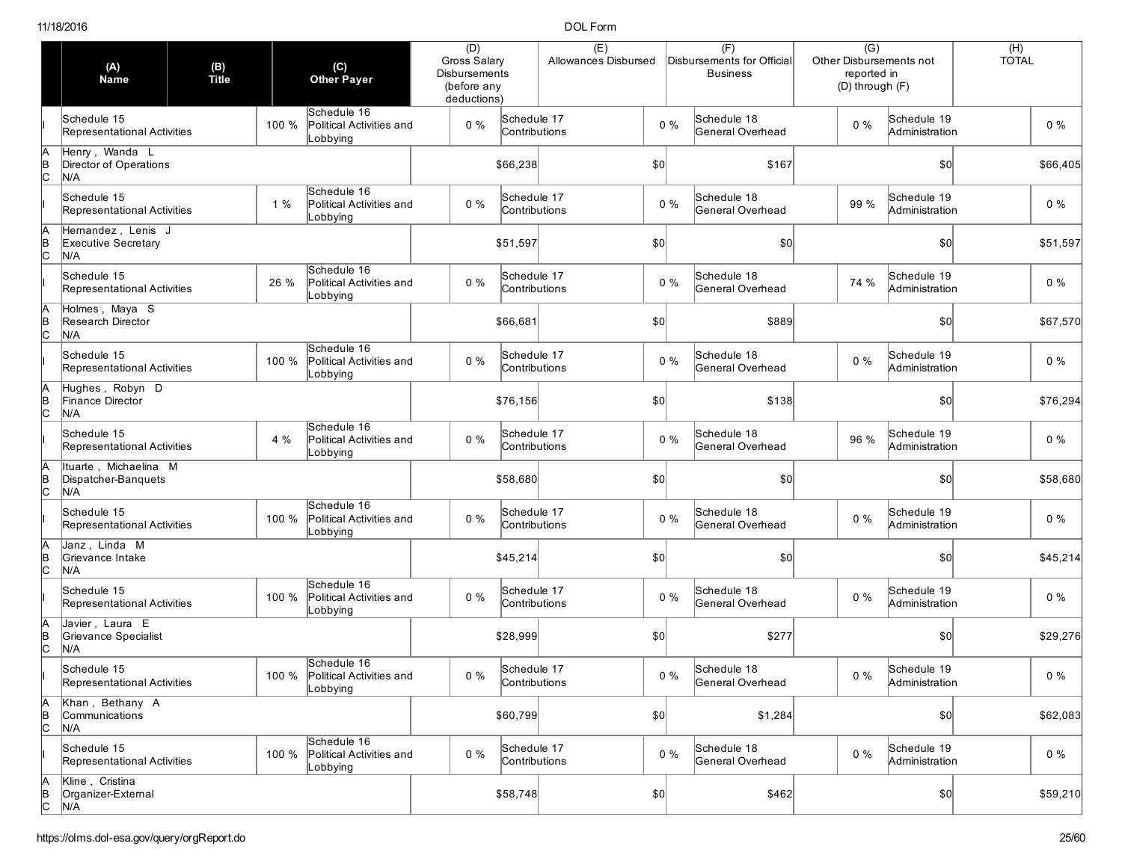|                     | (A)<br><b>Name</b>                                     | (B)<br>Title |       | (C)<br><b>Other Payer</b>                                 | (D)<br><b>Gross Salary</b><br>Disbursements<br>(before any<br>deductions) |                              | (E)<br>Allowances Disbursed |              |       | (F)<br>Disbursements for Official<br><b>Business</b> | $\overline{(G)}$<br>Other Disbursements not<br>reported in<br>(D) through (F) |                                     | (H)<br><b>TOTAL</b> |
|---------------------|--------------------------------------------------------|--------------|-------|-----------------------------------------------------------|---------------------------------------------------------------------------|------------------------------|-----------------------------|--------------|-------|------------------------------------------------------|-------------------------------------------------------------------------------|-------------------------------------|---------------------|
|                     | Schedule 15<br>Representational Activities             |              | 100 % | Schedule 16<br>Political Activities and<br>Lobbying       | $0\%$                                                                     | Schedule 17<br>Contributions |                             |              | 0%    | Schedule 18<br>General Overhead                      | $0\%$                                                                         | Schedule 19<br>Administration       | $0\%$               |
| в<br> С             | Henry, Wanda L<br>Director of Operations<br>N/A        |              |       |                                                           |                                                                           | \$66,238                     |                             | \$0          |       | \$167                                                |                                                                               | $\vert \mathbf{S} \mathbf{O} \vert$ | \$66,405            |
|                     | Schedule 15<br>Representational Activities             |              | 1%    | Schedule 16<br>Political Activities and<br>_obbying       | $0\%$                                                                     | Schedule 17<br>Contributions |                             |              | $0\%$ | Schedule 18<br>General Overhead                      | 99 %                                                                          | Schedule 19<br>Administration       | $0\%$               |
| $\frac{B}{C}$       | Hemandez, Lenis J<br><b>Executive Secretary</b><br>N/A |              |       |                                                           |                                                                           | \$51,597                     |                             | $ 10\rangle$ |       | \$0                                                  |                                                                               | \$0                                 | \$51,597            |
|                     | Schedule 15<br>Representational Activities             |              | 26 %  | Schedule 16<br>Political Activities and<br>Lobbying       | $0\%$                                                                     | Schedule 17<br>Contributions |                             |              | 0%    | Schedule 18<br>General Overhead                      | 74 %                                                                          | Schedule 19<br>Administration       | $0\%$               |
| $\frac{B}{C}$       | Holmes, Maya S<br>Research Director<br>N/A             |              |       |                                                           |                                                                           | \$66,681                     |                             | \$0          |       | \$889                                                |                                                                               | \$0                                 | \$67,570            |
|                     | Schedule 15<br>Representational Activities             |              | 100 % | Schedule 16<br>Political Activities and<br>Lobbying       | $0\%$                                                                     | Schedule 17<br>Contributions |                             |              | 0%    | Schedule 18<br>General Overhead                      | $0\%$                                                                         | Schedule 19<br>Administration       | $0\%$               |
| $\overline{C}$      | Hughes, Robyn D<br>Finance Director<br>N/A             |              |       |                                                           |                                                                           | \$76,156                     |                             | $ 10\rangle$ |       | \$138                                                |                                                                               | \$0                                 | \$76,294            |
|                     | Schedule 15<br>Representational Activities             |              | 4 %   | Schedule 16<br>Political Activities and<br>Lobbying       | $0\%$                                                                     | Schedule 17<br>Contributions |                             |              | 0%    | Schedule 18<br>General Overhead                      | 96 %                                                                          | Schedule 19<br>Administration       | $0\%$               |
| A<br>B<br>C         | Ituarte, Michaelina M<br>Dispatcher-Banquets<br>N/A    |              |       |                                                           |                                                                           | \$58,680                     |                             | \$0          |       | \$0]                                                 |                                                                               | \$0                                 | \$58,680            |
|                     | Schedule 15<br>Representational Activities             |              | 100 % | Schedule 16<br>Political Activities and<br>Lobbying       | $0\%$                                                                     | Schedule 17<br>Contributions |                             |              | $0\%$ | Schedule 18<br>General Overhead                      | 0%                                                                            | Schedule 19<br>Administration       | $0\%$               |
|                     | Janz, Linda M<br>Grievance Intake<br>N/A               |              |       |                                                           |                                                                           | \$45,214                     |                             | $ 10\rangle$ |       | \$0]                                                 |                                                                               | \$0                                 | \$45,214            |
|                     | Schedule 15<br>Representational Activities             |              | 100 % | Schedule 16<br>Political Activities and<br>Lobbying       | $0\%$                                                                     | Schedule 17<br>Contributions |                             |              | 0%    | Schedule 18<br>General Overhead                      | 0%                                                                            | Schedule 19<br>Administration       | $0\%$               |
| B                   | Javier, Laura E<br>Grievance Specialist<br>N/A         |              |       |                                                           |                                                                           | \$28,999                     |                             | \$0          |       | \$277                                                |                                                                               | \$0                                 | \$29,276            |
|                     | Schedule 15<br>Representational Activities             |              |       | Schedule 16<br>100 % Political Activities and<br>Lobbying | $0\%$                                                                     | Schedule 17<br>Contributions |                             |              | $0\%$ | Schedule 18<br>General Overhead                      | $0\%$                                                                         | Schedule 19<br>Administration       | $0\%$               |
| А<br>$\overline{a}$ | Khan, Bethany A<br>Communications<br>N/A               |              |       |                                                           |                                                                           | \$60,799                     |                             | \$0]         |       | \$1,284                                              |                                                                               | $ 10\rangle$                        | \$62,083            |
|                     | Schedule 15<br>Representational Activities             |              | 100 % | Schedule 16<br>Political Activities and<br>Lobbying       | $0\%$                                                                     | Schedule 17<br>Contributions |                             |              | $0\%$ | Schedule 18<br>General Overhead                      | $0\%$                                                                         | Schedule 19<br>Administration       | $0\%$               |
| A<br>B<br>C         | Kline, Cristina<br>Organizer-External<br>N/A           |              |       |                                                           |                                                                           | \$58,748                     |                             | $ 10\rangle$ |       | \$462                                                |                                                                               | \$0]                                | \$59,210            |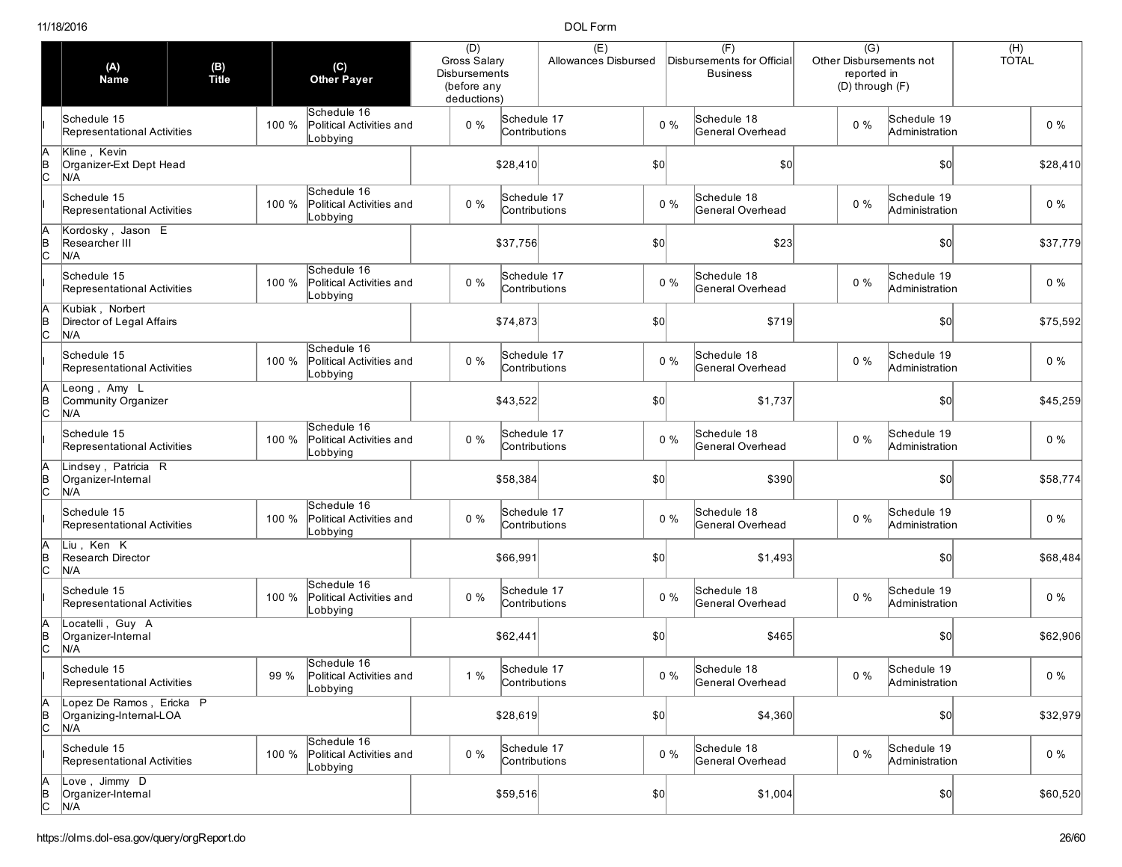|                | (A)<br><b>Name</b>                                         | (B)<br>Title |       | (C)<br><b>Other Payer</b>                                | (D)<br>Gross Salary<br><b>Disbursements</b><br>(before any<br>deductions) |                              | (E)<br>Allowances Disbursed |              |       | (F)<br>Disbursements for Official<br><b>Business</b> | $\overline{(G)}$<br>Other Disbursements not<br>reported in<br>(D) through (F) |                               | (H)<br><b>TOTAL</b> |
|----------------|------------------------------------------------------------|--------------|-------|----------------------------------------------------------|---------------------------------------------------------------------------|------------------------------|-----------------------------|--------------|-------|------------------------------------------------------|-------------------------------------------------------------------------------|-------------------------------|---------------------|
|                | Schedule 15<br>Representational Activities                 |              | 100 % | Schedule 16<br>Political Activities and<br>Lobbying      | $0\%$                                                                     | Schedule 17<br>Contributions |                             |              | $0\%$ | Schedule 18<br>General Overhead                      | 0%                                                                            | Schedule 19<br>Administration | $0\%$               |
| в<br> С        | Kline, Kevin<br>Organizer-Ext Dept Head<br>N/A             |              |       |                                                          |                                                                           | \$28,410                     |                             | $ 10\rangle$ |       | \$0                                                  |                                                                               | \$0                           | \$28,410            |
|                | Schedule 15<br>Representational Activities                 |              | 100 % | Schedule 16<br>Political Activities and<br>Lobbying      | $0\%$                                                                     | Schedule 17<br>Contributions |                             |              | $0\%$ | Schedule 18<br>General Overhead                      | $0\%$                                                                         | Schedule 19<br>Administration | $0\%$               |
| $\overline{C}$ | Kordosky, Jason E<br>Researcher III<br>N/A                 |              |       |                                                          |                                                                           | \$37,756                     |                             | $ 10\rangle$ |       | \$23                                                 |                                                                               | \$0                           | \$37,779            |
|                | Schedule 15<br>Representational Activities                 |              | 100 % | Schedule 16<br>Political Activities and<br>Lobbying      | $0\%$                                                                     | Schedule 17<br>Contributions |                             |              | $0\%$ | Schedule 18<br>General Overhead                      | 0%                                                                            | Schedule 19<br>Administration | $0\%$               |
| $\frac{B}{C}$  | Kubiak, Norbert<br>Director of Legal Affairs<br>N/A        |              |       |                                                          |                                                                           | \$74,873                     |                             | \$0          |       | \$719                                                |                                                                               | $ 10\rangle$                  | \$75,592            |
|                | Schedule 15<br>Representational Activities                 |              | 100 % | Schedule 16<br>Political Activities and<br>Lobbying      | $0\%$                                                                     | Schedule 17<br>Contributions |                             |              | $0\%$ | Schedule 18<br>General Overhead                      | $0\%$                                                                         | Schedule 19<br>Administration | $0\%$               |
| $\overline{c}$ | Leong, Amy L<br>Community Organizer<br>N/A                 |              |       |                                                          |                                                                           | \$43,522                     |                             | \$0          |       | \$1,737                                              |                                                                               | \$0                           | \$45,259            |
|                | Schedule 15<br>Representational Activities                 |              | 100 % | Schedule 16<br>Political Activities and<br>Lobbying      | $0\%$                                                                     | Schedule 17<br>Contributions |                             |              | $0\%$ | Schedule 18<br>General Overhead                      | $0\%$                                                                         | Schedule 19<br>Administration | $0\%$               |
| $\overline{B}$ | Lindsey, Patricia R<br>Organizer-Internal<br>N/A           |              |       |                                                          |                                                                           | \$58,384                     |                             | $ 10\rangle$ |       | \$390                                                |                                                                               | \$0                           | \$58,774            |
|                | Schedule 15<br>Representational Activities                 |              | 100 % | Schedule 16<br>Political Activities and<br>Lobbying      | $0\%$                                                                     | Schedule 17<br>Contributions |                             |              | $0\%$ | Schedule 18<br>General Overhead                      | $0\%$                                                                         | Schedule 19<br>Administration | $0\%$               |
| В<br>С         | Liu , Ken K<br>Research Director<br>N/A                    |              |       |                                                          |                                                                           | \$66,991                     |                             | \$0          |       | \$1,493                                              |                                                                               | \$0                           | \$68,484            |
|                | Schedule 15<br>Representational Activities                 |              | 100 % | Schedule 16<br>Political Activities and<br>_obbying      | $0\%$                                                                     | Schedule 17<br>Contributions |                             |              | $0\%$ | Schedule 18<br>General Overhead                      | $0\%$                                                                         | Schedule 19<br>Administration | $0\%$               |
| ╞              | Locatelli, Guy A<br>Organizer-Internal<br>N/A              |              |       |                                                          |                                                                           | \$62,441                     |                             | \$0          |       | \$465                                                |                                                                               | $ 10\rangle$                  | \$62,906            |
|                | Schedule 15<br>Representational Activities                 |              |       | Schedule 16<br>99 % Political Activities and<br>Lobbying | 1%                                                                        | Schedule 17<br>Contributions |                             |              | $0\%$ | Schedule 18<br>General Overhead                      | $0\%$                                                                         | Schedule 19<br>Administration | $0\%$               |
| А<br>B<br>C    | Lopez De Ramos, Ericka P<br>Organizing-Internal-LOA<br>N/A |              |       |                                                          |                                                                           | \$28,619                     |                             | $ 10\rangle$ |       | \$4,360                                              |                                                                               | $ 10\rangle$                  | \$32,979            |
|                | Schedule 15<br>Representational Activities                 |              | 100 % | Schedule 16<br>Political Activities and<br>Lobbying      | $0\%$                                                                     | Schedule 17<br>Contributions |                             |              | $0\%$ | Schedule 18<br>General Overhead                      | $0\%$                                                                         | Schedule 19<br>Administration | $0\%$               |
| A<br>B<br>C    | Love, Jimmy D<br>Organizer-Internal<br>N/A                 |              |       |                                                          |                                                                           | \$59,516                     |                             | $ 10\rangle$ |       | \$1,004                                              |                                                                               | \$0]                          | \$60,520            |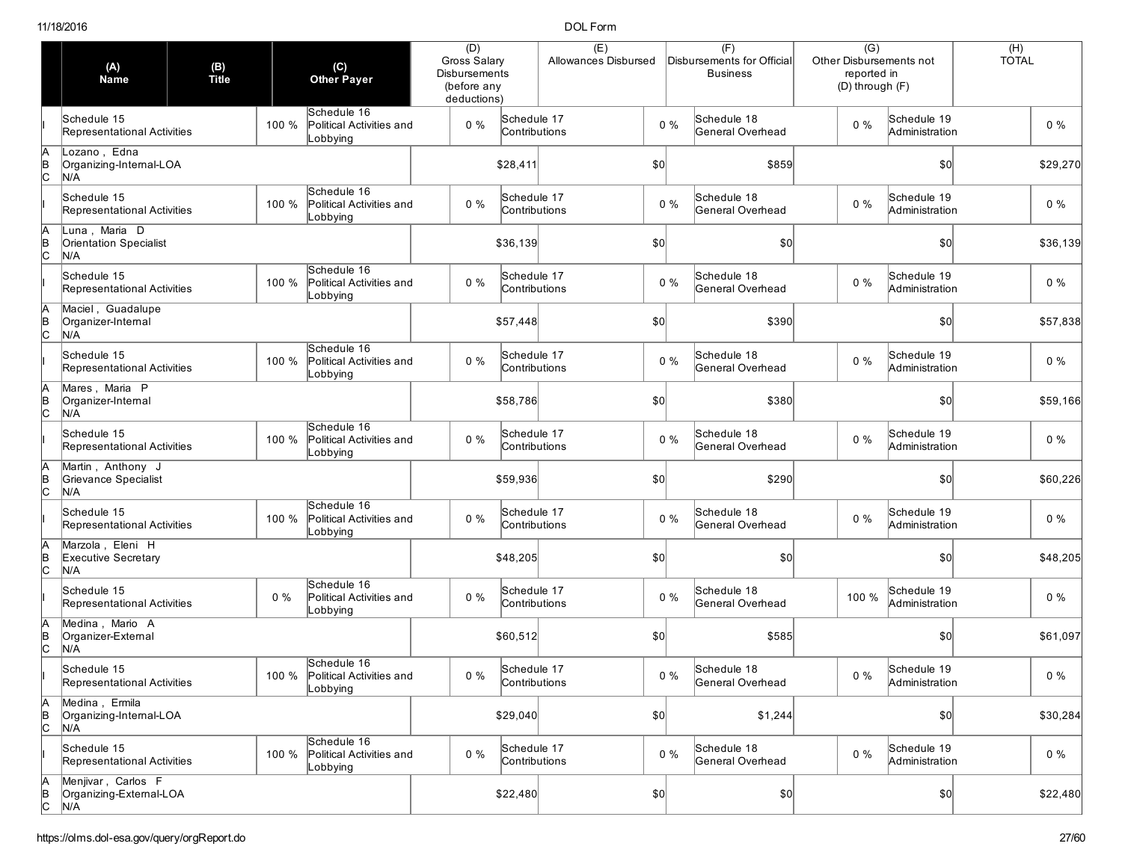|                | (A)<br><b>Name</b>                                    | (B)<br>Title |       | $\left( \text{C} \right)$<br><b>Other Payer</b>           | (D)<br>Gross Salary<br><b>Disbursements</b><br>(before any<br>deductions) |                              | (E)<br>Allowances Disbursed |              |       | (F)<br>Disbursements for Official<br><b>Business</b> | $\overline{(G)}$<br>Other Disbursements not<br>reported in<br>(D) through (F) |                               | $(H)$<br>TOTAL |          |
|----------------|-------------------------------------------------------|--------------|-------|-----------------------------------------------------------|---------------------------------------------------------------------------|------------------------------|-----------------------------|--------------|-------|------------------------------------------------------|-------------------------------------------------------------------------------|-------------------------------|----------------|----------|
|                | Schedule 15<br>Representational Activities            |              | 100 % | Schedule 16<br>Political Activities and<br>Lobbying       | $0\%$                                                                     | Schedule 17<br>Contributions |                             |              | $0\%$ | Schedule 18<br>General Overhead                      | $0\%$                                                                         | Schedule 19<br>Administration |                | $0\%$    |
| в<br> С        | Lozano, Edna<br>Organizing-Internal-LOA<br>N/A        |              |       |                                                           |                                                                           | \$28,411                     |                             | \$0          |       | \$859                                                |                                                                               | \$0                           |                | \$29,270 |
|                | Schedule 15<br>Representational Activities            |              | 100 % | Schedule 16<br>Political Activities and<br>Lobbying       | $0\%$                                                                     | Schedule 17<br>Contributions |                             |              | $0\%$ | Schedule 18<br>General Overhead                      | $0\%$                                                                         | Schedule 19<br>Administration |                | $0\%$    |
| $\overline{C}$ | Luna, Maria D<br><b>Orientation Specialist</b><br>N/A |              |       |                                                           |                                                                           | \$36,139                     |                             | \$0          |       | \$0                                                  |                                                                               | $ 10\rangle$                  |                | \$36,139 |
|                | Schedule 15<br>Representational Activities            |              | 100 % | Schedule 16<br>Political Activities and<br>Lobbying       | $0\%$                                                                     | Schedule 17<br>Contributions |                             |              | $0\%$ | Schedule 18<br>General Overhead                      | 0%                                                                            | Schedule 19<br>Administration |                | $0\%$    |
| $\overline{C}$ | Maciel, Guadalupe<br>Organizer-Internal<br>N/A        |              |       |                                                           |                                                                           | \$57,448                     |                             | \$0          |       | \$390                                                |                                                                               | \$0                           |                | \$57,838 |
|                | Schedule 15<br>Representational Activities            |              | 100 % | Schedule 16<br>Political Activities and<br>Lobbying       | $0\%$                                                                     | Schedule 17<br>Contributions |                             |              | $0\%$ | Schedule 18<br>General Overhead                      | 0%                                                                            | Schedule 19<br>Administration |                | $0\%$    |
|                | Mares, Maria P<br>Organizer-Internal<br>N/A           |              |       |                                                           |                                                                           | \$58,786                     |                             | \$0          |       | \$380                                                |                                                                               | \$0                           |                | \$59,166 |
|                | Schedule 15<br>Representational Activities            |              | 100 % | Schedule 16<br>Political Activities and<br>Lobbying       | $0\%$                                                                     | Schedule 17<br>Contributions |                             |              | $0\%$ | Schedule 18<br>General Overhead                      | $0\%$                                                                         | Schedule 19<br>Administration |                | $0\%$    |
| $\frac{1}{2}$  | Martin, Anthony J<br>Grievance Specialist<br>N/A      |              |       |                                                           |                                                                           | \$59,936                     |                             | \$0          |       | \$290                                                |                                                                               | \$0                           |                | \$60,226 |
|                | Schedule 15<br>Representational Activities            |              | 100 % | Schedule 16<br>Political Activities and<br>Lobbying       | $0\%$                                                                     | Schedule 17<br>Contributions |                             |              | $0\%$ | Schedule 18<br>General Overhead                      | $0\%$                                                                         | Schedule 19<br>Administration |                | $0\%$    |
| В<br>С         | Marzola, Eleni H<br>Executive Secretary<br>N/A        |              |       |                                                           |                                                                           | \$48,205                     |                             | $ 10\rangle$ |       | \$0                                                  |                                                                               | \$0                           |                | \$48,205 |
|                | Schedule 15<br>Representational Activities            |              | $0\%$ | Schedule 16<br>Political Activities and<br>Lobbying       | $0\%$                                                                     | Schedule 17<br>Contributions |                             |              | $0\%$ | Schedule 18<br>General Overhead                      | 100 %                                                                         | Schedule 19<br>Administration |                | $0\%$    |
| ļΒ             | Medina, Mario A<br>Organizer-External<br>N/A          |              |       |                                                           |                                                                           | \$60,512                     |                             | \$0          |       | \$585                                                |                                                                               | \$0                           |                | \$61,097 |
|                | Schedule 15<br>Representational Activities            |              |       | Schedule 16<br>100 % Political Activities and<br>Lobbying | $0\%$                                                                     | Schedule 17<br>Contributions |                             |              | $0\%$ | Schedule 18<br>General Overhead                      | $0\%$                                                                         | Schedule 19<br>Administration |                | $0\%$    |
| A<br>B<br>C    | Medina, Ermila<br>Organizing-Internal-LOA<br>N/A      |              |       |                                                           |                                                                           | \$29,040                     |                             |              |       | \$1,244                                              |                                                                               | $ 10\rangle$                  |                | \$30,284 |
|                | Schedule 15<br>Representational Activities            |              | 100 % | Schedule 16<br>Political Activities and<br>Lobbying       | $0\%$                                                                     | Schedule 17<br>Contributions |                             |              | $0\%$ | Schedule 18<br>General Overhead                      | $0\%$                                                                         | Schedule 19<br>Administration |                | $0\%$    |
| A<br>B<br>C    | Menjivar, Carlos F<br>Organizing-External-LOA<br>N/A  |              |       |                                                           |                                                                           | \$22,480                     |                             |              |       | \$0]                                                 |                                                                               | $ 10\rangle$                  |                | \$22,480 |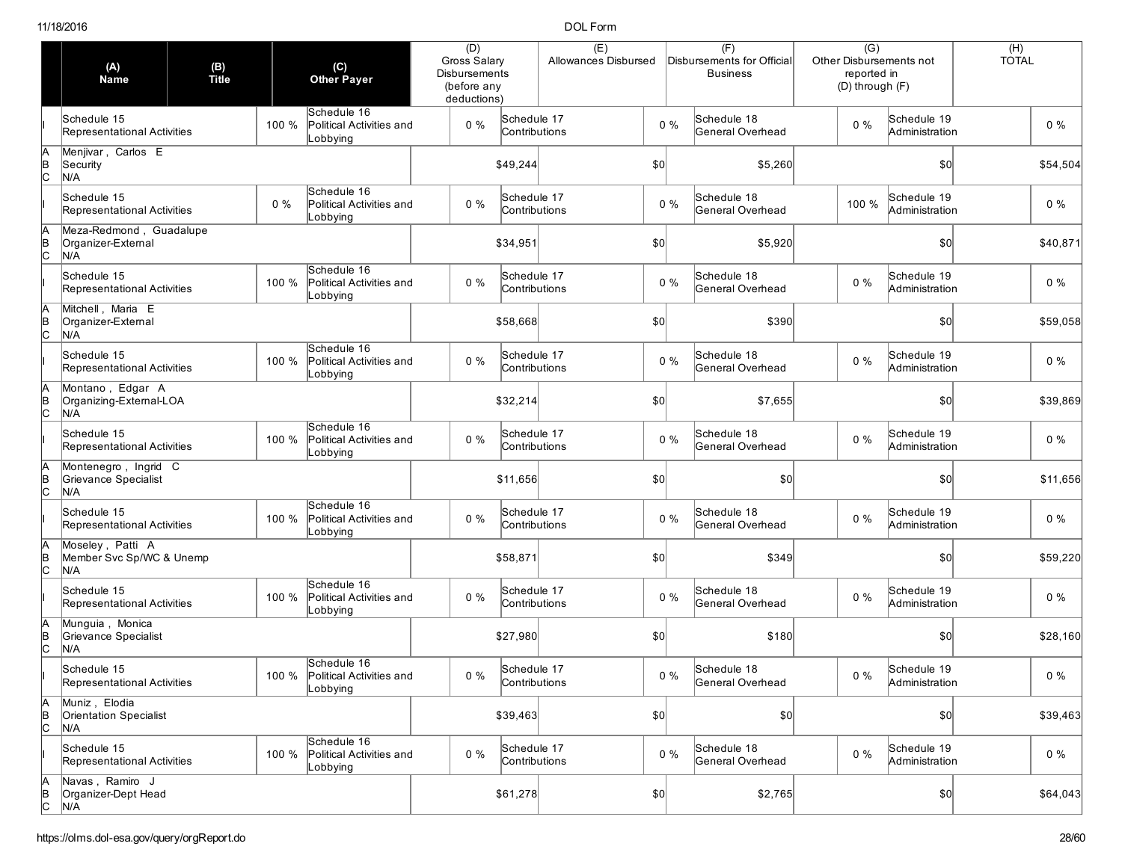|                | (A)<br>Name                                          | (B)<br>Title |       | (C)<br><b>Other Payer</b>                                 | (D)<br>Gross Salary<br><b>Disbursements</b><br>(before any<br>deductions) |                              | (E)<br>Allowances Disbursed |              |       | (F)<br>Disbursements for Official<br><b>Business</b> | $\overline{(G)}$<br>Other Disbursements not<br>reported in<br>(D) through (F) |                               | (H)<br><b>TOTAL</b> |
|----------------|------------------------------------------------------|--------------|-------|-----------------------------------------------------------|---------------------------------------------------------------------------|------------------------------|-----------------------------|--------------|-------|------------------------------------------------------|-------------------------------------------------------------------------------|-------------------------------|---------------------|
|                | Schedule 15<br>Representational Activities           |              | 100 % | Schedule 16<br>Political Activities and<br>Lobbying       | $0\%$                                                                     | Schedule 17<br>Contributions |                             |              | $0\%$ | Schedule 18<br>General Overhead                      | $0\%$                                                                         | Schedule 19<br>Administration | $0\%$               |
| в<br> С        | Menjivar, Carlos E<br>Security<br>N/A                |              |       |                                                           |                                                                           | \$49,244                     |                             | \$0          |       | \$5,260                                              |                                                                               | \$0                           | \$54,504            |
|                | Schedule 15<br>Representational Activities           |              | $0\%$ | Schedule 16<br>Political Activities and<br>Lobbying       | $0\%$                                                                     | Schedule 17<br>Contributions |                             |              | $0\%$ | Schedule 18<br>General Overhead                      | 100 %                                                                         | Schedule 19<br>Administration | $0\%$               |
| $\frac{B}{C}$  | Meza-Redmond, Guadalupe<br>Organizer-External<br>N/A |              |       |                                                           |                                                                           | \$34,951                     |                             | \$0          |       | \$5,920                                              |                                                                               | \$0                           | \$40,871            |
|                | Schedule 15<br>Representational Activities           |              | 100 % | Schedule 16<br>Political Activities and<br>Lobbying       | $0\%$                                                                     | Schedule 17<br>Contributions |                             |              | $0\%$ | Schedule 18<br>General Overhead                      | $0\%$                                                                         | Schedule 19<br>Administration | $0\%$               |
|                | Mitchell, Maria E<br>Organizer-External<br>N/A       |              |       |                                                           |                                                                           | \$58,668                     |                             | \$0          |       | \$390                                                |                                                                               | \$0                           | \$59,058            |
|                | Schedule 15<br>Representational Activities           |              | 100 % | Schedule 16<br>Political Activities and<br>_obbying       | $0\%$                                                                     | Schedule 17<br>Contributions |                             |              | $0\%$ | Schedule 18<br>General Overhead                      | $0\%$                                                                         | Schedule 19<br>Administration | $0\%$               |
| $\overline{C}$ | Montano, Edgar A<br>Organizing-External-LOA<br>N/A   |              |       |                                                           |                                                                           | \$32,214                     |                             | \$0          |       | \$7,655                                              |                                                                               | \$0                           | \$39,869            |
|                | Schedule 15<br>Representational Activities           |              | 100 % | Schedule 16<br>Political Activities and<br>Lobbying       | $0\%$                                                                     | Schedule 17<br>Contributions |                             |              | $0\%$ | Schedule 18<br>General Overhead                      | $0\%$                                                                         | Schedule 19<br>Administration | $0\%$               |
| $\frac{1}{2}$  | Montenegro, Ingrid C<br>Grievance Specialist<br>N/A  |              |       |                                                           |                                                                           | \$11,656                     |                             | $ 10\rangle$ |       | \$0                                                  |                                                                               | \$0                           | \$11,656            |
|                | Schedule 15<br>Representational Activities           |              | 100 % | Schedule 16<br>Political Activities and<br>Lobbying       | $0\%$                                                                     | Schedule 17<br>Contributions |                             |              | $0\%$ | Schedule 18<br>General Overhead                      | $0\%$                                                                         | Schedule 19<br>Administration | $0\%$               |
| В<br>С         | Moseley, Patti A<br>Member Svc Sp/WC & Unemp<br>N/A  |              |       |                                                           |                                                                           | \$58,871                     |                             | \$0          |       | \$349                                                |                                                                               | \$0                           | \$59,220            |
|                | Schedule 15<br>Representational Activities           |              | 100 % | Schedule 16<br>Political Activities and<br>_obbying       | $0\%$                                                                     | Schedule 17<br>Contributions |                             |              | $0\%$ | Schedule 18<br>General Overhead                      | $0\%$                                                                         | Schedule 19<br>Administration | $0\%$               |
|                | Munguia, Monica<br>Grievance Specialist<br>N/A       |              |       |                                                           |                                                                           | \$27,980                     |                             | \$0          |       | \$180                                                |                                                                               | \$0                           | \$28,160            |
|                | Schedule 15<br>Representational Activities           |              |       | Schedule 16<br>100 % Political Activities and<br>Lobbying | $0\%$                                                                     | Schedule 17<br>Contributions |                             |              | $0\%$ | Schedule 18<br>General Overhead                      | $0\%$                                                                         | Schedule 19<br>Administration | $0\%$               |
| A<br>B<br>C    | Muniz, Elodia<br>Orientation Specialist<br>N/A       |              |       |                                                           |                                                                           | \$39,463                     |                             | $ 10\rangle$ |       | \$0]                                                 |                                                                               | \$0                           | \$39,463            |
|                | Schedule 15<br>Representational Activities           |              | 100 % | Schedule 16<br>Political Activities and<br>Lobbying       | $0\%$                                                                     | Schedule 17<br>Contributions |                             |              | $0\%$ | Schedule 18<br>General Overhead                      | $0\%$                                                                         | Schedule 19<br>Administration | $0\%$               |
| A<br>B<br>C    | Navas, Ramiro J<br>Organizer-Dept Head<br>N/A        |              |       |                                                           |                                                                           | \$61,278                     |                             | $ 10\rangle$ |       | \$2,765                                              |                                                                               | 50                            | \$64,043            |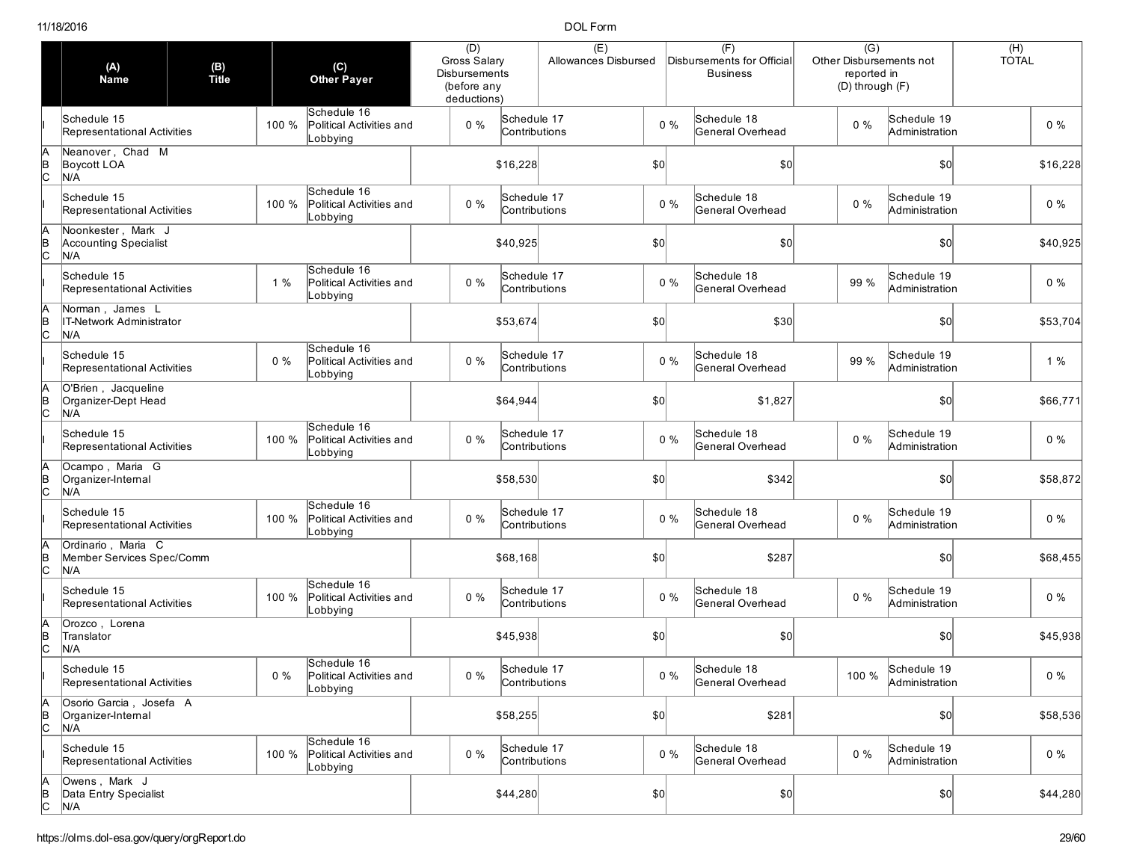|                     | (A)<br><b>Name</b>                                     | (B)<br>Title |       | (C)<br><b>Other Payer</b>                           | (D)<br>Gross Salary<br><b>Disbursements</b><br>(before any<br>deductions) |                              | (E)<br>Allowances Disbursed |              |       | (F)<br>Disbursements for Official<br><b>Business</b> | $\overline{(G)}$<br>Other Disbursements not<br>reported in<br>(D) through (F) |                                     | $(H)$<br>TOTAL |          |
|---------------------|--------------------------------------------------------|--------------|-------|-----------------------------------------------------|---------------------------------------------------------------------------|------------------------------|-----------------------------|--------------|-------|------------------------------------------------------|-------------------------------------------------------------------------------|-------------------------------------|----------------|----------|
|                     | Schedule 15<br>Representational Activities             |              | 100 % | Schedule 16<br>Political Activities and<br>Lobbying | $0\%$                                                                     | Schedule 17<br>Contributions |                             |              | $0\%$ | Schedule 18<br>General Overhead                      | $0\%$                                                                         | Schedule 19<br>Administration       |                | $0\%$    |
| В<br>С              | Neanover, Chad M<br>Boycott LOA<br>N/A                 |              |       |                                                     |                                                                           | \$16,228                     |                             |              |       | \$0                                                  |                                                                               | \$0                                 |                | \$16,228 |
|                     | Schedule 15<br>Representational Activities             |              | 100 % | Schedule 16<br>Political Activities and<br>_obbying | $0\%$                                                                     | Schedule 17<br>Contributions |                             |              | $0\%$ | Schedule 18<br>General Overhead                      | $0\%$                                                                         | Schedule 19<br>Administration       |                | $0\%$    |
| β<br>lc             | Noonkester, Mark J<br>Accounting Specialist<br>N/A     |              |       |                                                     |                                                                           | \$40,925                     |                             | \$0          |       | \$0                                                  |                                                                               | $ 10\rangle$                        |                | \$40,925 |
|                     | Schedule 15<br>Representational Activities             |              | 1%    | Schedule 16<br>Political Activities and<br>Lobbying | $0\%$                                                                     | Schedule 17<br>Contributions |                             |              | $0\%$ | Schedule 18<br>General Overhead                      | 99 %                                                                          | Schedule 19<br>Administration       |                | $0\%$    |
|                     | Norman, James L<br>IT-Network Administrator<br>N/A     |              |       |                                                     |                                                                           | \$53,674                     |                             | \$0          |       | \$30                                                 |                                                                               | \$0                                 |                | \$53,704 |
|                     | Schedule 15<br>Representational Activities             |              | $0\%$ | Schedule 16<br>Political Activities and<br>_obbying | $0\%$                                                                     | Schedule 17<br>Contributions |                             |              | $0\%$ | Schedule 18<br>General Overhead                      | 99 %                                                                          | Schedule 19<br>Administration       |                | 1%       |
| Iс                  | O'Brien, Jacqueline<br>Organizer-Dept Head<br>N/A      |              |       |                                                     |                                                                           | \$64,944                     |                             | \$0          |       | \$1,827                                              |                                                                               | \$0                                 |                | \$66,771 |
|                     | Schedule 15<br>Representational Activities             |              | 100 % | Schedule 16<br>Political Activities and<br>Lobbying | $0\%$                                                                     | Schedule 17<br>Contributions |                             |              | $0\%$ | Schedule 18<br>General Overhead                      | $0\%$                                                                         | Schedule 19<br>Administration       |                | $0\%$    |
| $\sf{lc}$           | Ocampo, Maria G<br>Organizer-Internal<br>N/A           |              |       |                                                     |                                                                           | \$58,530                     |                             | $ 10\rangle$ |       | \$342                                                |                                                                               | $ 10\rangle$                        |                | \$58,872 |
|                     | Schedule 15<br>Representational Activities             |              | 100 % | Schedule 16<br>Political Activities and<br>Lobbying | $0\%$                                                                     | Schedule 17<br>Contributions |                             |              | $0\%$ | Schedule 18<br>General Overhead                      | $0\%$                                                                         | Schedule 19<br>Administration       |                | $0\%$    |
| lc                  | Ordinario, Maria C<br>Member Services Spec/Comm<br>N/A |              |       |                                                     |                                                                           | \$68,168                     |                             | \$0          |       | \$287                                                |                                                                               | \$0                                 |                | \$68,455 |
|                     | Schedule 15<br>Representational Activities             |              | 100 % | Schedule 16<br>Political Activities and<br>_obbying | $0\%$                                                                     | Schedule 17<br>Contributions |                             |              | $0\%$ | Schedule 18<br>General Overhead                      | $0\%$                                                                         | Schedule 19<br>Administration       |                | $0\%$    |
|                     | Orozco, Lorena<br>Translator<br>N/A                    |              |       |                                                     |                                                                           | \$45,938                     |                             | $ 10\rangle$ |       | \$0                                                  |                                                                               | $ 10\rangle$                        |                | \$45,938 |
|                     | Schedule 15<br>Representational Activities             |              | $0\%$ | Schedule 16<br>Political Activities and<br>Lobbying | $0\%$                                                                     | Schedule 17<br>Contributions |                             |              | $0\%$ | Schedule 18<br>General Overhead                      |                                                                               | 100 % Schedule 19<br>Administration |                | $0\%$    |
| А<br>$\overline{C}$ | Osorio Garcia, Josefa A<br>Organizer-Internal<br>N/A   |              |       |                                                     |                                                                           | \$58,255                     |                             | $ 10\rangle$ |       | \$281                                                |                                                                               | $ 10\rangle$                        |                | \$58,536 |
|                     | Schedule 15<br>Representational Activities             |              | 100 % | Schedule 16<br>Political Activities and<br>Lobbying | $0\%$                                                                     | Schedule 17<br>Contributions |                             |              | $0\%$ | Schedule 18<br>General Overhead                      | $0\%$                                                                         | Schedule 19<br>Administration       |                | $0\%$    |
| A<br>B<br>C         | Owens, Mark J<br>Data Entry Specialist<br>N/A          |              |       |                                                     |                                                                           | \$44,280                     |                             | $ 10\rangle$ |       | \$0]                                                 |                                                                               | $ 10\rangle$                        |                | \$44,280 |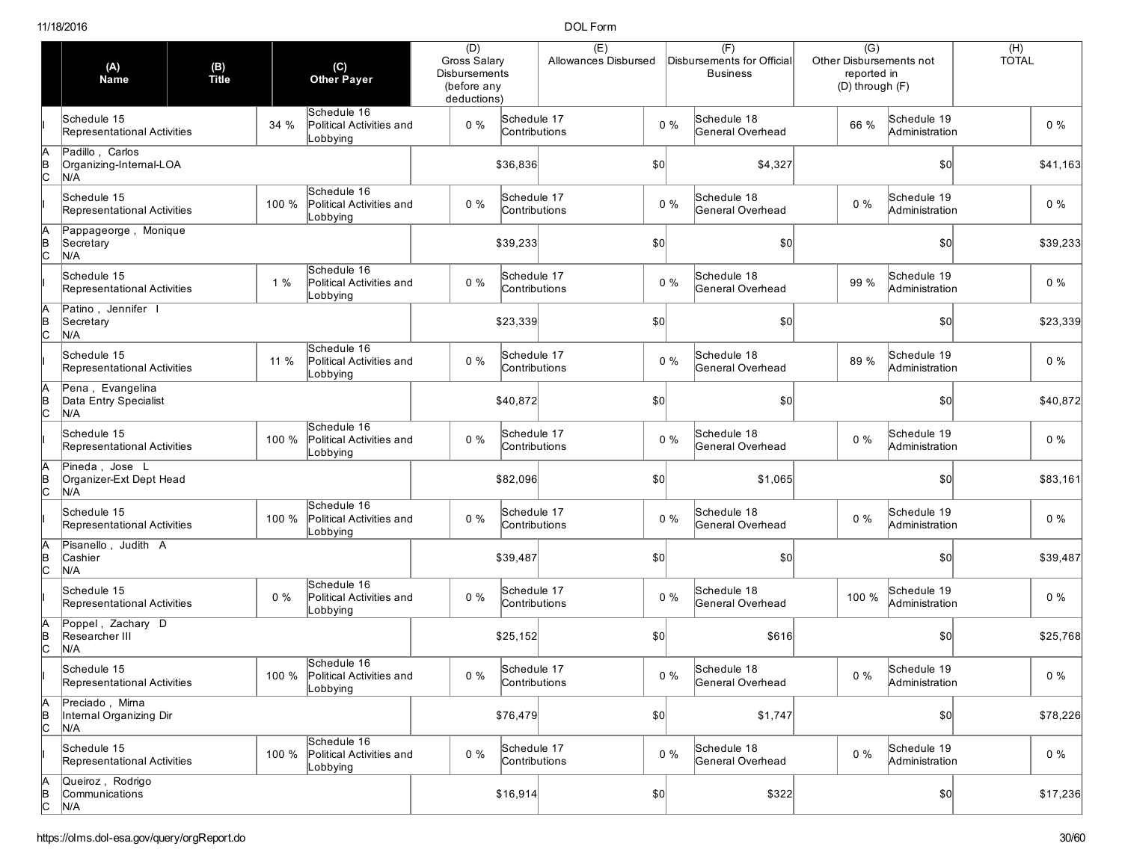|                | (A)<br>Name                                       | (B)<br>Title |       | (C)<br>Other Payer                                        | (D)<br>Gross Salary<br><b>Disbursements</b><br>(before any<br>deductions) |                              | (E)<br>Allowances Disbursed |              |       | (F)<br>Disbursements for Official<br><b>Business</b> | $\overline{(G)}$<br>Other Disbursements not<br>reported in<br>(D) through (F) |                               | (H)<br><b>TOTAL</b> |
|----------------|---------------------------------------------------|--------------|-------|-----------------------------------------------------------|---------------------------------------------------------------------------|------------------------------|-----------------------------|--------------|-------|------------------------------------------------------|-------------------------------------------------------------------------------|-------------------------------|---------------------|
|                | Schedule 15<br>Representational Activities        |              | 34 %  | Schedule 16<br>Political Activities and<br>Lobbying       | $0\%$                                                                     | Schedule 17<br>Contributions |                             |              | $0\%$ | Schedule 18<br>General Overhead                      | 66 %                                                                          | Schedule 19<br>Administration | $0\%$               |
| в<br> С        | Padillo, Carlos<br>Organizing-Internal-LOA<br>N/A |              |       |                                                           |                                                                           | \$36,836                     |                             | \$0          |       | \$4,327                                              |                                                                               | \$0                           | \$41,163            |
|                | Schedule 15<br>Representational Activities        |              | 100 % | Schedule 16<br>Political Activities and<br>_obbying       | $0\%$                                                                     | Schedule 17<br>Contributions |                             |              | $0\%$ | Schedule 18<br>General Overhead                      | $0\%$                                                                         | Schedule 19<br>Administration | $0\%$               |
| $\overline{c}$ | Pappageorge, Monique<br>Secretary<br>N/A          |              |       |                                                           |                                                                           | \$39,233                     |                             | \$0          |       | \$0                                                  |                                                                               | \$0                           | \$39,233            |
|                | Schedule 15<br>Representational Activities        |              | 1%    | Schedule 16<br>Political Activities and<br>Lobbying       | $0\%$                                                                     | Schedule 17<br>Contributions |                             |              | $0\%$ | Schedule 18<br>General Overhead                      | 99 %                                                                          | Schedule 19<br>Administration | $0\%$               |
| $\frac{1}{2}$  | Patino, Jennifer I<br>Secretary<br>N/A            |              |       |                                                           |                                                                           | \$23,339                     |                             | \$0          |       | \$0                                                  |                                                                               | \$0                           | \$23,339            |
|                | Schedule 15<br>Representational Activities        |              | 11 %  | Schedule 16<br>Political Activities and<br>Lobbying       | $0\%$                                                                     | Schedule 17<br>Contributions |                             |              | $0\%$ | Schedule 18<br>General Overhead                      | 89 %                                                                          | Schedule 19<br>Administration | $0\%$               |
| $\overline{C}$ | Pena, Evangelina<br>Data Entry Specialist<br>N/A  |              |       |                                                           |                                                                           | \$40,872                     |                             | \$0          |       | \$0                                                  |                                                                               | \$0                           | \$40,872            |
|                | Schedule 15<br>Representational Activities        |              | 100 % | Schedule 16<br>Political Activities and<br>Lobbying       | $0\%$                                                                     | Schedule 17<br>Contributions |                             |              | $0\%$ | Schedule 18<br>General Overhead                      | $0\%$                                                                         | Schedule 19<br>Administration | $0\%$               |
| B<br>C         | Pineda, Jose L<br>Organizer-Ext Dept Head<br>N/A  |              |       |                                                           |                                                                           | \$82,096                     |                             | \$0          |       | \$1,065                                              |                                                                               | \$0                           | \$83,161            |
|                | Schedule 15<br>Representational Activities        |              | 100 % | Schedule 16<br>Political Activities and<br>Lobbying       | $0\%$                                                                     | Schedule 17<br>Contributions |                             |              | $0\%$ | Schedule 18<br>General Overhead                      | $0\%$                                                                         | Schedule 19<br>Administration | $0\%$               |
| В<br>С         | Pisanello, Judith A<br>Cashier<br>N/A             |              |       |                                                           |                                                                           | \$39,487                     |                             | \$0          |       | \$0                                                  |                                                                               | \$0                           | \$39,487            |
|                | Schedule 15<br>Representational Activities        |              | $0\%$ | Schedule 16<br>Political Activities and<br>Lobbying       | $0\%$                                                                     | Schedule 17<br>Contributions |                             |              | $0\%$ | Schedule 18<br>General Overhead                      | 100 %                                                                         | Schedule 19<br>Administration | $0\%$               |
| ╞              | Poppel, Zachary D<br>Researcher III<br>N/A        |              |       |                                                           |                                                                           | \$25,152                     |                             | \$0          |       | \$616                                                |                                                                               | \$0                           | \$25,768            |
|                | Schedule 15<br>Representational Activities        |              |       | Schedule 16<br>100 % Political Activities and<br>Lobbying | $0\%$                                                                     | Schedule 17<br>Contributions |                             |              | $0\%$ | Schedule 18<br>General Overhead                      | $0\%$                                                                         | Schedule 19<br>Administration | $0\%$               |
| A<br>B<br>C    | Preciado, Mirna<br>Internal Organizing Dir<br>N/A |              |       |                                                           |                                                                           | \$76,479                     |                             | $ 10\rangle$ |       | \$1,747                                              |                                                                               | \$0                           | \$78,226            |
|                | Schedule 15<br>Representational Activities        |              | 100 % | Schedule 16<br>Political Activities and<br>Lobbying       | $0\%$                                                                     | Schedule 17<br>Contributions |                             |              | $0\%$ | Schedule 18<br>General Overhead                      | $0\%$                                                                         | Schedule 19<br>Administration | $0\%$               |
| A<br>B<br>C    | Queiroz, Rodrigo<br>Communications<br>N/A         |              |       |                                                           |                                                                           | \$16,914                     |                             | $ 10\rangle$ |       | \$322                                                |                                                                               | \$0]                          | \$17,236            |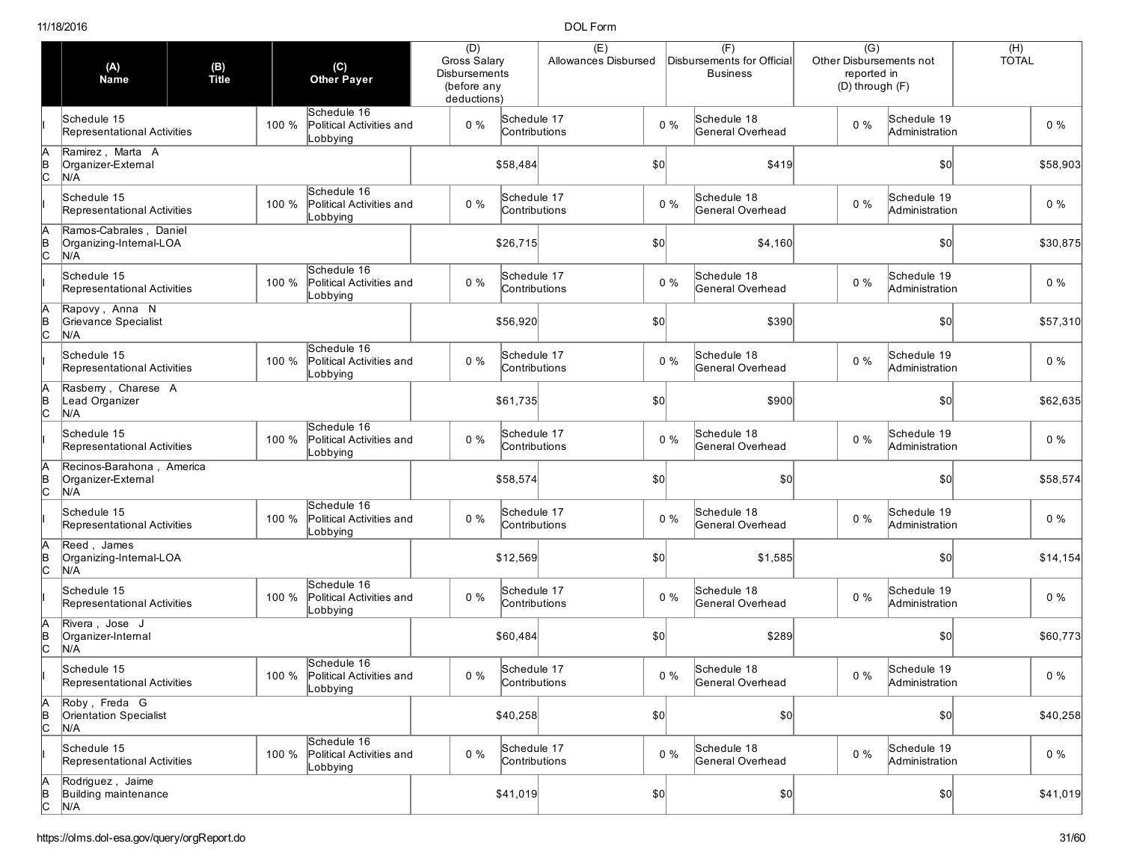|                     | (A)<br><b>Name</b>                                       | (B)<br>Title | (C)<br><b>Other Payer</b>                                    | (D)<br>Gross Salary<br><b>Disbursements</b><br>(before any<br>deductions) |                              | (E)<br>Allowances Disbursed |              |       | (F)<br>Disbursements for Official<br><b>Business</b> | $\overline{(G)}$<br>Other Disbursements not<br>reported in<br>(D) through (F) |                               | $(H)$<br>TOTAL |
|---------------------|----------------------------------------------------------|--------------|--------------------------------------------------------------|---------------------------------------------------------------------------|------------------------------|-----------------------------|--------------|-------|------------------------------------------------------|-------------------------------------------------------------------------------|-------------------------------|----------------|
|                     | Schedule 15<br>Representational Activities               |              | Schedule 16<br>100 %<br>Political Activities and<br>Lobbying | $0\%$                                                                     | Schedule 17<br>Contributions |                             |              | $0\%$ | Schedule 18<br>General Overhead                      | $0\%$                                                                         | Schedule 19<br>Administration | $0\%$          |
| lc                  | Ramirez, Marta A<br>Organizer-External<br>N/A            |              |                                                              |                                                                           | \$58,484                     |                             | \$0          |       | \$419                                                |                                                                               | \$0                           | \$58,903       |
|                     | Schedule 15<br>Representational Activities               |              | Schedule 16<br>100 %<br>Political Activities and<br>obbying. | $0\%$                                                                     | Schedule 17<br>Contributions |                             |              | $0\%$ | Schedule 18<br>General Overhead                      | $0\%$                                                                         | Schedule 19<br>Administration | $0\%$          |
| B<br> C             | Ramos-Cabrales, Daniel<br>Organizing-Internal-LOA<br>N/A |              |                                                              |                                                                           | \$26,715                     |                             | \$0          |       | \$4,160                                              |                                                                               | $ 10\rangle$                  | \$30,875       |
|                     | Schedule 15<br>Representational Activities               |              | Schedule 16<br>Political Activities and<br>100 %<br>Lobbying | $0\%$                                                                     | Schedule 17<br>Contributions |                             |              | $0\%$ | Schedule 18<br>General Overhead                      | $0\%$                                                                         | Schedule 19<br>Administration | $0\%$          |
|                     | Rapovy, Anna N<br>Grievance Specialist<br>N/A            |              |                                                              |                                                                           | \$56,920                     |                             | \$0          |       | \$390                                                |                                                                               | \$0                           | \$57,310       |
|                     | Schedule 15<br>Representational Activities               |              | Schedule 16<br>100 %<br>Political Activities and<br>_obbying | $0\%$                                                                     | Schedule 17<br>Contributions |                             |              | $0\%$ | Schedule 18<br>General Overhead                      | 0%                                                                            | Schedule 19<br>Administration | $0\%$          |
| lc                  | Rasberry, Charese A<br>Lead Organizer<br>N/A             |              |                                                              |                                                                           | \$61,735                     |                             | \$0          |       | \$900                                                |                                                                               | \$0                           | \$62,635       |
|                     | Schedule 15<br>Representational Activities               |              | Schedule 16<br>100 %<br>Political Activities and<br>Lobbying | $0\%$                                                                     | Schedule 17<br>Contributions |                             |              | $0\%$ | Schedule 18<br>General Overhead                      | $0\%$                                                                         | Schedule 19<br>Administration | $0\%$          |
| lc                  | Recinos-Barahona, America<br>Organizer-External<br>N/A   |              |                                                              |                                                                           | \$58,574                     |                             | \$0          |       | \$0                                                  |                                                                               | $ 10\rangle$                  | \$58,574       |
|                     | Schedule 15<br>Representational Activities               |              | Schedule 16<br>100 %<br>Political Activities and<br>_obbying | $0\%$                                                                     | Schedule 17<br>Contributions |                             |              | $0\%$ | Schedule 18<br>General Overhead                      | $0\%$                                                                         | Schedule 19<br>Administration | $0\%$          |
| lc                  | Reed, James<br>Organizing-Internal-LOA<br>N/A            |              |                                                              |                                                                           | \$12,569                     |                             | $ 10\rangle$ |       | \$1,585                                              |                                                                               | \$0                           | \$14,154       |
|                     | Schedule 15<br>Representational Activities               |              | Schedule 16<br>100 %<br>Political Activities and<br>_obbying | $0\%$                                                                     | Schedule 17<br>Contributions |                             |              | $0\%$ | Schedule 18<br>General Overhead                      | $0\%$                                                                         | Schedule 19<br>Administration | $0\%$          |
|                     | Rivera, Jose J<br>Organizer-Internal<br>N/A              |              |                                                              |                                                                           | \$60,484                     |                             | \$0          |       | \$289                                                |                                                                               | \$0                           | \$60,773       |
|                     | Schedule 15<br>Representational Activities               |              | Schedule 16<br>100 % Political Activities and<br>Lobbying    | $0\%$                                                                     | Schedule 17<br>Contributions |                             |              | $0\%$ | Schedule 18<br>General Overhead                      | $0\%$                                                                         | Schedule 19<br>Administration | $0\%$          |
| A<br>$\overline{C}$ | Roby, Freda G<br>Orientation Specialist<br>N/A           |              |                                                              |                                                                           | \$40,258                     |                             | $ 10\rangle$ |       | \$0]                                                 |                                                                               | $ 10\rangle$                  | \$40,258       |
|                     | Schedule 15<br>Representational Activities               |              | Schedule 16<br>Political Activities and<br>100 %<br>Lobbying | $0\%$                                                                     | Schedule 17<br>Contributions |                             |              | $0\%$ | Schedule 18<br>General Overhead                      | $0\%$                                                                         | Schedule 19<br>Administration | $0\%$          |
| A<br>B<br>C         | Rodriguez, Jaime<br>Building maintenance<br>N/A          |              |                                                              |                                                                           | \$41,019                     |                             | $ 10\rangle$ |       | \$0]                                                 |                                                                               | $ 10\rangle$                  | \$41,019       |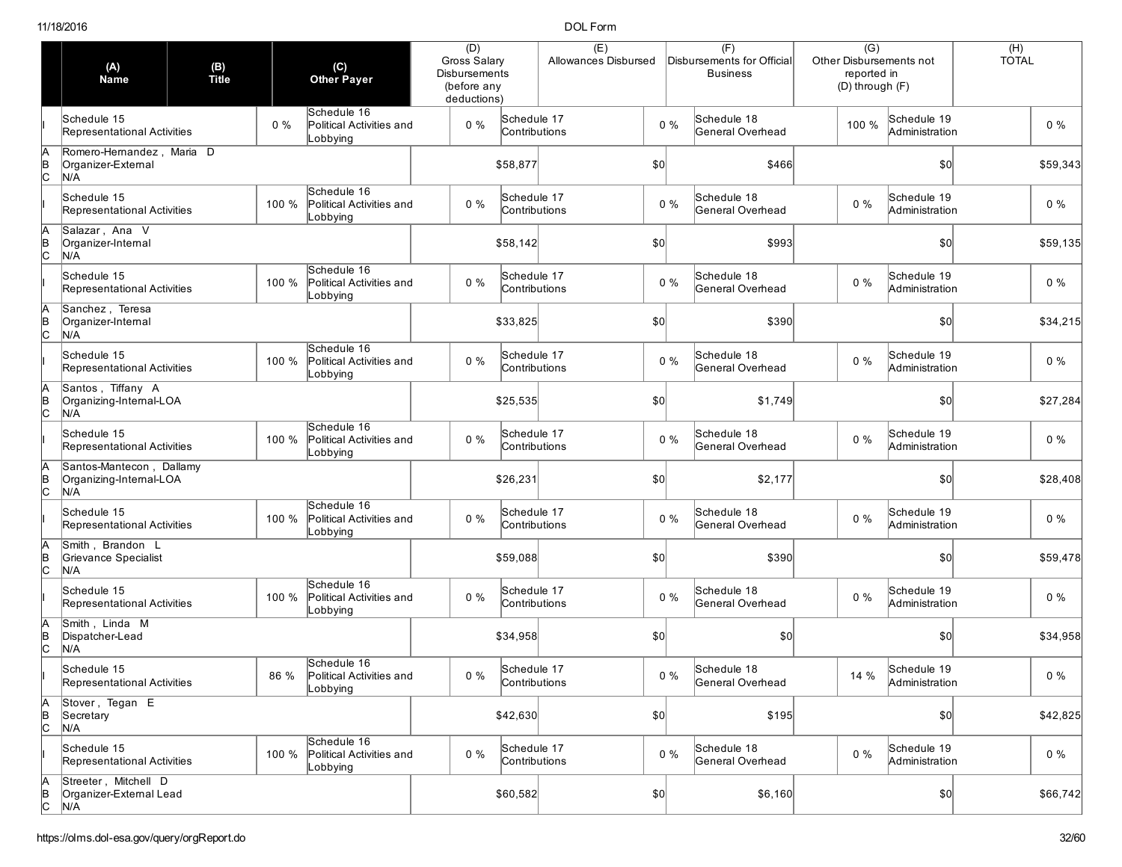|                     | (A)<br><b>Name</b>                                         | (B)<br>Title |       | $(\mathsf{C})$<br><b>Other Payer</b>                | (D)<br>Gross Salary<br><b>Disbursements</b><br>(before any<br>deductions) |                              | (E)<br>Allowances Disbursed |     |       | (F)<br>Disbursements for Officia<br><b>Business</b> | Other Disbursements not<br>(D) through (F) | $\overline{(G)}$<br>reported in |                               | $(H)$<br>TOTAL |          |
|---------------------|------------------------------------------------------------|--------------|-------|-----------------------------------------------------|---------------------------------------------------------------------------|------------------------------|-----------------------------|-----|-------|-----------------------------------------------------|--------------------------------------------|---------------------------------|-------------------------------|----------------|----------|
|                     | Schedule 15<br>Representational Activities                 |              | $0\%$ | Schedule 16<br>Political Activities and<br>Lobbying | $0\%$                                                                     | Schedule 17<br>Contributions |                             |     | $0\%$ | Schedule 18<br>General Overhead                     |                                            | 100 %                           | Schedule 19<br>Administration |                | $0\%$    |
| lc                  | Romero-Hernandez, Maria D<br>Organizer-External<br>N/A     |              |       |                                                     |                                                                           | \$58,877                     |                             | \$0 |       | \$466                                               |                                            |                                 | \$0                           |                | \$59,343 |
|                     | Schedule 15<br>Representational Activities                 |              | 100 % | Schedule 16<br>Political Activities and<br>obbying. | $0\%$                                                                     | Schedule 17<br>Contributions |                             |     | $0\%$ | Schedule 18<br>General Overhead                     |                                            | 0%                              | Schedule 19<br>Administration |                | $0\%$    |
| B<br> C             | Salazar, Ana V<br>Organizer-Internal<br>N/A                |              |       |                                                     |                                                                           | \$58,142                     |                             | \$0 |       | \$993                                               |                                            |                                 | \$0                           |                | \$59,135 |
|                     | Schedule 15<br>Representational Activities                 |              | 100 % | Schedule 16<br>Political Activities and<br>Lobbying | $0\%$                                                                     | Schedule 17<br>Contributions |                             |     | $0\%$ | Schedule 18<br>General Overhead                     | $0\%$                                      |                                 | Schedule 19<br>Administration |                | $0\%$    |
|                     | Sanchez, Teresa<br>Organizer-Internal<br>N/A               |              |       |                                                     |                                                                           | \$33,825                     |                             | \$0 |       | \$390                                               |                                            |                                 | \$0                           |                | \$34,215 |
|                     | Schedule 15<br>Representational Activities                 |              | 100 % | Schedule 16<br>Political Activities and<br>Lobbying | $0\%$                                                                     | Schedule 17<br>Contributions |                             |     | $0\%$ | Schedule 18<br>General Overhead                     | $0\%$                                      |                                 | Schedule 19<br>Administration |                | $0\%$    |
| lc                  | Santos, Tiffany A<br>Organizing-Internal-LOA<br>N/A        |              |       |                                                     |                                                                           | \$25,535                     |                             | \$0 |       | \$1,749                                             |                                            |                                 | \$0                           |                | \$27,284 |
|                     | Schedule 15<br>Representational Activities                 |              | 100 % | Schedule 16<br>Political Activities and<br>Lobbying | $0\%$                                                                     | Schedule 17<br>Contributions |                             |     | $0\%$ | Schedule 18<br>General Overhead                     | $0\%$                                      |                                 | Schedule 19<br>Administration |                | $0\%$    |
| lc                  | Santos-Mantecon, Dallamy<br>Organizing-Internal-LOA<br>N/A |              |       |                                                     |                                                                           | \$26,231                     |                             | \$0 |       | \$2,177                                             |                                            |                                 | \$0                           |                | \$28,408 |
|                     | Schedule 15<br>Representational Activities                 |              | 100 % | Schedule 16<br>Political Activities and<br>Lobbying | $0\%$                                                                     | Schedule 17<br>Contributions |                             |     | $0\%$ | Schedule 18<br>General Overhead                     | $0\%$                                      |                                 | Schedule 19<br>Administration |                | $0\%$    |
|                     | Smith, Brandon L<br>Grievance Specialist<br>N/A            |              |       |                                                     |                                                                           | \$59,088                     |                             | \$0 |       | \$390                                               |                                            |                                 | \$0                           |                | \$59,478 |
|                     | Schedule 15<br>Representational Activities                 |              | 100 % | Schedule 16<br>Political Activities and<br>obbying. | $0\%$                                                                     | Schedule 17<br>Contributions |                             |     | $0\%$ | Schedule 18<br>General Overhead                     | $0\%$                                      |                                 | Schedule 19<br>Administration |                | $0\%$    |
|                     | Smith, Linda M<br>Dispatcher-Lead<br>N/A                   |              |       |                                                     |                                                                           | \$34,958                     |                             | \$0 |       | \$0                                                 |                                            |                                 | \$0                           |                | \$34,958 |
|                     | Schedule 15<br>Representational Activities                 |              | 86 %  | Schedule 16<br>Political Activities and<br>Lobbying | $0\%$                                                                     | Schedule 17<br>Contributions |                             |     | $0\%$ | Schedule 18<br>General Overhead                     |                                            | 14 %                            | Schedule 19<br>Administration |                | $0\%$    |
| A<br>$\overline{C}$ | Stover, Tegan E<br>Secretary<br>N/A                        |              |       |                                                     |                                                                           | \$42,630                     |                             | 50  |       | \$195                                               |                                            |                                 | $ 10\rangle$                  |                | \$42,825 |
|                     | Schedule 15<br>Representational Activities                 |              | 100 % | Schedule 16<br>Political Activities and<br>Lobbying | $0\%$                                                                     | Schedule 17<br>Contributions |                             |     | $0\%$ | Schedule 18<br>General Overhead                     |                                            | $0\%$                           | Schedule 19<br>Administration |                | $0\%$    |
| A<br>B<br>C         | Streeter, Mitchell D<br>Organizer-External Lead<br>N/A     |              |       |                                                     |                                                                           | \$60,582                     |                             |     |       | \$6,160                                             |                                            |                                 | \$0]                          |                | \$66,742 |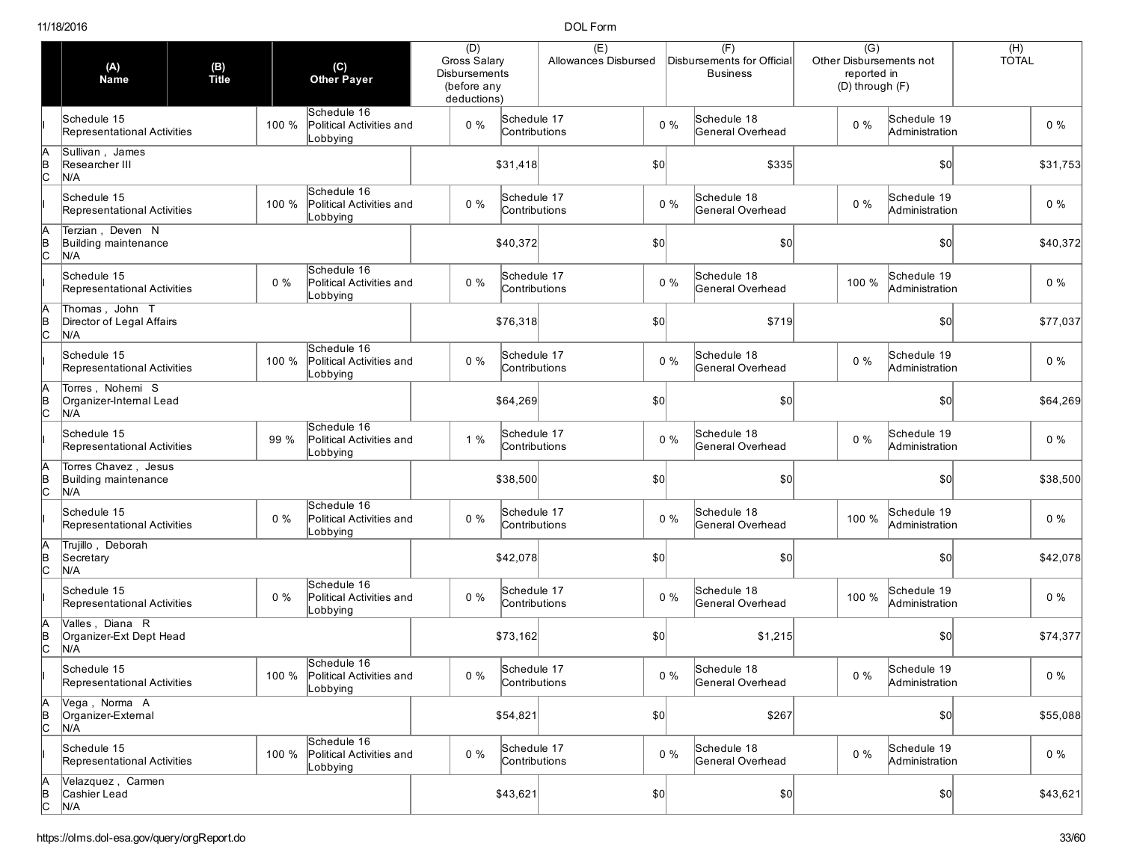|                | (A)<br><b>Name</b>                                  | (B)<br>Title |       | $(\mathsf{C})$<br><b>Other Payer</b>                      | (D)<br>Gross Salary<br><b>Disbursements</b><br>(before any<br>deductions) |                              | (E)<br>Allowances Disbursed |              |       | (F)<br>Disbursements for Official<br><b>Business</b> | $\overline{(G)}$<br>Other Disbursements not<br>reported in<br>(D) through (F) |                               | $(H)$<br>TOTAL |
|----------------|-----------------------------------------------------|--------------|-------|-----------------------------------------------------------|---------------------------------------------------------------------------|------------------------------|-----------------------------|--------------|-------|------------------------------------------------------|-------------------------------------------------------------------------------|-------------------------------|----------------|
|                | Schedule 15<br>Representational Activities          |              | 100 % | Schedule 16<br>Political Activities and<br>Lobbying       | $0\%$                                                                     | Schedule 17<br>Contributions |                             |              | $0\%$ | Schedule 18<br>General Overhead                      | $0\%$                                                                         | Schedule 19<br>Administration | $0\%$          |
| В<br>С         | Sullivan, James<br>Researcher III<br>N/A            |              |       |                                                           |                                                                           | \$31,418                     |                             | \$0          |       | \$335                                                |                                                                               | \$0                           | \$31,753       |
|                | Schedule 15<br>Representational Activities          |              | 100 % | Schedule 16<br>Political Activities and<br>obbying_       | $0\%$                                                                     | Schedule 17<br>Contributions |                             |              | $0\%$ | Schedule 18<br>General Overhead                      | $0\%$                                                                         | Schedule 19<br>Administration | $0\%$          |
| $\overline{C}$ | Terzian, Deven N<br>Building maintenance<br>N/A     |              |       |                                                           |                                                                           | \$40,372                     |                             | \$0          |       | \$0                                                  |                                                                               | \$0                           | \$40,372       |
|                | Schedule 15<br>Representational Activities          |              | $0\%$ | Schedule 16<br>Political Activities and<br>Lobbying       | $0\%$                                                                     | Schedule 17<br>Contributions |                             |              | $0\%$ | Schedule 18<br>General Overhead                      | 100 %                                                                         | Schedule 19<br>Administration | $0\%$          |
| $\overline{C}$ | Thomas, John T<br>Director of Legal Affairs<br>N/A  |              |       |                                                           |                                                                           | \$76,318                     |                             | \$0          |       | \$719                                                |                                                                               | \$0                           | \$77,037       |
|                | Schedule 15<br>Representational Activities          |              | 100 % | Schedule 16<br>Political Activities and<br>_obbying       | $0\%$                                                                     | Schedule 17<br>Contributions |                             |              | $0\%$ | Schedule 18<br>General Overhead                      | $0\%$                                                                         | Schedule 19<br>Administration | $0\%$          |
| $\overline{C}$ | Torres, Nohemi S<br>Organizer-Internal Lead<br>N/A  |              |       |                                                           |                                                                           | \$64,269                     |                             | \$0          |       | \$0                                                  |                                                                               | \$0                           | \$64,269       |
|                | Schedule 15<br>Representational Activities          |              | 99 %  | Schedule 16<br>Political Activities and<br>Lobbying       | 1 %                                                                       | Schedule 17<br>Contributions |                             |              | $0\%$ | Schedule 18<br>General Overhead                      | $0\%$                                                                         | Schedule 19<br>Administration | $0\%$          |
| A<br>B<br>C    | Torres Chavez, Jesus<br>Building maintenance<br>N/A |              |       |                                                           |                                                                           | \$38,500                     |                             | \$0          |       | \$0                                                  |                                                                               | \$0                           | \$38,500       |
|                | Schedule 15<br>Representational Activities          |              | $0\%$ | Schedule 16<br>Political Activities and<br>Lobbying       | $0\%$                                                                     | Schedule 17<br>Contributions |                             |              | $0\%$ | Schedule 18<br>General Overhead                      | 100 %                                                                         | Schedule 19<br>Administration | $0\%$          |
| $\overline{C}$ | Trujillo, Deborah<br>Secretary<br>N/A               |              |       |                                                           |                                                                           | \$42,078                     |                             | \$0          |       | \$0                                                  |                                                                               | \$0                           | \$42,078       |
|                | Schedule 15<br>Representational Activities          |              | $0\%$ | Schedule 16<br>Political Activities and<br>Lobbying       | $0\%$                                                                     | Schedule 17<br>Contributions |                             |              | $0\%$ | Schedule 18<br>General Overhead                      | 100 %                                                                         | Schedule 19<br>Administration | $0\%$          |
|                | Valles, Diana R<br>Organizer-Ext Dept Head<br>N/A   |              |       |                                                           |                                                                           | \$73,162                     |                             | \$0          |       | \$1,215                                              |                                                                               | \$0                           | \$74,377       |
|                | Schedule 15<br>Representational Activities          |              |       | Schedule 16<br>100 % Political Activities and<br>Lobbying | $0\%$                                                                     | Schedule 17<br>Contributions |                             |              | $0\%$ | Schedule 18<br>General Overhead                      | $0\%$                                                                         | Schedule 19<br>Administration | $0\%$          |
| A<br>B<br>C    | Vega, Norma A<br>Organizer-External<br>N/A          |              |       |                                                           |                                                                           | \$54,821                     |                             | $ 10\rangle$ |       | \$267                                                |                                                                               | \$0                           | \$55,088       |
|                | Schedule 15<br>Representational Activities          |              | 100 % | Schedule 16<br>Political Activities and<br>Lobbying       | $0\%$                                                                     | Schedule 17<br>Contributions |                             |              | $0\%$ | Schedule 18<br>General Overhead                      | $0\%$                                                                         | Schedule 19<br>Administration | $0\%$          |
| A<br>B<br>C    | Velazquez, Carmen<br>Cashier Lead<br>N/A            |              |       |                                                           |                                                                           | \$43,621                     |                             | $ 10\rangle$ |       | \$0]                                                 |                                                                               | 50                            | \$43,621       |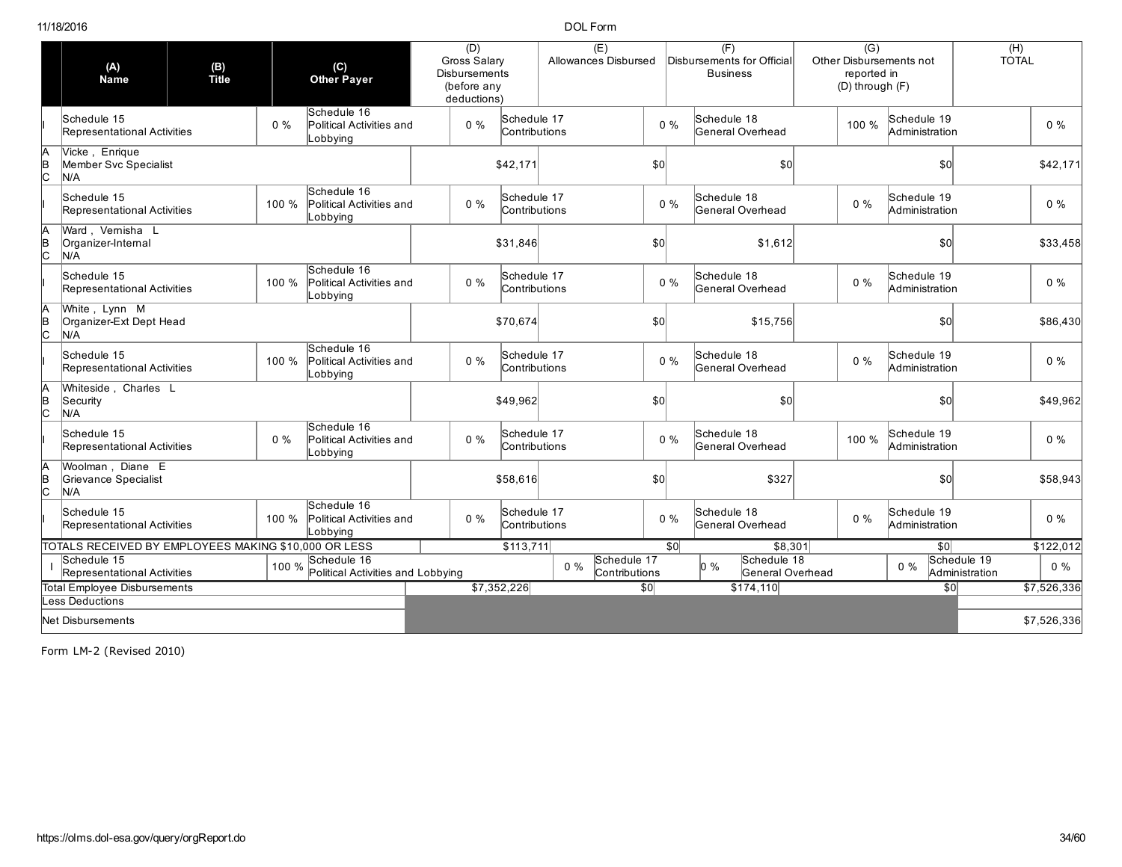|                     | (A)<br><b>Name</b>                                   | (B)<br>Title |       | (C)<br><b>Other Payer</b>                           | (D)<br>Gross Salary<br><b>Disbursements</b><br>(before any<br>deductions) |                              | (E)<br>Allowances Disbursed           |              |                 | (F)<br>Disbursements for Official<br><b>Business</b> | $\overline{(G)}$<br>reported in<br>(D) through (F) | Other Disbursements not       | (H)<br><b>TOTAL</b>           |             |
|---------------------|------------------------------------------------------|--------------|-------|-----------------------------------------------------|---------------------------------------------------------------------------|------------------------------|---------------------------------------|--------------|-----------------|------------------------------------------------------|----------------------------------------------------|-------------------------------|-------------------------------|-------------|
|                     | Schedule 15<br>Representational Activities           |              | $0\%$ | Schedule 16<br>Political Activities and<br>Lobbying | $0\%$                                                                     | Schedule 17<br>Contributions |                                       |              | 0%              | Schedule 18<br>General Overhead                      | 100 %                                              | Schedule 19<br>Administration |                               | $0\%$       |
| A<br>$\overline{c}$ | Vicke, Enrique<br>Member Svc Specialist<br>N/A       |              |       |                                                     |                                                                           | \$42,171                     |                                       | $ 10\rangle$ |                 | \$0                                                  |                                                    | $\frac{1}{2}$                 |                               | \$42,171    |
|                     | Schedule 15<br>Representational Activities           |              | 100 % | Schedule 16<br>Political Activities and<br>Lobbying | $0\%$                                                                     | Schedule 17<br>Contributions |                                       |              | $0\%$           | Schedule 18<br>General Overhead                      | $0\%$                                              | Schedule 19<br>Administration |                               | $0\%$       |
| A<br>$\overline{c}$ | Ward, Vernisha L<br>Organizer-Internal<br>N/A        |              |       |                                                     |                                                                           | \$31,846                     |                                       | \$0          |                 | \$1,612                                              |                                                    | \$0                           |                               | \$33,458    |
|                     | Schedule 15<br>Representational Activities           |              | 100 % | Schedule 16<br>Political Activities and<br>Lobbying | $0\%$                                                                     | Schedule 17<br>Contributions |                                       |              | 0%              | Schedule 18<br>General Overhead                      | $0\%$                                              | Schedule 19<br>Administration |                               | $0\%$       |
| A<br> B<br> C       | White, Lynn M<br>Organizer-Ext Dept Head<br>N/A      |              |       |                                                     |                                                                           | \$70,674                     |                                       | \$0          |                 | \$15,756                                             |                                                    | $\frac{1}{2}$                 |                               | \$86,430    |
|                     | Schedule 15<br>Representational Activities           |              | 100 % | Schedule 16<br>Political Activities and<br>Lobbying | $0\%$                                                                     | Schedule 17<br>Contributions |                                       |              | $0\%$           | Schedule 18<br>General Overhead                      | $0\%$                                              | Schedule 19<br>Administration |                               | $0\%$       |
| A<br> B<br> C       | Whiteside, Charles L<br>Security<br>N/A              |              |       |                                                     |                                                                           | \$49,962                     |                                       | \$0          |                 | \$0                                                  |                                                    | \$0                           |                               | \$49,962    |
|                     | Schedule 15<br>Representational Activities           |              | $0\%$ | Schedule 16<br>Political Activities and<br>Lobbying | $0\%$                                                                     | Schedule 17<br>Contributions |                                       |              | 0%              | Schedule 18<br>General Overhead                      | 100 %                                              | Schedule 19<br>Administration |                               | $0\%$       |
| ΙA<br> B<br> C      | Woolman, Diane E<br>Grievance Specialist<br>N/A      |              |       |                                                     |                                                                           | \$58,616                     |                                       | \$0          |                 | \$327                                                |                                                    | \$0                           |                               | \$58,943    |
|                     | Schedule 15<br>Representational Activities           |              | 100 % | Schedule 16<br>Political Activities and<br>Lobbying | $0\%$                                                                     | Schedule 17<br>Contributions |                                       |              | $0\%$           | Schedule 18<br>General Overhead                      | $0\%$                                              | Schedule 19<br>Administration |                               | $0\%$       |
|                     | TOTALS RECEIVED BY EMPLOYEES MAKING \$10,000 OR LESS |              |       |                                                     |                                                                           | \$113,711                    |                                       |              | $\overline{30}$ | \$8,301                                              |                                                    | $\overline{50}$               |                               | \$122,012   |
|                     | Schedule 15<br>Representational Activities           |              | 100 % | Schedule 16<br>Political Activities and Lobbying    |                                                                           |                              | Schedule 17<br>$0\%$<br>Contributions |              |                 | Schedule 18<br>$\vert 0\% \vert$<br>General Overhead |                                                    | $0\%$                         | Schedule 19<br>Administration | $0\%$       |
|                     | Total Employee Disbursements                         |              |       |                                                     |                                                                           | \$7,352,226                  |                                       | $\sqrt{50}$  |                 | \$174,110                                            |                                                    |                               | \$0                           | \$7,526,336 |
|                     | ess Deductions                                       |              |       |                                                     |                                                                           |                              |                                       |              |                 |                                                      |                                                    |                               |                               |             |
|                     | Net Disbursements                                    |              |       |                                                     |                                                                           |                              |                                       |              |                 |                                                      |                                                    |                               |                               | \$7,526,336 |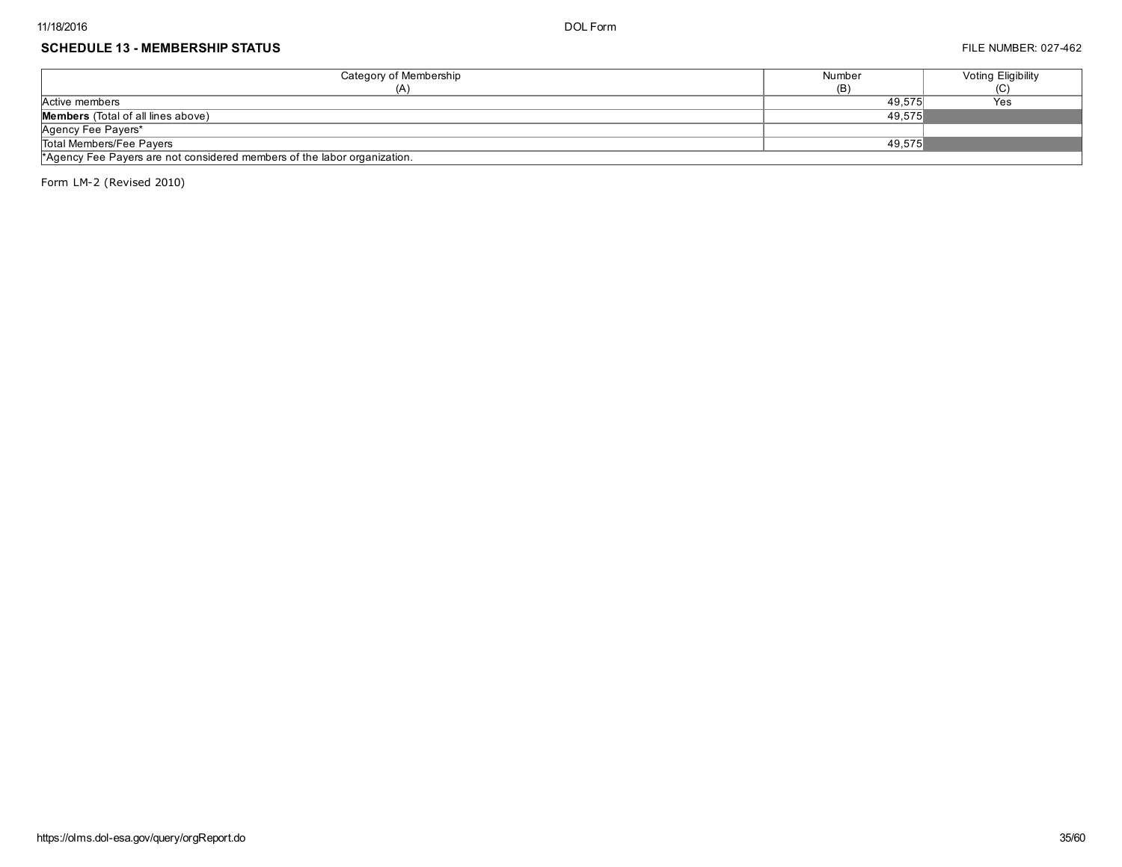#### SCHEDULE 13 - MEMBERSHIP STATUS **FILE NUMBER: 027-462**

| Category of Membership                                                   | Number | Voting Eligibility |  |  |
|--------------------------------------------------------------------------|--------|--------------------|--|--|
| (A)                                                                      | (B)    | (C)                |  |  |
| Active members                                                           | 49.575 | Yes                |  |  |
| <b>Members</b> (Total of all lines above)                                | 49.575 |                    |  |  |
| Agency Fee Payers*                                                       |        |                    |  |  |
| Total Members/Fee Payers                                                 | 49.575 |                    |  |  |
| *Agency Fee Payers are not considered members of the labor organization. |        |                    |  |  |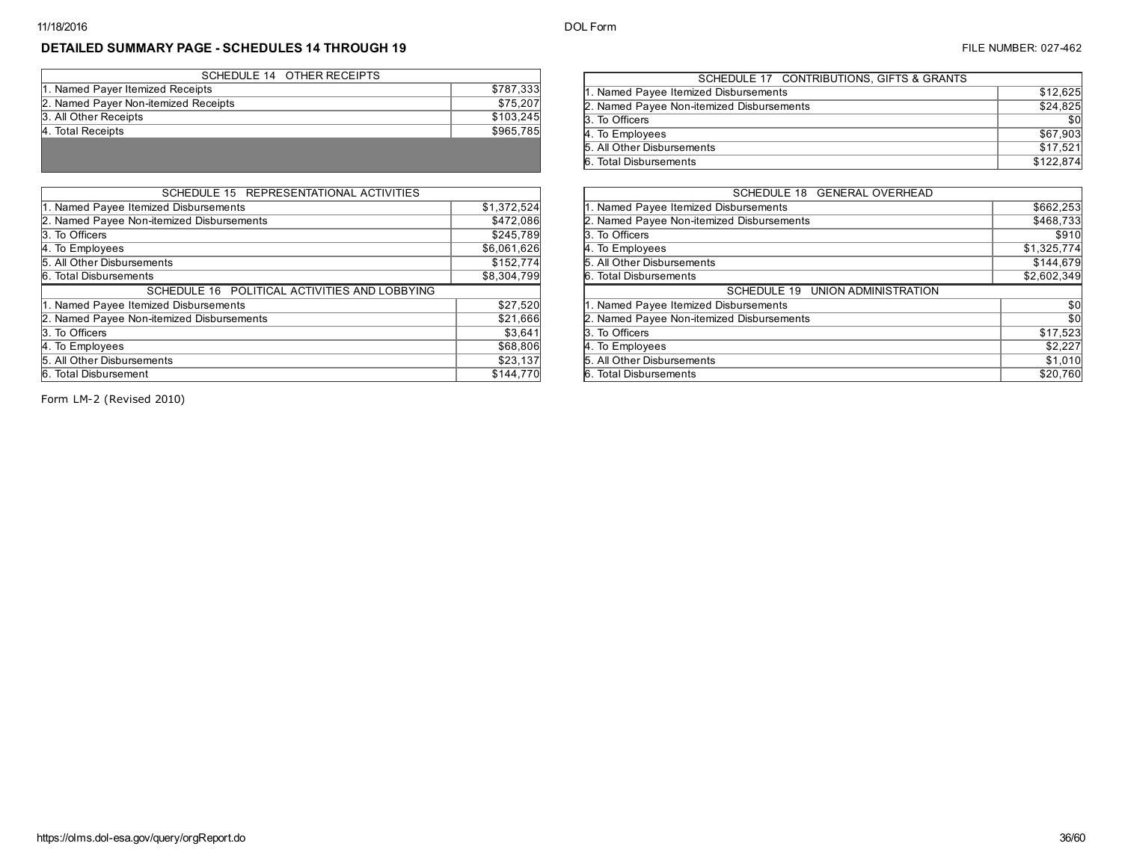$\sim$ 

# DETAILED SUMMARY PAGE - SCHEDULES 14 THROUGH 19 **FILE NUMBER: 027-462** FILE NUMBER: 027-462

| SCHEDULE 14 OTHER RECEIPTS           |           |
|--------------------------------------|-----------|
| 1. Named Payer Itemized Receipts     | \$787,333 |
| 2. Named Payer Non-itemized Receipts | \$75,207  |
| 3. All Other Receipts                | \$103.245 |
| 4. Total Receipts                    | \$965,785 |
|                                      |           |
|                                      |           |

| SCHEDULE 15 REPRESENTATIONAL ACTIVITIES       |             |
|-----------------------------------------------|-------------|
| 1. Named Payee Itemized Disbursements         | \$1,372,524 |
| 2. Named Payee Non-itemized Disbursements     | \$472,086   |
| 3. To Officers                                | \$245,789   |
| 4. To Employees                               | \$6,061,626 |
| 5. All Other Disbursements                    | \$152,774   |
| 6. Total Disbursements                        | \$8,304,799 |
| SCHEDULE 16 POLITICAL ACTIVITIES AND LOBBYING |             |
| 1. Named Payee Itemized Disbursements         | \$27,520    |
| 2. Named Payee Non-itemized Disbursements     | \$21,666    |
| 3. To Officers                                | \$3,641     |
| 4. To Employees                               | \$68,806    |
| 5. All Other Disbursements                    | \$23,137    |
| 6. Total Disbursement                         | \$144,770   |

| SCHEDULE 17 CONTRIBUTIONS, GIFTS & GRANTS |           |
|-------------------------------------------|-----------|
| 1. Named Payee Itemized Disbursements     | \$12,625  |
| 2. Named Payee Non-itemized Disbursements | \$24,825  |
| 3. To Officers                            | \$0       |
| 4. To Employees                           | \$67,903  |
| 5. All Other Disbursements                | \$17.521  |
| 6. Total Disbursements                    | \$122,874 |
|                                           |           |

| SCHEDULE 18 GENERAL OVERHEAD              |             |
|-------------------------------------------|-------------|
| 1. Named Payee Itemized Disbursements     | \$662,253   |
| 2. Named Payee Non-itemized Disbursements | \$468,733   |
| 3. To Officers                            | \$910       |
| 4. To Employees                           | \$1,325,774 |
| 5. All Other Disbursements                | \$144,679   |
| 6. Total Disbursements                    | \$2,602,349 |
| SCHEDULE 19 UNION ADMINISTRATION          |             |
| 1. Named Payee Itemized Disbursements     | \$0         |
| 2. Named Payee Non-itemized Disbursements | \$0         |
| 3. To Officers                            | \$17,523    |
| 4. To Employees                           | \$2,227     |
| 5. All Other Disbursements                | \$1,010     |
| 6. Total Disbursements                    | \$20,760    |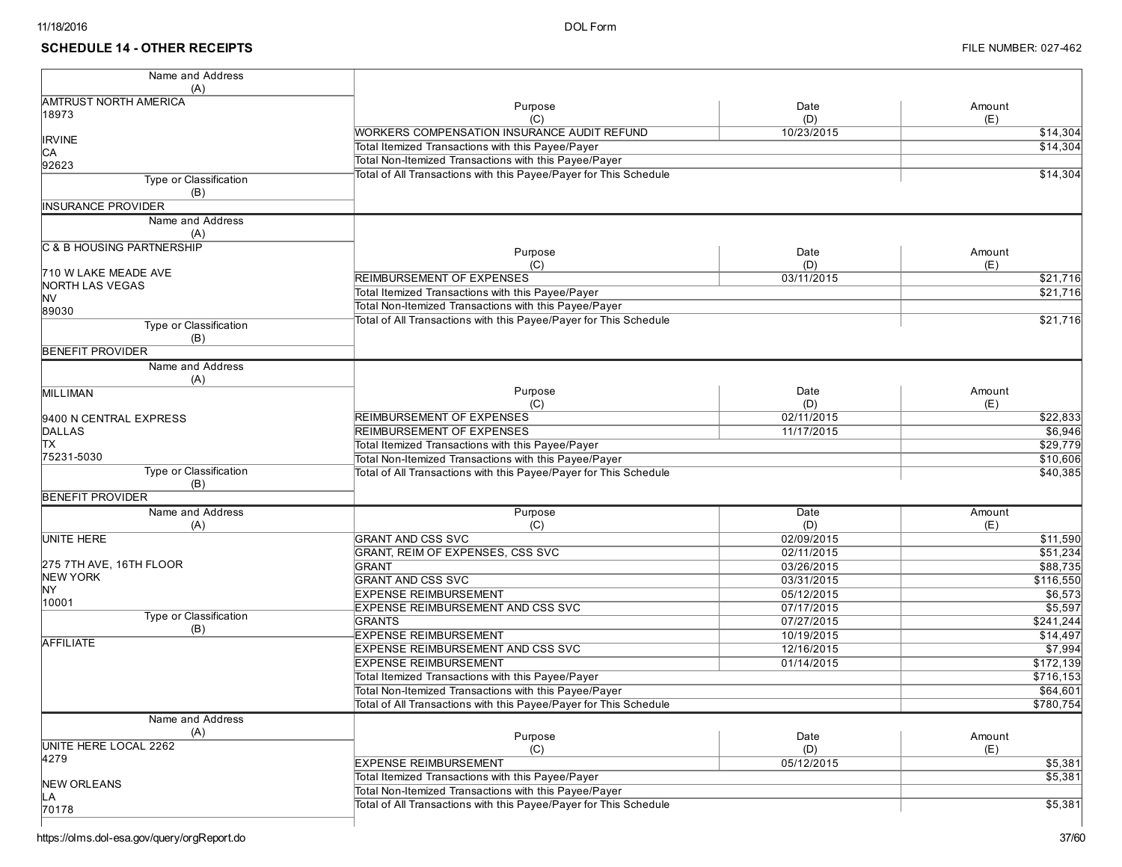| Name and Address             |                                                                   |            |           |
|------------------------------|-------------------------------------------------------------------|------------|-----------|
| (A)                          |                                                                   |            |           |
| <b>AMTRUST NORTH AMERICA</b> | Purpose                                                           | Date       | Amount    |
| 18973                        | (C)                                                               | (D)        | (E)       |
|                              | WORKERS COMPENSATION INSURANCE AUDIT REFUND                       | 10/23/2015 | \$14,304  |
| <b>IRVINE</b>                | Total Itemized Transactions with this Payee/Payer                 |            | \$14,304  |
| CА<br>92623                  | Total Non-Itemized Transactions with this Payee/Payer             |            |           |
| Type or Classification       | Total of All Transactions with this Payee/Payer for This Schedule |            | \$14,304  |
| (B)                          |                                                                   |            |           |
| <b>INSURANCE PROVIDER</b>    |                                                                   |            |           |
| Name and Address             |                                                                   |            |           |
| (A)                          |                                                                   |            |           |
| C & B HOUSING PARTNERSHIP    |                                                                   |            |           |
|                              | Purpose                                                           | Date       | Amount    |
| 710 W LAKE MEADE AVE         | (C)                                                               | (D)        | (E)       |
| NORTH LAS VEGAS              | <b>REIMBURSEMENT OF EXPENSES</b>                                  | 03/11/2015 | \$21,716  |
| <b>NV</b>                    | Total Itemized Transactions with this Payee/Payer                 |            | \$21,716  |
| 89030                        | Total Non-Itemized Transactions with this Payee/Payer             |            |           |
| Type or Classification       | Total of All Transactions with this Payee/Payer for This Schedule |            | \$21,716  |
| (B)                          |                                                                   |            |           |
| <b>BENEFIT PROVIDER</b>      |                                                                   |            |           |
| Name and Address             |                                                                   |            |           |
| (A)                          |                                                                   |            |           |
| <b>MILLIMAN</b>              | Purpose                                                           | Date       | Amount    |
|                              | (C)                                                               | (D)        | (E)       |
| 9400 N CENTRAL EXPRESS       | REIMBURSEMENT OF EXPENSES                                         | 02/11/2015 | \$22,833  |
| <b>DALLAS</b>                | <b>REIMBURSEMENT OF EXPENSES</b>                                  | 11/17/2015 | \$6,946   |
| lтx                          | Total Itemized Transactions with this Payee/Payer                 |            | \$29,779  |
| 75231-5030                   | Total Non-Itemized Transactions with this Payee/Payer             |            | \$10,606  |
| Type or Classification       | Total of All Transactions with this Payee/Payer for This Schedule |            | \$40,385  |
| (B)                          |                                                                   |            |           |
| <b>BENEFIT PROVIDER</b>      |                                                                   |            |           |
| Name and Address             | Purpose                                                           | Date       | Amount    |
| (A)                          | (C)                                                               | (D)        | (E)       |
| <b>UNITE HERE</b>            | <b>GRANT AND CSS SVC</b>                                          | 02/09/2015 | \$11,590  |
| 275 7TH AVE, 16TH FLOOR      | GRANT, REIM OF EXPENSES, CSS SVC<br><b>GRANT</b>                  | 02/11/2015 | \$51,234  |
| <b>NEW YORK</b>              |                                                                   | 03/26/2015 | \$88,735  |
| NY                           | <b>GRANT AND CSS SVC</b>                                          | 03/31/2015 | \$116,550 |
| 10001                        | <b>EXPENSE REIMBURSEMENT</b>                                      | 05/12/2015 | \$6,573   |
| Type or Classification       | EXPENSE REIMBURSEMENT AND CSS SVC                                 | 07/17/2015 | \$5,597   |
| (B)                          | <b>GRANTS</b>                                                     | 07/27/2015 | \$241,244 |
| <b>AFFILIATE</b>             | <b>EXPENSE REIMBURSEMENT</b>                                      | 10/19/2015 | \$14,497  |
|                              | <b>EXPENSE REIMBURSEMENT AND CSS SVC</b>                          | 12/16/2015 | \$7,994   |
|                              | <b>EXPENSE REIMBURSEMENT</b>                                      | 01/14/2015 | \$172,139 |
|                              | Total Itemized Transactions with this Payee/Payer                 |            | \$716,153 |
|                              | Total Non-Itemized Transactions with this Payee/Payer             |            | \$64,601  |
|                              | Total of All Transactions with this Payee/Payer for This Schedule |            | \$780,754 |
| Name and Address             |                                                                   |            |           |
| (A)                          | Purpose                                                           | Date       | Amount    |
| UNITE HERE LOCAL 2262        | (C)                                                               | (D)        | (E)       |
| 4279                         | <b>EXPENSE REIMBURSEMENT</b>                                      | 05/12/2015 | \$5,381   |
| <b>NEW ORLEANS</b>           | Total Itemized Transactions with this Payee/Payer                 |            | \$5,381   |
| LА                           | Total Non-Itemized Transactions with this Payee/Payer             |            |           |
| 70178                        | Total of All Transactions with this Payee/Payer for This Schedule |            | \$5,381   |
|                              |                                                                   |            |           |
|                              |                                                                   |            |           |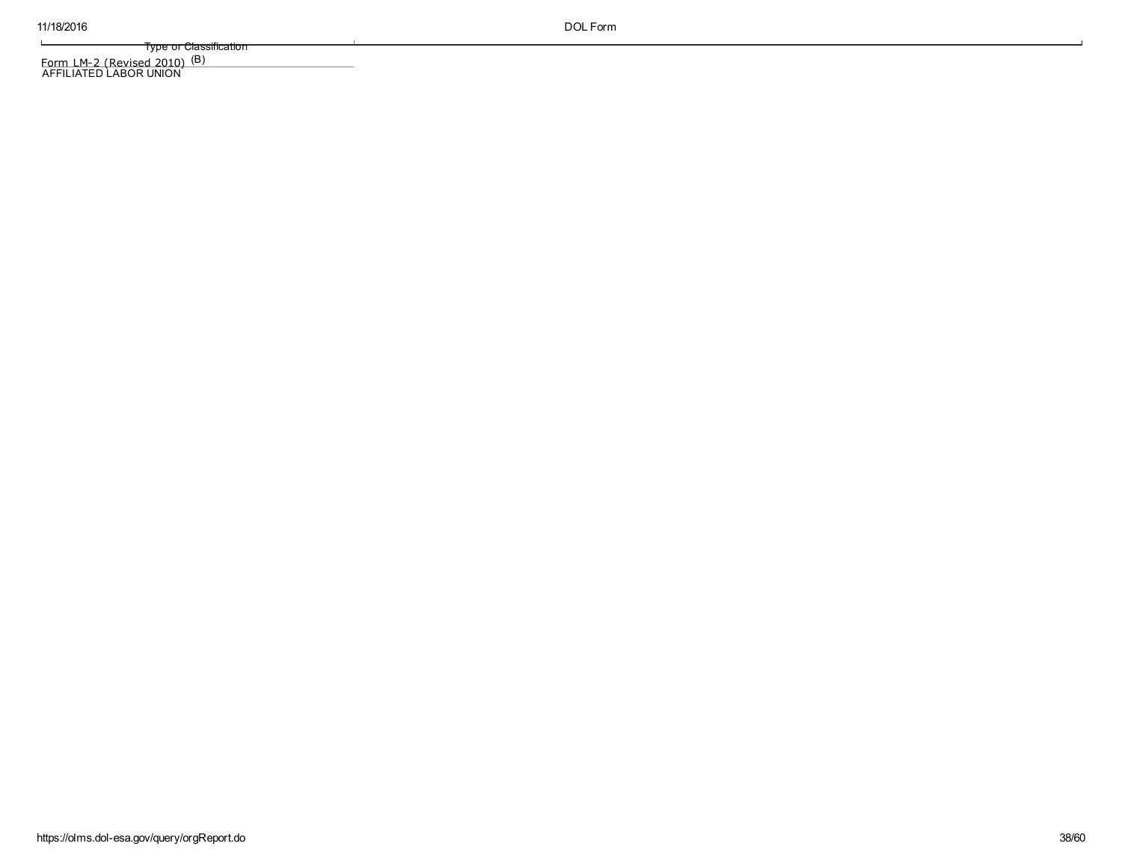$\mathbf{L}$ 

Type or Classification

(B)

<u>Form LM-2 (Revised 2010)</u><br>AFFILIATED LABOR UNION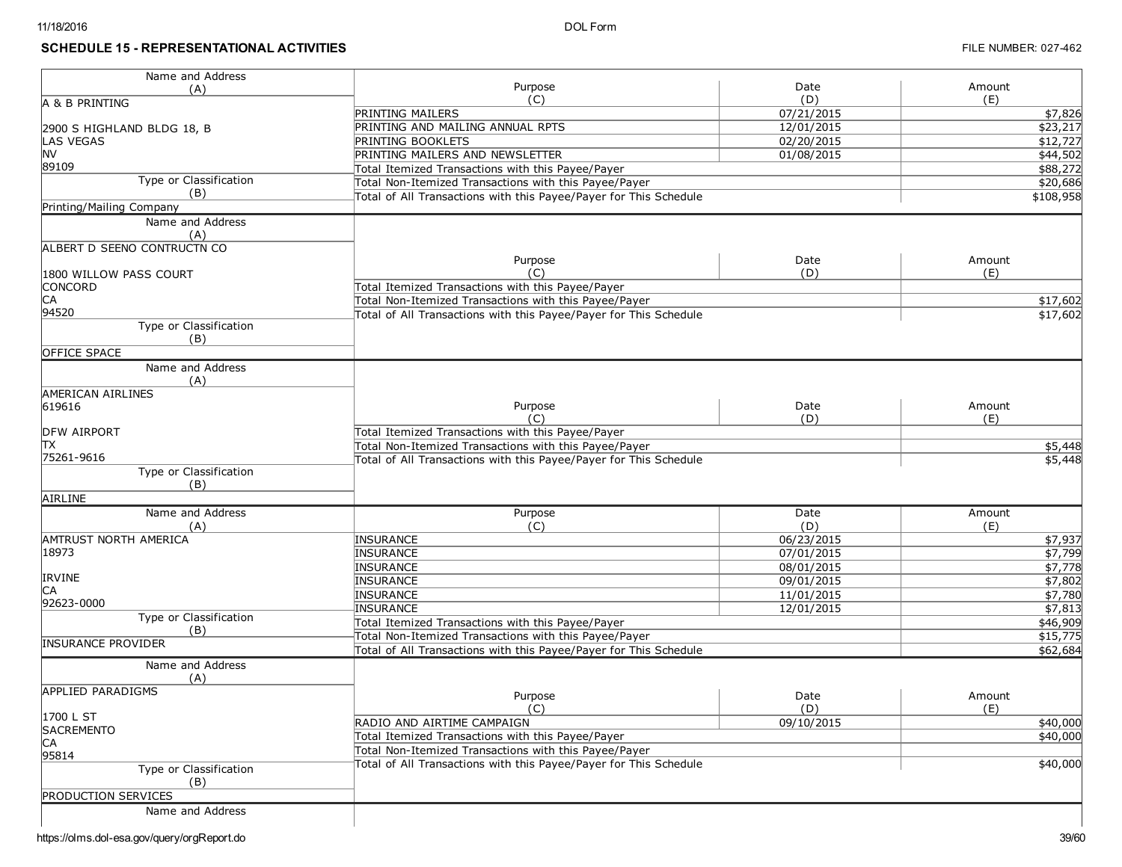## **SCHEDULE 15 - REPRESENTATIONAL ACTIVITIES**

| Name and Address              |                                                                   |             |                     |
|-------------------------------|-------------------------------------------------------------------|-------------|---------------------|
| (A)                           | Purpose<br>(C)                                                    | Date<br>(D) | Amount<br>(E)       |
| a & B printing                | <b>PRINTING MAILERS</b>                                           | 07/21/2015  |                     |
|                               |                                                                   | 12/01/2015  | \$7,826<br>\$23,217 |
| 2900 S HIGHLAND BLDG 18, B    | PRINTING AND MAILING ANNUAL RPTS                                  |             |                     |
| <b>LAS VEGAS</b><br><b>NV</b> | PRINTING BOOKLETS                                                 | 02/20/2015  | \$12,727            |
| 89109                         | PRINTING MAILERS AND NEWSLETTER                                   | 01/08/2015  | \$44,502            |
| Type or Classification        | Total Itemized Transactions with this Payee/Payer                 |             | \$88,272            |
| (B)                           | Total Non-Itemized Transactions with this Payee/Payer             |             | \$20,686            |
| Printing/Mailing Company      | Total of All Transactions with this Payee/Payer for This Schedule |             | \$108,958           |
|                               |                                                                   |             |                     |
| Name and Address              |                                                                   |             |                     |
| (A)                           |                                                                   |             |                     |
| ALBERT D SEENO CONTRUCTN CO   | Purpose                                                           | Date        | Amount              |
|                               | (C)                                                               | (D)         | (E)                 |
| 1800 WILLOW PASS COURT        |                                                                   |             |                     |
| <b>CONCORD</b>                | Total Itemized Transactions with this Payee/Payer                 |             |                     |
| CA                            | Total Non-Itemized Transactions with this Payee/Payer             |             | \$17,602            |
| 94520                         | Total of All Transactions with this Payee/Payer for This Schedule |             | \$17,602            |
| Type or Classification        |                                                                   |             |                     |
| (B)                           |                                                                   |             |                     |
| <b>OFFICE SPACE</b>           |                                                                   |             |                     |
| Name and Address              |                                                                   |             |                     |
| (A)                           |                                                                   |             |                     |
| <b>AMERICAN AIRLINES</b>      |                                                                   |             |                     |
| 619616                        | Purpose                                                           | Date        | Amount              |
|                               | (C)                                                               | (D)         | (E)                 |
| DFW AIRPORT                   | Total Itemized Transactions with this Payee/Payer                 |             |                     |
| ΙTΧ                           | Total Non-Itemized Transactions with this Payee/Payer             |             | \$5,448             |
| 75261-9616                    | Total of All Transactions with this Payee/Payer for This Schedule |             | \$5,448             |
| <b>Type or Classification</b> |                                                                   |             |                     |
| (B)                           |                                                                   |             |                     |
| AIRLINE                       |                                                                   |             |                     |
| Name and Address              | Purpose                                                           | Date        | Amount              |
| (A)                           | (C)                                                               | (D)         | (E)                 |
| <b>AMTRUST NORTH AMERICA</b>  | <b>INSURANCE</b>                                                  | 06/23/2015  | \$7,937             |
| 18973                         | <b>INSURANCE</b>                                                  | 07/01/2015  | \$7,799             |
|                               | <b>INSURANCE</b>                                                  | 08/01/2015  | \$7,778             |
| <b>IRVINE</b>                 | INSURANCE                                                         | 09/01/2015  | \$7,802             |
| СA                            | <b>INSURANCE</b>                                                  | 11/01/2015  | \$7,780             |
| 92623-0000                    | <b>INSURANCE</b>                                                  | 12/01/2015  | \$7,813             |
| Type or Classification        | Total Itemized Transactions with this Payee/Payer                 |             | \$46,909            |
| (B)                           | Total Non-Itemized Transactions with this Payee/Payer             |             | \$15,775            |
| <b>INSURANCE PROVIDER</b>     | Total of All Transactions with this Payee/Payer for This Schedule |             |                     |
|                               |                                                                   |             | \$62,684            |
| Name and Address              |                                                                   |             |                     |
| (A)                           |                                                                   |             |                     |
| <b>APPLIED PARADIGMS</b>      | Purpose                                                           | Date        | Amount              |
|                               | (C)                                                               | (D)         | (E)                 |
| 1700 L ST                     | RADIO AND AIRTIME CAMPAIGN                                        | 09/10/2015  | \$40,000            |
| <b>SACREMENTO</b>             | Total Itemized Transactions with this Payee/Payer                 |             | \$40,000            |
| CА                            | Total Non-Itemized Transactions with this Payee/Payer             |             |                     |
| 95814                         | Total of All Transactions with this Payee/Payer for This Schedule |             | \$40,000            |
| Type or Classification        |                                                                   |             |                     |
| (B)                           |                                                                   |             |                     |
| <b>PRODUCTION SERVICES</b>    |                                                                   |             |                     |
| Name and Address              |                                                                   |             |                     |
|                               |                                                                   |             |                     |

https://olms.dol-esa.gov/query/orgReport.do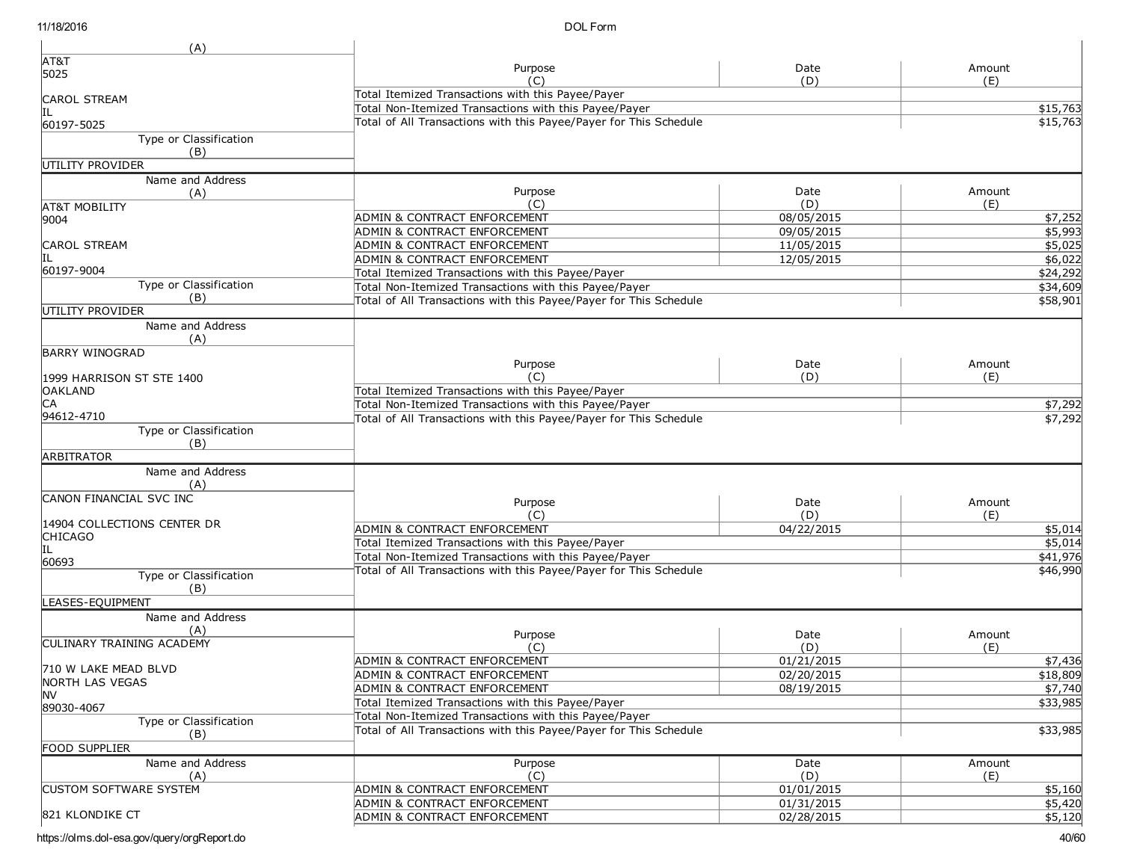| (A)                                  |                                                                   |            |          |
|--------------------------------------|-------------------------------------------------------------------|------------|----------|
| AT&T                                 | Purpose                                                           | Date       | Amount   |
| 5025                                 | (C)                                                               | (D)        | (E)      |
| <b>CAROL STREAM</b>                  | Total Itemized Transactions with this Payee/Payer                 |            |          |
|                                      | Total Non-Itemized Transactions with this Payee/Payer             |            | \$15,763 |
| 60197-5025                           | Total of All Transactions with this Payee/Payer for This Schedule |            | \$15,763 |
| Type or Classification               |                                                                   |            |          |
| (B)                                  |                                                                   |            |          |
| UTILITY PROVIDER                     |                                                                   |            |          |
| Name and Address                     |                                                                   |            |          |
| (A)                                  | Purpose                                                           | Date       | Amount   |
| <b>AT&amp;T MOBILITY</b>             | (C)                                                               | (D)        | (E)      |
| 9004                                 | ADMIN & CONTRACT ENFORCEMENT                                      | 08/05/2015 | \$7,252  |
|                                      | ADMIN & CONTRACT ENFORCEMENT                                      | 09/05/2015 | \$5,993  |
| <b>CAROL STREAM</b>                  | ADMIN & CONTRACT ENFORCEMENT                                      | 11/05/2015 | \$5,025  |
| IIL                                  | ADMIN & CONTRACT ENFORCEMENT                                      | 12/05/2015 | \$6,022  |
| 60197-9004                           | Total Itemized Transactions with this Payee/Payer                 |            | \$24,292 |
| Type or Classification               | Total Non-Itemized Transactions with this Payee/Payer             |            | \$34,609 |
| (B)                                  | Total of All Transactions with this Payee/Payer for This Schedule |            | \$58,901 |
| UTILITY PROVIDER                     |                                                                   |            |          |
| Name and Address                     |                                                                   |            |          |
| (A)<br><b>BARRY WINOGRAD</b>         |                                                                   |            |          |
|                                      | Purpose                                                           | Date       | Amount   |
| 1999 HARRISON ST STE 1400            | (C)                                                               | (D)        | (E)      |
| <b>OAKLAND</b>                       | Total Itemized Transactions with this Payee/Payer                 |            |          |
| IСA                                  | Total Non-Itemized Transactions with this Payee/Payer             |            | \$7,292  |
| 94612-4710                           | Total of All Transactions with this Payee/Payer for This Schedule |            | \$7,292  |
| <b>Type or Classification</b>        |                                                                   |            |          |
| (B)                                  |                                                                   |            |          |
| <b>ARBITRATOR</b>                    |                                                                   |            |          |
| Name and Address                     |                                                                   |            |          |
| (A)                                  |                                                                   |            |          |
| CANON FINANCIAL SVC INC              | Purpose                                                           | Date       | Amount   |
|                                      | (C)                                                               | (D)        | (E)      |
| 14904 COLLECTIONS CENTER DR          | ADMIN & CONTRACT ENFORCEMENT                                      | 04/22/2015 | \$5,014  |
| <b>CHICAGO</b><br>ĮΠ                 | Total Itemized Transactions with this Payee/Payer                 |            | \$5,014  |
| 60693                                | Total Non-Itemized Transactions with this Payee/Payer             |            | \$41,976 |
| Type or Classification               | Total of All Transactions with this Payee/Payer for This Schedule |            | \$46,990 |
| (B)                                  |                                                                   |            |          |
| LEASES-EQUIPMENT                     |                                                                   |            |          |
| Name and Address                     |                                                                   |            |          |
| (A)                                  | Purpose                                                           | Date       | Amount   |
| <b>CULINARY TRAINING ACADEMY</b>     | (C)                                                               | (D)        | (E)      |
|                                      | ADMIN & CONTRACT ENFORCEMENT                                      | 01/21/2015 | \$7,436  |
| 710 W LAKE MEAD BLVD                 | ADMIN & CONTRACT ENFORCEMENT                                      | 02/20/2015 | \$18,809 |
| NORTH LAS VEGAS                      | ADMIN & CONTRACT ENFORCEMENT                                      | 08/19/2015 | \$7,740  |
| INV.                                 | Total Itemized Transactions with this Payee/Payer                 |            | \$33,985 |
| 89030-4067                           | Total Non-Itemized Transactions with this Payee/Payer             |            |          |
| Type or Classification               | Total of All Transactions with this Payee/Payer for This Schedule |            | \$33,985 |
| (B)                                  |                                                                   |            |          |
| <b>FOOD SUPPLIER</b>                 |                                                                   |            |          |
| Name and Address                     | Purpose                                                           | Date       | Amount   |
| (A)<br><b>CUSTOM SOFTWARE SYSTEM</b> | (C)                                                               | (D)        | (E)      |
|                                      | ADMIN & CONTRACT ENFORCEMENT                                      | 01/01/2015 | \$5,160  |
| 821 KLONDIKE CT                      | ADMIN & CONTRACT ENFORCEMENT                                      | 01/31/2015 | \$5,420  |
|                                      | ADMIN & CONTRACT ENFORCEMENT                                      | 02/28/2015 | \$5,120  |

https://olms.dol-esa.gov/query/orgReport.do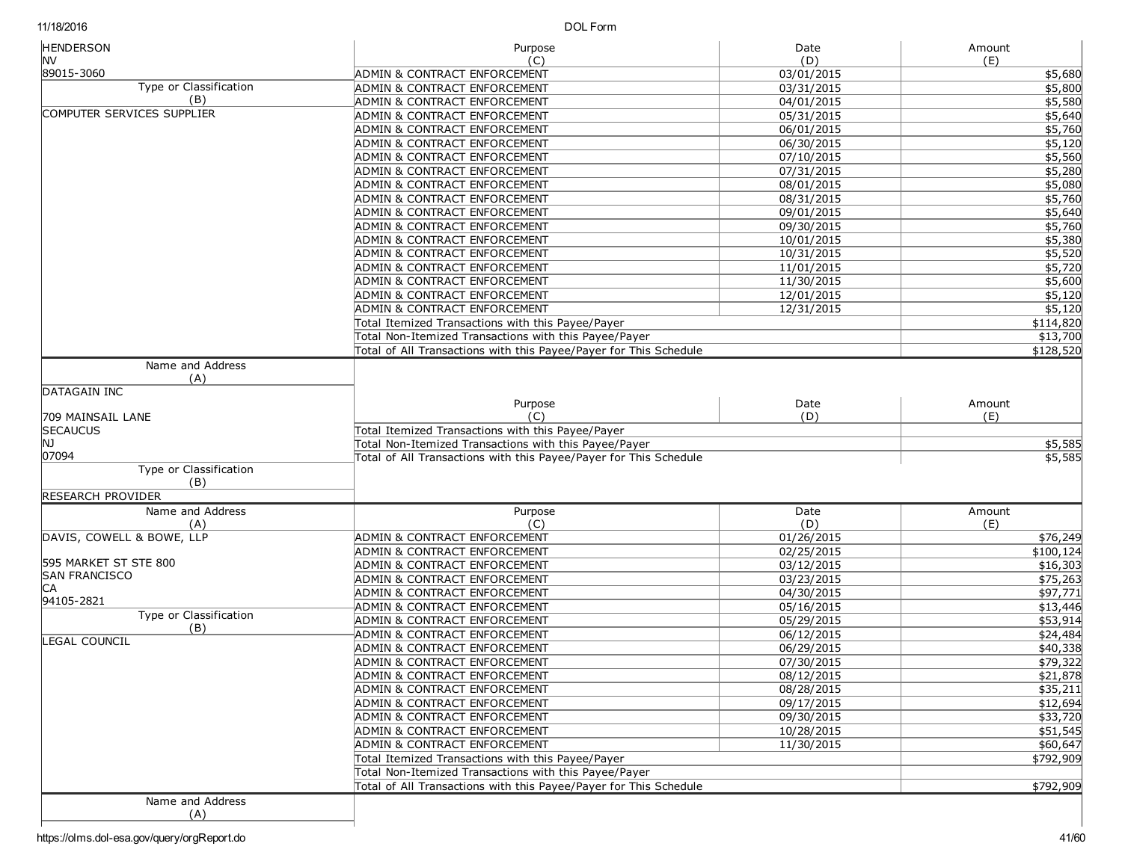DOL Form

| <b>HENDERSON</b>                              | Purpose                                                           | Date       | Amount             |
|-----------------------------------------------|-------------------------------------------------------------------|------------|--------------------|
| INV.<br>89015-3060                            | (C)                                                               | (D)        | (E)                |
| Type or Classification                        | ADMIN & CONTRACT ENFORCEMENT                                      | 03/01/2015 | \$5,680            |
| (B)                                           | <b>ADMIN &amp; CONTRACT ENFORCEMENT</b>                           | 03/31/2015 | \$5,800<br>\$5,580 |
| COMPUTER SERVICES SUPPLIER                    | ADMIN & CONTRACT ENFORCEMENT                                      | 04/01/2015 | \$5,640            |
|                                               | ADMIN & CONTRACT ENFORCEMENT                                      | 05/31/2015 |                    |
|                                               | ADMIN & CONTRACT ENFORCEMENT                                      | 06/01/2015 | \$5,760            |
|                                               | ADMIN & CONTRACT ENFORCEMENT                                      | 06/30/2015 | \$5,120            |
|                                               | ADMIN & CONTRACT ENFORCEMENT                                      | 07/10/2015 | \$5,560            |
|                                               | ADMIN & CONTRACT ENFORCEMENT                                      | 07/31/2015 | \$5,280            |
|                                               | ADMIN & CONTRACT ENFORCEMENT                                      | 08/01/2015 | \$5,080            |
|                                               | ADMIN & CONTRACT ENFORCEMENT                                      | 08/31/2015 | \$5,760            |
|                                               | <b>ADMIN &amp; CONTRACT ENFORCEMENT</b>                           | 09/01/2015 | \$5,640            |
|                                               | ADMIN & CONTRACT ENFORCEMENT                                      | 09/30/2015 | \$5,760            |
|                                               | ADMIN & CONTRACT ENFORCEMENT                                      | 10/01/2015 | \$5,380            |
|                                               | ADMIN & CONTRACT ENFORCEMENT                                      | 10/31/2015 | \$5,520            |
|                                               | ADMIN & CONTRACT ENFORCEMENT                                      | 11/01/2015 | \$5,720            |
|                                               | ADMIN & CONTRACT ENFORCEMENT                                      | 11/30/2015 | \$5,600            |
|                                               | ADMIN & CONTRACT ENFORCEMENT                                      | 12/01/2015 | \$5,120            |
|                                               | ADMIN & CONTRACT ENFORCEMENT                                      | 12/31/2015 | \$5,120            |
|                                               | Total Itemized Transactions with this Payee/Payer                 |            | \$114,820          |
|                                               | Total Non-Itemized Transactions with this Payee/Payer             |            | \$13,700           |
|                                               | Total of All Transactions with this Payee/Payer for This Schedule |            | \$128,520          |
| Name and Address<br>(A)                       |                                                                   |            |                    |
| DATAGAIN INC                                  |                                                                   |            |                    |
|                                               | Purpose                                                           | Date       | Amount             |
| 709 MAINSAIL LANE                             | (C)                                                               | (D)        | (E)                |
| <b>SECAUCUS</b>                               | Total Itemized Transactions with this Payee/Payer                 |            |                    |
| lnj                                           | Total Non-Itemized Transactions with this Payee/Payer             | \$5,585    |                    |
| 07094                                         | Total of All Transactions with this Payee/Payer for This Schedule |            | \$5,585            |
| <b>Type or Classification</b>                 |                                                                   |            |                    |
| (B)                                           |                                                                   |            |                    |
| RESEARCH PROVIDER                             |                                                                   |            |                    |
| Name and Address                              | Purpose                                                           | Date       | Amount             |
| (A)                                           | (C)                                                               | (D)        | (E)                |
| DAVIS, COWELL & BOWE, LLP                     | <b>ADMIN &amp; CONTRACT ENFORCEMENT</b>                           | 01/26/2015 | \$76,249           |
|                                               | ADMIN & CONTRACT ENFORCEMENT                                      | 02/25/2015 | \$100, 124         |
| 595 MARKET ST STE 800<br><b>SAN FRANCISCO</b> | ADMIN & CONTRACT ENFORCEMENT                                      | 03/12/2015 | \$16,303           |
| СA                                            | ADMIN & CONTRACT ENFORCEMENT                                      | 03/23/2015 | \$75,263           |
| 94105-2821                                    | ADMIN & CONTRACT ENFORCEMENT                                      | 04/30/2015 | \$97,771           |
| Type or Classification                        | ADMIN & CONTRACT ENFORCEMENT                                      | 05/16/2015 | \$13,446           |
| (B)                                           | <b>ADMIN &amp; CONTRACT ENFORCEMENT</b>                           | 05/29/2015 | \$53,914           |
| LEGAL COUNCIL                                 | ADMIN & CONTRACT ENFORCEMENT                                      | 06/12/2015 | \$24,484           |
|                                               | <b>ADMIN &amp; CONTRACT ENFORCEMENT</b>                           | 06/29/2015 | \$40,338           |
|                                               | ADMIN & CONTRACT ENFORCEMENT                                      | 07/30/2015 | \$79,322           |
|                                               | ADMIN & CONTRACT ENFORCEMENT                                      | 08/12/2015 | \$21,878           |
|                                               | <b>ADMIN &amp; CONTRACT ENFORCEMENT</b>                           | 08/28/2015 | \$35,211           |
|                                               | <b>ADMIN &amp; CONTRACT ENFORCEMENT</b>                           | 09/17/2015 | \$12,694           |
|                                               | ADMIN & CONTRACT ENFORCEMENT                                      | 09/30/2015 | \$33,720           |
|                                               | <b>ADMIN &amp; CONTRACT ENFORCEMENT</b>                           | 10/28/2015 | \$51,545           |
|                                               | <b>ADMIN &amp; CONTRACT ENFORCEMENT</b>                           | 11/30/2015 | \$60,647           |
|                                               | Total Itemized Transactions with this Payee/Payer                 |            | \$792,909          |
|                                               | Total Non-Itemized Transactions with this Payee/Payer             |            |                    |
|                                               | Total of All Transactions with this Payee/Payer for This Schedule |            | \$792,909          |
| Name and Address                              |                                                                   |            |                    |
| (A)                                           |                                                                   |            |                    |
|                                               |                                                                   |            |                    |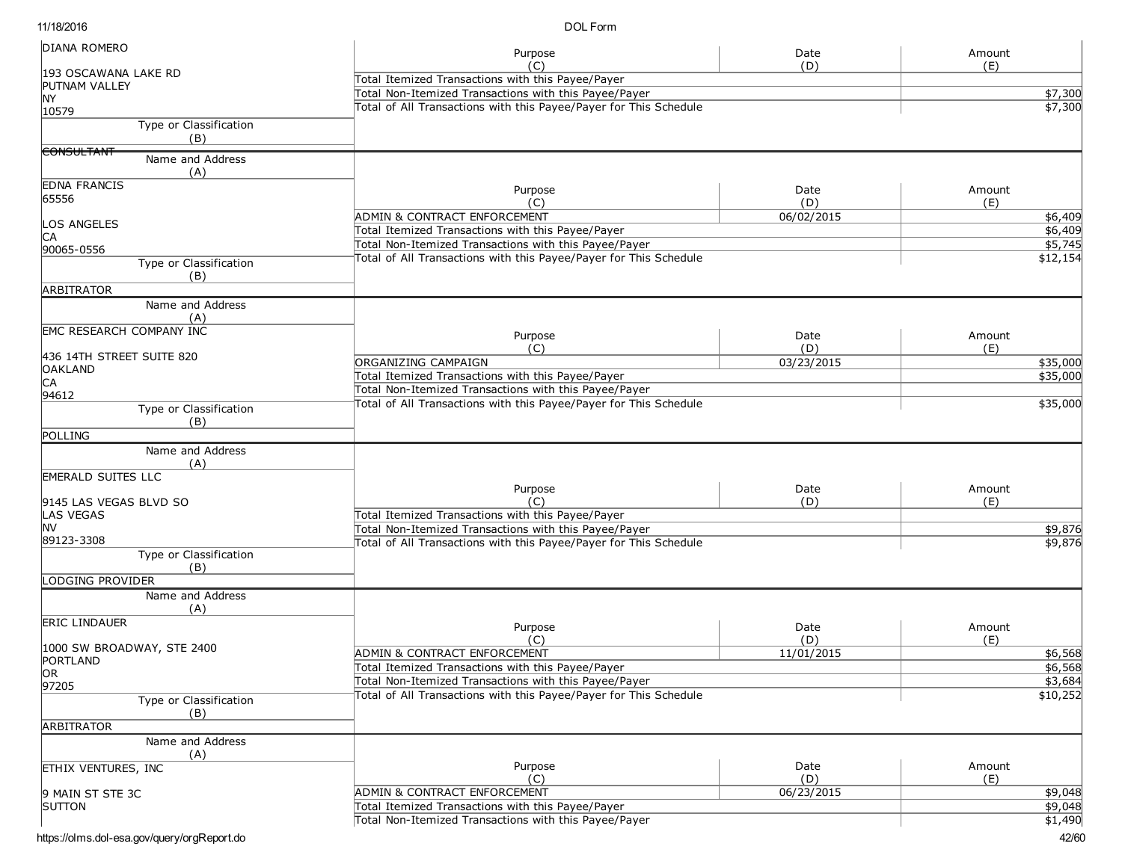DOL Form

| <b>DIANA ROMERO</b>             | Purpose                                                           | Date       | Amount   |
|---------------------------------|-------------------------------------------------------------------|------------|----------|
| 193 OSCAWANA LAKE RD            | (C)                                                               | (D)        | (E)      |
| PUTNAM VALLEY                   | Total Itemized Transactions with this Payee/Payer                 |            |          |
| <b>NY</b>                       | Total Non-Itemized Transactions with this Payee/Payer             |            | \$7,300  |
| 10579                           | Total of All Transactions with this Payee/Payer for This Schedule |            | \$7,300  |
| Type or Classification          |                                                                   |            |          |
| (B)                             |                                                                   |            |          |
| <b>CONSULTANT</b>               |                                                                   |            |          |
| Name and Address<br>(A)         |                                                                   |            |          |
| <b>EDNA FRANCIS</b>             |                                                                   |            |          |
| 65556                           | Purpose                                                           | Date       | Amount   |
|                                 | (C)                                                               | (D)        | (E)      |
| LOS ANGELES                     | ADMIN & CONTRACT ENFORCEMENT                                      | 06/02/2015 | \$6,409  |
| IСA                             | Total Itemized Transactions with this Payee/Payer                 |            | \$6,409  |
| 90065-0556                      | Total Non-Itemized Transactions with this Payee/Payer             |            | \$5,745  |
| Type or Classification          | Total of All Transactions with this Payee/Payer for This Schedule |            | \$12,154 |
| (B)                             |                                                                   |            |          |
| <b>ARBITRATOR</b>               |                                                                   |            |          |
| Name and Address                |                                                                   |            |          |
| (A)                             |                                                                   |            |          |
| <b>EMC RESEARCH COMPANY INC</b> | Purpose                                                           | Date       | Amount   |
|                                 | (C)                                                               | (D)        | (E)      |
| 436 14TH STREET SUITE 820       | ORGANIZING CAMPAIGN                                               | 03/23/2015 | \$35,000 |
| <b>OAKLAND</b>                  | Total Itemized Transactions with this Payee/Payer                 |            | \$35,000 |
| CА<br>94612                     | Total Non-Itemized Transactions with this Payee/Payer             |            |          |
| Type or Classification          | Total of All Transactions with this Payee/Payer for This Schedule |            | \$35,000 |
| (B)                             |                                                                   |            |          |
| <b>POLLING</b>                  |                                                                   |            |          |
| Name and Address                |                                                                   |            |          |
| (A)                             |                                                                   |            |          |
| <b>EMERALD SUITES LLC</b>       |                                                                   |            |          |
|                                 | Purpose                                                           | Date       | Amount   |
| 9145 LAS VEGAS BLVD SO          | (C)                                                               | (D)        | (E)      |
| <b>LAS VEGAS</b>                | Total Itemized Transactions with this Payee/Payer                 |            |          |
| <b>NV</b>                       | Total Non-Itemized Transactions with this Payee/Payer             |            | \$9,876  |
| 89123-3308                      | Total of All Transactions with this Payee/Payer for This Schedule |            | \$9,876  |
| Type or Classification          |                                                                   |            |          |
| (B)                             |                                                                   |            |          |
| LODGING PROVIDER                |                                                                   |            |          |
| Name and Address                |                                                                   |            |          |
| (A)                             |                                                                   |            |          |
| <b>ERIC LINDAUER</b>            | Purpose                                                           | Date       | Amount   |
|                                 | (C)                                                               | (D)        | (E)      |
| 1000 SW BROADWAY, STE 2400      | ADMIN & CONTRACT ENFORCEMENT                                      | 11/01/2015 | \$6,568  |
| PORTLAND<br>OR <sub>1</sub>     | Total Itemized Transactions with this Payee/Payer                 |            | \$6,568  |
| 97205                           | Total Non-Itemized Transactions with this Payee/Payer             |            | \$3,684  |
| Type or Classification          | Total of All Transactions with this Payee/Payer for This Schedule |            | \$10,252 |
| (B)                             |                                                                   |            |          |
| ARBITRATOR                      |                                                                   |            |          |
| Name and Address                |                                                                   |            |          |
| (A)                             |                                                                   |            |          |
| <b>ETHIX VENTURES, INC</b>      | Purpose                                                           | Date       | Amount   |
|                                 | (C)                                                               | (D)        | (E)      |
| 9 MAIN ST STE 3C                | <b>ADMIN &amp; CONTRACT ENFORCEMENT</b>                           | 06/23/2015 | \$9,048  |
| <b>SUTTON</b>                   | Total Itemized Transactions with this Payee/Payer                 |            | \$9,048  |
|                                 | Total Non-Itemized Transactions with this Payee/Payer             |            | \$1,490  |
|                                 |                                                                   |            |          |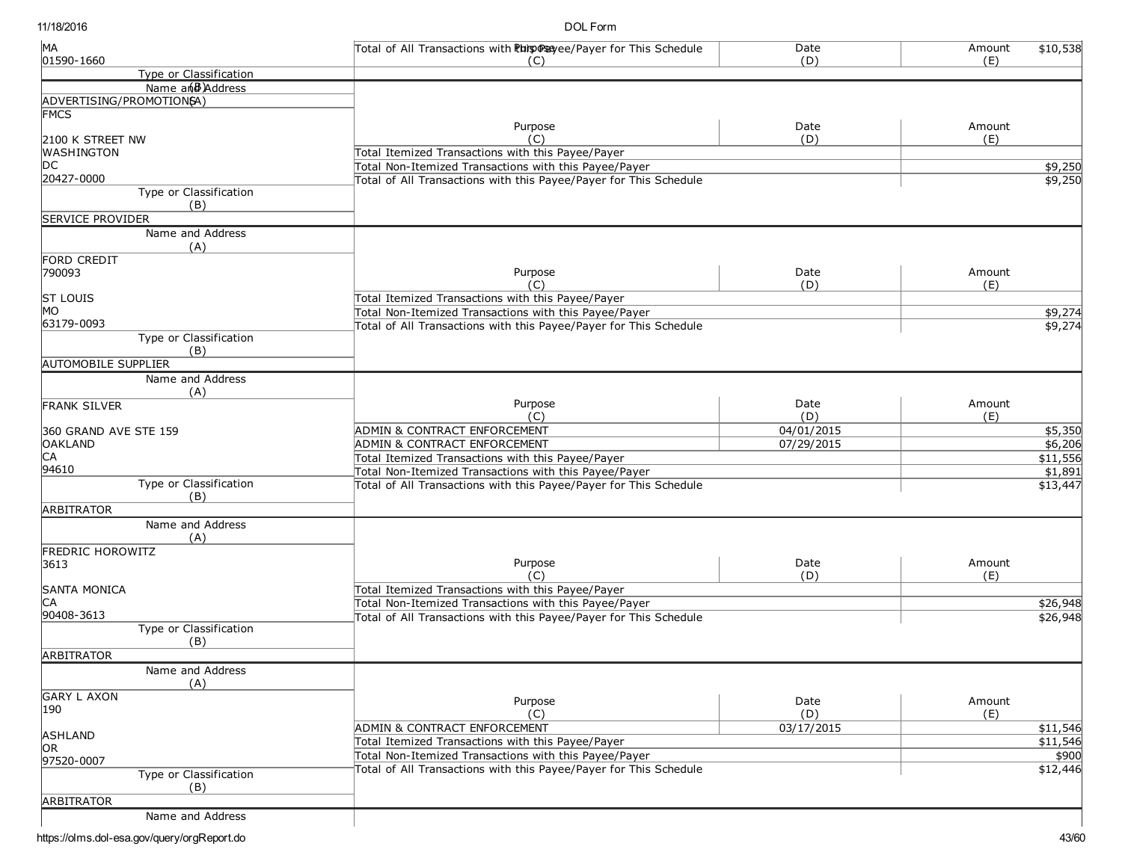DOL Form

| MA                            | Total of All Transactions with Phis @ Sayee/Payer for This Schedule | Date       | Amount | \$10,538 |
|-------------------------------|---------------------------------------------------------------------|------------|--------|----------|
| 01590-1660                    | (C)                                                                 | (D)        | (E)    |          |
| Type or Classification        |                                                                     |            |        |          |
| Name and Address              |                                                                     |            |        |          |
| ADVERTISING/PROMOTION6A)      |                                                                     |            |        |          |
| <b>FMCS</b>                   | Purpose                                                             | Date       | Amount |          |
| 2100 K STREET NW              | (C)                                                                 | (D)        | (E)    |          |
| <b>WASHINGTON</b>             | Total Itemized Transactions with this Payee/Payer                   |            |        |          |
| DC.                           | Total Non-Itemized Transactions with this Payee/Payer               |            |        | \$9,250  |
| 20427-0000                    | Total of All Transactions with this Payee/Payer for This Schedule   |            |        |          |
| Type or Classification        |                                                                     |            |        | \$9,250  |
| (B)                           |                                                                     |            |        |          |
| <b>SERVICE PROVIDER</b>       |                                                                     |            |        |          |
| Name and Address              |                                                                     |            |        |          |
| (A)                           |                                                                     |            |        |          |
| FORD CREDIT                   |                                                                     |            |        |          |
| 790093                        | Purpose                                                             | Date       | Amount |          |
|                               | $(\cap)$                                                            | (D)        | (E)    |          |
| <b>ST LOUIS</b>               | Total Itemized Transactions with this Payee/Payer                   |            |        |          |
| MO                            | Total Non-Itemized Transactions with this Payee/Payer               |            |        | \$9,274  |
| 63179-0093                    | Total of All Transactions with this Payee/Payer for This Schedule   |            |        | \$9,274  |
| Type or Classification        |                                                                     |            |        |          |
| (B)                           |                                                                     |            |        |          |
| <b>AUTOMOBILE SUPPLIER</b>    |                                                                     |            |        |          |
| Name and Address              |                                                                     |            |        |          |
| (A)                           |                                                                     |            |        |          |
| <b>FRANK SILVER</b>           | Purpose                                                             | Date       | Amount |          |
|                               | (C)                                                                 | (D)        | (E)    |          |
| 360 GRAND AVE STE 159         | ADMIN & CONTRACT ENFORCEMENT                                        | 04/01/2015 |        | \$5,350  |
| <b>OAKLAND</b>                | ADMIN & CONTRACT ENFORCEMENT                                        | 07/29/2015 |        | \$6,206  |
| CA                            | Total Itemized Transactions with this Payee/Payer                   |            |        | \$11,556 |
| 94610                         | Total Non-Itemized Transactions with this Payee/Payer               |            |        | \$1,891  |
| <b>Type or Classification</b> | Total of All Transactions with this Payee/Payer for This Schedule   |            |        | \$13,447 |
| (B)                           |                                                                     |            |        |          |
| <b>ARBITRATOR</b>             |                                                                     |            |        |          |
| Name and Address              |                                                                     |            |        |          |
| (A)                           |                                                                     |            |        |          |
| <b>FREDRIC HOROWITZ</b>       |                                                                     |            |        |          |
| 3613                          | Purpose                                                             | Date       | Amount |          |
|                               | (C)                                                                 | (D)        | (E)    |          |
| <b>SANTA MONICA</b>           | Total Itemized Transactions with this Payee/Payer                   |            |        |          |
| IСA                           | Total Non-Itemized Transactions with this Payee/Payer               |            |        | \$26,948 |
| 90408-3613                    | Total of All Transactions with this Payee/Payer for This Schedule   |            |        | \$26,948 |
| Type or Classification        |                                                                     |            |        |          |
| (B)                           |                                                                     |            |        |          |
| <b>ARBITRATOR</b>             |                                                                     |            |        |          |
| Name and Address              |                                                                     |            |        |          |
| (A)                           |                                                                     |            |        |          |
| <b>GARY L AXON</b>            |                                                                     |            |        |          |
| 190                           | Purpose                                                             | Date       | Amount |          |
|                               | (C)                                                                 | (D)        | (E)    |          |
| ASHLAND                       | ADMIN & CONTRACT ENFORCEMENT                                        | 03/17/2015 |        | \$11,546 |
| OR                            | Total Itemized Transactions with this Payee/Payer                   |            |        | \$11,546 |
| 97520-0007                    | Total Non-Itemized Transactions with this Payee/Payer               |            |        | \$900    |
| Type or Classification        | Total of All Transactions with this Payee/Payer for This Schedule   |            |        | \$12,446 |
| (B)                           |                                                                     |            |        |          |
| <b>ARBITRATOR</b>             |                                                                     |            |        |          |
| Name and Address              |                                                                     |            |        |          |
|                               |                                                                     |            |        |          |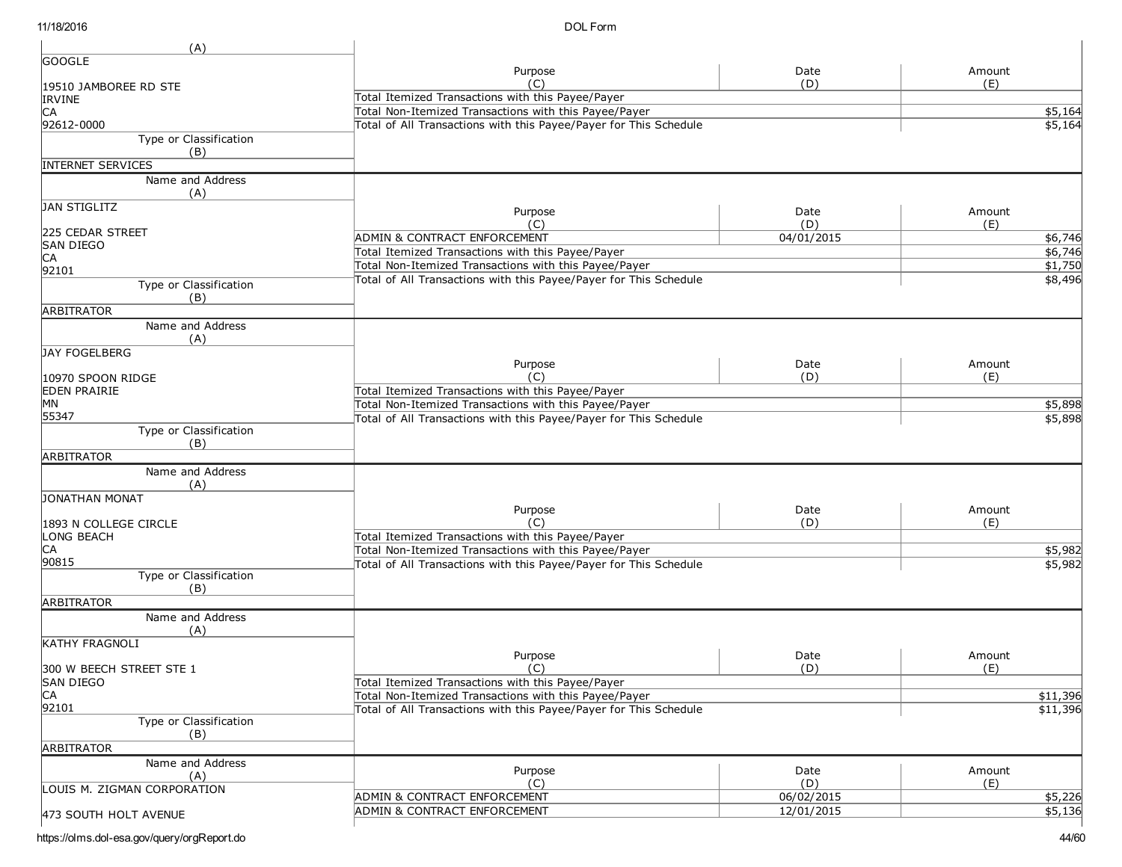| Date<br>Amount<br>Purpose<br>(D)<br>(E)<br>(C)<br>19510 JAMBOREE RD STE<br>Total Itemized Transactions with this Payee/Payer<br>IRVINE<br>Total Non-Itemized Transactions with this Payee/Payer<br>\$5,164<br>CА<br>92612-0000<br>Total of All Transactions with this Payee/Payer for This Schedule<br>\$5,164<br>Type or Classification<br>(B)<br><b>INTERNET SERVICES</b><br>Name and Address<br>(A)<br>Date<br>Amount<br>Purpose<br>(D)<br>(C)<br>(E)<br>225 CEDAR STREET<br><b>ADMIN &amp; CONTRACT ENFORCEMENT</b><br>04/01/2015<br>\$6,746<br><b>SAN DIEGO</b><br>Total Itemized Transactions with this Payee/Payer<br>\$6,746<br>CA<br>\$1,750<br>Total Non-Itemized Transactions with this Payee/Payer<br>92101<br>Total of All Transactions with this Payee/Payer for This Schedule<br>\$8,496<br>Type or Classification<br>(B)<br><b>ARBITRATOR</b><br>Name and Address<br>(A)<br>JAY FOGELBERG<br>Purpose<br>Date<br>Amount<br>(D)<br>(C)<br>(E)<br>10970 SPOON RIDGE<br>Total Itemized Transactions with this Payee/Payer<br>Total Non-Itemized Transactions with this Payee/Payer<br>\$5,898<br>55347<br>Total of All Transactions with this Payee/Payer for This Schedule<br>\$5,898<br>Type or Classification<br>(B)<br>ARBITRATOR<br>Name and Address<br>(A)<br><b>JONATHAN MONAT</b><br>Date<br>Amount<br>Purpose<br>(C)<br>(D)<br>(E)<br>1893 N COLLEGE CIRCLE<br>Total Itemized Transactions with this Payee/Payer<br>LONG BEACH<br>Total Non-Itemized Transactions with this Payee/Payer<br>\$5,982<br>\$5,982<br>Total of All Transactions with this Payee/Payer for This Schedule<br>Type or Classification<br>(B)<br><b>ARBITRATOR</b><br>Name and Address<br>(A)<br><b>KATHY FRAGNOLI</b><br>Purpose<br>Date<br>Amount<br>(D)<br>(E)<br>(C)<br>300 W BEECH STREET STE 1<br>SAN DIEGO<br>Total Itemized Transactions with this Payee/Payer<br>C <sub>A</sub><br>\$11,396<br>Total Non-Itemized Transactions with this Payee/Payer<br>92101<br>Total of All Transactions with this Payee/Payer for This Schedule<br>\$11,396<br>Type or Classification<br>(B)<br>Name and Address<br>Purpose<br>Date<br>Amount<br>(A)<br>(C)<br>(D)<br>(E)<br>LOUIS M. ZIGMAN CORPORATION<br><b>ADMIN &amp; CONTRACT ENFORCEMENT</b><br>06/02/2015<br>\$5,226<br><b>ADMIN &amp; CONTRACT ENFORCEMENT</b><br>12/01/2015<br>\$5,136 | (A)                   |  |  |
|-----------------------------------------------------------------------------------------------------------------------------------------------------------------------------------------------------------------------------------------------------------------------------------------------------------------------------------------------------------------------------------------------------------------------------------------------------------------------------------------------------------------------------------------------------------------------------------------------------------------------------------------------------------------------------------------------------------------------------------------------------------------------------------------------------------------------------------------------------------------------------------------------------------------------------------------------------------------------------------------------------------------------------------------------------------------------------------------------------------------------------------------------------------------------------------------------------------------------------------------------------------------------------------------------------------------------------------------------------------------------------------------------------------------------------------------------------------------------------------------------------------------------------------------------------------------------------------------------------------------------------------------------------------------------------------------------------------------------------------------------------------------------------------------------------------------------------------------------------------------------------------------------------------------------------------------------------------------------------------------------------------------------------------------------------------------------------------------------------------------------------------------------------------------------------------------------------------------------------------------------------------------------------------------------------------------------------------------|-----------------------|--|--|
|                                                                                                                                                                                                                                                                                                                                                                                                                                                                                                                                                                                                                                                                                                                                                                                                                                                                                                                                                                                                                                                                                                                                                                                                                                                                                                                                                                                                                                                                                                                                                                                                                                                                                                                                                                                                                                                                                                                                                                                                                                                                                                                                                                                                                                                                                                                                         | <b>GOOGLE</b>         |  |  |
|                                                                                                                                                                                                                                                                                                                                                                                                                                                                                                                                                                                                                                                                                                                                                                                                                                                                                                                                                                                                                                                                                                                                                                                                                                                                                                                                                                                                                                                                                                                                                                                                                                                                                                                                                                                                                                                                                                                                                                                                                                                                                                                                                                                                                                                                                                                                         |                       |  |  |
|                                                                                                                                                                                                                                                                                                                                                                                                                                                                                                                                                                                                                                                                                                                                                                                                                                                                                                                                                                                                                                                                                                                                                                                                                                                                                                                                                                                                                                                                                                                                                                                                                                                                                                                                                                                                                                                                                                                                                                                                                                                                                                                                                                                                                                                                                                                                         |                       |  |  |
|                                                                                                                                                                                                                                                                                                                                                                                                                                                                                                                                                                                                                                                                                                                                                                                                                                                                                                                                                                                                                                                                                                                                                                                                                                                                                                                                                                                                                                                                                                                                                                                                                                                                                                                                                                                                                                                                                                                                                                                                                                                                                                                                                                                                                                                                                                                                         |                       |  |  |
|                                                                                                                                                                                                                                                                                                                                                                                                                                                                                                                                                                                                                                                                                                                                                                                                                                                                                                                                                                                                                                                                                                                                                                                                                                                                                                                                                                                                                                                                                                                                                                                                                                                                                                                                                                                                                                                                                                                                                                                                                                                                                                                                                                                                                                                                                                                                         |                       |  |  |
|                                                                                                                                                                                                                                                                                                                                                                                                                                                                                                                                                                                                                                                                                                                                                                                                                                                                                                                                                                                                                                                                                                                                                                                                                                                                                                                                                                                                                                                                                                                                                                                                                                                                                                                                                                                                                                                                                                                                                                                                                                                                                                                                                                                                                                                                                                                                         |                       |  |  |
|                                                                                                                                                                                                                                                                                                                                                                                                                                                                                                                                                                                                                                                                                                                                                                                                                                                                                                                                                                                                                                                                                                                                                                                                                                                                                                                                                                                                                                                                                                                                                                                                                                                                                                                                                                                                                                                                                                                                                                                                                                                                                                                                                                                                                                                                                                                                         |                       |  |  |
|                                                                                                                                                                                                                                                                                                                                                                                                                                                                                                                                                                                                                                                                                                                                                                                                                                                                                                                                                                                                                                                                                                                                                                                                                                                                                                                                                                                                                                                                                                                                                                                                                                                                                                                                                                                                                                                                                                                                                                                                                                                                                                                                                                                                                                                                                                                                         |                       |  |  |
|                                                                                                                                                                                                                                                                                                                                                                                                                                                                                                                                                                                                                                                                                                                                                                                                                                                                                                                                                                                                                                                                                                                                                                                                                                                                                                                                                                                                                                                                                                                                                                                                                                                                                                                                                                                                                                                                                                                                                                                                                                                                                                                                                                                                                                                                                                                                         |                       |  |  |
|                                                                                                                                                                                                                                                                                                                                                                                                                                                                                                                                                                                                                                                                                                                                                                                                                                                                                                                                                                                                                                                                                                                                                                                                                                                                                                                                                                                                                                                                                                                                                                                                                                                                                                                                                                                                                                                                                                                                                                                                                                                                                                                                                                                                                                                                                                                                         |                       |  |  |
|                                                                                                                                                                                                                                                                                                                                                                                                                                                                                                                                                                                                                                                                                                                                                                                                                                                                                                                                                                                                                                                                                                                                                                                                                                                                                                                                                                                                                                                                                                                                                                                                                                                                                                                                                                                                                                                                                                                                                                                                                                                                                                                                                                                                                                                                                                                                         | <b>JAN STIGLITZ</b>   |  |  |
|                                                                                                                                                                                                                                                                                                                                                                                                                                                                                                                                                                                                                                                                                                                                                                                                                                                                                                                                                                                                                                                                                                                                                                                                                                                                                                                                                                                                                                                                                                                                                                                                                                                                                                                                                                                                                                                                                                                                                                                                                                                                                                                                                                                                                                                                                                                                         |                       |  |  |
|                                                                                                                                                                                                                                                                                                                                                                                                                                                                                                                                                                                                                                                                                                                                                                                                                                                                                                                                                                                                                                                                                                                                                                                                                                                                                                                                                                                                                                                                                                                                                                                                                                                                                                                                                                                                                                                                                                                                                                                                                                                                                                                                                                                                                                                                                                                                         |                       |  |  |
|                                                                                                                                                                                                                                                                                                                                                                                                                                                                                                                                                                                                                                                                                                                                                                                                                                                                                                                                                                                                                                                                                                                                                                                                                                                                                                                                                                                                                                                                                                                                                                                                                                                                                                                                                                                                                                                                                                                                                                                                                                                                                                                                                                                                                                                                                                                                         |                       |  |  |
|                                                                                                                                                                                                                                                                                                                                                                                                                                                                                                                                                                                                                                                                                                                                                                                                                                                                                                                                                                                                                                                                                                                                                                                                                                                                                                                                                                                                                                                                                                                                                                                                                                                                                                                                                                                                                                                                                                                                                                                                                                                                                                                                                                                                                                                                                                                                         |                       |  |  |
|                                                                                                                                                                                                                                                                                                                                                                                                                                                                                                                                                                                                                                                                                                                                                                                                                                                                                                                                                                                                                                                                                                                                                                                                                                                                                                                                                                                                                                                                                                                                                                                                                                                                                                                                                                                                                                                                                                                                                                                                                                                                                                                                                                                                                                                                                                                                         |                       |  |  |
|                                                                                                                                                                                                                                                                                                                                                                                                                                                                                                                                                                                                                                                                                                                                                                                                                                                                                                                                                                                                                                                                                                                                                                                                                                                                                                                                                                                                                                                                                                                                                                                                                                                                                                                                                                                                                                                                                                                                                                                                                                                                                                                                                                                                                                                                                                                                         |                       |  |  |
|                                                                                                                                                                                                                                                                                                                                                                                                                                                                                                                                                                                                                                                                                                                                                                                                                                                                                                                                                                                                                                                                                                                                                                                                                                                                                                                                                                                                                                                                                                                                                                                                                                                                                                                                                                                                                                                                                                                                                                                                                                                                                                                                                                                                                                                                                                                                         |                       |  |  |
|                                                                                                                                                                                                                                                                                                                                                                                                                                                                                                                                                                                                                                                                                                                                                                                                                                                                                                                                                                                                                                                                                                                                                                                                                                                                                                                                                                                                                                                                                                                                                                                                                                                                                                                                                                                                                                                                                                                                                                                                                                                                                                                                                                                                                                                                                                                                         |                       |  |  |
|                                                                                                                                                                                                                                                                                                                                                                                                                                                                                                                                                                                                                                                                                                                                                                                                                                                                                                                                                                                                                                                                                                                                                                                                                                                                                                                                                                                                                                                                                                                                                                                                                                                                                                                                                                                                                                                                                                                                                                                                                                                                                                                                                                                                                                                                                                                                         |                       |  |  |
|                                                                                                                                                                                                                                                                                                                                                                                                                                                                                                                                                                                                                                                                                                                                                                                                                                                                                                                                                                                                                                                                                                                                                                                                                                                                                                                                                                                                                                                                                                                                                                                                                                                                                                                                                                                                                                                                                                                                                                                                                                                                                                                                                                                                                                                                                                                                         |                       |  |  |
|                                                                                                                                                                                                                                                                                                                                                                                                                                                                                                                                                                                                                                                                                                                                                                                                                                                                                                                                                                                                                                                                                                                                                                                                                                                                                                                                                                                                                                                                                                                                                                                                                                                                                                                                                                                                                                                                                                                                                                                                                                                                                                                                                                                                                                                                                                                                         |                       |  |  |
|                                                                                                                                                                                                                                                                                                                                                                                                                                                                                                                                                                                                                                                                                                                                                                                                                                                                                                                                                                                                                                                                                                                                                                                                                                                                                                                                                                                                                                                                                                                                                                                                                                                                                                                                                                                                                                                                                                                                                                                                                                                                                                                                                                                                                                                                                                                                         |                       |  |  |
|                                                                                                                                                                                                                                                                                                                                                                                                                                                                                                                                                                                                                                                                                                                                                                                                                                                                                                                                                                                                                                                                                                                                                                                                                                                                                                                                                                                                                                                                                                                                                                                                                                                                                                                                                                                                                                                                                                                                                                                                                                                                                                                                                                                                                                                                                                                                         | <b>EDEN PRAIRIE</b>   |  |  |
|                                                                                                                                                                                                                                                                                                                                                                                                                                                                                                                                                                                                                                                                                                                                                                                                                                                                                                                                                                                                                                                                                                                                                                                                                                                                                                                                                                                                                                                                                                                                                                                                                                                                                                                                                                                                                                                                                                                                                                                                                                                                                                                                                                                                                                                                                                                                         | MN                    |  |  |
|                                                                                                                                                                                                                                                                                                                                                                                                                                                                                                                                                                                                                                                                                                                                                                                                                                                                                                                                                                                                                                                                                                                                                                                                                                                                                                                                                                                                                                                                                                                                                                                                                                                                                                                                                                                                                                                                                                                                                                                                                                                                                                                                                                                                                                                                                                                                         |                       |  |  |
|                                                                                                                                                                                                                                                                                                                                                                                                                                                                                                                                                                                                                                                                                                                                                                                                                                                                                                                                                                                                                                                                                                                                                                                                                                                                                                                                                                                                                                                                                                                                                                                                                                                                                                                                                                                                                                                                                                                                                                                                                                                                                                                                                                                                                                                                                                                                         |                       |  |  |
|                                                                                                                                                                                                                                                                                                                                                                                                                                                                                                                                                                                                                                                                                                                                                                                                                                                                                                                                                                                                                                                                                                                                                                                                                                                                                                                                                                                                                                                                                                                                                                                                                                                                                                                                                                                                                                                                                                                                                                                                                                                                                                                                                                                                                                                                                                                                         |                       |  |  |
|                                                                                                                                                                                                                                                                                                                                                                                                                                                                                                                                                                                                                                                                                                                                                                                                                                                                                                                                                                                                                                                                                                                                                                                                                                                                                                                                                                                                                                                                                                                                                                                                                                                                                                                                                                                                                                                                                                                                                                                                                                                                                                                                                                                                                                                                                                                                         |                       |  |  |
|                                                                                                                                                                                                                                                                                                                                                                                                                                                                                                                                                                                                                                                                                                                                                                                                                                                                                                                                                                                                                                                                                                                                                                                                                                                                                                                                                                                                                                                                                                                                                                                                                                                                                                                                                                                                                                                                                                                                                                                                                                                                                                                                                                                                                                                                                                                                         |                       |  |  |
|                                                                                                                                                                                                                                                                                                                                                                                                                                                                                                                                                                                                                                                                                                                                                                                                                                                                                                                                                                                                                                                                                                                                                                                                                                                                                                                                                                                                                                                                                                                                                                                                                                                                                                                                                                                                                                                                                                                                                                                                                                                                                                                                                                                                                                                                                                                                         |                       |  |  |
|                                                                                                                                                                                                                                                                                                                                                                                                                                                                                                                                                                                                                                                                                                                                                                                                                                                                                                                                                                                                                                                                                                                                                                                                                                                                                                                                                                                                                                                                                                                                                                                                                                                                                                                                                                                                                                                                                                                                                                                                                                                                                                                                                                                                                                                                                                                                         |                       |  |  |
|                                                                                                                                                                                                                                                                                                                                                                                                                                                                                                                                                                                                                                                                                                                                                                                                                                                                                                                                                                                                                                                                                                                                                                                                                                                                                                                                                                                                                                                                                                                                                                                                                                                                                                                                                                                                                                                                                                                                                                                                                                                                                                                                                                                                                                                                                                                                         |                       |  |  |
|                                                                                                                                                                                                                                                                                                                                                                                                                                                                                                                                                                                                                                                                                                                                                                                                                                                                                                                                                                                                                                                                                                                                                                                                                                                                                                                                                                                                                                                                                                                                                                                                                                                                                                                                                                                                                                                                                                                                                                                                                                                                                                                                                                                                                                                                                                                                         |                       |  |  |
|                                                                                                                                                                                                                                                                                                                                                                                                                                                                                                                                                                                                                                                                                                                                                                                                                                                                                                                                                                                                                                                                                                                                                                                                                                                                                                                                                                                                                                                                                                                                                                                                                                                                                                                                                                                                                                                                                                                                                                                                                                                                                                                                                                                                                                                                                                                                         | <b>CA</b>             |  |  |
|                                                                                                                                                                                                                                                                                                                                                                                                                                                                                                                                                                                                                                                                                                                                                                                                                                                                                                                                                                                                                                                                                                                                                                                                                                                                                                                                                                                                                                                                                                                                                                                                                                                                                                                                                                                                                                                                                                                                                                                                                                                                                                                                                                                                                                                                                                                                         | 90815                 |  |  |
|                                                                                                                                                                                                                                                                                                                                                                                                                                                                                                                                                                                                                                                                                                                                                                                                                                                                                                                                                                                                                                                                                                                                                                                                                                                                                                                                                                                                                                                                                                                                                                                                                                                                                                                                                                                                                                                                                                                                                                                                                                                                                                                                                                                                                                                                                                                                         |                       |  |  |
|                                                                                                                                                                                                                                                                                                                                                                                                                                                                                                                                                                                                                                                                                                                                                                                                                                                                                                                                                                                                                                                                                                                                                                                                                                                                                                                                                                                                                                                                                                                                                                                                                                                                                                                                                                                                                                                                                                                                                                                                                                                                                                                                                                                                                                                                                                                                         |                       |  |  |
|                                                                                                                                                                                                                                                                                                                                                                                                                                                                                                                                                                                                                                                                                                                                                                                                                                                                                                                                                                                                                                                                                                                                                                                                                                                                                                                                                                                                                                                                                                                                                                                                                                                                                                                                                                                                                                                                                                                                                                                                                                                                                                                                                                                                                                                                                                                                         |                       |  |  |
|                                                                                                                                                                                                                                                                                                                                                                                                                                                                                                                                                                                                                                                                                                                                                                                                                                                                                                                                                                                                                                                                                                                                                                                                                                                                                                                                                                                                                                                                                                                                                                                                                                                                                                                                                                                                                                                                                                                                                                                                                                                                                                                                                                                                                                                                                                                                         |                       |  |  |
|                                                                                                                                                                                                                                                                                                                                                                                                                                                                                                                                                                                                                                                                                                                                                                                                                                                                                                                                                                                                                                                                                                                                                                                                                                                                                                                                                                                                                                                                                                                                                                                                                                                                                                                                                                                                                                                                                                                                                                                                                                                                                                                                                                                                                                                                                                                                         |                       |  |  |
|                                                                                                                                                                                                                                                                                                                                                                                                                                                                                                                                                                                                                                                                                                                                                                                                                                                                                                                                                                                                                                                                                                                                                                                                                                                                                                                                                                                                                                                                                                                                                                                                                                                                                                                                                                                                                                                                                                                                                                                                                                                                                                                                                                                                                                                                                                                                         |                       |  |  |
|                                                                                                                                                                                                                                                                                                                                                                                                                                                                                                                                                                                                                                                                                                                                                                                                                                                                                                                                                                                                                                                                                                                                                                                                                                                                                                                                                                                                                                                                                                                                                                                                                                                                                                                                                                                                                                                                                                                                                                                                                                                                                                                                                                                                                                                                                                                                         |                       |  |  |
|                                                                                                                                                                                                                                                                                                                                                                                                                                                                                                                                                                                                                                                                                                                                                                                                                                                                                                                                                                                                                                                                                                                                                                                                                                                                                                                                                                                                                                                                                                                                                                                                                                                                                                                                                                                                                                                                                                                                                                                                                                                                                                                                                                                                                                                                                                                                         |                       |  |  |
|                                                                                                                                                                                                                                                                                                                                                                                                                                                                                                                                                                                                                                                                                                                                                                                                                                                                                                                                                                                                                                                                                                                                                                                                                                                                                                                                                                                                                                                                                                                                                                                                                                                                                                                                                                                                                                                                                                                                                                                                                                                                                                                                                                                                                                                                                                                                         |                       |  |  |
|                                                                                                                                                                                                                                                                                                                                                                                                                                                                                                                                                                                                                                                                                                                                                                                                                                                                                                                                                                                                                                                                                                                                                                                                                                                                                                                                                                                                                                                                                                                                                                                                                                                                                                                                                                                                                                                                                                                                                                                                                                                                                                                                                                                                                                                                                                                                         |                       |  |  |
|                                                                                                                                                                                                                                                                                                                                                                                                                                                                                                                                                                                                                                                                                                                                                                                                                                                                                                                                                                                                                                                                                                                                                                                                                                                                                                                                                                                                                                                                                                                                                                                                                                                                                                                                                                                                                                                                                                                                                                                                                                                                                                                                                                                                                                                                                                                                         |                       |  |  |
|                                                                                                                                                                                                                                                                                                                                                                                                                                                                                                                                                                                                                                                                                                                                                                                                                                                                                                                                                                                                                                                                                                                                                                                                                                                                                                                                                                                                                                                                                                                                                                                                                                                                                                                                                                                                                                                                                                                                                                                                                                                                                                                                                                                                                                                                                                                                         |                       |  |  |
|                                                                                                                                                                                                                                                                                                                                                                                                                                                                                                                                                                                                                                                                                                                                                                                                                                                                                                                                                                                                                                                                                                                                                                                                                                                                                                                                                                                                                                                                                                                                                                                                                                                                                                                                                                                                                                                                                                                                                                                                                                                                                                                                                                                                                                                                                                                                         | <b>ARBITRATOR</b>     |  |  |
|                                                                                                                                                                                                                                                                                                                                                                                                                                                                                                                                                                                                                                                                                                                                                                                                                                                                                                                                                                                                                                                                                                                                                                                                                                                                                                                                                                                                                                                                                                                                                                                                                                                                                                                                                                                                                                                                                                                                                                                                                                                                                                                                                                                                                                                                                                                                         |                       |  |  |
|                                                                                                                                                                                                                                                                                                                                                                                                                                                                                                                                                                                                                                                                                                                                                                                                                                                                                                                                                                                                                                                                                                                                                                                                                                                                                                                                                                                                                                                                                                                                                                                                                                                                                                                                                                                                                                                                                                                                                                                                                                                                                                                                                                                                                                                                                                                                         |                       |  |  |
|                                                                                                                                                                                                                                                                                                                                                                                                                                                                                                                                                                                                                                                                                                                                                                                                                                                                                                                                                                                                                                                                                                                                                                                                                                                                                                                                                                                                                                                                                                                                                                                                                                                                                                                                                                                                                                                                                                                                                                                                                                                                                                                                                                                                                                                                                                                                         |                       |  |  |
|                                                                                                                                                                                                                                                                                                                                                                                                                                                                                                                                                                                                                                                                                                                                                                                                                                                                                                                                                                                                                                                                                                                                                                                                                                                                                                                                                                                                                                                                                                                                                                                                                                                                                                                                                                                                                                                                                                                                                                                                                                                                                                                                                                                                                                                                                                                                         |                       |  |  |
|                                                                                                                                                                                                                                                                                                                                                                                                                                                                                                                                                                                                                                                                                                                                                                                                                                                                                                                                                                                                                                                                                                                                                                                                                                                                                                                                                                                                                                                                                                                                                                                                                                                                                                                                                                                                                                                                                                                                                                                                                                                                                                                                                                                                                                                                                                                                         | 473 SOUTH HOLT AVENUE |  |  |

https://olms.dol-esa.gov/query/orgReport.do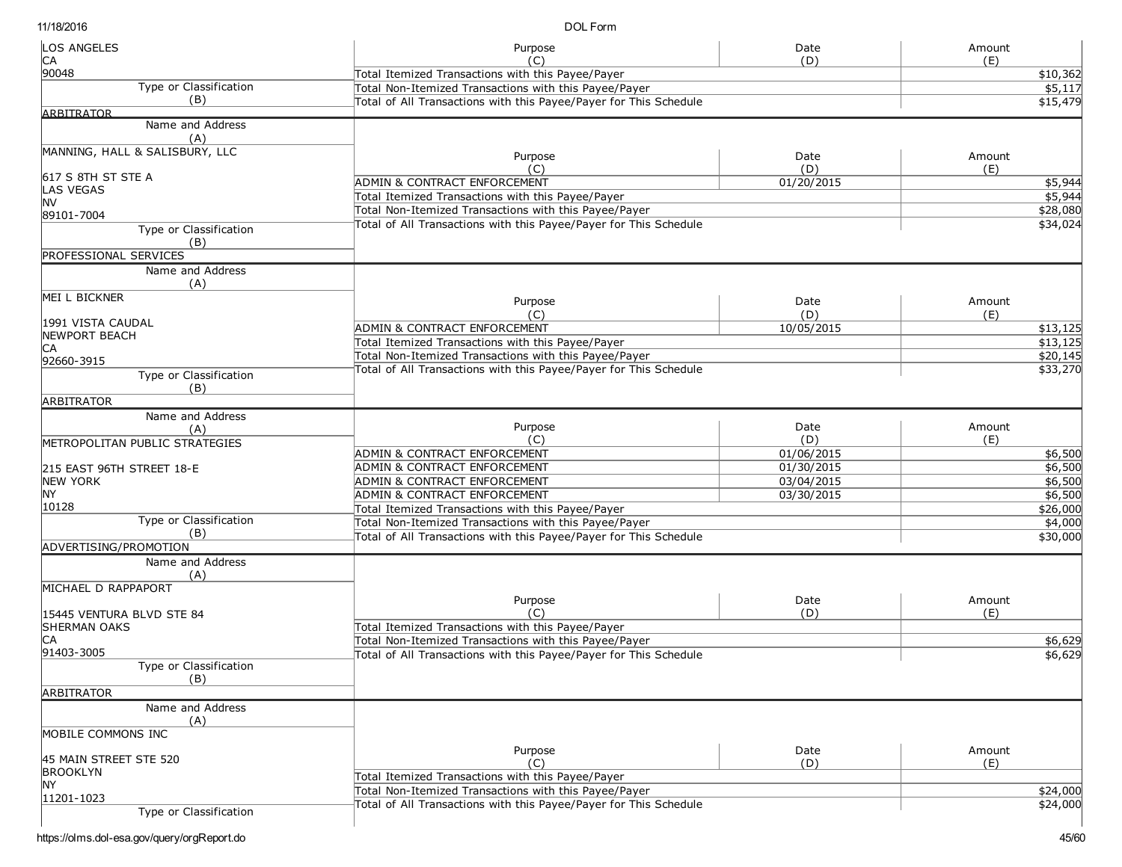DOL Form

| <b>LOS ANGELES</b>                     | Purpose                                                           | Date       | Amount   |
|----------------------------------------|-------------------------------------------------------------------|------------|----------|
| IСA<br>90048                           | (C)                                                               | (D)        | (E)      |
| <b>Type or Classification</b>          | Total Itemized Transactions with this Payee/Payer                 | \$10,362   |          |
| (B)                                    | Total Non-Itemized Transactions with this Payee/Payer             |            | \$5,117  |
| <b>ARBITRATOR</b>                      | Total of All Transactions with this Payee/Payer for This Schedule |            | \$15,479 |
| Name and Address                       |                                                                   |            |          |
| (A)                                    |                                                                   |            |          |
| MANNING, HALL & SALISBURY, LLC         |                                                                   |            |          |
|                                        | Purpose                                                           | Date       | Amount   |
| 617 S 8TH ST STE A                     | (C)                                                               | (D)        | (E)      |
| <b>LAS VEGAS</b>                       | ADMIN & CONTRACT ENFORCEMENT                                      | 01/20/2015 | \$5,944  |
| lnv                                    | Total Itemized Transactions with this Payee/Payer                 |            | \$5,944  |
| 89101-7004                             | Total Non-Itemized Transactions with this Payee/Payer             |            | \$28,080 |
| Type or Classification                 | Total of All Transactions with this Payee/Payer for This Schedule |            | \$34,024 |
| (B)                                    |                                                                   |            |          |
| PROFESSIONAL SERVICES                  |                                                                   |            |          |
| Name and Address                       |                                                                   |            |          |
| (A)                                    |                                                                   |            |          |
| MEI L BICKNER                          | Purpose                                                           | Date       | Amount   |
|                                        | (C)                                                               | (D)        | (E)      |
| 1991 VISTA CAUDAL                      | ADMIN & CONTRACT ENFORCEMENT                                      | 10/05/2015 | \$13,125 |
| <b>NEWPORT BEACH</b>                   | Total Itemized Transactions with this Payee/Payer                 |            | \$13,125 |
| IСA                                    | Total Non-Itemized Transactions with this Payee/Payer             |            | \$20,145 |
| 92660-3915                             | Total of All Transactions with this Payee/Payer for This Schedule |            |          |
| Type or Classification                 |                                                                   |            | \$33,270 |
| (B)                                    |                                                                   |            |          |
| <b>ARBITRATOR</b>                      |                                                                   |            |          |
| Name and Address                       |                                                                   |            |          |
| (A)                                    | Purpose                                                           | Date       | Amount   |
| <b>IMETROPOLITAN PUBLIC STRATEGIES</b> | (C)                                                               | (D)        | (E)      |
|                                        | ADMIN & CONTRACT ENFORCEMENT                                      | 01/06/2015 | \$6,500  |
| 215 EAST 96TH STREET 18-E              | ADMIN & CONTRACT ENFORCEMENT                                      | 01/30/2015 | \$6,500  |
| NEW YORK                               | ADMIN & CONTRACT ENFORCEMENT                                      | 03/04/2015 | \$6,500  |
| <b>NY</b>                              | ADMIN & CONTRACT ENFORCEMENT                                      | 03/30/2015 | \$6,500  |
| 10128                                  | Total Itemized Transactions with this Payee/Payer                 |            | \$26,000 |
| Type or Classification                 | Total Non-Itemized Transactions with this Payee/Payer             |            | \$4,000  |
| (B)                                    | Total of All Transactions with this Payee/Payer for This Schedule |            | \$30,000 |
| ADVERTISING/PROMOTION                  |                                                                   |            |          |
| Name and Address                       |                                                                   |            |          |
| (A)                                    |                                                                   |            |          |
| MICHAEL D RAPPAPORT                    | Purpose                                                           | Date       | Amount   |
| 15445 VENTURA BLVD STE 84              | (C)                                                               | (D)        | (E)      |
| <b>SHERMAN OAKS</b>                    | Total Itemized Transactions with this Payee/Payer                 |            |          |
| IСA                                    | Total Non-Itemized Transactions with this Payee/Payer             |            |          |
| 91403-3005                             | Total of All Transactions with this Payee/Payer for This Schedule |            | \$6,629  |
| Type or Classification                 |                                                                   |            | \$6,629  |
| (B)                                    |                                                                   |            |          |
| <b>ARBITRATOR</b>                      |                                                                   |            |          |
| Name and Address                       |                                                                   |            |          |
| (A)                                    |                                                                   |            |          |
| MOBILE COMMONS INC                     |                                                                   |            |          |
|                                        |                                                                   |            |          |
| 45 MAIN STREET STE 520                 | Purpose                                                           | Date       | Amount   |
| <b>BROOKLYN</b>                        | (C)                                                               | (D)        | (E)      |
| <b>NY</b>                              | Total Itemized Transactions with this Payee/Payer                 |            |          |
| 11201-1023                             | Total Non-Itemized Transactions with this Payee/Payer             |            | \$24,000 |
| Type or Classification                 | Total of All Transactions with this Payee/Payer for This Schedule |            | \$24,000 |
|                                        |                                                                   |            |          |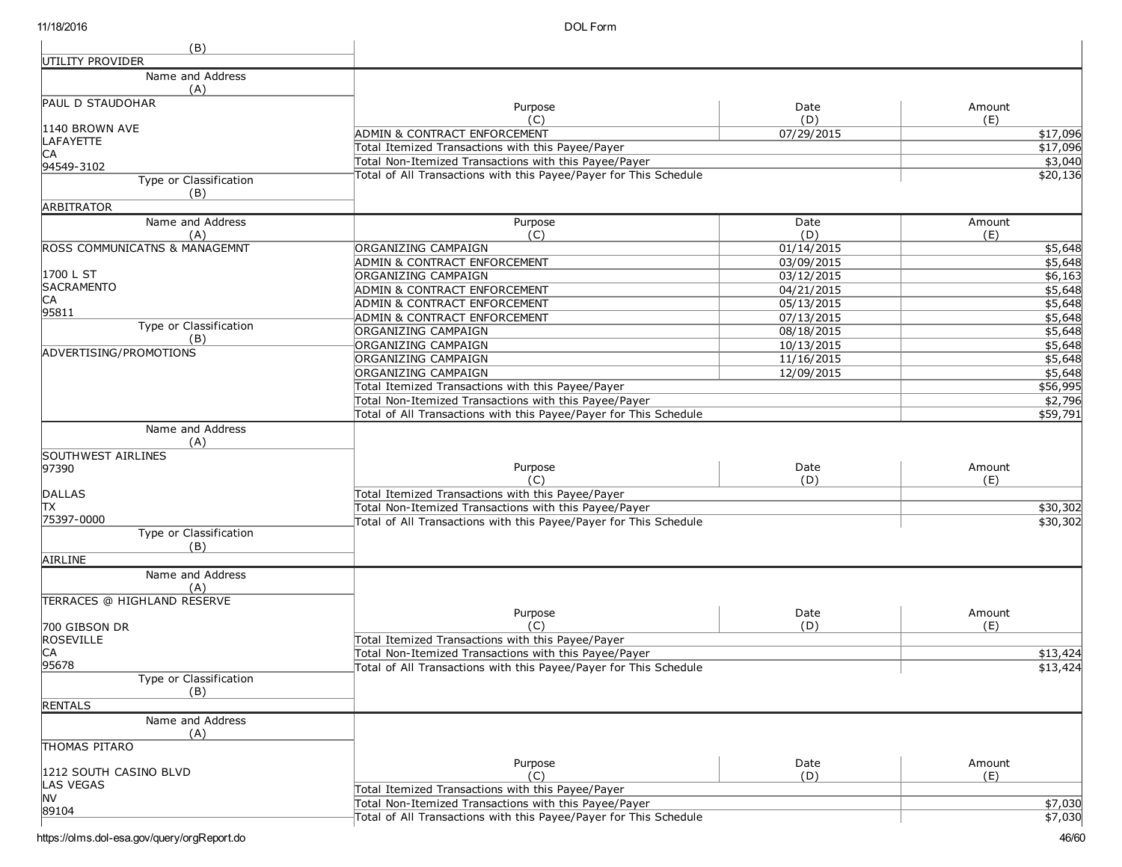| (B)                                                           |                                                                   |             |               |
|---------------------------------------------------------------|-------------------------------------------------------------------|-------------|---------------|
| UTILITY PROVIDER                                              |                                                                   |             |               |
| Name and Address<br>(A)                                       |                                                                   |             |               |
| <b>PAUL D STAUDOHAR</b>                                       | Purpose                                                           | Date        | Amount        |
|                                                               | (C)                                                               | (D)         | (E)           |
| 1140 BROWN AVE                                                | <b>ADMIN &amp; CONTRACT ENFORCEMENT</b>                           | 07/29/2015  | \$17,096      |
| LAFAYETTE                                                     | Total Itemized Transactions with this Payee/Payer                 |             | \$17,096      |
| IСA<br>94549-3102                                             | Total Non-Itemized Transactions with this Payee/Payer             |             | \$3,040       |
| Type or Classification                                        | Total of All Transactions with this Payee/Payer for This Schedule |             | \$20,136      |
| (B)                                                           |                                                                   |             |               |
| <b>ARBITRATOR</b>                                             |                                                                   |             |               |
| Name and Address<br>(A)                                       | Purpose<br>(C)                                                    | Date<br>(D) | Amount<br>(E) |
| <b>ROSS COMMUNICATNS &amp; MANAGEMNT</b>                      | ORGANIZING CAMPAIGN                                               | 01/14/2015  | \$5,648       |
|                                                               | ADMIN & CONTRACT ENFORCEMENT                                      | 03/09/2015  | \$5,648       |
| 1700 L ST                                                     | ORGANIZING CAMPAIGN                                               | 03/12/2015  | \$6,163       |
| <b>SACRAMENTO</b>                                             | ADMIN & CONTRACT ENFORCEMENT                                      | 04/21/2015  | \$5,648       |
| IСA                                                           | ADMIN & CONTRACT ENFORCEMENT                                      | 05/13/2015  | \$5,648       |
| 95811                                                         | ADMIN & CONTRACT ENFORCEMENT                                      | 07/13/2015  | \$5,648       |
| Type or Classification                                        | ORGANIZING CAMPAIGN                                               | 08/18/2015  | \$5,648       |
| (B)                                                           | ORGANIZING CAMPAIGN                                               | 10/13/2015  | \$5,648       |
| ADVERTISING/PROMOTIONS                                        | ORGANIZING CAMPAIGN                                               | 11/16/2015  | \$5,648       |
|                                                               | ORGANIZING CAMPAIGN                                               | 12/09/2015  | \$5,648       |
|                                                               | Total Itemized Transactions with this Payee/Payer                 |             | \$56,995      |
|                                                               | Total Non-Itemized Transactions with this Payee/Payer             |             | \$2,796       |
|                                                               | Total of All Transactions with this Payee/Payer for This Schedule |             | \$59,791      |
| Name and Address<br>(A)<br><b>SOUTHWEST AIRLINES</b><br>97390 | Purpose                                                           | Date        | Amount        |
|                                                               | (C)                                                               | (D)         | (E)           |
| DALLAS<br>lтx                                                 | Total Itemized Transactions with this Payee/Payer                 |             |               |
| 75397-0000                                                    | Total Non-Itemized Transactions with this Payee/Payer             |             | \$30,302      |
| Type or Classification<br>(B)                                 | Total of All Transactions with this Payee/Payer for This Schedule |             | \$30,302      |
| AIRLINE                                                       |                                                                   |             |               |
| Name and Address<br>(A)                                       |                                                                   |             |               |
| TERRACES @ HIGHLAND RESERVE                                   |                                                                   |             |               |
|                                                               | Purpose                                                           | Date        | Amount        |
| 700 GIBSON DR                                                 | 'C)                                                               | (D)         | (E)           |
| ROSEVILLE                                                     | Total Itemized Transactions with this Payee/Payer                 |             |               |
| CA                                                            | Total Non-Itemized Transactions with this Payee/Payer             |             | \$13,424      |
| 95678                                                         | Total of All Transactions with this Payee/Payer for This Schedule |             | \$13,424      |
| Type or Classification<br>(B)                                 |                                                                   |             |               |
| <b>RENTALS</b>                                                |                                                                   |             |               |
| Name and Address<br>(A)                                       |                                                                   |             |               |
| <b>THOMAS PITARO</b>                                          |                                                                   |             |               |
| 1212 SOUTH CASINO BLVD                                        | Purpose<br>(C)                                                    | Date<br>(D) | Amount        |
| <b>LAS VEGAS</b>                                              | Total Itemized Transactions with this Payee/Payer                 |             | (E)           |
| <b>NV</b>                                                     | Total Non-Itemized Transactions with this Payee/Payer             |             | \$7,030       |
| 89104                                                         | Total of All Transactions with this Payee/Payer for This Schedule |             | \$7,030       |
|                                                               |                                                                   |             |               |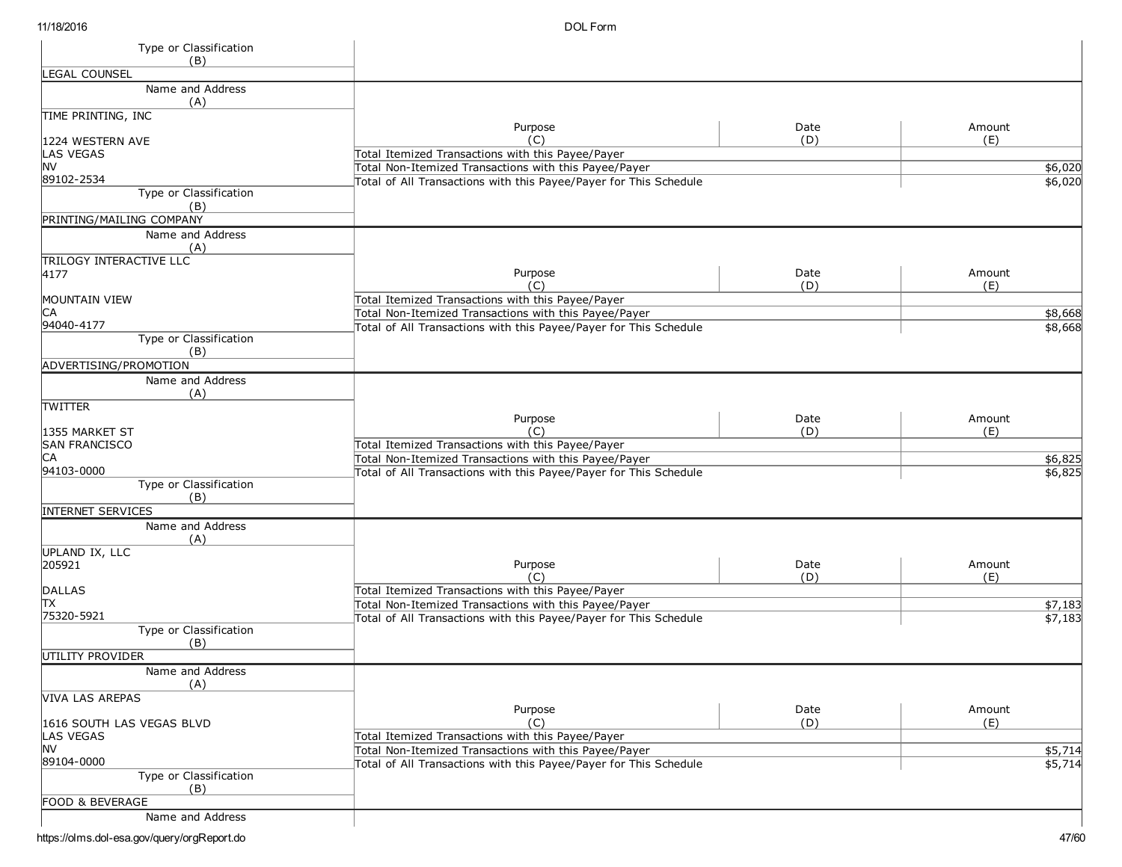DOL Form

| Type or Classification                            |                                                                                                            |             |               |
|---------------------------------------------------|------------------------------------------------------------------------------------------------------------|-------------|---------------|
| (B)<br><b>EGAL COUNSEL</b>                        |                                                                                                            |             |               |
| Name and Address                                  |                                                                                                            |             |               |
| (A)                                               |                                                                                                            |             |               |
| TIME PRINTING, INC                                |                                                                                                            |             |               |
|                                                   | Purpose<br>(C)                                                                                             | Date<br>(D) | Amount        |
| 1224 WESTERN AVE<br>LAS VEGAS                     | Total Itemized Transactions with this Payee/Payer                                                          |             | (E)           |
| <b>NV</b>                                         | Total Non-Itemized Transactions with this Payee/Payer                                                      |             | \$6,020       |
| 89102-2534                                        | Total of All Transactions with this Payee/Payer for This Schedule                                          |             | \$6,020       |
| Type or Classification<br>(B)                     |                                                                                                            |             |               |
| PRINTING/MAILING COMPANY                          |                                                                                                            |             |               |
| Name and Address<br>(A)                           |                                                                                                            |             |               |
| <b>TRILOGY INTERACTIVE LLC</b><br>4177            | Purpose                                                                                                    | Date        | Amount        |
|                                                   |                                                                                                            | (D)         | (E)           |
| <b>MOUNTAIN VIEW</b>                              | Total Itemized Transactions with this Payee/Payer                                                          |             |               |
| СA                                                | Total Non-Itemized Transactions with this Payee/Payer                                                      |             | \$8,668       |
| 94040-4177                                        | Total of All Transactions with this Payee/Payer for This Schedule                                          |             | \$8,668       |
| Type or Classification<br>(B)                     |                                                                                                            |             |               |
| ADVERTISING/PROMOTION                             |                                                                                                            |             |               |
| Name and Address                                  |                                                                                                            |             |               |
| (A)                                               |                                                                                                            |             |               |
| <b>TWITTER</b>                                    |                                                                                                            |             |               |
| 1355 MARKET ST                                    | Purpose<br>(C)                                                                                             | Date<br>(D) | Amount<br>(E) |
| <b>SAN FRANCISCO</b>                              | Total Itemized Transactions with this Payee/Payer                                                          |             |               |
| IСA                                               | Total Non-Itemized Transactions with this Payee/Payer                                                      |             | \$6,825       |
| 94103-0000                                        | Total of All Transactions with this Payee/Payer for This Schedule                                          |             | \$6,825       |
| Type or Classification                            |                                                                                                            |             |               |
| (B)                                               |                                                                                                            |             |               |
| <b>INTERNET SERVICES</b><br>Name and Address      |                                                                                                            |             |               |
| (A)                                               |                                                                                                            |             |               |
| <b>UPLAND IX, LLC</b>                             |                                                                                                            |             |               |
| 205921                                            | Purpose                                                                                                    | Date        | Amount        |
|                                                   | (C)                                                                                                        | (D)         | (E)           |
| <b>DALLAS</b><br>ΠX                               | Total Itemized Transactions with this Payee/Payer<br>Total Non-Itemized Transactions with this Payee/Payer |             | \$7,183       |
| 75320-5921                                        | Total of All Transactions with this Payee/Payer for This Schedule                                          |             | \$7,183       |
| Type or Classification                            |                                                                                                            |             |               |
| (B)                                               |                                                                                                            |             |               |
| UTILITY PROVIDER                                  |                                                                                                            |             |               |
| Name and Address<br>(A)<br><b>VIVA LAS AREPAS</b> |                                                                                                            |             |               |
|                                                   | Purpose                                                                                                    | Date        | Amount        |
| 1616 SOUTH LAS VEGAS BLVD                         | (C)                                                                                                        | (D)         | (E)           |
| <b>LAS VEGAS</b>                                  | Total Itemized Transactions with this Payee/Payer                                                          |             |               |
| <b>INV</b>                                        | Total Non-Itemized Transactions with this Payee/Payer                                                      |             | \$5,714       |
| 89104-0000<br>Type or Classification              | Total of All Transactions with this Payee/Payer for This Schedule                                          |             | \$5,714       |
| (B)                                               |                                                                                                            |             |               |
| FOOD & BEVERAGE                                   |                                                                                                            |             |               |
| Name and Address                                  |                                                                                                            |             |               |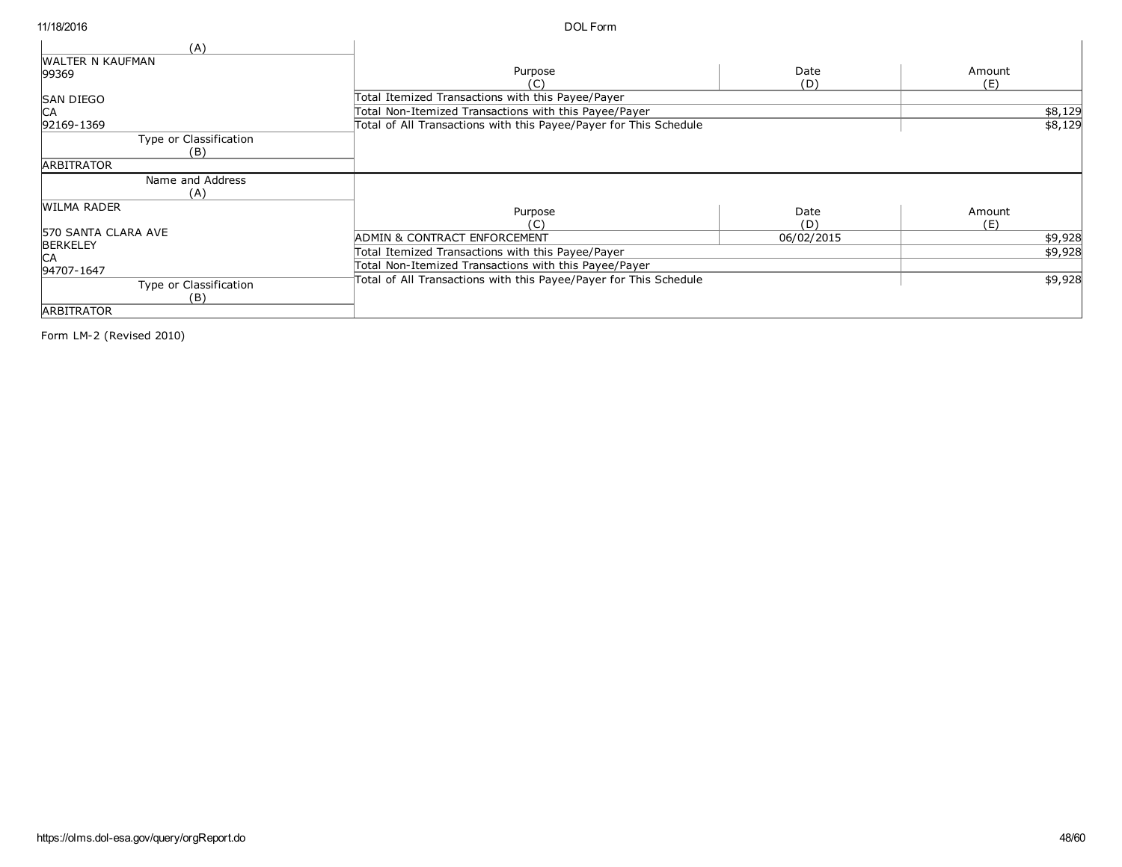| (A)<br><b>WALTER N KAUFMAN</b> |                                                                   |            |         |
|--------------------------------|-------------------------------------------------------------------|------------|---------|
| 99369                          | Purpose                                                           | Date       | Amount  |
|                                | C)                                                                | (D)        | (E)     |
| <b>SAN DIEGO</b>               | Total Itemized Transactions with this Payee/Payer                 |            |         |
| <b>CA</b>                      | Total Non-Itemized Transactions with this Payee/Payer             |            | \$8,129 |
| 92169-1369                     | Total of All Transactions with this Payee/Payer for This Schedule |            | \$8,129 |
| Type or Classification         |                                                                   |            |         |
| (B)                            |                                                                   |            |         |
| <b>ARBITRATOR</b>              |                                                                   |            |         |
| Name and Address               |                                                                   |            |         |
| (A)                            |                                                                   |            |         |
| <b>WILMA RADER</b>             | Purpose                                                           | Date       | Amount  |
|                                | (C)                                                               | (D)        | (E)     |
| <b>570 SANTA CLARA AVE</b>     | ADMIN & CONTRACT ENFORCEMENT                                      | 06/02/2015 | \$9,928 |
| <b>BERKELEY</b>                | Total Itemized Transactions with this Payee/Payer                 |            | \$9,928 |
| 94707-1647                     | Total Non-Itemized Transactions with this Payee/Payer             |            |         |
| Type or Classification         | Total of All Transactions with this Payee/Payer for This Schedule |            | \$9,928 |
| (B)                            |                                                                   |            |         |
| <b>ARBITRATOR</b>              |                                                                   |            |         |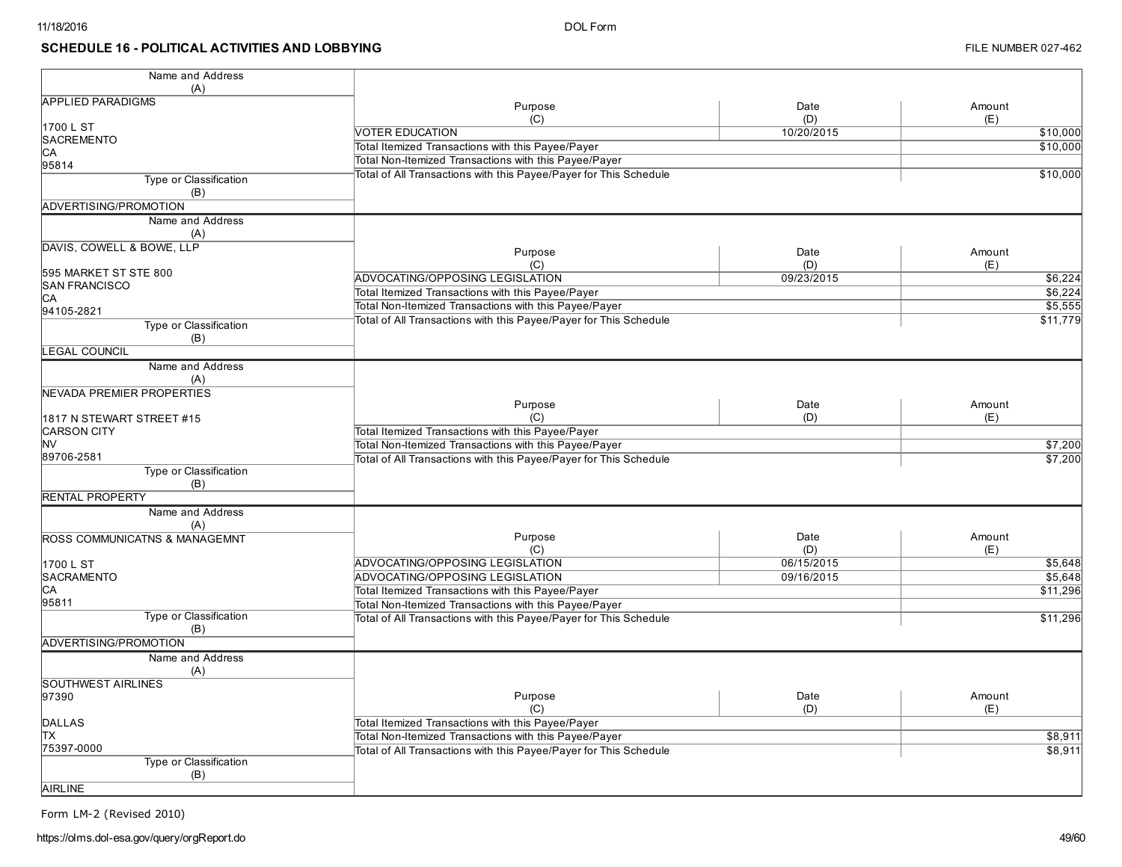#### SCHEDULE 16 - POLITICAL ACTIVITIES AND LOBBYING

| Name and Address<br>(A)              |                                                                   |             |                     |
|--------------------------------------|-------------------------------------------------------------------|-------------|---------------------|
| <b>APPLIED PARADIGMS</b>             |                                                                   |             |                     |
|                                      | Purpose<br>(C)                                                    | Date<br>(D) | Amount              |
| 1700 L ST                            |                                                                   |             | (E)                 |
| <b>SACREMENTO</b>                    | <b>VOTER EDUCATION</b>                                            | 10/20/2015  | \$10,000            |
| СA                                   | Total Itemized Transactions with this Payee/Payer                 |             | \$10,000            |
| 95814                                | Total Non-Itemized Transactions with this Payee/Payer             |             |                     |
| Type or Classification               | Total of All Transactions with this Payee/Payer for This Schedule |             | \$10,000            |
| (B)                                  |                                                                   |             |                     |
| ADVERTISING/PROMOTION                |                                                                   |             |                     |
| Name and Address                     |                                                                   |             |                     |
| (A)                                  |                                                                   |             |                     |
| DAVIS, COWELL & BOWE, LLP            | Purpose                                                           | Date        | Amount              |
|                                      | (C)                                                               | (D)         | (E)                 |
| 595 MARKET ST STE 800                | ADVOCATING/OPPOSING LEGISLATION                                   | 09/23/2015  | \$6,224             |
| <b>SAN FRANCISCO</b>                 | Total Itemized Transactions with this Payee/Payer                 |             | \$6,224             |
| CА                                   | Total Non-Itemized Transactions with this Payee/Payer             |             | \$5,555             |
| 94105-2821                           | Total of All Transactions with this Payee/Payer for This Schedule |             | \$11,779            |
| Type or Classification<br>(B)        |                                                                   |             |                     |
| <b>EGAL COUNCIL</b>                  |                                                                   |             |                     |
| Name and Address                     |                                                                   |             |                     |
| (A)                                  |                                                                   |             |                     |
| NEVADA PREMIER PROPERTIES            |                                                                   |             |                     |
|                                      | Purpose                                                           | Date        | Amount              |
| 1817 N STEWART STREET #15            | (C)                                                               | (D)         | (E)                 |
| <b>CARSON CITY</b>                   | Total Itemized Transactions with this Payee/Payer                 |             |                     |
| <b>NV</b>                            | Total Non-Itemized Transactions with this Payee/Payer             |             | \$7,200             |
| 89706-2581                           | Total of All Transactions with this Payee/Payer for This Schedule |             | $\frac{1}{157,200}$ |
| <b>Type or Classification</b><br>(B) |                                                                   |             |                     |
| RENTAL PROPERTY                      |                                                                   |             |                     |
| Name and Address                     |                                                                   |             |                     |
| (A)                                  |                                                                   |             |                     |
| ROSS COMMUNICATNS & MANAGEMNT        | Purpose                                                           | Date        | Amount              |
|                                      | (C)                                                               | (D)         | (E)                 |
| 1700 L ST                            | ADVOCATING/OPPOSING LEGISLATION                                   | 06/15/2015  | \$5,648             |
| <b>SACRAMENTO</b>                    | ADVOCATING/OPPOSING LEGISLATION                                   | 09/16/2015  | \$5,648             |
| IСA                                  | Total Itemized Transactions with this Payee/Payer                 |             | \$11,296            |
| 95811                                | Total Non-Itemized Transactions with this Payee/Payer             |             |                     |
| Type or Classification               | Total of All Transactions with this Payee/Payer for This Schedule |             | \$11,296            |
| (B)<br>ADVERTISING/PROMOTION         |                                                                   |             |                     |
| Name and Address                     |                                                                   |             |                     |
| (A)                                  |                                                                   |             |                     |
| <b>SOUTHWEST AIRLINES</b>            |                                                                   |             |                     |
| 97390                                | Purpose                                                           | Date        | Amount              |
|                                      | (C)                                                               | (D)         | (E)                 |
| <b>DALLAS</b>                        | Total Itemized Transactions with this Payee/Payer                 |             |                     |
| lТX                                  | Total Non-Itemized Transactions with this Payee/Payer             |             | \$8,911             |
| 75397-0000                           | Total of All Transactions with this Payee/Payer for This Schedule |             | \$8,911             |
| Type or Classification<br>(B)        |                                                                   |             |                     |
| <b>AIRLINE</b>                       |                                                                   |             |                     |
|                                      |                                                                   |             |                     |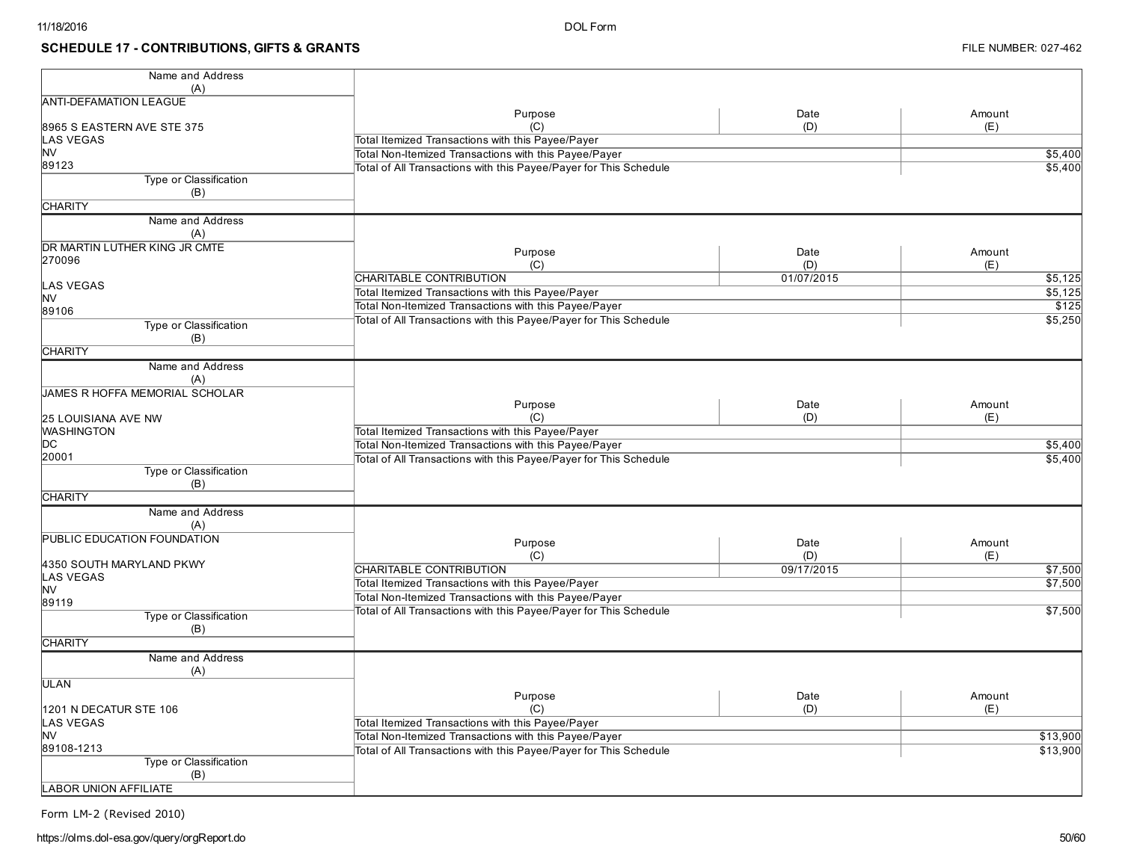### **SCHEDULE 17 - CONTRIBUTIONS, GIFTS & GRANTS**

| Name and Address                         |                                                                                                                            |            |          |
|------------------------------------------|----------------------------------------------------------------------------------------------------------------------------|------------|----------|
| (A)                                      |                                                                                                                            |            |          |
| <b>ANTI-DEFAMATION LEAGUE</b>            | Purpose                                                                                                                    | Date       | Amount   |
| 8965 S EASTERN AVE STE 375               | (C)                                                                                                                        | (D)        | (E)      |
| LAS VEGAS                                | Total Itemized Transactions with this Payee/Payer                                                                          |            |          |
| <b>NV</b>                                | Total Non-Itemized Transactions with this Payee/Payer                                                                      |            | \$5,400  |
| 89123                                    | Total of All Transactions with this Payee/Payer for This Schedule                                                          |            | \$5,400  |
| Type or Classification                   |                                                                                                                            |            |          |
| (B)                                      |                                                                                                                            |            |          |
| <b>CHARITY</b>                           |                                                                                                                            |            |          |
| Name and Address                         |                                                                                                                            |            |          |
| (A)                                      |                                                                                                                            |            |          |
| DR MARTIN LUTHER KING JR CMTE            | Purpose                                                                                                                    | Date       | Amount   |
| 270096                                   | (C)                                                                                                                        | (D)        | (E)      |
|                                          | CHARITABLE CONTRIBUTION                                                                                                    | 01/07/2015 | \$5,125  |
| LAS VEGAS                                | Total Itemized Transactions with this Payee/Payer                                                                          |            | \$5,125  |
| <b>NV</b>                                | Total Non-Itemized Transactions with this Payee/Payer                                                                      |            | \$125    |
| 89106                                    | Total of All Transactions with this Payee/Payer for This Schedule                                                          |            | \$5,250  |
| Type or Classification                   |                                                                                                                            |            |          |
| (B)                                      |                                                                                                                            |            |          |
| <b>CHARITY</b>                           |                                                                                                                            |            |          |
| Name and Address                         |                                                                                                                            |            |          |
| (A)                                      |                                                                                                                            |            |          |
| JAMES R HOFFA MEMORIAL SCHOLAR           |                                                                                                                            |            |          |
|                                          | Purpose                                                                                                                    | Date       | Amount   |
| 25 LOUISIANA AVE NW<br><b>WASHINGTON</b> | (C)                                                                                                                        | (D)        | (E)      |
| IDC                                      | Total Itemized Transactions with this Payee/Payer                                                                          |            |          |
| 20001                                    | Total Non-Itemized Transactions with this Payee/Payer<br>Total of All Transactions with this Payee/Payer for This Schedule |            | \$5,400  |
| Type or Classification                   |                                                                                                                            |            | \$5,400  |
| (B)                                      |                                                                                                                            |            |          |
| <b>CHARITY</b>                           |                                                                                                                            |            |          |
| Name and Address                         |                                                                                                                            |            |          |
| (A)                                      |                                                                                                                            |            |          |
| PUBLIC EDUCATION FOUNDATION              |                                                                                                                            |            |          |
|                                          | Purpose                                                                                                                    | Date       | Amount   |
| 4350 SOUTH MARYLAND PKWY                 | (C)                                                                                                                        | (D)        | (E)      |
| LAS VEGAS                                | <b>CHARITABLE CONTRIBUTION</b>                                                                                             | 09/17/2015 | \$7,500  |
| <b>NV</b>                                | Total Itemized Transactions with this Payee/Payer                                                                          |            | \$7,500  |
| 89119                                    | Total Non-Itemized Transactions with this Payee/Payer                                                                      |            |          |
| <b>Type or Classification</b>            | Total of All Transactions with this Payee/Payer for This Schedule                                                          |            | \$7,500  |
| (B)                                      |                                                                                                                            |            |          |
| <b>CHARITY</b>                           |                                                                                                                            |            |          |
| Name and Address                         |                                                                                                                            |            |          |
| (A)                                      |                                                                                                                            |            |          |
| ULAN                                     |                                                                                                                            |            |          |
|                                          | Purpose                                                                                                                    | Date       | Amount   |
| 1201 N DECATUR STE 106                   | (C)                                                                                                                        | (D)        | (E)      |
| <b>AS VEGAS</b>                          | Total Itemized Transactions with this Payee/Payer                                                                          |            |          |
| <b>NV</b>                                | Total Non-Itemized Transactions with this Payee/Payer                                                                      |            | \$13,900 |
| 89108-1213                               | Total of All Transactions with this Payee/Payer for This Schedule                                                          |            | \$13,900 |
| Type or Classification<br>(B)            |                                                                                                                            |            |          |
| <b>LABOR UNION AFFILIATE</b>             |                                                                                                                            |            |          |
|                                          |                                                                                                                            |            |          |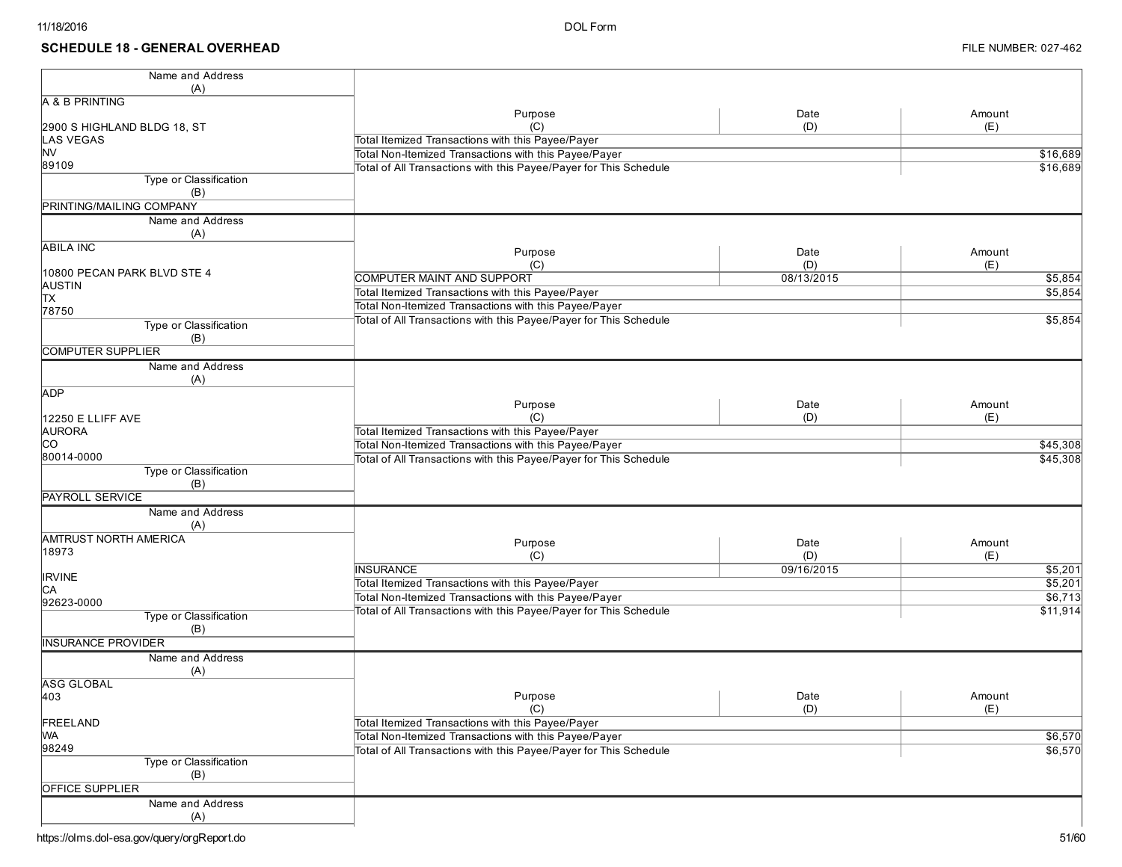### **SCHEDULE 18 - GENERAL OVERHEAD**

| Name and Address<br>(A)       |                                                                   |            |          |
|-------------------------------|-------------------------------------------------------------------|------------|----------|
| A & B PRINTING                |                                                                   |            |          |
|                               | Purpose                                                           | Date       | Amount   |
| 2900 S HIGHLAND BLDG 18, ST   | (C)                                                               | (D)        | (E)      |
| <b>LAS VEGAS</b>              | Total Itemized Transactions with this Payee/Payer                 |            |          |
| <b>NV</b>                     | Total Non-Itemized Transactions with this Payee/Payer             |            | \$16,689 |
| 89109                         | Total of All Transactions with this Payee/Payer for This Schedule |            | \$16,689 |
| Type or Classification        |                                                                   |            |          |
| (B)                           |                                                                   |            |          |
| PRINTING/MAILING COMPANY      |                                                                   |            |          |
| Name and Address<br>(A)       |                                                                   |            |          |
| <b>ABILA INC</b>              | Purpose                                                           | Date       | Amount   |
|                               | (C)                                                               | (D)        | (E)      |
| 10800 PECAN PARK BLVD STE 4   | COMPUTER MAINT AND SUPPORT                                        | 08/13/2015 | \$5,854  |
| AUSTIN                        | Total Itemized Transactions with this Payee/Payer                 |            | \$5,854  |
| Iтх                           | Total Non-Itemized Transactions with this Payee/Payer             |            |          |
| 78750                         | Total of All Transactions with this Payee/Payer for This Schedule |            | \$5,854  |
| Type or Classification        |                                                                   |            |          |
| (B)                           |                                                                   |            |          |
| <b>COMPUTER SUPPLIER</b>      |                                                                   |            |          |
| Name and Address              |                                                                   |            |          |
| (A)                           |                                                                   |            |          |
| ADP                           |                                                                   |            |          |
|                               | Purpose                                                           | Date       | Amount   |
| 12250 E LLIFF AVE             | (C)                                                               | (D)        | (E)      |
| <b>AURORA</b>                 | Total Itemized Transactions with this Payee/Payer                 |            |          |
| lco                           | Total Non-Itemized Transactions with this Payee/Payer             |            | \$45,308 |
| 80014-0000                    | Total of All Transactions with this Payee/Payer for This Schedule |            | \$45,308 |
| <b>Type or Classification</b> |                                                                   |            |          |
| (B)                           |                                                                   |            |          |
| <b>PAYROLL SERVICE</b>        |                                                                   |            |          |
| Name and Address              |                                                                   |            |          |
| (A)                           |                                                                   |            |          |
| <b>AMTRUST NORTH AMERICA</b>  | Purpose                                                           | Date       | Amount   |
| 18973                         | (C)                                                               | (D)        | (E)      |
|                               | <b>INSURANCE</b>                                                  | 09/16/2015 | \$5,201  |
| <b>IRVINE</b>                 | Total Itemized Transactions with this Payee/Payer                 |            | \$5,201  |
| IСA                           | Total Non-Itemized Transactions with this Payee/Payer             |            | \$6,713  |
| 92623-0000                    | Total of All Transactions with this Payee/Payer for This Schedule |            | \$11,914 |
| Type or Classification<br>(B) |                                                                   |            |          |
| <b>INSURANCE PROVIDER</b>     |                                                                   |            |          |
| Name and Address              |                                                                   |            |          |
| (A)                           |                                                                   |            |          |
| <b>ASG GLOBAL</b>             |                                                                   |            |          |
| 403                           | Purpose                                                           | Date       | Amount   |
|                               | (C)                                                               | (D)        | (E)      |
| FREELAND                      | Total Itemized Transactions with this Payee/Payer                 |            |          |
| <b>WA</b>                     | Total Non-Itemized Transactions with this Payee/Payer             |            | \$6,570  |
| 98249                         | Total of All Transactions with this Payee/Payer for This Schedule |            | \$6,570  |
| Type or Classification        |                                                                   |            |          |
| (B)                           |                                                                   |            |          |
| <b>OFFICE SUPPLIER</b>        |                                                                   |            |          |
| Name and Address              |                                                                   |            |          |
|                               |                                                                   |            |          |
| (A)                           |                                                                   |            |          |

https://olms.dol-esa.gov/query/orgReport.do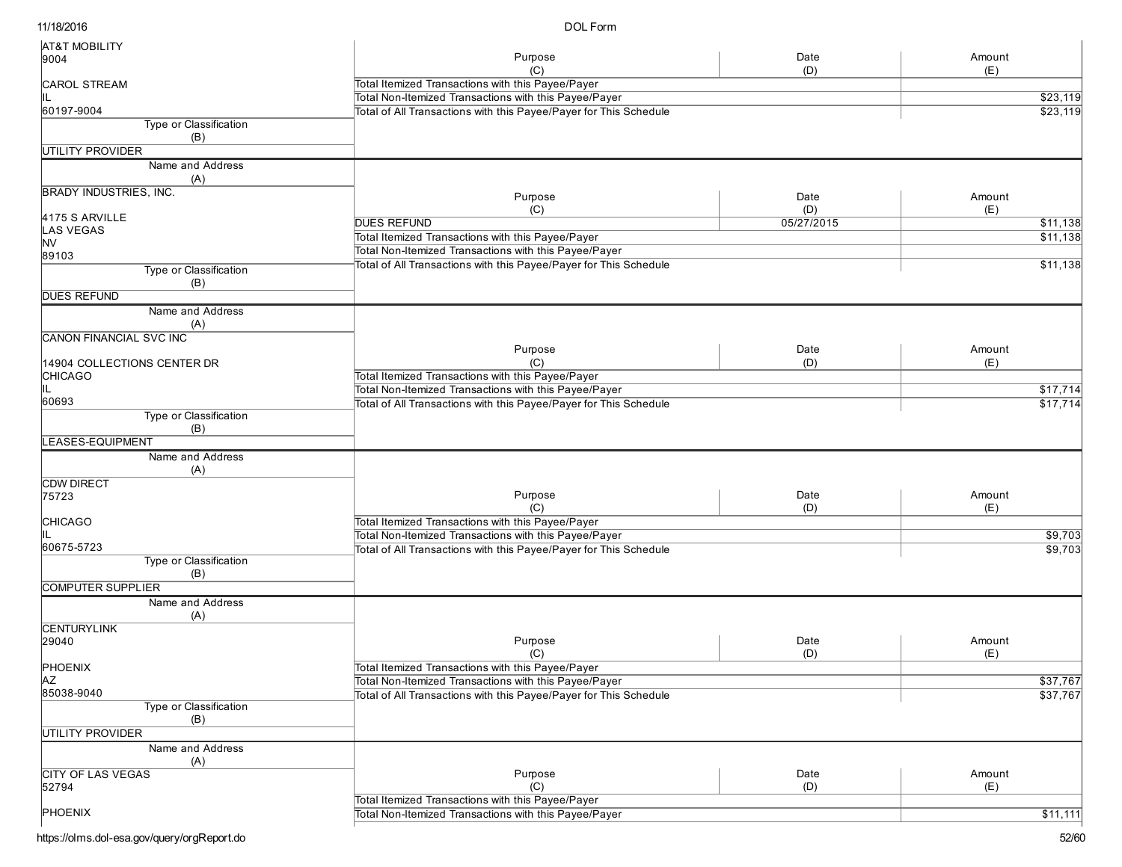DOL Form

| <b>AT&amp;T MOBILITY</b>      |                                                                   |            |          |
|-------------------------------|-------------------------------------------------------------------|------------|----------|
| 9004                          | Purpose                                                           | Date       | Amount   |
|                               |                                                                   | (D)        | (E)      |
| <b>CAROL STREAM</b>           | Total Itemized Transactions with this Payee/Payer                 |            |          |
|                               | Total Non-Itemized Transactions with this Payee/Payer             |            | \$23,119 |
| 60197-9004                    | Total of All Transactions with this Payee/Payer for This Schedule |            | \$23,119 |
| Type or Classification        |                                                                   |            |          |
| (B)                           |                                                                   |            |          |
| UTILITY PROVIDER              |                                                                   |            |          |
| Name and Address              |                                                                   |            |          |
| (A)                           |                                                                   |            |          |
| <b>BRADY INDUSTRIES, INC.</b> | Purpose                                                           | Date       | Amount   |
|                               | (C)                                                               | (D)        | (E)      |
| 4175 S ARVILLE                | <b>DUES REFUND</b>                                                | 05/27/2015 | \$11,138 |
| <b>LAS VEGAS</b>              | Total Itemized Transactions with this Payee/Payer                 |            | \$11,138 |
| <b>NV</b>                     |                                                                   |            |          |
| 89103                         | Total Non-Itemized Transactions with this Payee/Payer             |            |          |
| Type or Classification        | Total of All Transactions with this Payee/Payer for This Schedule |            | \$11,138 |
| (B)                           |                                                                   |            |          |
| <b>DUES REFUND</b>            |                                                                   |            |          |
| Name and Address              |                                                                   |            |          |
| (A)                           |                                                                   |            |          |
| CANON FINANCIAL SVC INC       |                                                                   |            |          |
|                               | Purpose                                                           | Date       | Amount   |
| 14904 COLLECTIONS CENTER DR   | (C)                                                               | (D)        | (E)      |
| <b>CHICAGO</b>                | Total Itemized Transactions with this Payee/Payer                 |            |          |
|                               | Total Non-Itemized Transactions with this Payee/Payer             |            | \$17,714 |
| 60693                         |                                                                   |            |          |
| Type or Classification        | Total of All Transactions with this Payee/Payer for This Schedule |            | \$17,714 |
| (B)                           |                                                                   |            |          |
| <b>LEASES-EQUIPMENT</b>       |                                                                   |            |          |
|                               |                                                                   |            |          |
| Name and Address              |                                                                   |            |          |
| (A)                           |                                                                   |            |          |
| <b>CDW DIRECT</b>             |                                                                   |            |          |
| 75723                         | Purpose                                                           | Date       | Amount   |
|                               | (C)                                                               | (D)        | (E)      |
| <b>CHICAGO</b>                | Total Itemized Transactions with this Payee/Payer                 |            |          |
|                               | Total Non-Itemized Transactions with this Payee/Payer             |            | \$9,703  |
| 60675-5723                    | Total of All Transactions with this Payee/Payer for This Schedule |            | \$9,703  |
| Type or Classification        |                                                                   |            |          |
| (B)                           |                                                                   |            |          |
| <b>COMPUTER SUPPLIER</b>      |                                                                   |            |          |
| Name and Address              |                                                                   |            |          |
| (A)                           |                                                                   |            |          |
| <b>CENTURYLINK</b>            |                                                                   |            |          |
| 29040                         | Purpose                                                           | Date       | Amount   |
|                               | (C)                                                               | (D)        | (E)      |
| PHOENIX                       | Total Itemized Transactions with this Payee/Payer                 |            |          |
| <b>AZ</b>                     | Total Non-Itemized Transactions with this Payee/Payer             |            | \$37,767 |
| 85038-9040                    | Total of All Transactions with this Payee/Payer for This Schedule |            | \$37,767 |
| Type or Classification        |                                                                   |            |          |
| (B)                           |                                                                   |            |          |
| <b>UTILITY PROVIDER</b>       |                                                                   |            |          |
| Name and Address              |                                                                   |            |          |
| (A)                           |                                                                   |            |          |
| <b>CITY OF LAS VEGAS</b>      | Purpose                                                           | Date       | Amount   |
| 52794                         | (C)                                                               | (D)        | (E)      |
|                               | Total Itemized Transactions with this Payee/Payer                 |            |          |
| PHOENIX                       | Total Non-Itemized Transactions with this Payee/Payer             |            |          |
|                               |                                                                   |            | \$11,111 |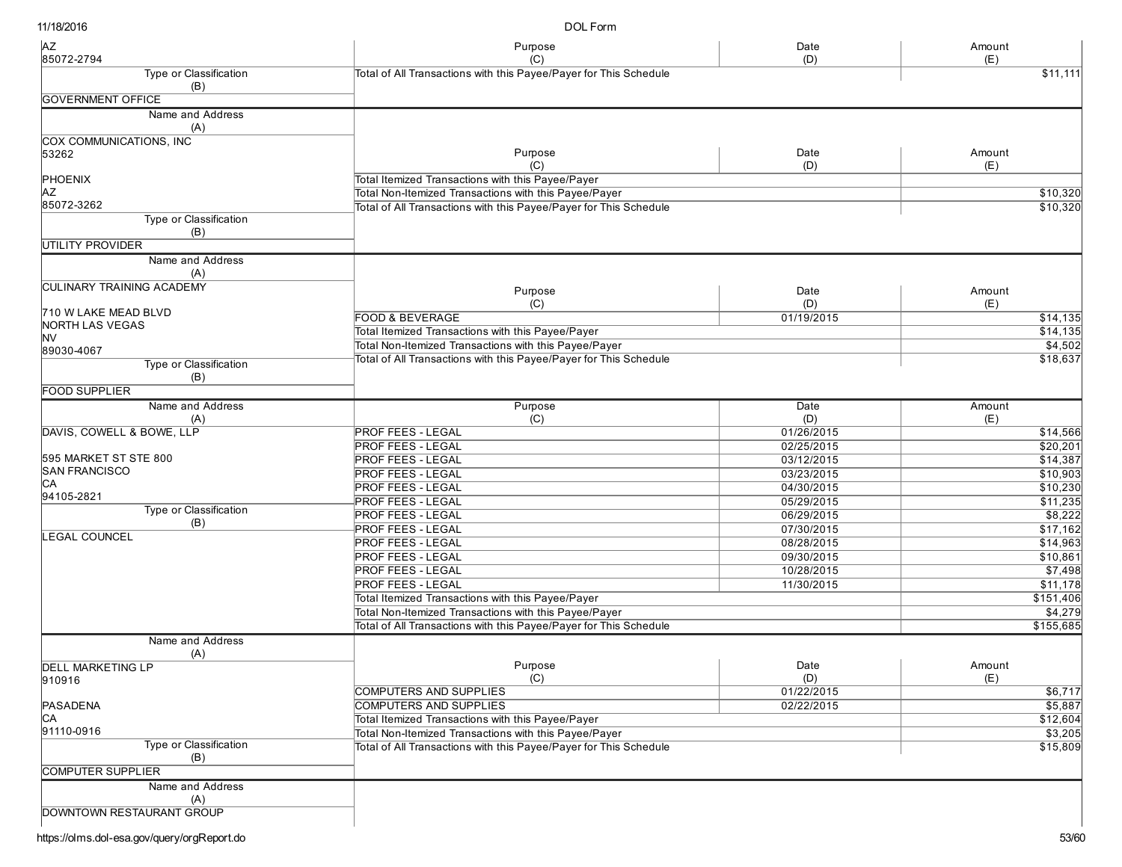DOL Form

| Type or Classification<br>Total of All Transactions with this Payee/Payer for This Schedule<br>\$11,111<br>(B)<br><b>GOVERNMENT OFFICE</b><br>Name and Address<br>(A)<br>COX COMMUNICATIONS, INC<br>Purpose<br>Date<br>Amount<br>53262<br>(C)<br>(D)<br>(E)<br>PHOENIX<br>Total Itemized Transactions with this Payee/Payer<br>Total Non-Itemized Transactions with this Payee/Payer<br>AZ<br>85072-3262<br>Total of All Transactions with this Payee/Payer for This Schedule<br>Type or Classification<br>(B)<br>UTILITY PROVIDER<br>Name and Address<br>(A)<br><b>CULINARY TRAINING ACADEMY</b><br>Purpose<br>Date<br>Amount<br>(C)<br>(D)<br>(E)<br>710 W LAKE MEAD BLVD<br><b>FOOD &amp; BEVERAGE</b><br>01/19/2015<br><b>NORTH LAS VEGAS</b><br>Total Itemized Transactions with this Payee/Payer<br><b>NV</b><br>Total Non-Itemized Transactions with this Payee/Payer<br>89030-4067<br>Total of All Transactions with this Payee/Payer for This Schedule<br>Type or Classification<br>(B)<br><b>FOOD SUPPLIER</b><br>Name and Address<br>Purpose<br>Date<br>Amount<br>(C)<br>(D)<br>(A)<br>(E)<br>DAVIS, COWELL & BOWE, LLP<br><b>PROF FEES - LEGAL</b><br>01/26/2015<br><b>PROF FEES - LEGAL</b><br>02/25/2015<br>595 MARKET ST STE 800<br><b>PROF FEES - LEGAL</b><br>03/12/2015<br>\$14,387<br><b>SAN FRANCISCO</b><br><b>PROF FEES - LEGAL</b><br>03/23/2015<br>CА<br><b>PROF FEES - LEGAL</b><br>04/30/2015<br>94105-2821<br><b>PROF FEES - LEGAL</b><br>05/29/2015<br>\$11,235<br>Type or Classification<br><b>PROF FEES - LEGAL</b><br>06/29/2015<br>(B)<br><b>PROF FEES - LEGAL</b><br>07/30/2015<br><b>LEGAL COUNCEL</b><br><b>PROF FEES - LEGAL</b><br>08/28/2015<br><b>PROF FEES - LEGAL</b><br>09/30/2015<br>\$10,861<br><b>PROF FEES - LEGAL</b><br>10/28/2015<br><b>PROF FEES - LEGAL</b><br>11/30/2015<br>Total Itemized Transactions with this Payee/Payer<br>Total Non-Itemized Transactions with this Payee/Payer<br>Total of All Transactions with this Payee/Payer for This Schedule<br>\$155,685<br>Name and Address<br>(A)<br>Date<br>Purpose<br>Amount<br>DELL MARKETING LP<br>910916<br>(C)<br>(D)<br>(E)<br>COMPUTERS AND SUPPLIES<br>01/22/2015<br>PASADENA<br><b>COMPUTERS AND SUPPLIES</b><br>02/22/2015<br>СA<br>Total Itemized Transactions with this Payee/Payer<br>91110-0916<br>Total Non-Itemized Transactions with this Payee/Payer<br>Type or Classification<br>Total of All Transactions with this Payee/Payer for This Schedule<br>(B)<br><b>COMPUTER SUPPLIER</b><br>Name and Address<br>(A)<br>DOWNTOWN RESTAURANT GROUP | <b>AZ</b><br>85072-2794 | Purpose | Date<br>(D) | Amount |
|-------------------------------------------------------------------------------------------------------------------------------------------------------------------------------------------------------------------------------------------------------------------------------------------------------------------------------------------------------------------------------------------------------------------------------------------------------------------------------------------------------------------------------------------------------------------------------------------------------------------------------------------------------------------------------------------------------------------------------------------------------------------------------------------------------------------------------------------------------------------------------------------------------------------------------------------------------------------------------------------------------------------------------------------------------------------------------------------------------------------------------------------------------------------------------------------------------------------------------------------------------------------------------------------------------------------------------------------------------------------------------------------------------------------------------------------------------------------------------------------------------------------------------------------------------------------------------------------------------------------------------------------------------------------------------------------------------------------------------------------------------------------------------------------------------------------------------------------------------------------------------------------------------------------------------------------------------------------------------------------------------------------------------------------------------------------------------------------------------------------------------------------------------------------------------------------------------------------------------------------------------------------------------------------------------------------------------------------------------------------------------------------------------------------------------------------------------------------------------------------------------------------------------------------------------------------------|-------------------------|---------|-------------|--------|
|                                                                                                                                                                                                                                                                                                                                                                                                                                                                                                                                                                                                                                                                                                                                                                                                                                                                                                                                                                                                                                                                                                                                                                                                                                                                                                                                                                                                                                                                                                                                                                                                                                                                                                                                                                                                                                                                                                                                                                                                                                                                                                                                                                                                                                                                                                                                                                                                                                                                                                                                                                         |                         | (C)     |             | (E)    |
|                                                                                                                                                                                                                                                                                                                                                                                                                                                                                                                                                                                                                                                                                                                                                                                                                                                                                                                                                                                                                                                                                                                                                                                                                                                                                                                                                                                                                                                                                                                                                                                                                                                                                                                                                                                                                                                                                                                                                                                                                                                                                                                                                                                                                                                                                                                                                                                                                                                                                                                                                                         |                         |         |             |        |
|                                                                                                                                                                                                                                                                                                                                                                                                                                                                                                                                                                                                                                                                                                                                                                                                                                                                                                                                                                                                                                                                                                                                                                                                                                                                                                                                                                                                                                                                                                                                                                                                                                                                                                                                                                                                                                                                                                                                                                                                                                                                                                                                                                                                                                                                                                                                                                                                                                                                                                                                                                         |                         |         |             |        |
| \$14,135<br>\$4,502<br>\$18,637<br>\$20,201<br>\$10,903<br>\$8,222<br>\$14,963<br>\$7,498<br>\$5,887<br>\$3,205                                                                                                                                                                                                                                                                                                                                                                                                                                                                                                                                                                                                                                                                                                                                                                                                                                                                                                                                                                                                                                                                                                                                                                                                                                                                                                                                                                                                                                                                                                                                                                                                                                                                                                                                                                                                                                                                                                                                                                                                                                                                                                                                                                                                                                                                                                                                                                                                                                                         |                         |         |             |        |
|                                                                                                                                                                                                                                                                                                                                                                                                                                                                                                                                                                                                                                                                                                                                                                                                                                                                                                                                                                                                                                                                                                                                                                                                                                                                                                                                                                                                                                                                                                                                                                                                                                                                                                                                                                                                                                                                                                                                                                                                                                                                                                                                                                                                                                                                                                                                                                                                                                                                                                                                                                         |                         |         |             |        |
|                                                                                                                                                                                                                                                                                                                                                                                                                                                                                                                                                                                                                                                                                                                                                                                                                                                                                                                                                                                                                                                                                                                                                                                                                                                                                                                                                                                                                                                                                                                                                                                                                                                                                                                                                                                                                                                                                                                                                                                                                                                                                                                                                                                                                                                                                                                                                                                                                                                                                                                                                                         |                         |         |             |        |
| \$10,320<br>\$10,320                                                                                                                                                                                                                                                                                                                                                                                                                                                                                                                                                                                                                                                                                                                                                                                                                                                                                                                                                                                                                                                                                                                                                                                                                                                                                                                                                                                                                                                                                                                                                                                                                                                                                                                                                                                                                                                                                                                                                                                                                                                                                                                                                                                                                                                                                                                                                                                                                                                                                                                                                    |                         |         |             |        |
|                                                                                                                                                                                                                                                                                                                                                                                                                                                                                                                                                                                                                                                                                                                                                                                                                                                                                                                                                                                                                                                                                                                                                                                                                                                                                                                                                                                                                                                                                                                                                                                                                                                                                                                                                                                                                                                                                                                                                                                                                                                                                                                                                                                                                                                                                                                                                                                                                                                                                                                                                                         |                         |         |             |        |
|                                                                                                                                                                                                                                                                                                                                                                                                                                                                                                                                                                                                                                                                                                                                                                                                                                                                                                                                                                                                                                                                                                                                                                                                                                                                                                                                                                                                                                                                                                                                                                                                                                                                                                                                                                                                                                                                                                                                                                                                                                                                                                                                                                                                                                                                                                                                                                                                                                                                                                                                                                         |                         |         |             |        |
|                                                                                                                                                                                                                                                                                                                                                                                                                                                                                                                                                                                                                                                                                                                                                                                                                                                                                                                                                                                                                                                                                                                                                                                                                                                                                                                                                                                                                                                                                                                                                                                                                                                                                                                                                                                                                                                                                                                                                                                                                                                                                                                                                                                                                                                                                                                                                                                                                                                                                                                                                                         |                         |         |             |        |
|                                                                                                                                                                                                                                                                                                                                                                                                                                                                                                                                                                                                                                                                                                                                                                                                                                                                                                                                                                                                                                                                                                                                                                                                                                                                                                                                                                                                                                                                                                                                                                                                                                                                                                                                                                                                                                                                                                                                                                                                                                                                                                                                                                                                                                                                                                                                                                                                                                                                                                                                                                         |                         |         |             |        |
|                                                                                                                                                                                                                                                                                                                                                                                                                                                                                                                                                                                                                                                                                                                                                                                                                                                                                                                                                                                                                                                                                                                                                                                                                                                                                                                                                                                                                                                                                                                                                                                                                                                                                                                                                                                                                                                                                                                                                                                                                                                                                                                                                                                                                                                                                                                                                                                                                                                                                                                                                                         |                         |         |             |        |
|                                                                                                                                                                                                                                                                                                                                                                                                                                                                                                                                                                                                                                                                                                                                                                                                                                                                                                                                                                                                                                                                                                                                                                                                                                                                                                                                                                                                                                                                                                                                                                                                                                                                                                                                                                                                                                                                                                                                                                                                                                                                                                                                                                                                                                                                                                                                                                                                                                                                                                                                                                         |                         |         |             |        |
|                                                                                                                                                                                                                                                                                                                                                                                                                                                                                                                                                                                                                                                                                                                                                                                                                                                                                                                                                                                                                                                                                                                                                                                                                                                                                                                                                                                                                                                                                                                                                                                                                                                                                                                                                                                                                                                                                                                                                                                                                                                                                                                                                                                                                                                                                                                                                                                                                                                                                                                                                                         |                         |         |             |        |
|                                                                                                                                                                                                                                                                                                                                                                                                                                                                                                                                                                                                                                                                                                                                                                                                                                                                                                                                                                                                                                                                                                                                                                                                                                                                                                                                                                                                                                                                                                                                                                                                                                                                                                                                                                                                                                                                                                                                                                                                                                                                                                                                                                                                                                                                                                                                                                                                                                                                                                                                                                         |                         |         |             |        |
|                                                                                                                                                                                                                                                                                                                                                                                                                                                                                                                                                                                                                                                                                                                                                                                                                                                                                                                                                                                                                                                                                                                                                                                                                                                                                                                                                                                                                                                                                                                                                                                                                                                                                                                                                                                                                                                                                                                                                                                                                                                                                                                                                                                                                                                                                                                                                                                                                                                                                                                                                                         |                         |         |             |        |
| \$14,135<br>\$14,566<br>\$10,230<br>\$17,162<br>\$11,178<br>\$151,406<br>\$4,279                                                                                                                                                                                                                                                                                                                                                                                                                                                                                                                                                                                                                                                                                                                                                                                                                                                                                                                                                                                                                                                                                                                                                                                                                                                                                                                                                                                                                                                                                                                                                                                                                                                                                                                                                                                                                                                                                                                                                                                                                                                                                                                                                                                                                                                                                                                                                                                                                                                                                        |                         |         |             |        |
|                                                                                                                                                                                                                                                                                                                                                                                                                                                                                                                                                                                                                                                                                                                                                                                                                                                                                                                                                                                                                                                                                                                                                                                                                                                                                                                                                                                                                                                                                                                                                                                                                                                                                                                                                                                                                                                                                                                                                                                                                                                                                                                                                                                                                                                                                                                                                                                                                                                                                                                                                                         |                         |         |             |        |
|                                                                                                                                                                                                                                                                                                                                                                                                                                                                                                                                                                                                                                                                                                                                                                                                                                                                                                                                                                                                                                                                                                                                                                                                                                                                                                                                                                                                                                                                                                                                                                                                                                                                                                                                                                                                                                                                                                                                                                                                                                                                                                                                                                                                                                                                                                                                                                                                                                                                                                                                                                         |                         |         |             |        |
|                                                                                                                                                                                                                                                                                                                                                                                                                                                                                                                                                                                                                                                                                                                                                                                                                                                                                                                                                                                                                                                                                                                                                                                                                                                                                                                                                                                                                                                                                                                                                                                                                                                                                                                                                                                                                                                                                                                                                                                                                                                                                                                                                                                                                                                                                                                                                                                                                                                                                                                                                                         |                         |         |             |        |
|                                                                                                                                                                                                                                                                                                                                                                                                                                                                                                                                                                                                                                                                                                                                                                                                                                                                                                                                                                                                                                                                                                                                                                                                                                                                                                                                                                                                                                                                                                                                                                                                                                                                                                                                                                                                                                                                                                                                                                                                                                                                                                                                                                                                                                                                                                                                                                                                                                                                                                                                                                         |                         |         |             |        |
|                                                                                                                                                                                                                                                                                                                                                                                                                                                                                                                                                                                                                                                                                                                                                                                                                                                                                                                                                                                                                                                                                                                                                                                                                                                                                                                                                                                                                                                                                                                                                                                                                                                                                                                                                                                                                                                                                                                                                                                                                                                                                                                                                                                                                                                                                                                                                                                                                                                                                                                                                                         |                         |         |             |        |
|                                                                                                                                                                                                                                                                                                                                                                                                                                                                                                                                                                                                                                                                                                                                                                                                                                                                                                                                                                                                                                                                                                                                                                                                                                                                                                                                                                                                                                                                                                                                                                                                                                                                                                                                                                                                                                                                                                                                                                                                                                                                                                                                                                                                                                                                                                                                                                                                                                                                                                                                                                         |                         |         |             |        |
|                                                                                                                                                                                                                                                                                                                                                                                                                                                                                                                                                                                                                                                                                                                                                                                                                                                                                                                                                                                                                                                                                                                                                                                                                                                                                                                                                                                                                                                                                                                                                                                                                                                                                                                                                                                                                                                                                                                                                                                                                                                                                                                                                                                                                                                                                                                                                                                                                                                                                                                                                                         |                         |         |             |        |
|                                                                                                                                                                                                                                                                                                                                                                                                                                                                                                                                                                                                                                                                                                                                                                                                                                                                                                                                                                                                                                                                                                                                                                                                                                                                                                                                                                                                                                                                                                                                                                                                                                                                                                                                                                                                                                                                                                                                                                                                                                                                                                                                                                                                                                                                                                                                                                                                                                                                                                                                                                         |                         |         |             |        |
|                                                                                                                                                                                                                                                                                                                                                                                                                                                                                                                                                                                                                                                                                                                                                                                                                                                                                                                                                                                                                                                                                                                                                                                                                                                                                                                                                                                                                                                                                                                                                                                                                                                                                                                                                                                                                                                                                                                                                                                                                                                                                                                                                                                                                                                                                                                                                                                                                                                                                                                                                                         |                         |         |             |        |
|                                                                                                                                                                                                                                                                                                                                                                                                                                                                                                                                                                                                                                                                                                                                                                                                                                                                                                                                                                                                                                                                                                                                                                                                                                                                                                                                                                                                                                                                                                                                                                                                                                                                                                                                                                                                                                                                                                                                                                                                                                                                                                                                                                                                                                                                                                                                                                                                                                                                                                                                                                         |                         |         |             |        |
|                                                                                                                                                                                                                                                                                                                                                                                                                                                                                                                                                                                                                                                                                                                                                                                                                                                                                                                                                                                                                                                                                                                                                                                                                                                                                                                                                                                                                                                                                                                                                                                                                                                                                                                                                                                                                                                                                                                                                                                                                                                                                                                                                                                                                                                                                                                                                                                                                                                                                                                                                                         |                         |         |             |        |
|                                                                                                                                                                                                                                                                                                                                                                                                                                                                                                                                                                                                                                                                                                                                                                                                                                                                                                                                                                                                                                                                                                                                                                                                                                                                                                                                                                                                                                                                                                                                                                                                                                                                                                                                                                                                                                                                                                                                                                                                                                                                                                                                                                                                                                                                                                                                                                                                                                                                                                                                                                         |                         |         |             |        |
|                                                                                                                                                                                                                                                                                                                                                                                                                                                                                                                                                                                                                                                                                                                                                                                                                                                                                                                                                                                                                                                                                                                                                                                                                                                                                                                                                                                                                                                                                                                                                                                                                                                                                                                                                                                                                                                                                                                                                                                                                                                                                                                                                                                                                                                                                                                                                                                                                                                                                                                                                                         |                         |         |             |        |
|                                                                                                                                                                                                                                                                                                                                                                                                                                                                                                                                                                                                                                                                                                                                                                                                                                                                                                                                                                                                                                                                                                                                                                                                                                                                                                                                                                                                                                                                                                                                                                                                                                                                                                                                                                                                                                                                                                                                                                                                                                                                                                                                                                                                                                                                                                                                                                                                                                                                                                                                                                         |                         |         |             |        |
|                                                                                                                                                                                                                                                                                                                                                                                                                                                                                                                                                                                                                                                                                                                                                                                                                                                                                                                                                                                                                                                                                                                                                                                                                                                                                                                                                                                                                                                                                                                                                                                                                                                                                                                                                                                                                                                                                                                                                                                                                                                                                                                                                                                                                                                                                                                                                                                                                                                                                                                                                                         |                         |         |             |        |
|                                                                                                                                                                                                                                                                                                                                                                                                                                                                                                                                                                                                                                                                                                                                                                                                                                                                                                                                                                                                                                                                                                                                                                                                                                                                                                                                                                                                                                                                                                                                                                                                                                                                                                                                                                                                                                                                                                                                                                                                                                                                                                                                                                                                                                                                                                                                                                                                                                                                                                                                                                         |                         |         |             |        |
|                                                                                                                                                                                                                                                                                                                                                                                                                                                                                                                                                                                                                                                                                                                                                                                                                                                                                                                                                                                                                                                                                                                                                                                                                                                                                                                                                                                                                                                                                                                                                                                                                                                                                                                                                                                                                                                                                                                                                                                                                                                                                                                                                                                                                                                                                                                                                                                                                                                                                                                                                                         |                         |         |             |        |
|                                                                                                                                                                                                                                                                                                                                                                                                                                                                                                                                                                                                                                                                                                                                                                                                                                                                                                                                                                                                                                                                                                                                                                                                                                                                                                                                                                                                                                                                                                                                                                                                                                                                                                                                                                                                                                                                                                                                                                                                                                                                                                                                                                                                                                                                                                                                                                                                                                                                                                                                                                         |                         |         |             |        |
|                                                                                                                                                                                                                                                                                                                                                                                                                                                                                                                                                                                                                                                                                                                                                                                                                                                                                                                                                                                                                                                                                                                                                                                                                                                                                                                                                                                                                                                                                                                                                                                                                                                                                                                                                                                                                                                                                                                                                                                                                                                                                                                                                                                                                                                                                                                                                                                                                                                                                                                                                                         |                         |         |             |        |
|                                                                                                                                                                                                                                                                                                                                                                                                                                                                                                                                                                                                                                                                                                                                                                                                                                                                                                                                                                                                                                                                                                                                                                                                                                                                                                                                                                                                                                                                                                                                                                                                                                                                                                                                                                                                                                                                                                                                                                                                                                                                                                                                                                                                                                                                                                                                                                                                                                                                                                                                                                         |                         |         |             |        |
|                                                                                                                                                                                                                                                                                                                                                                                                                                                                                                                                                                                                                                                                                                                                                                                                                                                                                                                                                                                                                                                                                                                                                                                                                                                                                                                                                                                                                                                                                                                                                                                                                                                                                                                                                                                                                                                                                                                                                                                                                                                                                                                                                                                                                                                                                                                                                                                                                                                                                                                                                                         |                         |         |             |        |
|                                                                                                                                                                                                                                                                                                                                                                                                                                                                                                                                                                                                                                                                                                                                                                                                                                                                                                                                                                                                                                                                                                                                                                                                                                                                                                                                                                                                                                                                                                                                                                                                                                                                                                                                                                                                                                                                                                                                                                                                                                                                                                                                                                                                                                                                                                                                                                                                                                                                                                                                                                         |                         |         |             |        |
| \$6,717<br>\$12,604<br>\$15,809                                                                                                                                                                                                                                                                                                                                                                                                                                                                                                                                                                                                                                                                                                                                                                                                                                                                                                                                                                                                                                                                                                                                                                                                                                                                                                                                                                                                                                                                                                                                                                                                                                                                                                                                                                                                                                                                                                                                                                                                                                                                                                                                                                                                                                                                                                                                                                                                                                                                                                                                         |                         |         |             |        |
|                                                                                                                                                                                                                                                                                                                                                                                                                                                                                                                                                                                                                                                                                                                                                                                                                                                                                                                                                                                                                                                                                                                                                                                                                                                                                                                                                                                                                                                                                                                                                                                                                                                                                                                                                                                                                                                                                                                                                                                                                                                                                                                                                                                                                                                                                                                                                                                                                                                                                                                                                                         |                         |         |             |        |
|                                                                                                                                                                                                                                                                                                                                                                                                                                                                                                                                                                                                                                                                                                                                                                                                                                                                                                                                                                                                                                                                                                                                                                                                                                                                                                                                                                                                                                                                                                                                                                                                                                                                                                                                                                                                                                                                                                                                                                                                                                                                                                                                                                                                                                                                                                                                                                                                                                                                                                                                                                         |                         |         |             |        |
|                                                                                                                                                                                                                                                                                                                                                                                                                                                                                                                                                                                                                                                                                                                                                                                                                                                                                                                                                                                                                                                                                                                                                                                                                                                                                                                                                                                                                                                                                                                                                                                                                                                                                                                                                                                                                                                                                                                                                                                                                                                                                                                                                                                                                                                                                                                                                                                                                                                                                                                                                                         |                         |         |             |        |
|                                                                                                                                                                                                                                                                                                                                                                                                                                                                                                                                                                                                                                                                                                                                                                                                                                                                                                                                                                                                                                                                                                                                                                                                                                                                                                                                                                                                                                                                                                                                                                                                                                                                                                                                                                                                                                                                                                                                                                                                                                                                                                                                                                                                                                                                                                                                                                                                                                                                                                                                                                         |                         |         |             |        |
|                                                                                                                                                                                                                                                                                                                                                                                                                                                                                                                                                                                                                                                                                                                                                                                                                                                                                                                                                                                                                                                                                                                                                                                                                                                                                                                                                                                                                                                                                                                                                                                                                                                                                                                                                                                                                                                                                                                                                                                                                                                                                                                                                                                                                                                                                                                                                                                                                                                                                                                                                                         |                         |         |             |        |
|                                                                                                                                                                                                                                                                                                                                                                                                                                                                                                                                                                                                                                                                                                                                                                                                                                                                                                                                                                                                                                                                                                                                                                                                                                                                                                                                                                                                                                                                                                                                                                                                                                                                                                                                                                                                                                                                                                                                                                                                                                                                                                                                                                                                                                                                                                                                                                                                                                                                                                                                                                         |                         |         |             |        |
|                                                                                                                                                                                                                                                                                                                                                                                                                                                                                                                                                                                                                                                                                                                                                                                                                                                                                                                                                                                                                                                                                                                                                                                                                                                                                                                                                                                                                                                                                                                                                                                                                                                                                                                                                                                                                                                                                                                                                                                                                                                                                                                                                                                                                                                                                                                                                                                                                                                                                                                                                                         |                         |         |             |        |
|                                                                                                                                                                                                                                                                                                                                                                                                                                                                                                                                                                                                                                                                                                                                                                                                                                                                                                                                                                                                                                                                                                                                                                                                                                                                                                                                                                                                                                                                                                                                                                                                                                                                                                                                                                                                                                                                                                                                                                                                                                                                                                                                                                                                                                                                                                                                                                                                                                                                                                                                                                         |                         |         |             |        |
|                                                                                                                                                                                                                                                                                                                                                                                                                                                                                                                                                                                                                                                                                                                                                                                                                                                                                                                                                                                                                                                                                                                                                                                                                                                                                                                                                                                                                                                                                                                                                                                                                                                                                                                                                                                                                                                                                                                                                                                                                                                                                                                                                                                                                                                                                                                                                                                                                                                                                                                                                                         |                         |         |             |        |
|                                                                                                                                                                                                                                                                                                                                                                                                                                                                                                                                                                                                                                                                                                                                                                                                                                                                                                                                                                                                                                                                                                                                                                                                                                                                                                                                                                                                                                                                                                                                                                                                                                                                                                                                                                                                                                                                                                                                                                                                                                                                                                                                                                                                                                                                                                                                                                                                                                                                                                                                                                         |                         |         |             |        |
|                                                                                                                                                                                                                                                                                                                                                                                                                                                                                                                                                                                                                                                                                                                                                                                                                                                                                                                                                                                                                                                                                                                                                                                                                                                                                                                                                                                                                                                                                                                                                                                                                                                                                                                                                                                                                                                                                                                                                                                                                                                                                                                                                                                                                                                                                                                                                                                                                                                                                                                                                                         |                         |         |             |        |
|                                                                                                                                                                                                                                                                                                                                                                                                                                                                                                                                                                                                                                                                                                                                                                                                                                                                                                                                                                                                                                                                                                                                                                                                                                                                                                                                                                                                                                                                                                                                                                                                                                                                                                                                                                                                                                                                                                                                                                                                                                                                                                                                                                                                                                                                                                                                                                                                                                                                                                                                                                         |                         |         |             |        |
|                                                                                                                                                                                                                                                                                                                                                                                                                                                                                                                                                                                                                                                                                                                                                                                                                                                                                                                                                                                                                                                                                                                                                                                                                                                                                                                                                                                                                                                                                                                                                                                                                                                                                                                                                                                                                                                                                                                                                                                                                                                                                                                                                                                                                                                                                                                                                                                                                                                                                                                                                                         |                         |         |             |        |

https://olms.dol-esa.gov/query/orgReport.do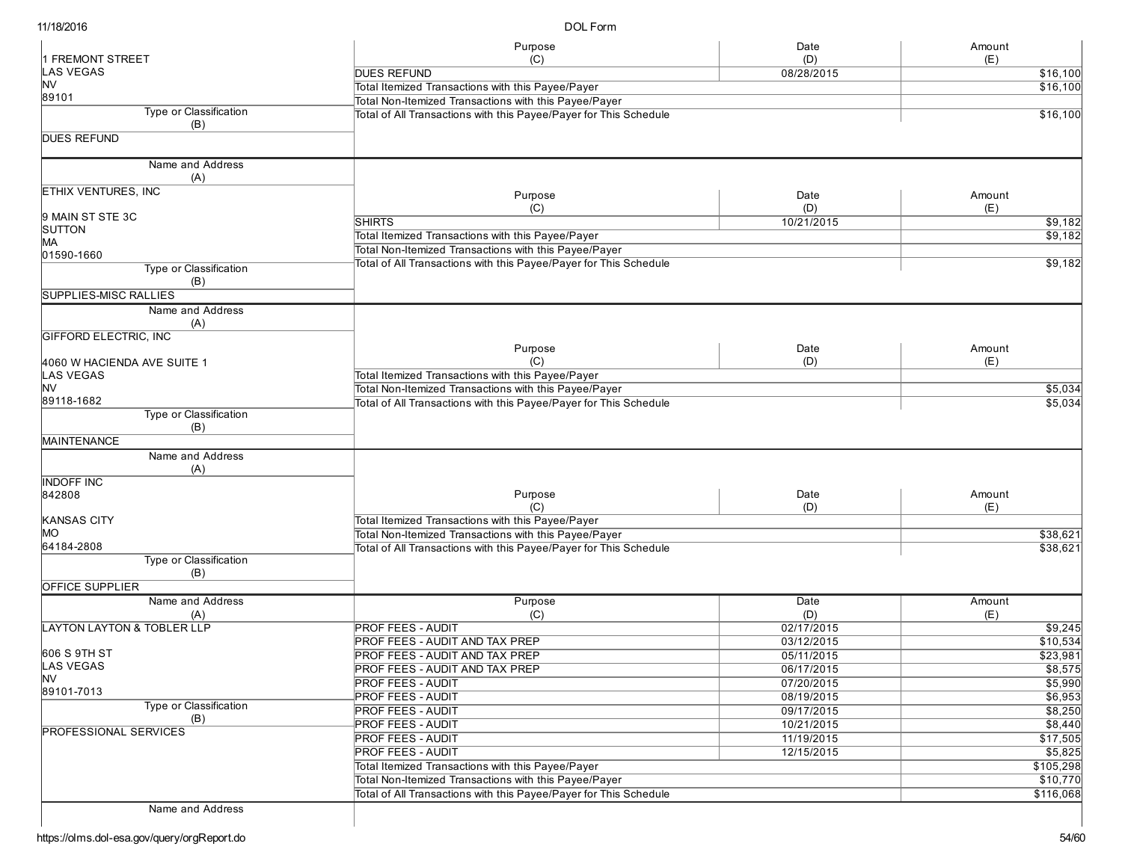DOL Form

|                                       | Purpose                                                           | Date       | Amount               |
|---------------------------------------|-------------------------------------------------------------------|------------|----------------------|
| <b>FREMONT STREET</b>                 | (C)                                                               | (D)        | (E)                  |
| <b>LAS VEGAS</b>                      | <b>DUES REFUND</b>                                                | 08/28/2015 | $\overline{$16,100}$ |
| <b>NV</b>                             | Total Itemized Transactions with this Payee/Payer                 |            | \$16,100             |
| 89101                                 | Total Non-Itemized Transactions with this Payee/Payer             |            |                      |
| <b>Type or Classification</b>         | Total of All Transactions with this Payee/Payer for This Schedule |            | \$16,100             |
| (B)<br><b>DUES REFUND</b>             |                                                                   |            |                      |
|                                       |                                                                   |            |                      |
| Name and Address                      |                                                                   |            |                      |
| (A)                                   |                                                                   |            |                      |
| <b>ETHIX VENTURES, INC</b>            |                                                                   |            |                      |
|                                       | Purpose                                                           | Date       | Amount               |
| 9 MAIN ST STE 3C                      | (C)<br><b>SHIRTS</b>                                              | (D)        | (E)                  |
| <b>SUTTON</b>                         |                                                                   | 10/21/2015 | \$9,182              |
| MA.                                   | Total Itemized Transactions with this Payee/Payer                 |            | \$9,182              |
| 01590-1660                            | Total Non-Itemized Transactions with this Payee/Payer             |            |                      |
| Type or Classification                | Total of All Transactions with this Payee/Payer for This Schedule |            | \$9,182              |
| (B)                                   |                                                                   |            |                      |
| <b>SUPPLIES-MISC RALLIES</b>          |                                                                   |            |                      |
| Name and Address                      |                                                                   |            |                      |
| (A)                                   |                                                                   |            |                      |
| GIFFORD ELECTRIC, INC                 |                                                                   |            |                      |
|                                       | Purpose                                                           | Date       | Amount               |
| 4060 W HACIENDA AVE SUITE 1           | (C)                                                               | (D)        | (E)                  |
| LAS VEGAS                             | Total Itemized Transactions with this Payee/Payer                 |            |                      |
| lnv                                   | Total Non-Itemized Transactions with this Payee/Payer             |            | \$5,034              |
| 89118-1682                            | Total of All Transactions with this Payee/Payer for This Schedule |            | \$5,034              |
| Type or Classification                |                                                                   |            |                      |
| (B)                                   |                                                                   |            |                      |
| <b>MAINTENANCE</b>                    |                                                                   |            |                      |
| Name and Address                      |                                                                   |            |                      |
| (A)                                   |                                                                   |            |                      |
| <b>INDOFF INC</b>                     |                                                                   |            |                      |
| 842808                                | Purpose                                                           | Date       | Amount               |
|                                       | (C)                                                               | (D)        | (E)                  |
| <b>KANSAS CITY</b>                    | Total Itemized Transactions with this Payee/Payer                 |            |                      |
| MО                                    | Total Non-Itemized Transactions with this Payee/Payer             |            | \$38,621             |
| 64184-2808                            | Total of All Transactions with this Payee/Payer for This Schedule |            | \$38,621             |
| Type or Classification                |                                                                   |            |                      |
| (B)                                   |                                                                   |            |                      |
| <b>OFFICE SUPPLIER</b>                |                                                                   |            |                      |
| Name and Address                      | Purpose                                                           | Date       | Amount               |
| (A)                                   | (C)                                                               | (D)        | (E)                  |
| <b>LAYTON LAYTON &amp; TOBLER LLP</b> | <b>PROF FEES - AUDIT</b>                                          | 02/17/2015 | \$9,245              |
|                                       | PROF FEES - AUDIT AND TAX PREP                                    | 03/12/2015 | \$10,534             |
| 606 S 9TH ST                          | <b>PROF FEES - AUDIT AND TAX PREP</b>                             | 05/11/2015 | \$23,981             |
| <b>LAS VEGAS</b><br><b>NV</b>         | <b>PROF FEES - AUDIT AND TAX PREP</b>                             | 06/17/2015 | \$8,575              |
| 89101-7013                            | <b>PROF FEES - AUDIT</b>                                          | 07/20/2015 | \$5,990              |
| Type or Classification                | <b>PROF FEES - AUDIT</b>                                          | 08/19/2015 | \$6,953              |
| (B)                                   | <b>PROF FEES - AUDIT</b>                                          | 09/17/2015 | $\sqrt{$8,250}$      |
| <b>PROFESSIONAL SERVICES</b>          | <b>PROF FEES - AUDIT</b>                                          | 10/21/2015 | \$8,440              |
|                                       | <b>PROF FEES - AUDIT</b>                                          | 11/19/2015 | \$17,505             |
|                                       | <b>PROF FEES - AUDIT</b>                                          | 12/15/2015 | \$5,825              |
|                                       | Total Itemized Transactions with this Payee/Payer                 |            | \$105,298            |
|                                       | Total Non-Itemized Transactions with this Payee/Payer             |            | \$10,770             |
|                                       | Total of All Transactions with this Payee/Payer for This Schedule |            | \$116,068            |
| Name and Address                      |                                                                   |            |                      |
|                                       |                                                                   |            |                      |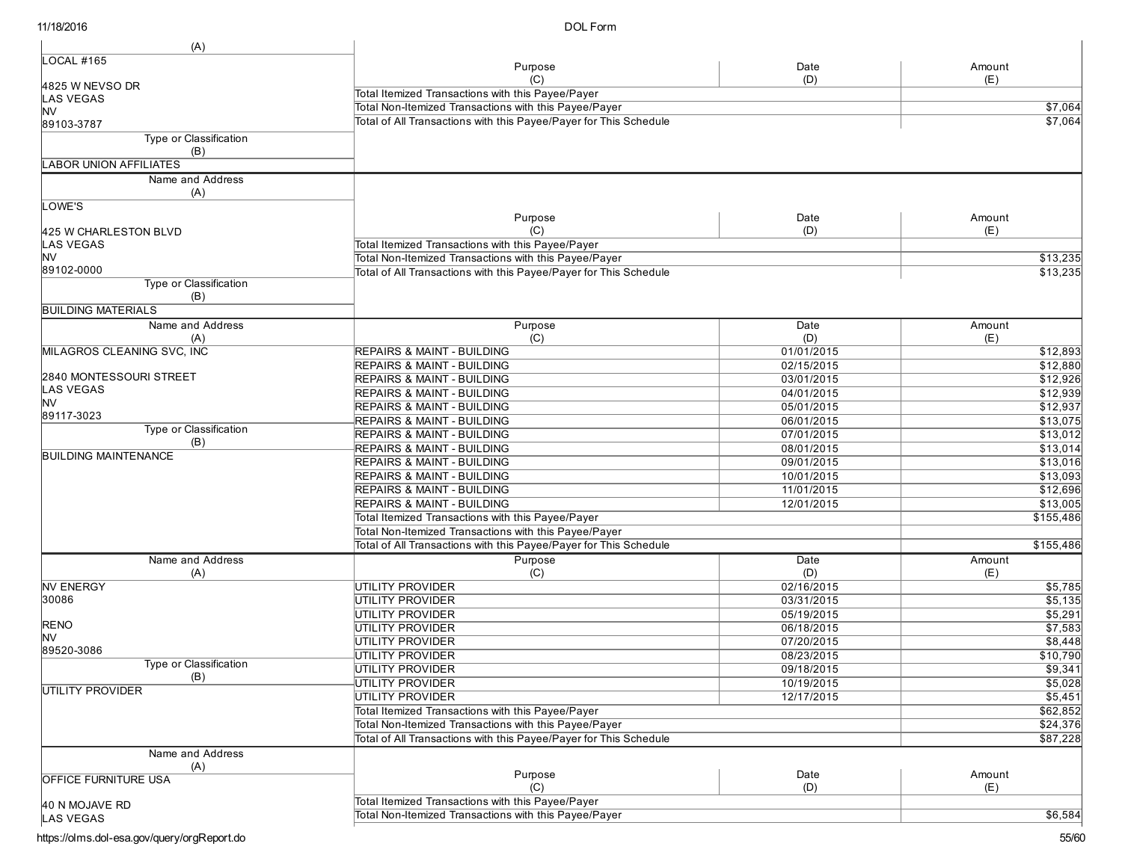| (A)                         |                                                                   |            |           |
|-----------------------------|-------------------------------------------------------------------|------------|-----------|
| <b>LOCAL #165</b>           | Purpose                                                           | Date       | Amount    |
|                             | (C)                                                               | (D)        | (E)       |
| 4825 W NEVSO DR             | Total Itemized Transactions with this Payee/Payer                 |            |           |
| <b>LAS VEGAS</b><br>ΝV      | Total Non-Itemized Transactions with this Payee/Payer             |            | \$7,064   |
| 89103-3787                  | Total of All Transactions with this Payee/Payer for This Schedule |            | \$7,064   |
| Type or Classification      |                                                                   |            |           |
| (B)                         |                                                                   |            |           |
| LABOR UNION AFFILIATES      |                                                                   |            |           |
| Name and Address            |                                                                   |            |           |
| (A)                         |                                                                   |            |           |
| LOWE'S                      |                                                                   |            |           |
|                             | Purpose                                                           | Date       | Amount    |
| 425 W CHARLESTON BLVD       | (C)                                                               | (D)        | (E)       |
| <b>LAS VEGAS</b>            | Total Itemized Transactions with this Payee/Payer                 |            |           |
| ΝV                          | Total Non-Itemized Transactions with this Payee/Payer             |            | \$13,235  |
| 89102-0000                  | Total of All Transactions with this Payee/Payer for This Schedule |            | \$13,235  |
| Type or Classification      |                                                                   |            |           |
| (B)                         |                                                                   |            |           |
| <b>BUILDING MATERIALS</b>   |                                                                   |            |           |
| Name and Address            | Purpose                                                           | Date       | Amount    |
| (A)                         | (C)                                                               | (D)        | (E)       |
| MILAGROS CLEANING SVC, INC  | <b>REPAIRS &amp; MAINT - BUILDING</b>                             | 01/01/2015 | \$12,893  |
|                             | <b>REPAIRS &amp; MAINT - BUILDING</b>                             | 02/15/2015 | \$12,880  |
| 2840 MONTESSOURI STREET     | <b>REPAIRS &amp; MAINT - BUILDING</b>                             | 03/01/2015 | \$12,926  |
| <b>LAS VEGAS</b>            | <b>REPAIRS &amp; MAINT - BUILDING</b>                             | 04/01/2015 | \$12,939  |
| <b>INV</b>                  | <b>REPAIRS &amp; MAINT - BUILDING</b>                             | 05/01/2015 | \$12,937  |
| 89117-3023                  | REPAIRS & MAINT - BUILDING                                        | 06/01/2015 | \$13,075  |
| Type or Classification      | <b>REPAIRS &amp; MAINT - BUILDING</b>                             | 07/01/2015 | \$13,012  |
| (B)                         | REPAIRS & MAINT - BUILDING                                        | 08/01/2015 | \$13,014  |
| <b>BUILDING MAINTENANCE</b> | <b>REPAIRS &amp; MAINT - BUILDING</b>                             | 09/01/2015 | \$13,016  |
|                             | <b>REPAIRS &amp; MAINT - BUILDING</b>                             | 10/01/2015 | \$13,093  |
|                             | <b>REPAIRS &amp; MAINT - BUILDING</b>                             | 11/01/2015 | \$12,696  |
|                             | <b>REPAIRS &amp; MAINT - BUILDING</b>                             | 12/01/2015 | \$13,005  |
|                             | Total Itemized Transactions with this Payee/Payer                 |            | \$155,486 |
|                             | Total Non-Itemized Transactions with this Payee/Payer             |            |           |
|                             | Total of All Transactions with this Payee/Payer for This Schedule |            | \$155,486 |
| Name and Address            | Purpose                                                           | Date       | Amount    |
| (A)                         | (C)                                                               | (D)        | (E)       |
| <b>NV ENERGY</b>            | <b>UTILITY PROVIDER</b>                                           | 02/16/2015 | \$5,785   |
| 30086                       | UTILITY PROVIDER                                                  | 03/31/2015 | \$5,135   |
|                             | <b>UTILITY PROVIDER</b>                                           | 05/19/2015 | \$5,291   |
| <b>RENO</b>                 | UTILITY PROVIDER                                                  | 06/18/2015 | \$7,583   |
| <b>NV</b>                   | UTILITY PROVIDER                                                  | 07/20/2015 | \$8,448   |
| 89520-3086                  | UTILITY PROVIDER                                                  | 08/23/2015 | \$10,790  |
| Type or Classification      | <b>UTILITY PROVIDER</b>                                           | 09/18/2015 | \$9,341   |
| (B)                         | UTILITY PROVIDER                                                  | 10/19/2015 | \$5,028   |
| UTILITY PROVIDER            | <b>UTILITY PROVIDER</b>                                           | 12/17/2015 | \$5,451   |
|                             | Total Itemized Transactions with this Payee/Payer                 |            | \$62,852  |
|                             | Total Non-Itemized Transactions with this Payee/Payer             |            | \$24,376  |
|                             | Total of All Transactions with this Payee/Payer for This Schedule |            | \$87,228  |
| Name and Address            |                                                                   |            |           |
| (A)                         |                                                                   |            |           |
| <b>OFFICE FURNITURE USA</b> | Purpose                                                           | Date       | Amount    |
|                             | (C)                                                               | (D)        | (E)       |
| 40 N MOJAVE RD              | Total Itemized Transactions with this Payee/Payer                 |            |           |
| LAS VEGAS                   | Total Non-Itemized Transactions with this Payee/Payer             |            | \$6,584   |
|                             |                                                                   |            |           |

https://olms.dol-esa.gov/query/orgReport.do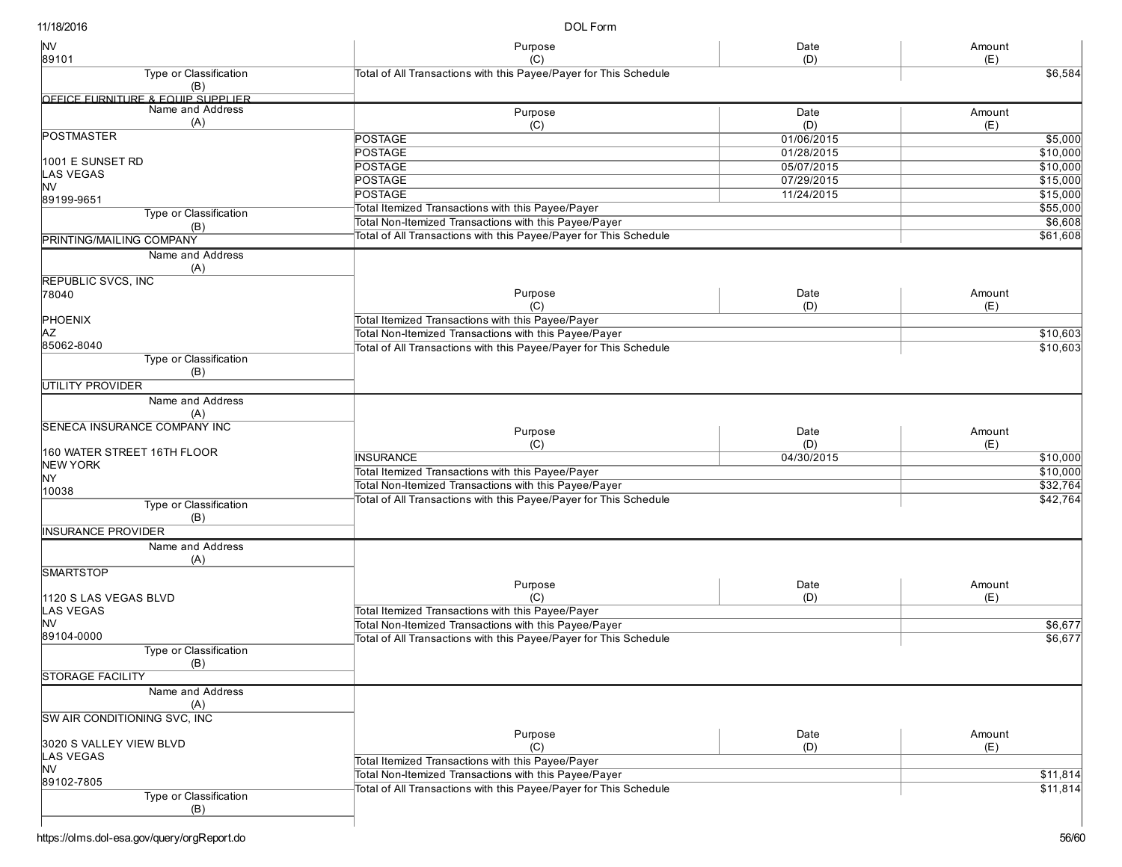DOL Form

| <b>NV</b><br>89101                  | Purpose<br>(C)                                                                                             | Date<br>(D) | Amount<br>(E) |
|-------------------------------------|------------------------------------------------------------------------------------------------------------|-------------|---------------|
| Type or Classification              | Total of All Transactions with this Payee/Payer for This Schedule                                          |             | \$6,584       |
| (B)                                 |                                                                                                            |             |               |
| OFFICE FURNITURE & FOUIP SUPPLIFR   |                                                                                                            |             |               |
| Name and Address                    | Purpose                                                                                                    | Date        | Amount        |
| (A)                                 | (C)                                                                                                        | (D)         | (E)           |
| <b>POSTMASTER</b>                   | <b>POSTAGE</b>                                                                                             | 01/06/2015  | \$5,000       |
|                                     | <b>POSTAGE</b>                                                                                             | 01/28/2015  | \$10,000      |
| 1001 E SUNSET RD                    | <b>POSTAGE</b>                                                                                             | 05/07/2015  | \$10,000      |
| LAS VEGAS                           | <b>POSTAGE</b>                                                                                             | 07/29/2015  | \$15,000      |
| NV<br>89199-9651                    | <b>POSTAGE</b>                                                                                             | 11/24/2015  | \$15,000      |
| Type or Classification              | Total Itemized Transactions with this Payee/Payer                                                          | \$55,000    |               |
| (B)                                 | Total Non-Itemized Transactions with this Payee/Payer                                                      |             | \$6,608       |
| PRINTING/MAILING COMPANY            | Total of All Transactions with this Payee/Payer for This Schedule                                          |             | \$61,608      |
| Name and Address                    |                                                                                                            |             |               |
| (A)                                 |                                                                                                            |             |               |
| REPUBLIC SVCS, INC                  |                                                                                                            |             |               |
| 78040                               | Purpose                                                                                                    | Date        | Amount        |
|                                     | (C)                                                                                                        | (D)         | (E)           |
| <b>PHOENIX</b>                      | Total Itemized Transactions with this Payee/Payer                                                          |             |               |
| ΑZ                                  | Total Non-Itemized Transactions with this Payee/Payer                                                      |             | \$10,603      |
| 85062-8040                          | Total of All Transactions with this Payee/Payer for This Schedule                                          |             | \$10,603      |
| Type or Classification              |                                                                                                            |             |               |
| (B)                                 |                                                                                                            |             |               |
| UTILITY PROVIDER                    |                                                                                                            |             |               |
| Name and Address                    |                                                                                                            |             |               |
| (A)                                 |                                                                                                            |             |               |
| <b>SENECA INSURANCE COMPANY INC</b> | Purpose                                                                                                    | Date        |               |
|                                     | (C)                                                                                                        | (D)         | Amount<br>(E) |
| 160 WATER STREET 16TH FLOOR         | <b>INSURANCE</b>                                                                                           | 04/30/2015  | \$10,000      |
| <b>NEW YORK</b>                     |                                                                                                            |             | \$10,000      |
| NY.                                 | Total Itemized Transactions with this Payee/Payer<br>Total Non-Itemized Transactions with this Payee/Payer |             | \$32,764      |
| 10038                               | Total of All Transactions with this Payee/Payer for This Schedule                                          |             |               |
| Type or Classification              |                                                                                                            |             | \$42,764      |
| (B)                                 |                                                                                                            |             |               |
| <b>INSURANCE PROVIDER</b>           |                                                                                                            |             |               |
| Name and Address                    |                                                                                                            |             |               |
| (A)                                 |                                                                                                            |             |               |
| <b>SMARTSTOP</b>                    |                                                                                                            |             |               |
|                                     | Purpose                                                                                                    | Date        | Amount        |
| 1120 S LAS VEGAS BLVD               | (C)                                                                                                        | (D)         | (E)           |
| LAS VEGAS                           | Total Itemized Transactions with this Payee/Payer                                                          |             |               |
| <b>NV</b>                           | Total Non-Itemized Transactions with this Payee/Payer                                                      |             | \$6,677       |
| 89104-0000                          | Total of All Transactions with this Payee/Payer for This Schedule                                          |             | \$6,677       |
| <b>Type or Classification</b>       |                                                                                                            |             |               |
| (B)                                 |                                                                                                            |             |               |
| STORAGE FACILITY                    |                                                                                                            |             |               |
| Name and Address                    |                                                                                                            |             |               |
| (A)                                 |                                                                                                            |             |               |
| SW AIR CONDITIONING SVC, INC        |                                                                                                            |             |               |
| 3020 S VALLEY VIEW BLVD             | Purpose                                                                                                    | Date        | Amount        |
| <b>LAS VEGAS</b>                    | (C)                                                                                                        | (D)         | (E)           |
| <b>NV</b>                           | Total Itemized Transactions with this Payee/Payer                                                          |             |               |
| 89102-7805                          | Total Non-Itemized Transactions with this Payee/Payer                                                      |             | \$11,814      |
| Type or Classification              | Total of All Transactions with this Payee/Payer for This Schedule                                          |             | \$11,814      |
| (B)                                 |                                                                                                            |             |               |
|                                     |                                                                                                            |             |               |
|                                     |                                                                                                            |             |               |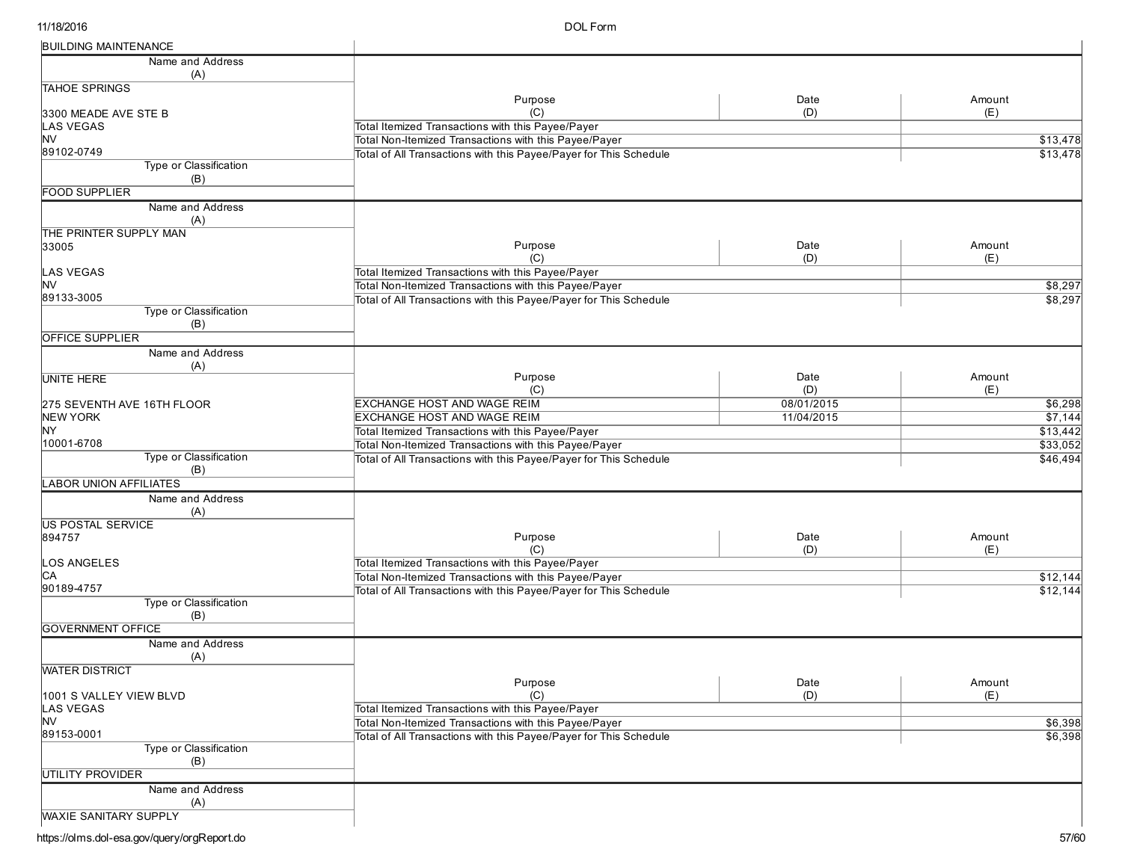| <b>BUILDING MAINTENANCE</b>  |                                                                   |            |                  |
|------------------------------|-------------------------------------------------------------------|------------|------------------|
| Name and Address             |                                                                   |            |                  |
| (A)                          |                                                                   |            |                  |
| <b>TAHOE SPRINGS</b>         |                                                                   |            |                  |
|                              | Purpose                                                           | Date       | Amount           |
| 3300 MEADE AVE STE B         | (C)                                                               | (D)        | (E)              |
| LAS VEGAS                    | Total Itemized Transactions with this Payee/Payer                 |            |                  |
| <b>NV</b>                    | Total Non-Itemized Transactions with this Payee/Payer             |            | \$13,478         |
| 89102-0749                   | Total of All Transactions with this Payee/Payer for This Schedule |            | \$13,478         |
| Type or Classification       |                                                                   |            |                  |
| (B)                          |                                                                   |            |                  |
| <b>FOOD SUPPLIER</b>         |                                                                   |            |                  |
| Name and Address             |                                                                   |            |                  |
| (A)                          |                                                                   |            |                  |
| THE PRINTER SUPPLY MAN       |                                                                   |            |                  |
| 33005                        | Purpose                                                           | Date       | Amount           |
|                              | (C)                                                               | (D)        | (E)              |
| <b>LAS VEGAS</b>             | Total Itemized Transactions with this Payee/Payer                 |            |                  |
| <b>NV</b>                    | Total Non-Itemized Transactions with this Payee/Payer             |            | \$8,297          |
| 89133-3005                   | Total of All Transactions with this Payee/Payer for This Schedule |            | \$8,297          |
| Type or Classification       |                                                                   |            |                  |
| (B)                          |                                                                   |            |                  |
| OFFICE SUPPLIER              |                                                                   |            |                  |
| Name and Address             |                                                                   |            |                  |
| (A)                          |                                                                   |            |                  |
| <b>UNITE HERE</b>            | Purpose                                                           | Date       | Amount           |
|                              | (C)                                                               | (D)        | (E)              |
| 275 SEVENTH AVE 16TH FLOOR   | <b>EXCHANGE HOST AND WAGE REIM</b>                                | 08/01/2015 | \$6,298          |
| <b>NEW YORK</b>              | <b>EXCHANGE HOST AND WAGE REIM</b>                                | 11/04/2015 | \$7,144          |
| NY.                          | Total Itemized Transactions with this Payee/Payer                 |            | \$13,442         |
| 10001-6708                   | Total Non-Itemized Transactions with this Payee/Payer             |            | \$33,052         |
| Type or Classification       | Total of All Transactions with this Payee/Payer for This Schedule |            | \$46,494         |
| (B)                          |                                                                   |            |                  |
| <b>ABOR UNION AFFILIATES</b> |                                                                   |            |                  |
| Name and Address             |                                                                   |            |                  |
| (A)                          |                                                                   |            |                  |
| <b>US POSTAL SERVICE</b>     |                                                                   |            |                  |
| 894757                       | Purpose                                                           | Date       | Amount           |
|                              | (C)                                                               | (D)        | (E)              |
|                              |                                                                   |            |                  |
| <b>OS ANGELES</b>            | Total Itemized Transactions with this Payee/Payer                 |            |                  |
| CА<br>90189-4757             | Total Non-Itemized Transactions with this Payee/Payer             |            | $\sqrt{$12,144}$ |
|                              | Total of All Transactions with this Payee/Payer for This Schedule |            | \$12,144         |
| Type or Classification       |                                                                   |            |                  |
| (B)                          |                                                                   |            |                  |
| <b>GOVERNMENT OFFICE</b>     |                                                                   |            |                  |
| Name and Address             |                                                                   |            |                  |
| (A)                          |                                                                   |            |                  |
| <b>WATER DISTRICT</b>        |                                                                   |            |                  |
|                              | Purpose                                                           | Date       | Amount           |
| 1001 S VALLEY VIEW BLVD      | (C)                                                               | (D)        | (E)              |
| LAS VEGAS                    | Total Itemized Transactions with this Payee/Payer                 |            |                  |
| <b>NV</b>                    | Total Non-Itemized Transactions with this Payee/Payer             |            | \$6,398          |
| 89153-0001                   | Total of All Transactions with this Payee/Payer for This Schedule |            | \$6,398          |
| Type or Classification       |                                                                   |            |                  |
| (B)                          |                                                                   |            |                  |
| UTILITY PROVIDER             |                                                                   |            |                  |
| Name and Address             |                                                                   |            |                  |
| (A)                          |                                                                   |            |                  |
| <b>WAXIE SANITARY SUPPLY</b> |                                                                   |            |                  |
|                              |                                                                   |            |                  |

https://olms.dol-esa.gov/query/orgReport.do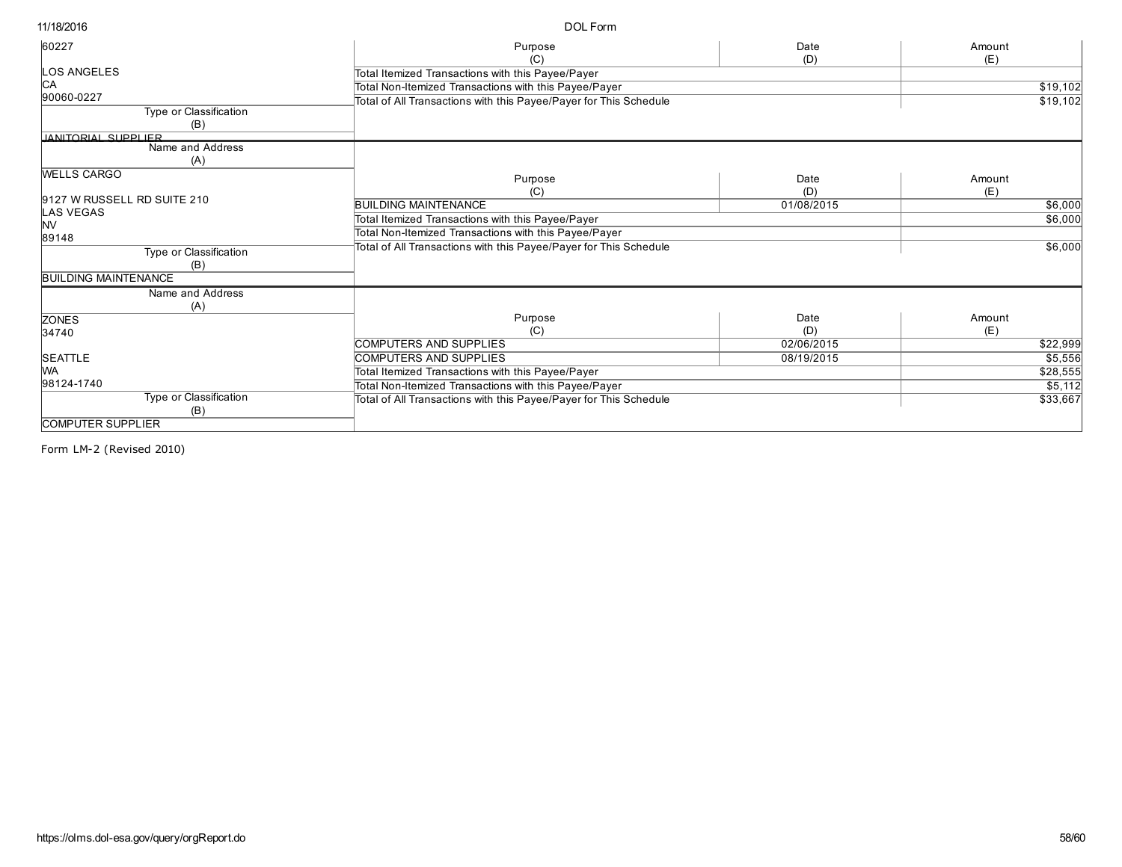| (C)<br>Total Itemized Transactions with this Payee/Payer<br>Total Non-Itemized Transactions with this Payee/Payer<br>Total of All Transactions with this Payee/Payer for This Schedule | (D)                                                                                                                                                                                                                                       | (E)<br>\$19,102                 |
|----------------------------------------------------------------------------------------------------------------------------------------------------------------------------------------|-------------------------------------------------------------------------------------------------------------------------------------------------------------------------------------------------------------------------------------------|---------------------------------|
|                                                                                                                                                                                        |                                                                                                                                                                                                                                           |                                 |
|                                                                                                                                                                                        |                                                                                                                                                                                                                                           | \$19,102                        |
|                                                                                                                                                                                        |                                                                                                                                                                                                                                           |                                 |
|                                                                                                                                                                                        |                                                                                                                                                                                                                                           |                                 |
| Purpose                                                                                                                                                                                | Date<br>(D)                                                                                                                                                                                                                               | Amount<br>(E)                   |
|                                                                                                                                                                                        | 01/08/2015                                                                                                                                                                                                                                | \$6,000                         |
| Total Itemized Transactions with this Payee/Payer                                                                                                                                      |                                                                                                                                                                                                                                           | \$6,000                         |
| Total Non-Itemized Transactions with this Payee/Payer                                                                                                                                  |                                                                                                                                                                                                                                           |                                 |
| Total of All Transactions with this Payee/Payer for This Schedule                                                                                                                      |                                                                                                                                                                                                                                           | \$6,000                         |
|                                                                                                                                                                                        |                                                                                                                                                                                                                                           |                                 |
|                                                                                                                                                                                        |                                                                                                                                                                                                                                           |                                 |
| Purpose                                                                                                                                                                                | Date                                                                                                                                                                                                                                      | Amount                          |
|                                                                                                                                                                                        |                                                                                                                                                                                                                                           | (E)                             |
|                                                                                                                                                                                        |                                                                                                                                                                                                                                           | \$22,999                        |
|                                                                                                                                                                                        |                                                                                                                                                                                                                                           | \$5,556                         |
| Total Itemized Transactions with this Payee/Payer                                                                                                                                      |                                                                                                                                                                                                                                           | \$28,555                        |
|                                                                                                                                                                                        |                                                                                                                                                                                                                                           | \$5,112                         |
|                                                                                                                                                                                        |                                                                                                                                                                                                                                           | \$33,667                        |
|                                                                                                                                                                                        | (C)<br><b>BUILDING MAINTENANCE</b><br>(C)<br><b>COMPUTERS AND SUPPLIES</b><br><b>COMPUTERS AND SUPPLIES</b><br>Total Non-Itemized Transactions with this Payee/Payer<br>Total of All Transactions with this Payee/Payer for This Schedule | (D)<br>02/06/2015<br>08/19/2015 |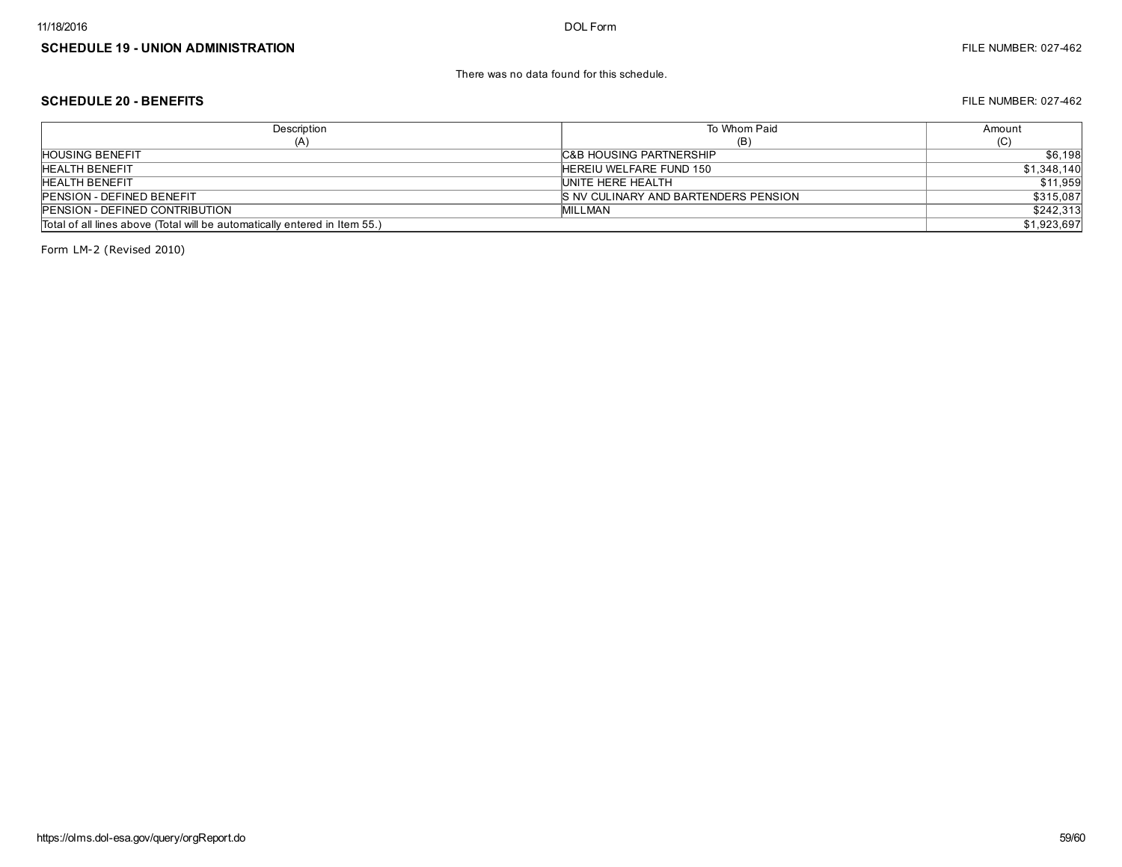There was no data found for this schedule.

#### SCHEDULE 20 - BENEFITS FILE NUMBER: 027-462

| Description                                                                | To Whom Paid                          | Amount      |
|----------------------------------------------------------------------------|---------------------------------------|-------------|
| (A)                                                                        | (B)                                   | ا با        |
| <b>HOUSING BENEFIT</b>                                                     | <b>C&amp;B HOUSING PARTNERSHIP</b>    | \$6,198     |
| <b>HEALTH BENEFIT</b>                                                      | HEREIU WELFARE FUND 150               | \$1,348,140 |
| <b>HEALTH BENEFIT</b>                                                      | UNITE HERE HEALTH                     | \$11,959    |
| <b>PENSION - DEFINED BENEFIT</b>                                           | IS NV CULINARY AND BARTENDERS PENSION | \$315,087   |
| <b>PENSION - DEFINED CONTRIBUTION</b>                                      | <b>MILLMAN</b>                        | \$242,313   |
| Total of all lines above (Total will be automatically entered in Item 55.) |                                       | \$1,923,697 |